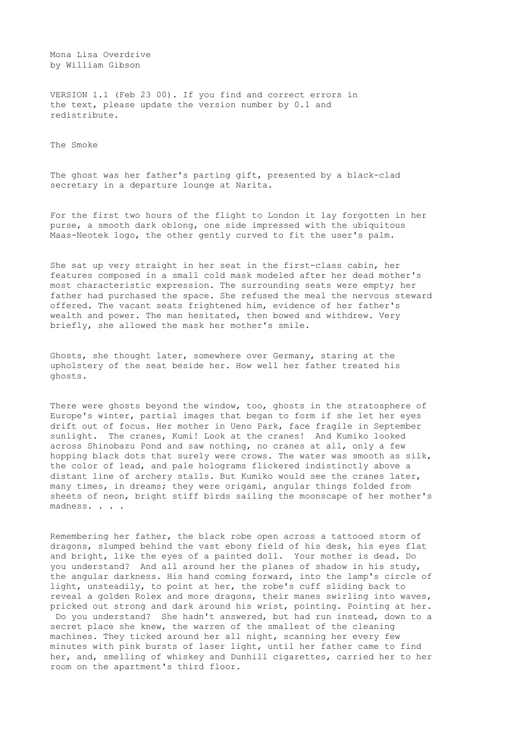Mona Lisa Overdrive by William Gibson

VERSION 1.1 (Feb 23 00). If you find and correct errors in the text, please update the version number by 0.1 and redistribute.

The Smoke

The ghost was her father's parting gift, presented by a black-clad secretary in a departure lounge at Narita.

For the first two hours of the flight to London it lay forgotten in her purse, a smooth dark oblong, one side impressed with the ubiquitous Maas-Neotek logo, the other gently curved to fit the user's palm.

She sat up very straight in her seat in the first-class cabin, her features composed in a small cold mask modeled after her dead mother's most characteristic expression. The surrounding seats were empty; her father had purchased the space. She refused the meal the nervous steward offered. The vacant seats frightened him, evidence of her father's wealth and power. The man hesitated, then bowed and withdrew. Very briefly, she allowed the mask her mother's smile.

Ghosts, she thought later, somewhere over Germany, staring at the upholstery of the seat beside her. How well her father treated his ghosts.

There were ghosts beyond the window, too, ghosts in the stratosphere of Europe's winter, partial images that began to form if she let her eyes drift out of focus. Her mother in Ueno Park, face fragile in September sunlight. The cranes, Kumi! Look at the cranes! And Kumiko looked across Shinobazu Pond and saw nothing, no cranes at all, only a few hopping black dots that surely were crows. The water was smooth as silk, the color of lead, and pale holograms flickered indistinctly above a distant line of archery stalls. But Kumiko would see the cranes later, many times, in dreams; they were origami, angular things folded from sheets of neon, bright stiff birds sailing the moonscape of her mother's madness. . . .

Remembering her father, the black robe open across a tattooed storm of dragons, slumped behind the vast ebony field of his desk, his eyes flat and bright, like the eyes of a painted doll. Your mother is dead. Do you understand? And all around her the planes of shadow in his study, the angular darkness. His hand coming forward, into the lamp's circle of light, unsteadily, to point at her, the robe's cuff sliding back to reveal a golden Rolex and more dragons, their manes swirling into waves, pricked out strong and dark around his wrist, pointing. Pointing at her. Do you understand? She hadn't answered, but had run instead, down to a secret place she knew, the warren of the smallest of the cleaning machines. They ticked around her all night, scanning her every few minutes with pink bursts of laser light, until her father came to find her, and, smelling of whiskey and Dunhill cigarettes, carried her to her room on the apartment's third floor.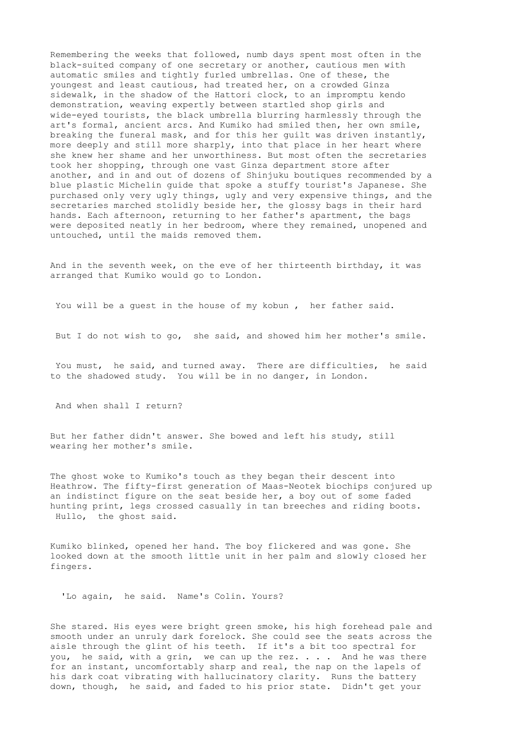Remembering the weeks that followed, numb days spent most often in the black-suited company of one secretary or another, cautious men with automatic smiles and tightly furled umbrellas. One of these, the youngest and least cautious, had treated her, on a crowded Ginza sidewalk, in the shadow of the Hattori clock, to an impromptu kendo demonstration, weaving expertly between startled shop girls and wide-eyed tourists, the black umbrella blurring harmlessly through the art's formal, ancient arcs. And Kumiko had smiled then, her own smile, breaking the funeral mask, and for this her guilt was driven instantly, more deeply and still more sharply, into that place in her heart where she knew her shame and her unworthiness. But most often the secretaries took her shopping, through one vast Ginza department store after another, and in and out of dozens of Shinjuku boutiques recommended by a blue plastic Michelin guide that spoke a stuffy tourist's Japanese. She purchased only very ugly things, ugly and very expensive things, and the secretaries marched stolidly beside her, the glossy bags in their hard hands. Each afternoon, returning to her father's apartment, the bags were deposited neatly in her bedroom, where they remained, unopened and untouched, until the maids removed them.

And in the seventh week, on the eve of her thirteenth birthday, it was arranged that Kumiko would go to London.

You will be a guest in the house of my kobun, her father said.

But I do not wish to go, she said, and showed him her mother's smile.

You must, he said, and turned away. There are difficulties, he said to the shadowed study. You will be in no danger, in London.

And when shall I return?

But her father didn't answer. She bowed and left his study, still wearing her mother's smile.

The ghost woke to Kumiko's touch as they began their descent into Heathrow. The fifty-first generation of Maas-Neotek biochips conjured up an indistinct figure on the seat beside her, a boy out of some faded hunting print, legs crossed casually in tan breeches and riding boots. Hullo, the ghost said.

Kumiko blinked, opened her hand. The boy flickered and was gone. She looked down at the smooth little unit in her palm and slowly closed her fingers.

'Lo again, he said. Name's Colin. Yours?

She stared. His eyes were bright green smoke, his high forehead pale and smooth under an unruly dark forelock. She could see the seats across the aisle through the glint of his teeth. If it's a bit too spectral for you, he said, with a grin, we can up the rez. . . . And he was there for an instant, uncomfortably sharp and real, the nap on the lapels of his dark coat vibrating with hallucinatory clarity. Runs the battery down, though, he said, and faded to his prior state. Didn't get your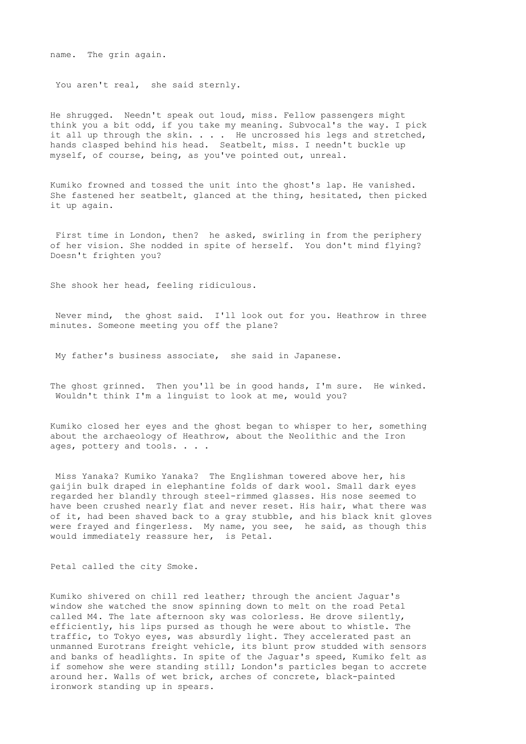name. The grin again.

You aren't real, she said sternly.

He shrugged. Needn't speak out loud, miss. Fellow passengers might think you a bit odd, if you take my meaning. Subvocal's the way. I pick it all up through the skin. . . . He uncrossed his legs and stretched, hands clasped behind his head. Seatbelt, miss. I needn't buckle up myself, of course, being, as you've pointed out, unreal.

Kumiko frowned and tossed the unit into the ghost's lap. He vanished. She fastened her seatbelt, glanced at the thing, hesitated, then picked it up again.

 First time in London, then? he asked, swirling in from the periphery of her vision. She nodded in spite of herself. You don't mind flying? Doesn't frighten you?

She shook her head, feeling ridiculous.

 Never mind, the ghost said. I'll look out for you. Heathrow in three minutes. Someone meeting you off the plane?

My father's business associate, she said in Japanese.

The ghost grinned. Then you'll be in good hands, I'm sure. He winked. Wouldn't think I'm a linguist to look at me, would you?

Kumiko closed her eyes and the ghost began to whisper to her, something about the archaeology of Heathrow, about the Neolithic and the Iron ages, pottery and tools. . . .

 Miss Yanaka? Kumiko Yanaka? The Englishman towered above her, his gaijin bulk draped in elephantine folds of dark wool. Small dark eyes regarded her blandly through steel-rimmed glasses. His nose seemed to have been crushed nearly flat and never reset. His hair, what there was of it, had been shaved back to a gray stubble, and his black knit gloves were frayed and fingerless. My name, you see, he said, as though this would immediately reassure her, is Petal.

Petal called the city Smoke.

Kumiko shivered on chill red leather; through the ancient Jaguar's window she watched the snow spinning down to melt on the road Petal called M4. The late afternoon sky was colorless. He drove silently, efficiently, his lips pursed as though he were about to whistle. The traffic, to Tokyo eyes, was absurdly light. They accelerated past an unmanned Eurotrans freight vehicle, its blunt prow studded with sensors and banks of headlights. In spite of the Jaguar's speed, Kumiko felt as if somehow she were standing still; London's particles began to accrete around her. Walls of wet brick, arches of concrete, black-painted ironwork standing up in spears.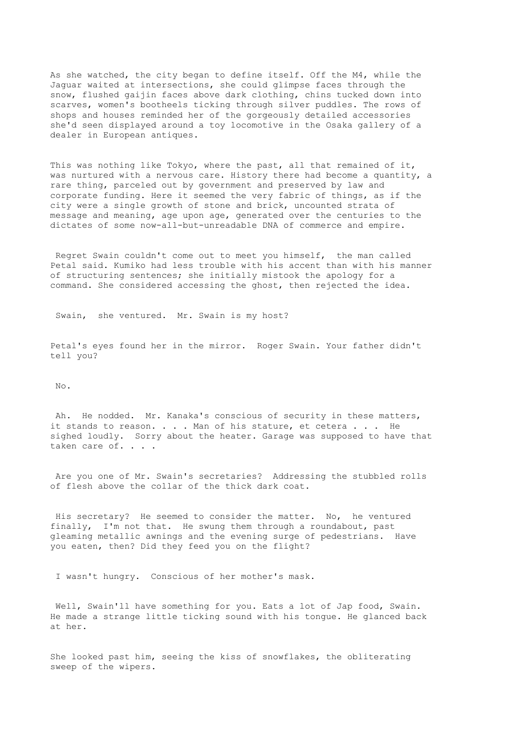As she watched, the city began to define itself. Off the M4, while the Jaguar waited at intersections, she could glimpse faces through the snow, flushed gaijin faces above dark clothing, chins tucked down into scarves, women's bootheels ticking through silver puddles. The rows of shops and houses reminded her of the gorgeously detailed accessories she'd seen displayed around a toy locomotive in the Osaka gallery of a dealer in European antiques.

This was nothing like Tokyo, where the past, all that remained of it, was nurtured with a nervous care. History there had become a quantity, a rare thing, parceled out by government and preserved by law and corporate funding. Here it seemed the very fabric of things, as if the city were a single growth of stone and brick, uncounted strata of message and meaning, age upon age, generated over the centuries to the dictates of some now-all-but-unreadable DNA of commerce and empire.

Regret Swain couldn't come out to meet you himself, the man called Petal said. Kumiko had less trouble with his accent than with his manner of structuring sentences; she initially mistook the apology for a command. She considered accessing the ghost, then rejected the idea.

Swain, she ventured. Mr. Swain is my host?

Petal's eyes found her in the mirror. Roger Swain. Your father didn't tell you?

 $M_{\odot}$ 

 Ah. He nodded. Mr. Kanaka's conscious of security in these matters, it stands to reason. . . . Man of his stature, et cetera . . . He sighed loudly. Sorry about the heater. Garage was supposed to have that taken care of. . . .

 Are you one of Mr. Swain's secretaries? Addressing the stubbled rolls of flesh above the collar of the thick dark coat.

His secretary? He seemed to consider the matter. No, he ventured finally, I'm not that. He swung them through a roundabout, past gleaming metallic awnings and the evening surge of pedestrians. Have you eaten, then? Did they feed you on the flight?

I wasn't hungry. Conscious of her mother's mask.

 Well, Swain'll have something for you. Eats a lot of Jap food, Swain. He made a strange little ticking sound with his tongue. He glanced back at her.

She looked past him, seeing the kiss of snowflakes, the obliterating sweep of the wipers.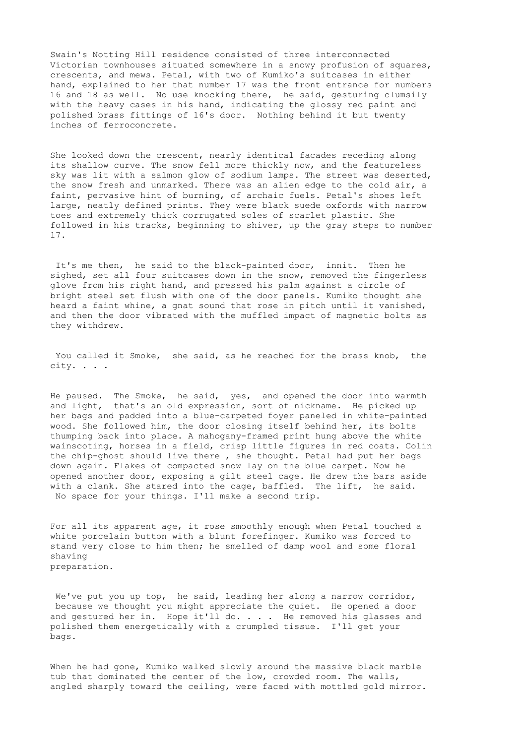Swain's Notting Hill residence consisted of three interconnected Victorian townhouses situated somewhere in a snowy profusion of squares, crescents, and mews. Petal, with two of Kumiko's suitcases in either hand, explained to her that number 17 was the front entrance for numbers 16 and 18 as well. No use knocking there, he said, gesturing clumsily with the heavy cases in his hand, indicating the glossy red paint and polished brass fittings of 16's door. Nothing behind it but twenty inches of ferroconcrete.

She looked down the crescent, nearly identical facades receding along its shallow curve. The snow fell more thickly now, and the featureless sky was lit with a salmon glow of sodium lamps. The street was deserted, the snow fresh and unmarked. There was an alien edge to the cold air, a faint, pervasive hint of burning, of archaic fuels. Petal's shoes left large, neatly defined prints. They were black suede oxfords with narrow toes and extremely thick corrugated soles of scarlet plastic. She followed in his tracks, beginning to shiver, up the gray steps to number 17.

 It's me then, he said to the black-painted door, innit. Then he sighed, set all four suitcases down in the snow, removed the fingerless glove from his right hand, and pressed his palm against a circle of bright steel set flush with one of the door panels. Kumiko thought she heard a faint whine, a gnat sound that rose in pitch until it vanished, and then the door vibrated with the muffled impact of magnetic bolts as they withdrew.

 You called it Smoke, she said, as he reached for the brass knob, the city. . . .

He paused. The Smoke, he said, yes, and opened the door into warmth and light, that's an old expression, sort of nickname. He picked up her bags and padded into a blue-carpeted foyer paneled in white-painted wood. She followed him, the door closing itself behind her, its bolts thumping back into place. A mahogany-framed print hung above the white wainscoting, horses in a field, crisp little figures in red coats. Colin the chip-ghost should live there , she thought. Petal had put her bags down again. Flakes of compacted snow lay on the blue carpet. Now he opened another door, exposing a gilt steel cage. He drew the bars aside with a clank. She stared into the cage, baffled. The lift, he said. No space for your things. I'll make a second trip.

For all its apparent age, it rose smoothly enough when Petal touched a white porcelain button with a blunt forefinger. Kumiko was forced to stand very close to him then; he smelled of damp wool and some floral shaving preparation.

We've put you up top, he said, leading her along a narrow corridor, because we thought you might appreciate the quiet. He opened a door and gestured her in. Hope it'll do. . . . He removed his glasses and polished them energetically with a crumpled tissue. I'll get your bags.

When he had gone, Kumiko walked slowly around the massive black marble tub that dominated the center of the low, crowded room. The walls, angled sharply toward the ceiling, were faced with mottled gold mirror.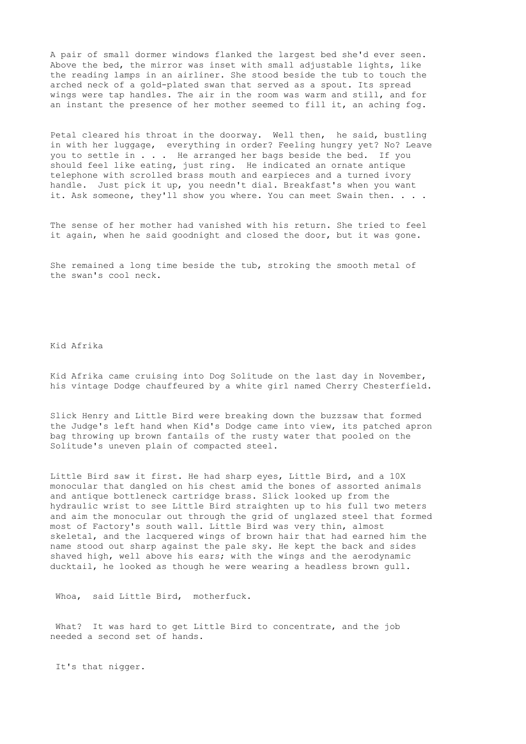A pair of small dormer windows flanked the largest bed she'd ever seen. Above the bed, the mirror was inset with small adjustable lights, like the reading lamps in an airliner. She stood beside the tub to touch the arched neck of a gold-plated swan that served as a spout. Its spread wings were tap handles. The air in the room was warm and still, and for an instant the presence of her mother seemed to fill it, an aching fog.

Petal cleared his throat in the doorway. Well then, he said, bustling in with her luggage, everything in order? Feeling hungry yet? No? Leave you to settle in . . . He arranged her bags beside the bed. If you should feel like eating, just ring. He indicated an ornate antique telephone with scrolled brass mouth and earpieces and a turned ivory handle. Just pick it up, you needn't dial. Breakfast's when you want it. Ask someone, they'll show you where. You can meet Swain then. . . .

The sense of her mother had vanished with his return. She tried to feel it again, when he said goodnight and closed the door, but it was gone.

She remained a long time beside the tub, stroking the smooth metal of the swan's cool neck.

Kid Afrika

Kid Afrika came cruising into Dog Solitude on the last day in November, his vintage Dodge chauffeured by a white girl named Cherry Chesterfield.

Slick Henry and Little Bird were breaking down the buzzsaw that formed the Judge's left hand when Kid's Dodge came into view, its patched apron bag throwing up brown fantails of the rusty water that pooled on the Solitude's uneven plain of compacted steel.

Little Bird saw it first. He had sharp eyes, Little Bird, and a 10X monocular that dangled on his chest amid the bones of assorted animals and antique bottleneck cartridge brass. Slick looked up from the hydraulic wrist to see Little Bird straighten up to his full two meters and aim the monocular out through the grid of unglazed steel that formed most of Factory's south wall. Little Bird was very thin, almost skeletal, and the lacquered wings of brown hair that had earned him the name stood out sharp against the pale sky. He kept the back and sides shaved high, well above his ears; with the wings and the aerodynamic ducktail, he looked as though he were wearing a headless brown gull.

Whoa, said Little Bird, motherfuck.

 What? It was hard to get Little Bird to concentrate, and the job needed a second set of hands.

It's that nigger.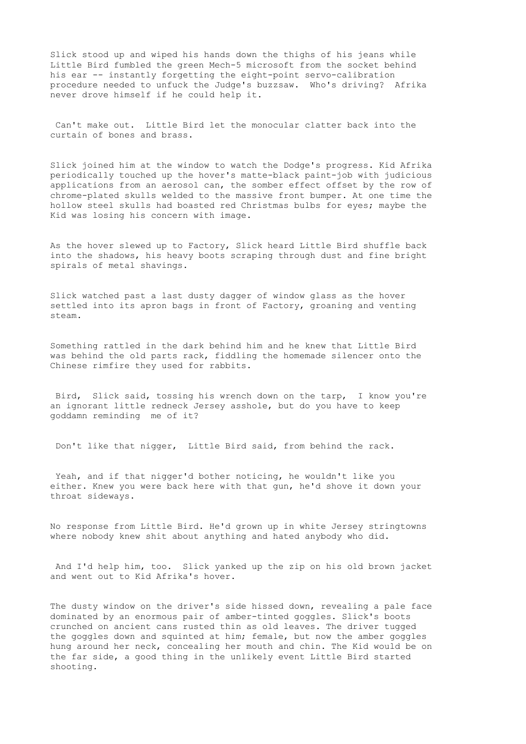Slick stood up and wiped his hands down the thighs of his jeans while Little Bird fumbled the green Mech-5 microsoft from the socket behind his ear -- instantly forgetting the eight-point servo-calibration procedure needed to unfuck the Judge's buzzsaw. Who's driving? Afrika never drove himself if he could help it.

 Can't make out. Little Bird let the monocular clatter back into the curtain of bones and brass.

Slick joined him at the window to watch the Dodge's progress. Kid Afrika periodically touched up the hover's matte-black paint-job with judicious applications from an aerosol can, the somber effect offset by the row of chrome-plated skulls welded to the massive front bumper. At one time the hollow steel skulls had boasted red Christmas bulbs for eyes; maybe the Kid was losing his concern with image.

As the hover slewed up to Factory, Slick heard Little Bird shuffle back into the shadows, his heavy boots scraping through dust and fine bright spirals of metal shavings.

Slick watched past a last dusty dagger of window glass as the hover settled into its apron bags in front of Factory, groaning and venting steam.

Something rattled in the dark behind him and he knew that Little Bird was behind the old parts rack, fiddling the homemade silencer onto the Chinese rimfire they used for rabbits.

 Bird, Slick said, tossing his wrench down on the tarp, I know you're an ignorant little redneck Jersey asshole, but do you have to keep goddamn reminding me of it?

Don't like that nigger, Little Bird said, from behind the rack.

 Yeah, and if that nigger'd bother noticing, he wouldn't like you either. Knew you were back here with that gun, he'd shove it down your throat sideways.

No response from Little Bird. He'd grown up in white Jersey stringtowns where nobody knew shit about anything and hated anybody who did.

 And I'd help him, too. Slick yanked up the zip on his old brown jacket and went out to Kid Afrika's hover.

The dusty window on the driver's side hissed down, revealing a pale face dominated by an enormous pair of amber-tinted goggles. Slick's boots crunched on ancient cans rusted thin as old leaves. The driver tugged the goggles down and squinted at him; female, but now the amber goggles hung around her neck, concealing her mouth and chin. The Kid would be on the far side, a good thing in the unlikely event Little Bird started shooting.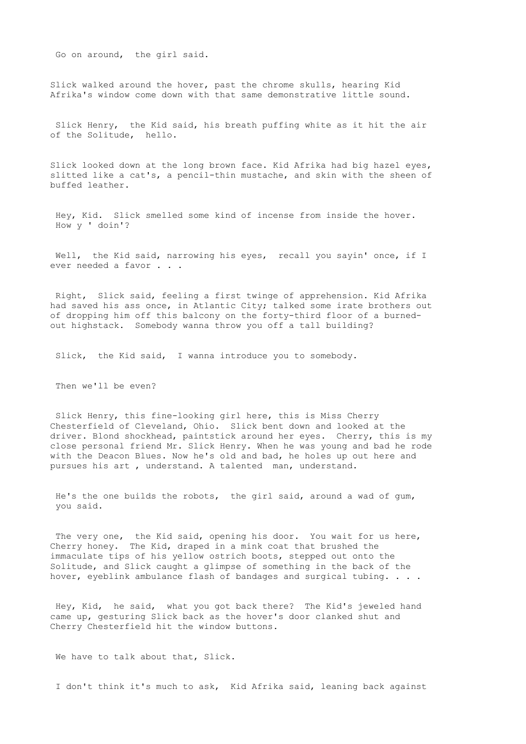Go on around, the girl said.

Slick walked around the hover, past the chrome skulls, hearing Kid Afrika's window come down with that same demonstrative little sound.

 Slick Henry, the Kid said, his breath puffing white as it hit the air of the Solitude, hello.

Slick looked down at the long brown face. Kid Afrika had big hazel eyes, slitted like a cat's, a pencil-thin mustache, and skin with the sheen of buffed leather.

 Hey, Kid. Slick smelled some kind of incense from inside the hover. How y ' doin'?

Well, the Kid said, narrowing his eyes, recall you sayin' once, if I ever needed a favor . . .

 Right, Slick said, feeling a first twinge of apprehension. Kid Afrika had saved his ass once, in Atlantic City; talked some irate brothers out of dropping him off this balcony on the forty-third floor of a burnedout highstack. Somebody wanna throw you off a tall building?

Slick, the Kid said, I wanna introduce you to somebody.

Then we'll be even?

 Slick Henry, this fine-looking girl here, this is Miss Cherry Chesterfield of Cleveland, Ohio. Slick bent down and looked at the driver. Blond shockhead, paintstick around her eyes. Cherry, this is my close personal friend Mr. Slick Henry. When he was young and bad he rode with the Deacon Blues. Now he's old and bad, he holes up out here and pursues his art , understand. A talented man, understand.

 He's the one builds the robots, the girl said, around a wad of gum, you said.

The very one, the Kid said, opening his door. You wait for us here, Cherry honey. The Kid, draped in a mink coat that brushed the immaculate tips of his yellow ostrich boots, stepped out onto the Solitude, and Slick caught a glimpse of something in the back of the hover, eyeblink ambulance flash of bandages and surgical tubing. . . .

 Hey, Kid, he said, what you got back there? The Kid's jeweled hand came up, gesturing Slick back as the hover's door clanked shut and Cherry Chesterfield hit the window buttons.

We have to talk about that, Slick.

I don't think it's much to ask, Kid Afrika said, leaning back against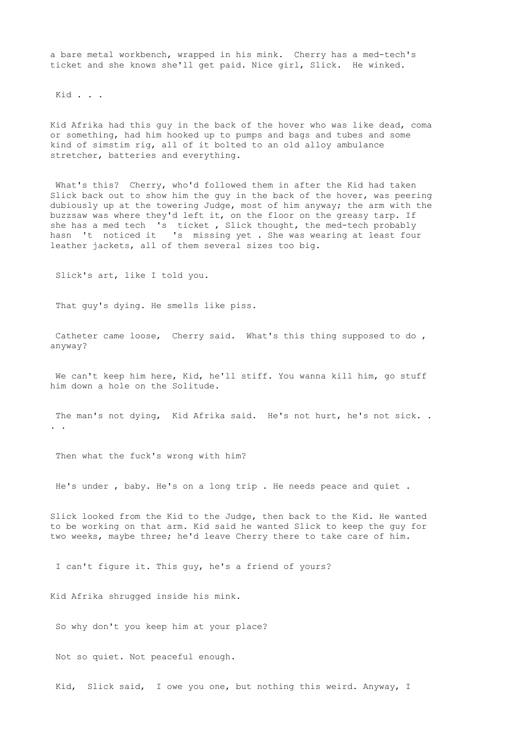a bare metal workbench, wrapped in his mink. Cherry has a med-tech's ticket and she knows she'll get paid. Nice girl, Slick. He winked.

Kid . . .

Kid Afrika had this guy in the back of the hover who was like dead, coma or something, had him hooked up to pumps and bags and tubes and some kind of simstim rig, all of it bolted to an old alloy ambulance stretcher, batteries and everything.

What's this? Cherry, who'd followed them in after the Kid had taken Slick back out to show him the guy in the back of the hover, was peering dubiously up at the towering Judge, most of him anyway; the arm with the buzzsaw was where they'd left it, on the floor on the greasy tarp. If she has a med tech 's ticket , Slick thought, the med-tech probably hasn 't noticed it 's missing yet . She was wearing at least four leather jackets, all of them several sizes too big.

Slick's art, like I told you.

That guy's dying. He smells like piss.

 Catheter came loose, Cherry said. What's this thing supposed to do , anyway?

 We can't keep him here, Kid, he'll stiff. You wanna kill him, go stuff him down a hole on the Solitude.

The man's not dying, Kid Afrika said. He's not hurt, he's not sick.. . .

Then what the fuck's wrong with him?

He's under , baby. He's on a long trip . He needs peace and quiet .

Slick looked from the Kid to the Judge, then back to the Kid. He wanted to be working on that arm. Kid said he wanted Slick to keep the guy for two weeks, maybe three; he'd leave Cherry there to take care of him.

I can't figure it. This guy, he's a friend of yours?

Kid Afrika shrugged inside his mink.

So why don't you keep him at your place?

Not so quiet. Not peaceful enough.

Kid, Slick said, I owe you one, but nothing this weird. Anyway, I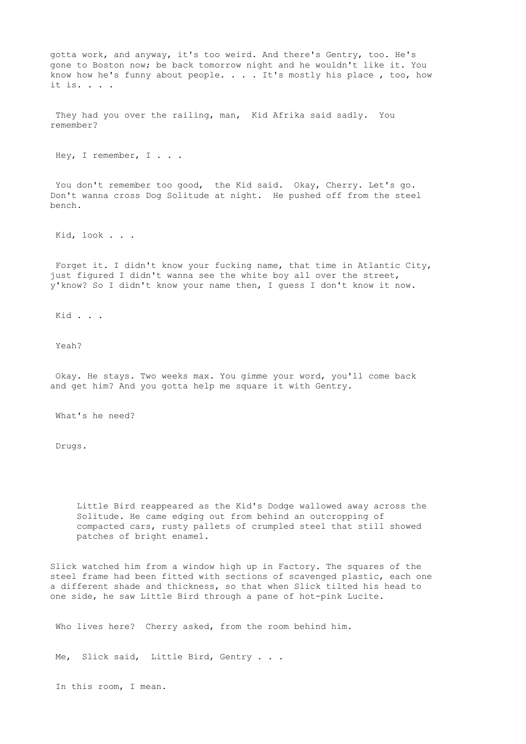gotta work, and anyway, it's too weird. And there's Gentry, too. He's gone to Boston now; be back tomorrow night and he wouldn't like it. You know how he's funny about people. . . . It's mostly his place , too, how it is. . . .

 They had you over the railing, man, Kid Afrika said sadly. You remember?

Hey, I remember, I . . .

You don't remember too good, the Kid said. Okay, Cherry. Let's go. Don't wanna cross Dog Solitude at night. He pushed off from the steel bench.

Kid, look . . .

 Forget it. I didn't know your fucking name, that time in Atlantic City, just figured I didn't wanna see the white boy all over the street, y'know? So I didn't know your name then, I guess I don't know it now.

Kid . . .

Yeah?

 Okay. He stays. Two weeks max. You gimme your word, you'll come back and get him? And you gotta help me square it with Gentry.

What's he need?

Drugs.

 Little Bird reappeared as the Kid's Dodge wallowed away across the Solitude. He came edging out from behind an outcropping of compacted cars, rusty pallets of crumpled steel that still showed patches of bright enamel.

Slick watched him from a window high up in Factory. The squares of the steel frame had been fitted with sections of scavenged plastic, each one a different shade and thickness, so that when Slick tilted his head to one side, he saw Little Bird through a pane of hot-pink Lucite.

Who lives here? Cherry asked, from the room behind him.

Me, Slick said, Little Bird, Gentry . . .

In this room, I mean.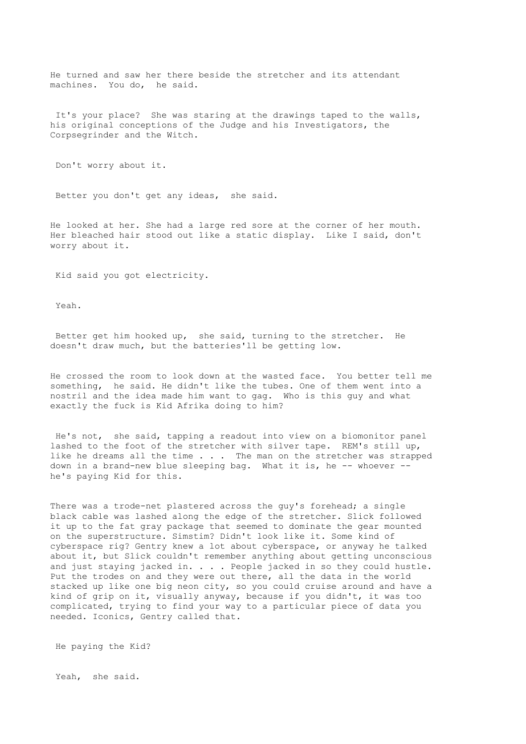He turned and saw her there beside the stretcher and its attendant machines. You do, he said.

 It's your place? She was staring at the drawings taped to the walls, his original conceptions of the Judge and his Investigators, the Corpsegrinder and the Witch.

Don't worry about it.

Better you don't get any ideas, she said.

He looked at her. She had a large red sore at the corner of her mouth. Her bleached hair stood out like a static display. Like I said, don't worry about it.

Kid said you got electricity.

Yeah.

 Better get him hooked up, she said, turning to the stretcher. He doesn't draw much, but the batteries'll be getting low.

He crossed the room to look down at the wasted face. You better tell me something, he said. He didn't like the tubes. One of them went into a nostril and the idea made him want to gag. Who is this guy and what exactly the fuck is Kid Afrika doing to him?

 He's not, she said, tapping a readout into view on a biomonitor panel lashed to the foot of the stretcher with silver tape. REM's still up, like he dreams all the time . . . The man on the stretcher was strapped down in a brand-new blue sleeping bag. What it is, he  $-$ - whoever  $$ he's paying Kid for this.

There was a trode-net plastered across the guy's forehead; a single black cable was lashed along the edge of the stretcher. Slick followed it up to the fat gray package that seemed to dominate the gear mounted on the superstructure. Simstim? Didn't look like it. Some kind of cyberspace rig? Gentry knew a lot about cyberspace, or anyway he talked about it, but Slick couldn't remember anything about getting unconscious and just staying jacked in. . . . People jacked in so they could hustle. Put the trodes on and they were out there, all the data in the world stacked up like one big neon city, so you could cruise around and have a kind of grip on it, visually anyway, because if you didn't, it was too complicated, trying to find your way to a particular piece of data you needed. Iconics, Gentry called that.

He paying the Kid?

Yeah, she said.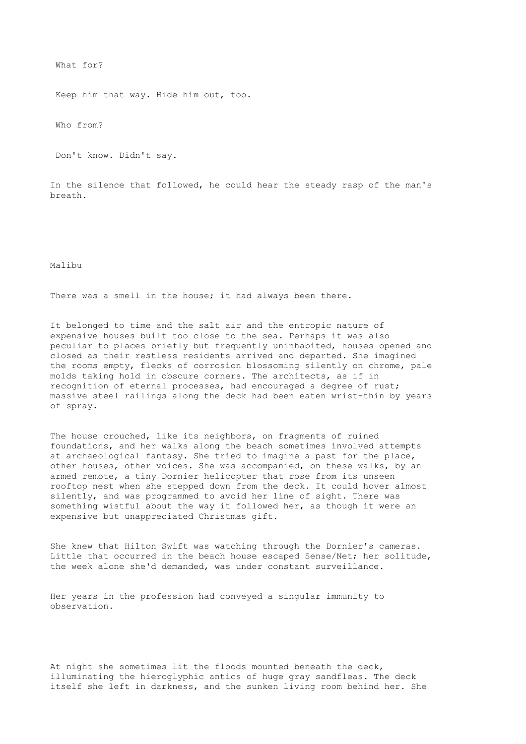What for?

Keep him that way. Hide him out, too.

Who from?

Don't know. Didn't say.

In the silence that followed, he could hear the steady rasp of the man's breath.

Malibu

There was a smell in the house; it had always been there.

It belonged to time and the salt air and the entropic nature of expensive houses built too close to the sea. Perhaps it was also peculiar to places briefly but frequently uninhabited, houses opened and closed as their restless residents arrived and departed. She imagined the rooms empty, flecks of corrosion blossoming silently on chrome, pale molds taking hold in obscure corners. The architects, as if in recognition of eternal processes, had encouraged a degree of rust; massive steel railings along the deck had been eaten wrist-thin by years of spray.

The house crouched, like its neighbors, on fragments of ruined foundations, and her walks along the beach sometimes involved attempts at archaeological fantasy. She tried to imagine a past for the place, other houses, other voices. She was accompanied, on these walks, by an armed remote, a tiny Dornier helicopter that rose from its unseen rooftop nest when she stepped down from the deck. It could hover almost silently, and was programmed to avoid her line of sight. There was something wistful about the way it followed her, as though it were an expensive but unappreciated Christmas gift.

She knew that Hilton Swift was watching through the Dornier's cameras. Little that occurred in the beach house escaped Sense/Net; her solitude, the week alone she'd demanded, was under constant surveillance.

Her years in the profession had conveyed a singular immunity to observation.

At night she sometimes lit the floods mounted beneath the deck, illuminating the hieroglyphic antics of huge gray sandfleas. The deck itself she left in darkness, and the sunken living room behind her. She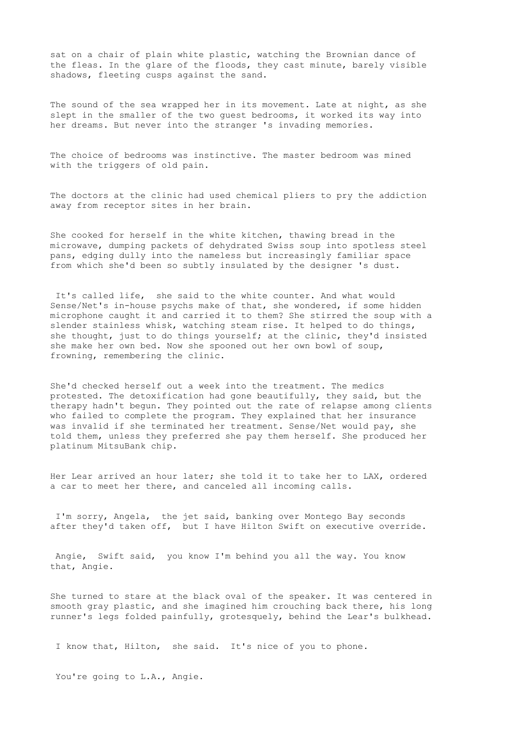sat on a chair of plain white plastic, watching the Brownian dance of the fleas. In the glare of the floods, they cast minute, barely visible shadows, fleeting cusps against the sand.

The sound of the sea wrapped her in its movement. Late at night, as she slept in the smaller of the two guest bedrooms, it worked its way into her dreams. But never into the stranger 's invading memories.

The choice of bedrooms was instinctive. The master bedroom was mined with the triggers of old pain.

The doctors at the clinic had used chemical pliers to pry the addiction away from receptor sites in her brain.

She cooked for herself in the white kitchen, thawing bread in the microwave, dumping packets of dehydrated Swiss soup into spotless steel pans, edging dully into the nameless but increasingly familiar space from which she'd been so subtly insulated by the designer 's dust.

 It's called life, she said to the white counter. And what would Sense/Net's in-house psychs make of that, she wondered, if some hidden microphone caught it and carried it to them? She stirred the soup with a slender stainless whisk, watching steam rise. It helped to do things, she thought, just to do things yourself; at the clinic, they'd insisted she make her own bed. Now she spooned out her own bowl of soup, frowning, remembering the clinic.

She'd checked herself out a week into the treatment. The medics protested. The detoxification had gone beautifully, they said, but the therapy hadn't begun. They pointed out the rate of relapse among clients who failed to complete the program. They explained that her insurance was invalid if she terminated her treatment. Sense/Net would pay, she told them, unless they preferred she pay them herself. She produced her platinum MitsuBank chip.

Her Lear arrived an hour later; she told it to take her to LAX, ordered a car to meet her there, and canceled all incoming calls.

 I'm sorry, Angela, the jet said, banking over Montego Bay seconds after they'd taken off, but I have Hilton Swift on executive override.

 Angie, Swift said, you know I'm behind you all the way. You know that, Angie.

She turned to stare at the black oval of the speaker. It was centered in smooth gray plastic, and she imagined him crouching back there, his long runner's legs folded painfully, grotesquely, behind the Lear's bulkhead.

I know that, Hilton, she said. It's nice of you to phone.

You're going to L.A., Angie.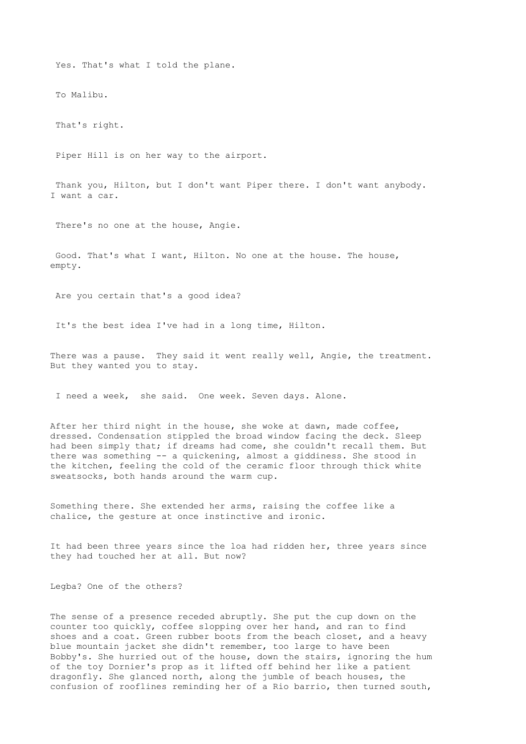Yes. That's what I told the plane.

To Malibu.

That's right.

Piper Hill is on her way to the airport.

Thank you, Hilton, but I don't want Piper there. I don't want anybody. I want a car.

There's no one at the house, Angie.

 Good. That's what I want, Hilton. No one at the house. The house, empty.

Are you certain that's a good idea?

It's the best idea I've had in a long time, Hilton.

There was a pause. They said it went really well, Angie, the treatment. But they wanted you to stay.

I need a week, she said. One week. Seven days. Alone.

After her third night in the house, she woke at dawn, made coffee, dressed. Condensation stippled the broad window facing the deck. Sleep had been simply that; if dreams had come, she couldn't recall them. But there was something -- a quickening, almost a giddiness. She stood in the kitchen, feeling the cold of the ceramic floor through thick white sweatsocks, both hands around the warm cup.

Something there. She extended her arms, raising the coffee like a chalice, the gesture at once instinctive and ironic.

It had been three years since the loa had ridden her, three years since they had touched her at all. But now?

Legba? One of the others?

The sense of a presence receded abruptly. She put the cup down on the counter too quickly, coffee slopping over her hand, and ran to find shoes and a coat. Green rubber boots from the beach closet, and a heavy blue mountain jacket she didn't remember, too large to have been Bobby's. She hurried out of the house, down the stairs, ignoring the hum of the toy Dornier's prop as it lifted off behind her like a patient dragonfly. She glanced north, along the jumble of beach houses, the confusion of rooflines reminding her of a Rio barrio, then turned south,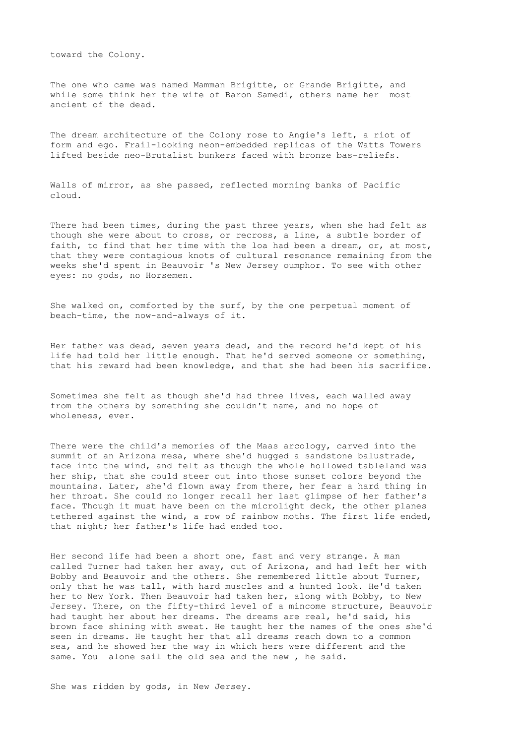toward the Colony.

The one who came was named Mamman Brigitte, or Grande Brigitte, and while some think her the wife of Baron Samedi, others name her most ancient of the dead.

The dream architecture of the Colony rose to Angie's left, a riot of form and ego. Frail-looking neon-embedded replicas of the Watts Towers lifted beside neo-Brutalist bunkers faced with bronze bas-reliefs.

Walls of mirror, as she passed, reflected morning banks of Pacific cloud.

There had been times, during the past three years, when she had felt as though she were about to cross, or recross, a line, a subtle border of faith, to find that her time with the loa had been a dream, or, at most, that they were contagious knots of cultural resonance remaining from the weeks she'd spent in Beauvoir 's New Jersey oumphor. To see with other eyes: no gods, no Horsemen.

She walked on, comforted by the surf, by the one perpetual moment of beach-time, the now-and-always of it.

Her father was dead, seven years dead, and the record he'd kept of his life had told her little enough. That he'd served someone or something, that his reward had been knowledge, and that she had been his sacrifice.

Sometimes she felt as though she'd had three lives, each walled away from the others by something she couldn't name, and no hope of wholeness, ever.

There were the child's memories of the Maas arcology, carved into the summit of an Arizona mesa, where she'd hugged a sandstone balustrade, face into the wind, and felt as though the whole hollowed tableland was her ship, that she could steer out into those sunset colors beyond the mountains. Later, she'd flown away from there, her fear a hard thing in her throat. She could no longer recall her last glimpse of her father's face. Though it must have been on the microlight deck, the other planes tethered against the wind, a row of rainbow moths. The first life ended, that night; her father's life had ended too.

Her second life had been a short one, fast and very strange. A man called Turner had taken her away, out of Arizona, and had left her with Bobby and Beauvoir and the others. She remembered little about Turner, only that he was tall, with hard muscles and a hunted look. He'd taken her to New York. Then Beauvoir had taken her, along with Bobby, to New Jersey. There, on the fifty-third level of a mincome structure, Beauvoir had taught her about her dreams. The dreams are real, he'd said, his brown face shining with sweat. He taught her the names of the ones she'd seen in dreams. He taught her that all dreams reach down to a common sea, and he showed her the way in which hers were different and the same. You alone sail the old sea and the new , he said.

She was ridden by gods, in New Jersey.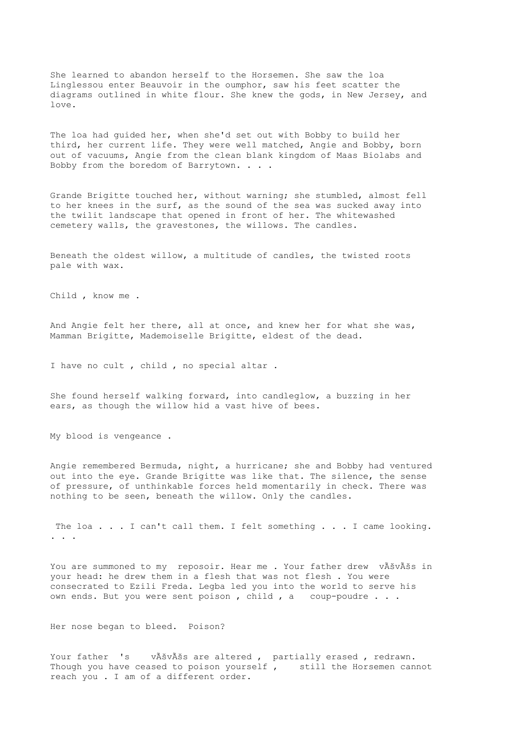She learned to abandon herself to the Horsemen. She saw the loa Linglessou enter Beauvoir in the oumphor, saw his feet scatter the diagrams outlined in white flour. She knew the gods, in New Jersey, and love.

The loa had guided her, when she'd set out with Bobby to build her third, her current life. They were well matched, Angie and Bobby, born out of vacuums, Angie from the clean blank kingdom of Maas Biolabs and Bobby from the boredom of Barrytown. . . .

Grande Brigitte touched her, without warning; she stumbled, almost fell to her knees in the surf, as the sound of the sea was sucked away into the twilit landscape that opened in front of her. The whitewashed cemetery walls, the gravestones, the willows. The candles.

Beneath the oldest willow, a multitude of candles, the twisted roots pale with wax.

Child , know me .

And Angie felt her there, all at once, and knew her for what she was, Mamman Brigitte, Mademoiselle Brigitte, eldest of the dead.

I have no cult , child , no special altar .

She found herself walking forward, into candleglow, a buzzing in her ears, as though the willow hid a vast hive of bees.

My blood is vengeance .

Angie remembered Bermuda, night, a hurricane; she and Bobby had ventured out into the eye. Grande Brigitte was like that. The silence, the sense of pressure, of unthinkable forces held momentarily in check. There was nothing to be seen, beneath the willow. Only the candles.

The loa . . . I can't call them. I felt something . . . I came looking. . . .

You are summoned to my reposoir. Hear me . Your father drew vÚvÚs in your head: he drew them in a flesh that was not flesh . You were consecrated to Ezili Freda. Legba led you into the world to serve his own ends. But you were sent poison , child , a coup-poudre . . .

Her nose began to bleed. Poison?

Your father 's vÚvÚs are altered, partially erased, redrawn. Though you have ceased to poison yourself, still the Horsemen cannot reach you . I am of a different order.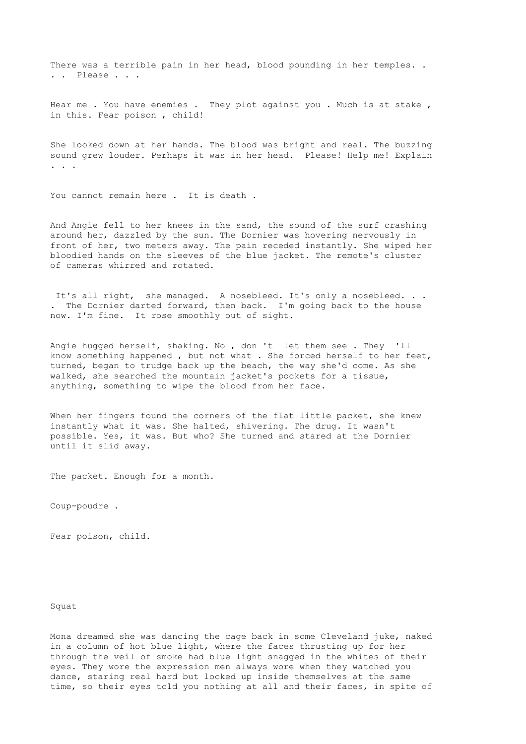There was a terrible pain in her head, blood pounding in her temples. . . . Please . . .

Hear me . You have enemies . They plot against you . Much is at stake , in this. Fear poison , child!

She looked down at her hands. The blood was bright and real. The buzzing sound grew louder. Perhaps it was in her head. Please! Help me! Explain . . .

You cannot remain here . It is death .

And Angie fell to her knees in the sand, the sound of the surf crashing around her, dazzled by the sun. The Dornier was hovering nervously in front of her, two meters away. The pain receded instantly. She wiped her bloodied hands on the sleeves of the blue jacket. The remote's cluster of cameras whirred and rotated.

It's all right, she managed. A nosebleed. It's only a nosebleed. . . . The Dornier darted forward, then back. I'm going back to the house now. I'm fine. It rose smoothly out of sight.

Angie hugged herself, shaking. No , don 't let them see . They 'll know something happened , but not what . She forced herself to her feet, turned, began to trudge back up the beach, the way she'd come. As she walked, she searched the mountain jacket's pockets for a tissue, anything, something to wipe the blood from her face.

When her fingers found the corners of the flat little packet, she knew instantly what it was. She halted, shivering. The drug. It wasn't possible. Yes, it was. But who? She turned and stared at the Dornier until it slid away.

The packet. Enough for a month.

Coup-poudre .

Fear poison, child.

Squat

Mona dreamed she was dancing the cage back in some Cleveland juke, naked in a column of hot blue light, where the faces thrusting up for her through the veil of smoke had blue light snagged in the whites of their eyes. They wore the expression men always wore when they watched you dance, staring real hard but locked up inside themselves at the same time, so their eyes told you nothing at all and their faces, in spite of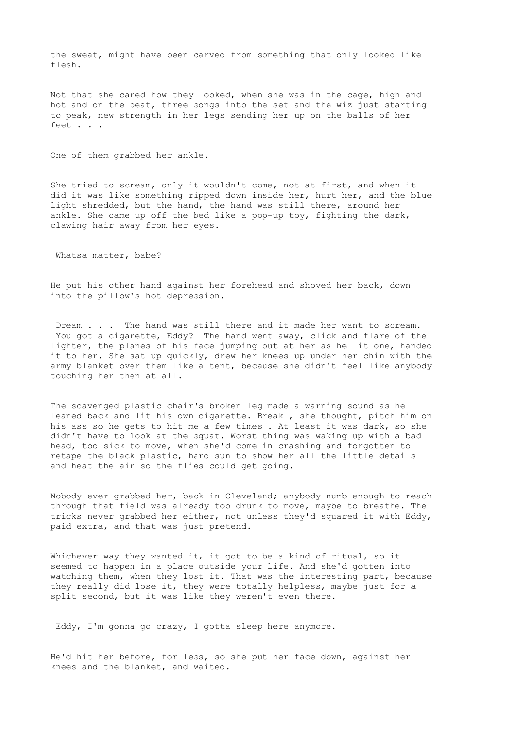the sweat, might have been carved from something that only looked like flesh.

Not that she cared how they looked, when she was in the cage, high and hot and on the beat, three songs into the set and the wiz just starting to peak, new strength in her legs sending her up on the balls of her feet . . .

One of them grabbed her ankle.

She tried to scream, only it wouldn't come, not at first, and when it did it was like something ripped down inside her, hurt her, and the blue light shredded, but the hand, the hand was still there, around her ankle. She came up off the bed like a pop-up toy, fighting the dark, clawing hair away from her eyes.

Whatsa matter, babe?

He put his other hand against her forehead and shoved her back, down into the pillow's hot depression.

Dream . . . The hand was still there and it made her want to scream. You got a cigarette, Eddy? The hand went away, click and flare of the lighter, the planes of his face jumping out at her as he lit one, handed it to her. She sat up quickly, drew her knees up under her chin with the army blanket over them like a tent, because she didn't feel like anybody touching her then at all.

The scavenged plastic chair's broken leg made a warning sound as he leaned back and lit his own cigarette. Break , she thought, pitch him on his ass so he gets to hit me a few times . At least it was dark, so she didn't have to look at the squat. Worst thing was waking up with a bad head, too sick to move, when she'd come in crashing and forgotten to retape the black plastic, hard sun to show her all the little details and heat the air so the flies could get going.

Nobody ever grabbed her, back in Cleveland; anybody numb enough to reach through that field was already too drunk to move, maybe to breathe. The tricks never grabbed her either, not unless they'd squared it with Eddy, paid extra, and that was just pretend.

Whichever way they wanted it, it got to be a kind of ritual, so it seemed to happen in a place outside your life. And she'd gotten into watching them, when they lost it. That was the interesting part, because they really did lose it, they were totally helpless, maybe just for a split second, but it was like they weren't even there.

Eddy, I'm gonna go crazy, I gotta sleep here anymore.

He'd hit her before, for less, so she put her face down, against her knees and the blanket, and waited.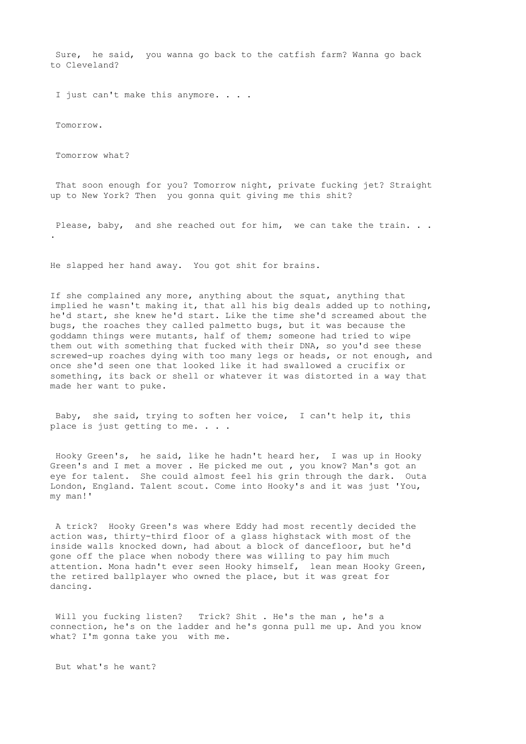Sure, he said, you wanna go back to the catfish farm? Wanna go back to Cleveland?

I just can't make this anymore. . . .

Tomorrow.

.

Tomorrow what?

 That soon enough for you? Tomorrow night, private fucking jet? Straight up to New York? Then you gonna quit giving me this shit?

Please, baby, and she reached out for him, we can take the train. . .

He slapped her hand away. You got shit for brains.

If she complained any more, anything about the squat, anything that implied he wasn't making it, that all his big deals added up to nothing, he'd start, she knew he'd start. Like the time she'd screamed about the bugs, the roaches they called palmetto bugs, but it was because the goddamn things were mutants, half of them; someone had tried to wipe them out with something that fucked with their DNA, so you'd see these screwed-up roaches dying with too many legs or heads, or not enough, and once she'd seen one that looked like it had swallowed a crucifix or something, its back or shell or whatever it was distorted in a way that made her want to puke.

 Baby, she said, trying to soften her voice, I can't help it, this place is just getting to me. . . .

 Hooky Green's, he said, like he hadn't heard her, I was up in Hooky Green's and I met a mover . He picked me out , you know? Man's got an eye for talent. She could almost feel his grin through the dark. Outa London, England. Talent scout. Come into Hooky's and it was just 'You, my man!'

 A trick? Hooky Green's was where Eddy had most recently decided the action was, thirty-third floor of a glass highstack with most of the inside walls knocked down, had about a block of dancefloor, but he'd gone off the place when nobody there was willing to pay him much attention. Mona hadn't ever seen Hooky himself, lean mean Hooky Green, the retired ballplayer who owned the place, but it was great for dancing.

Will you fucking listen? Trick? Shit . He's the man , he's a connection, he's on the ladder and he's gonna pull me up. And you know what? I'm gonna take you with me.

But what's he want?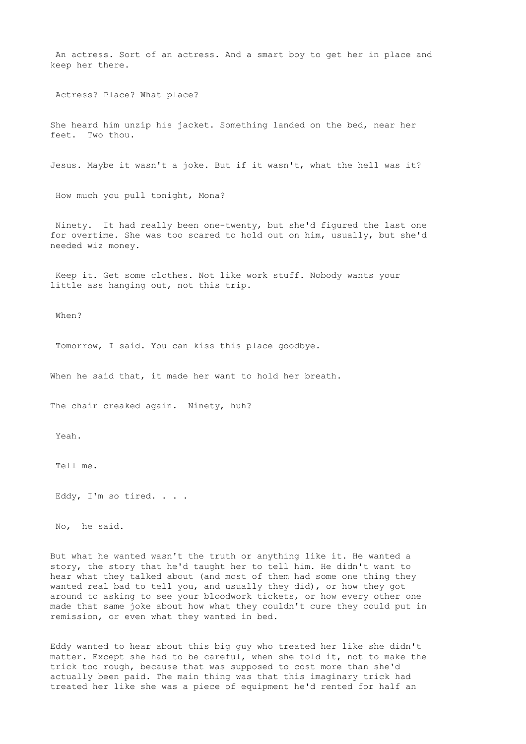An actress. Sort of an actress. And a smart boy to get her in place and keep her there.

Actress? Place? What place?

She heard him unzip his jacket. Something landed on the bed, near her feet. Two thou.

Jesus. Maybe it wasn't a joke. But if it wasn't, what the hell was it?

How much you pull tonight, Mona?

 Ninety. It had really been one-twenty, but she'd figured the last one for overtime. She was too scared to hold out on him, usually, but she'd needed wiz money.

 Keep it. Get some clothes. Not like work stuff. Nobody wants your little ass hanging out, not this trip.

When?

Tomorrow, I said. You can kiss this place goodbye.

When he said that, it made her want to hold her breath.

The chair creaked again. Ninety, huh?

Yeah.

Tell me.

Eddy, I'm so tired. . . .

No, he said.

But what he wanted wasn't the truth or anything like it. He wanted a story, the story that he'd taught her to tell him. He didn't want to hear what they talked about (and most of them had some one thing they wanted real bad to tell you, and usually they did), or how they got around to asking to see your bloodwork tickets, or how every other one made that same joke about how what they couldn't cure they could put in remission, or even what they wanted in bed.

Eddy wanted to hear about this big guy who treated her like she didn't matter. Except she had to be careful, when she told it, not to make the trick too rough, because that was supposed to cost more than she'd actually been paid. The main thing was that this imaginary trick had treated her like she was a piece of equipment he'd rented for half an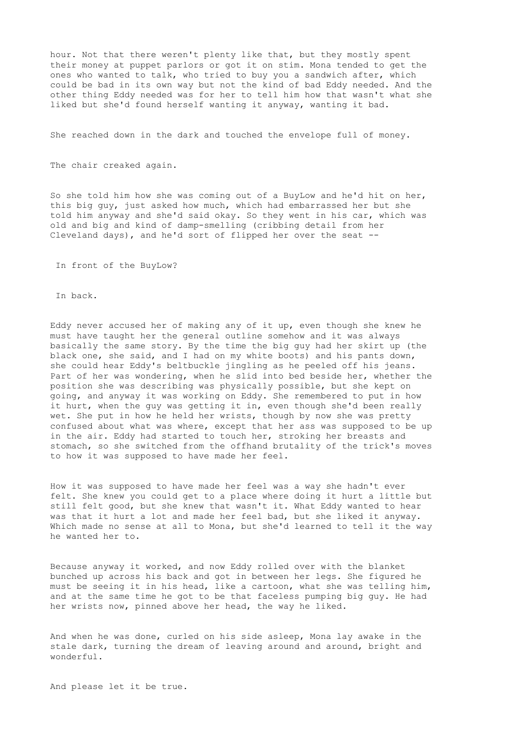hour. Not that there weren't plenty like that, but they mostly spent their money at puppet parlors or got it on stim. Mona tended to get the ones who wanted to talk, who tried to buy you a sandwich after, which could be bad in its own way but not the kind of bad Eddy needed. And the other thing Eddy needed was for her to tell him how that wasn't what she liked but she'd found herself wanting it anyway, wanting it bad.

She reached down in the dark and touched the envelope full of money.

The chair creaked again.

So she told him how she was coming out of a BuyLow and he'd hit on her, this big guy, just asked how much, which had embarrassed her but she told him anyway and she'd said okay. So they went in his car, which was old and big and kind of damp-smelling (cribbing detail from her Cleveland days), and he'd sort of flipped her over the seat --

In front of the BuyLow?

In back.

Eddy never accused her of making any of it up, even though she knew he must have taught her the general outline somehow and it was always basically the same story. By the time the big guy had her skirt up (the black one, she said, and I had on my white boots) and his pants down, she could hear Eddy's beltbuckle jingling as he peeled off his jeans. Part of her was wondering, when he slid into bed beside her, whether the position she was describing was physically possible, but she kept on going, and anyway it was working on Eddy. She remembered to put in how it hurt, when the guy was getting it in, even though she'd been really wet. She put in how he held her wrists, though by now she was pretty confused about what was where, except that her ass was supposed to be up in the air. Eddy had started to touch her, stroking her breasts and stomach, so she switched from the offhand brutality of the trick's moves to how it was supposed to have made her feel.

How it was supposed to have made her feel was a way she hadn't ever felt. She knew you could get to a place where doing it hurt a little but still felt good, but she knew that wasn't it. What Eddy wanted to hear was that it hurt a lot and made her feel bad, but she liked it anyway. Which made no sense at all to Mona, but she'd learned to tell it the way he wanted her to.

Because anyway it worked, and now Eddy rolled over with the blanket bunched up across his back and got in between her legs. She figured he must be seeing it in his head, like a cartoon, what she was telling him, and at the same time he got to be that faceless pumping big guy. He had her wrists now, pinned above her head, the way he liked.

And when he was done, curled on his side asleep, Mona lay awake in the stale dark, turning the dream of leaving around and around, bright and wonderful.

And please let it be true.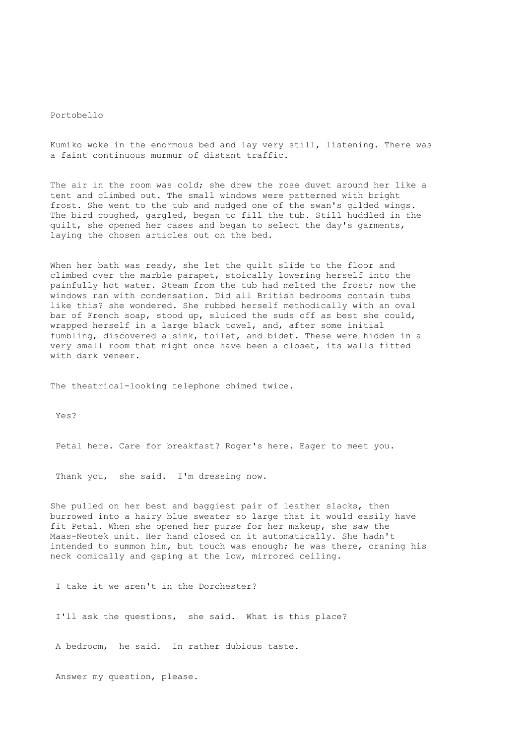## Portobello

Kumiko woke in the enormous bed and lay very still, listening. There was a faint continuous murmur of distant traffic.

The air in the room was cold; she drew the rose duvet around her like a tent and climbed out. The small windows were patterned with bright frost. She went to the tub and nudged one of the swan's gilded wings. The bird coughed, gargled, began to fill the tub. Still huddled in the quilt, she opened her cases and began to select the day's garments, laying the chosen articles out on the bed.

When her bath was ready, she let the quilt slide to the floor and climbed over the marble parapet, stoically lowering herself into the painfully hot water. Steam from the tub had melted the frost; now the windows ran with condensation. Did all British bedrooms contain tubs like this? she wondered. She rubbed herself methodically with an oval bar of French soap, stood up, sluiced the suds off as best she could, wrapped herself in a large black towel, and, after some initial fumbling, discovered a sink, toilet, and bidet. These were hidden in a very small room that might once have been a closet, its walls fitted with dark veneer.

The theatrical-looking telephone chimed twice.

Yes?

Petal here. Care for breakfast? Roger's here. Eager to meet you.

Thank you, she said. I'm dressing now.

She pulled on her best and baggiest pair of leather slacks, then burrowed into a hairy blue sweater so large that it would easily have fit Petal. When she opened her purse for her makeup, she saw the Maas-Neotek unit. Her hand closed on it automatically. She hadn't intended to summon him, but touch was enough; he was there, craning his neck comically and gaping at the low, mirrored ceiling.

I take it we aren't in the Dorchester?

I'll ask the questions, she said. What is this place?

A bedroom, he said. In rather dubious taste.

Answer my question, please.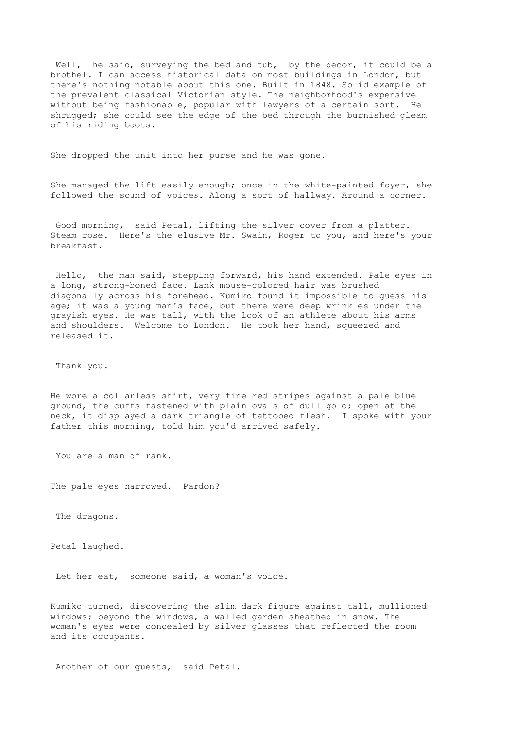Well, he said, surveying the bed and tub, by the decor, it could be a brothel. I can access historical data on most buildings in London, but there's nothing notable about this one. Built in 1848. Solid example of the prevalent classical Victorian style. The neighborhood's expensive without being fashionable, popular with lawyers of a certain sort. He shrugged; she could see the edge of the bed through the burnished gleam of his riding boots.

She dropped the unit into her purse and he was gone.

She managed the lift easily enough; once in the white-painted foyer, she followed the sound of voices. Along a sort of hallway. Around a corner.

 Good morning, said Petal, lifting the silver cover from a platter. Steam rose. Here's the elusive Mr. Swain, Roger to you, and here's your breakfast.

 Hello, the man said, stepping forward, his hand extended. Pale eyes in a long, strong-boned face. Lank mouse-colored hair was brushed diagonally across his forehead. Kumiko found it impossible to guess his age; it was a young man's face, but there were deep wrinkles under the grayish eyes. He was tall, with the look of an athlete about his arms and shoulders. Welcome to London. He took her hand, squeezed and released it.

Thank you.

He wore a collarless shirt, very fine red stripes against a pale blue ground, the cuffs fastened with plain ovals of dull gold; open at the neck, it displayed a dark triangle of tattooed flesh. I spoke with your father this morning, told him you'd arrived safely.

You are a man of rank.

The pale eyes narrowed. Pardon?

The dragons.

Petal laughed.

Let her eat, someone said, a woman's voice.

Kumiko turned, discovering the slim dark figure against tall, mullioned windows; beyond the windows, a walled garden sheathed in snow. The woman's eyes were concealed by silver glasses that reflected the room and its occupants.

Another of our guests, said Petal.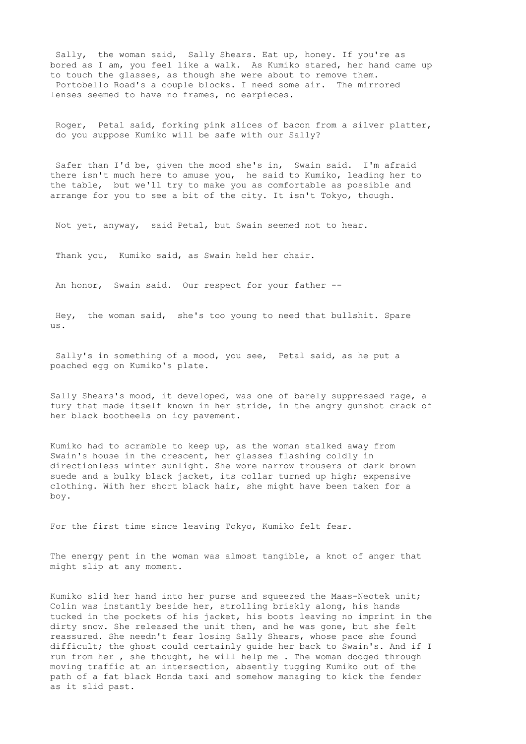Sally, the woman said, Sally Shears. Eat up, honey. If you're as bored as I am, you feel like a walk. As Kumiko stared, her hand came up to touch the glasses, as though she were about to remove them. Portobello Road's a couple blocks. I need some air. The mirrored lenses seemed to have no frames, no earpieces.

 Roger, Petal said, forking pink slices of bacon from a silver platter, do you suppose Kumiko will be safe with our Sally?

 Safer than I'd be, given the mood she's in, Swain said. I'm afraid there isn't much here to amuse you, he said to Kumiko, leading her to the table, but we'll try to make you as comfortable as possible and arrange for you to see a bit of the city. It isn't Tokyo, though.

Not yet, anyway, said Petal, but Swain seemed not to hear.

Thank you, Kumiko said, as Swain held her chair.

An honor, Swain said. Our respect for your father --

 Hey, the woman said, she's too young to need that bullshit. Spare us.

 Sally's in something of a mood, you see, Petal said, as he put a poached egg on Kumiko's plate.

Sally Shears's mood, it developed, was one of barely suppressed rage, a fury that made itself known in her stride, in the angry gunshot crack of her black bootheels on icy pavement.

Kumiko had to scramble to keep up, as the woman stalked away from Swain's house in the crescent, her glasses flashing coldly in directionless winter sunlight. She wore narrow trousers of dark brown suede and a bulky black jacket, its collar turned up high; expensive clothing. With her short black hair, she might have been taken for a boy.

For the first time since leaving Tokyo, Kumiko felt fear.

The energy pent in the woman was almost tangible, a knot of anger that might slip at any moment.

Kumiko slid her hand into her purse and squeezed the Maas-Neotek unit; Colin was instantly beside her, strolling briskly along, his hands tucked in the pockets of his jacket, his boots leaving no imprint in the dirty snow. She released the unit then, and he was gone, but she felt reassured. She needn't fear losing Sally Shears, whose pace she found difficult; the ghost could certainly guide her back to Swain's. And if I run from her , she thought, he will help me . The woman dodged through moving traffic at an intersection, absently tugging Kumiko out of the path of a fat black Honda taxi and somehow managing to kick the fender as it slid past.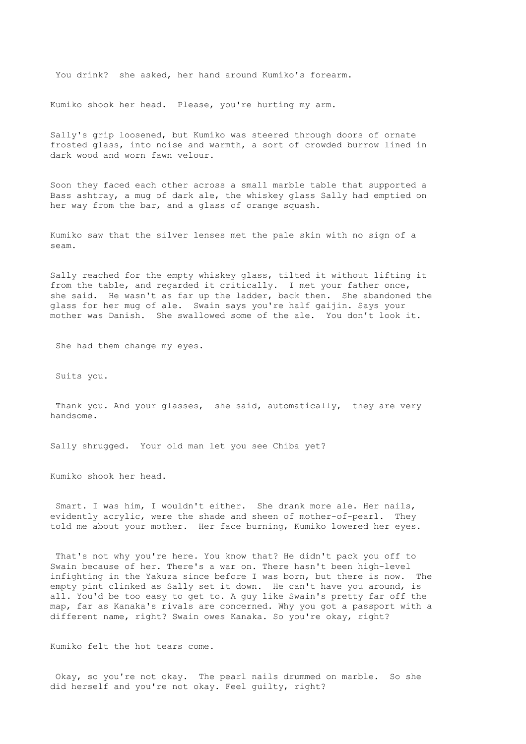You drink? she asked, her hand around Kumiko's forearm.

Kumiko shook her head. Please, you're hurting my arm.

Sally's grip loosened, but Kumiko was steered through doors of ornate frosted glass, into noise and warmth, a sort of crowded burrow lined in dark wood and worn fawn velour.

Soon they faced each other across a small marble table that supported a Bass ashtray, a mug of dark ale, the whiskey glass Sally had emptied on her way from the bar, and a glass of orange squash.

Kumiko saw that the silver lenses met the pale skin with no sign of a seam.

Sally reached for the empty whiskey glass, tilted it without lifting it from the table, and regarded it critically. I met your father once, she said. He wasn't as far up the ladder, back then. She abandoned the glass for her mug of ale. Swain says you're half gaijin. Says your mother was Danish. She swallowed some of the ale. You don't look it.

She had them change my eyes.

Suits you.

Thank you. And your glasses, she said, automatically, they are very handsome.

Sally shrugged. Your old man let you see Chiba yet?

Kumiko shook her head.

 Smart. I was him, I wouldn't either. She drank more ale. Her nails, evidently acrylic, were the shade and sheen of mother-of-pearl. They told me about your mother. Her face burning, Kumiko lowered her eyes.

 That's not why you're here. You know that? He didn't pack you off to Swain because of her. There's a war on. There hasn't been high-level infighting in the Yakuza since before I was born, but there is now. The empty pint clinked as Sally set it down. He can't have you around, is all. You'd be too easy to get to. A guy like Swain's pretty far off the map, far as Kanaka's rivals are concerned. Why you got a passport with a different name, right? Swain owes Kanaka. So you're okay, right?

Kumiko felt the hot tears come.

 Okay, so you're not okay. The pearl nails drummed on marble. So she did herself and you're not okay. Feel guilty, right?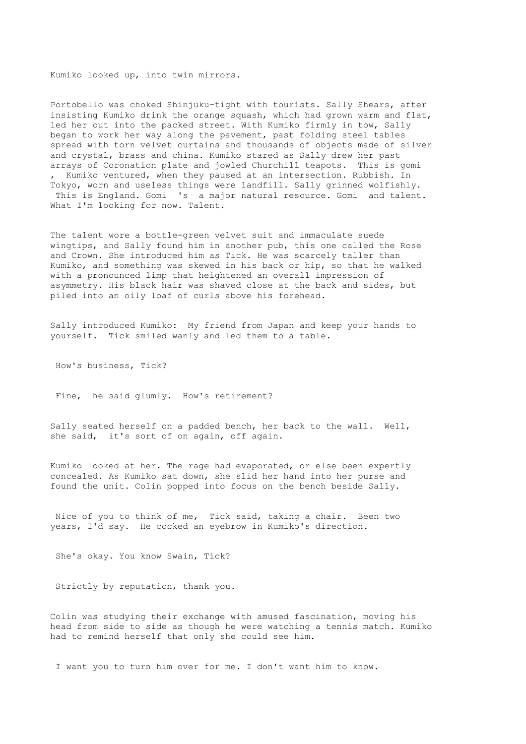Kumiko looked up, into twin mirrors.

Portobello was choked Shinjuku-tight with tourists. Sally Shears, after insisting Kumiko drink the orange squash, which had grown warm and flat, led her out into the packed street. With Kumiko firmly in tow, Sally began to work her way along the pavement, past folding steel tables spread with torn velvet curtains and thousands of objects made of silver and crystal, brass and china. Kumiko stared as Sally drew her past arrays of Coronation plate and jowled Churchill teapots. This is gomi Kumiko ventured, when they paused at an intersection. Rubbish. In Tokyo, worn and useless things were landfill. Sally grinned wolfishly. This is England. Gomi 's a major natural resource. Gomi and talent. What I'm looking for now. Talent.

The talent wore a bottle-green velvet suit and immaculate suede wingtips, and Sally found him in another pub, this one called the Rose and Crown. She introduced him as Tick. He was scarcely taller than Kumiko, and something was skewed in his back or hip, so that he walked with a pronounced limp that heightened an overall impression of asymmetry. His black hair was shaved close at the back and sides, but piled into an oily loaf of curls above his forehead.

Sally introduced Kumiko: My friend from Japan and keep your hands to yourself. Tick smiled wanly and led them to a table.

How's business, Tick?

Fine, he said glumly. How's retirement?

Sally seated herself on a padded bench, her back to the wall. Well, she said, it's sort of on again, off again.

Kumiko looked at her. The rage had evaporated, or else been expertly concealed. As Kumiko sat down, she slid her hand into her purse and found the unit. Colin popped into focus on the bench beside Sally.

 Nice of you to think of me, Tick said, taking a chair. Been two years, I'd say. He cocked an eyebrow in Kumiko's direction.

She's okay. You know Swain, Tick?

Strictly by reputation, thank you.

Colin was studying their exchange with amused fascination, moving his head from side to side as though he were watching a tennis match. Kumiko had to remind herself that only she could see him.

I want you to turn him over for me. I don't want him to know.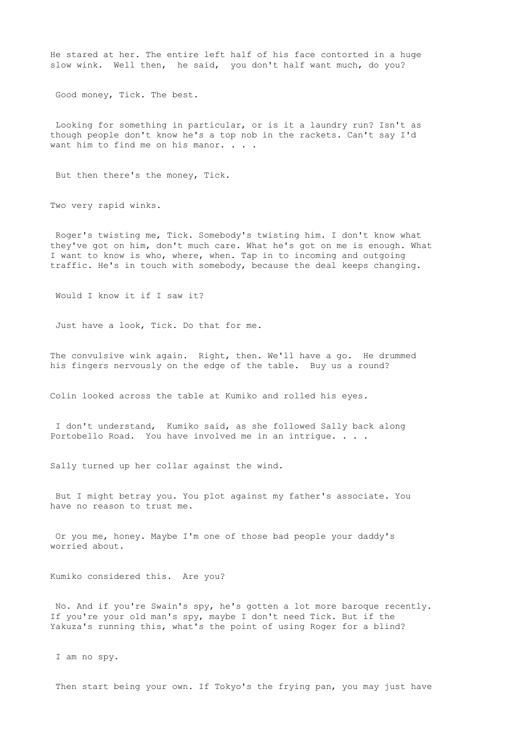He stared at her. The entire left half of his face contorted in a huge slow wink. Well then, he said, you don't half want much, do you?

Good money, Tick. The best.

 Looking for something in particular, or is it a laundry run? Isn't as though people don't know he's a top nob in the rackets. Can't say I'd want him to find me on his manor. . . .

But then there's the money, Tick.

Two very rapid winks.

 Roger's twisting me, Tick. Somebody's twisting him. I don't know what they've got on him, don't much care. What he's got on me is enough. What I want to know is who, where, when. Tap in to incoming and outgoing traffic. He's in touch with somebody, because the deal keeps changing.

Would I know it if I saw it?

Just have a look, Tick. Do that for me.

The convulsive wink again. Right, then. We'll have a go. He drummed his fingers nervously on the edge of the table. Buy us a round?

Colin looked across the table at Kumiko and rolled his eyes.

 I don't understand, Kumiko said, as she followed Sally back along Portobello Road. You have involved me in an intrigue. . . .

Sally turned up her collar against the wind.

 But I might betray you. You plot against my father's associate. You have no reason to trust me.

 Or you me, honey. Maybe I'm one of those bad people your daddy's worried about.

Kumiko considered this. Are you?

 No. And if you're Swain's spy, he's gotten a lot more baroque recently. If you're your old man's spy, maybe I don't need Tick. But if the Yakuza's running this, what's the point of using Roger for a blind?

I am no spy.

Then start being your own. If Tokyo's the frying pan, you may just have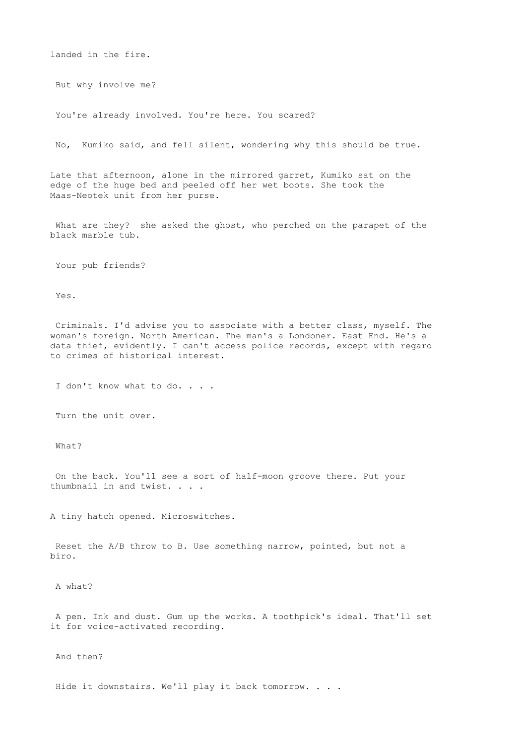landed in the fire.

But why involve me?

You're already involved. You're here. You scared?

No, Kumiko said, and fell silent, wondering why this should be true.

Late that afternoon, alone in the mirrored garret, Kumiko sat on the edge of the huge bed and peeled off her wet boots. She took the Maas-Neotek unit from her purse.

 What are they? she asked the ghost, who perched on the parapet of the black marble tub.

Your pub friends?

Yes.

 Criminals. I'd advise you to associate with a better class, myself. The woman's foreign. North American. The man's a Londoner. East End. He's a data thief, evidently. I can't access police records, except with regard to crimes of historical interest.

I don't know what to do. . . .

Turn the unit over.

What?

 On the back. You'll see a sort of half-moon groove there. Put your thumbnail in and twist. . . .

A tiny hatch opened. Microswitches.

 Reset the A/B throw to B. Use something narrow, pointed, but not a biro.

A what?

 A pen. Ink and dust. Gum up the works. A toothpick's ideal. That'll set it for voice-activated recording.

And then?

Hide it downstairs. We'll play it back tomorrow. . . .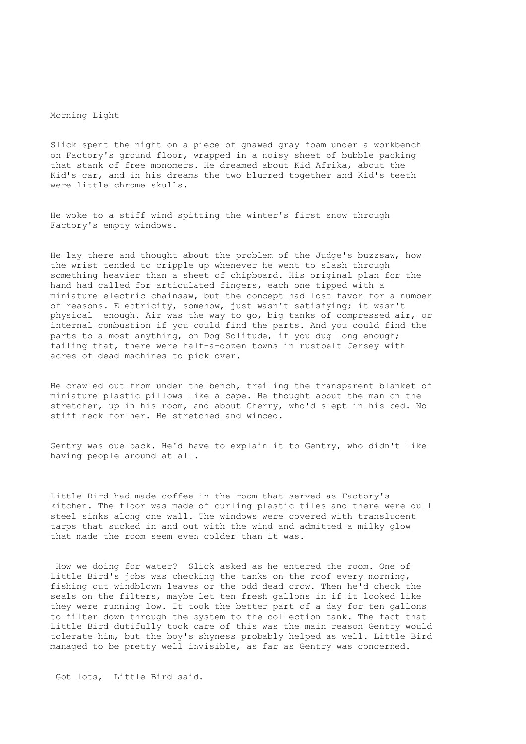Morning Light

Slick spent the night on a piece of gnawed gray foam under a workbench on Factory's ground floor, wrapped in a noisy sheet of bubble packing that stank of free monomers. He dreamed about Kid Afrika, about the Kid's car, and in his dreams the two blurred together and Kid's teeth were little chrome skulls.

He woke to a stiff wind spitting the winter's first snow through Factory's empty windows.

He lay there and thought about the problem of the Judge's buzzsaw, how the wrist tended to cripple up whenever he went to slash through something heavier than a sheet of chipboard. His original plan for the hand had called for articulated fingers, each one tipped with a miniature electric chainsaw, but the concept had lost favor for a number of reasons. Electricity, somehow, just wasn't satisfying; it wasn't physical enough. Air was the way to go, big tanks of compressed air, or internal combustion if you could find the parts. And you could find the parts to almost anything, on Dog Solitude, if you dug long enough; failing that, there were half-a-dozen towns in rustbelt Jersey with acres of dead machines to pick over.

He crawled out from under the bench, trailing the transparent blanket of miniature plastic pillows like a cape. He thought about the man on the stretcher, up in his room, and about Cherry, who'd slept in his bed. No stiff neck for her. He stretched and winced.

Gentry was due back. He'd have to explain it to Gentry, who didn't like having people around at all.

Little Bird had made coffee in the room that served as Factory's kitchen. The floor was made of curling plastic tiles and there were dull steel sinks along one wall. The windows were covered with translucent tarps that sucked in and out with the wind and admitted a milky glow that made the room seem even colder than it was.

 How we doing for water? Slick asked as he entered the room. One of Little Bird's jobs was checking the tanks on the roof every morning, fishing out windblown leaves or the odd dead crow. Then he'd check the seals on the filters, maybe let ten fresh gallons in if it looked like they were running low. It took the better part of a day for ten gallons to filter down through the system to the collection tank. The fact that Little Bird dutifully took care of this was the main reason Gentry would tolerate him, but the boy's shyness probably helped as well. Little Bird managed to be pretty well invisible, as far as Gentry was concerned.

Got lots, Little Bird said.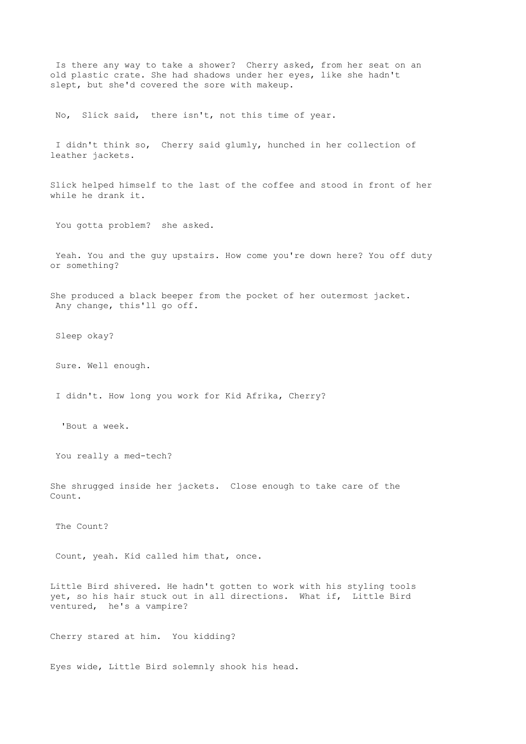Is there any way to take a shower? Cherry asked, from her seat on an old plastic crate. She had shadows under her eyes, like she hadn't slept, but she'd covered the sore with makeup.

No, Slick said, there isn't, not this time of year.

 I didn't think so, Cherry said glumly, hunched in her collection of leather jackets.

Slick helped himself to the last of the coffee and stood in front of her while he drank it.

You gotta problem? she asked.

 Yeah. You and the guy upstairs. How come you're down here? You off duty or something?

She produced a black beeper from the pocket of her outermost jacket. Any change, this'll go off.

Sleep okay?

Sure. Well enough.

I didn't. How long you work for Kid Afrika, Cherry?

'Bout a week.

You really a med-tech?

She shrugged inside her jackets. Close enough to take care of the Count.

The Count?

Count, yeah. Kid called him that, once.

Little Bird shivered. He hadn't gotten to work with his styling tools yet, so his hair stuck out in all directions. What if, Little Bird ventured, he's a vampire?

Cherry stared at him. You kidding?

Eyes wide, Little Bird solemnly shook his head.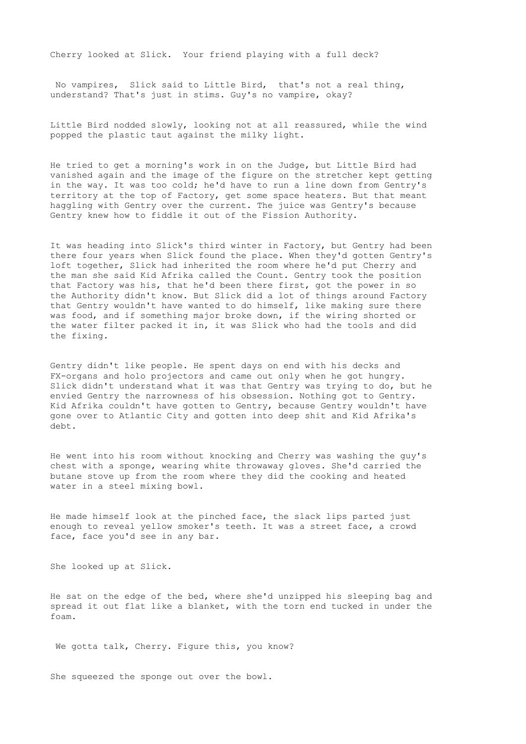Cherry looked at Slick. Your friend playing with a full deck?

 No vampires, Slick said to Little Bird, that's not a real thing, understand? That's just in stims. Guy's no vampire, okay?

Little Bird nodded slowly, looking not at all reassured, while the wind popped the plastic taut against the milky light.

He tried to get a morning's work in on the Judge, but Little Bird had vanished again and the image of the figure on the stretcher kept getting in the way. It was too cold; he'd have to run a line down from Gentry's territory at the top of Factory, get some space heaters. But that meant haggling with Gentry over the current. The juice was Gentry's because Gentry knew how to fiddle it out of the Fission Authority.

It was heading into Slick's third winter in Factory, but Gentry had been there four years when Slick found the place. When they'd gotten Gentry's loft together, Slick had inherited the room where he'd put Cherry and the man she said Kid Afrika called the Count. Gentry took the position that Factory was his, that he'd been there first, got the power in so the Authority didn't know. But Slick did a lot of things around Factory that Gentry wouldn't have wanted to do himself, like making sure there was food, and if something major broke down, if the wiring shorted or the water filter packed it in, it was Slick who had the tools and did the fixing.

Gentry didn't like people. He spent days on end with his decks and FX-organs and holo projectors and came out only when he got hungry. Slick didn't understand what it was that Gentry was trying to do, but he envied Gentry the narrowness of his obsession. Nothing got to Gentry. Kid Afrika couldn't have gotten to Gentry, because Gentry wouldn't have gone over to Atlantic City and gotten into deep shit and Kid Afrika's debt.

He went into his room without knocking and Cherry was washing the guy's chest with a sponge, wearing white throwaway gloves. She'd carried the butane stove up from the room where they did the cooking and heated water in a steel mixing bowl.

He made himself look at the pinched face, the slack lips parted just enough to reveal yellow smoker's teeth. It was a street face, a crowd face, face you'd see in any bar.

She looked up at Slick.

He sat on the edge of the bed, where she'd unzipped his sleeping bag and spread it out flat like a blanket, with the torn end tucked in under the foam.

We gotta talk, Cherry. Figure this, you know?

She squeezed the sponge out over the bowl.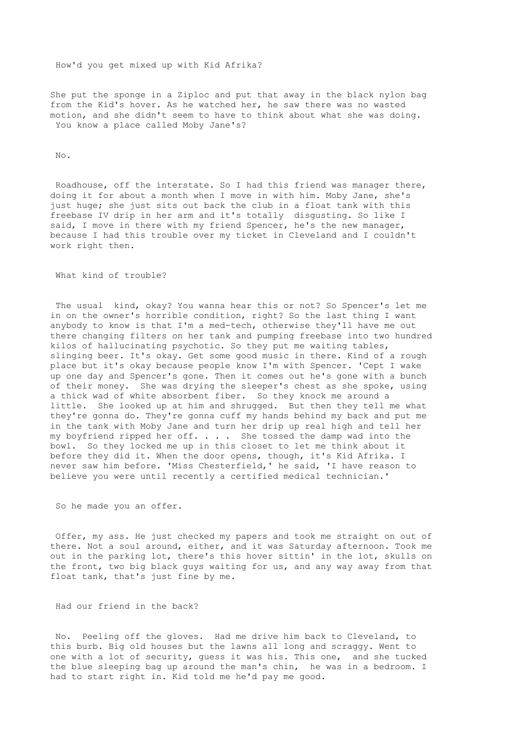How'd you get mixed up with Kid Afrika?

She put the sponge in a Ziploc and put that away in the black nylon bag from the Kid's hover. As he watched her, he saw there was no wasted motion, and she didn't seem to have to think about what she was doing. You know a place called Moby Jane's?

## $N<sub>O</sub>$

 Roadhouse, off the interstate. So I had this friend was manager there, doing it for about a month when I move in with him. Moby Jane, she's just huge; she just sits out back the club in a float tank with this freebase IV drip in her arm and it's totally disgusting. So like I said, I move in there with my friend Spencer, he's the new manager, because I had this trouble over my ticket in Cleveland and I couldn't work right then.

## What kind of trouble?

 The usual kind, okay? You wanna hear this or not? So Spencer's let me in on the owner's horrible condition, right? So the last thing I want anybody to know is that I'm a med-tech, otherwise they'll have me out there changing filters on her tank and pumping freebase into two hundred kilos of hallucinating psychotic. So they put me waiting tables, slinging beer. It's okay. Get some good music in there. Kind of a rough place but it's okay because people know I'm with Spencer. 'Cept I wake up one day and Spencer's gone. Then it comes out he's gone with a bunch of their money. She was drying the sleeper's chest as she spoke, using a thick wad of white absorbent fiber. So they knock me around a little. She looked up at him and shrugged. But then they tell me what they're gonna do. They're gonna cuff my hands behind my back and put me in the tank with Moby Jane and turn her drip up real high and tell her my boyfriend ripped her off. . . . She tossed the damp wad into the bowl. So they locked me up in this closet to let me think about it before they did it. When the door opens, though, it's Kid Afrika. I never saw him before. 'Miss Chesterfield,' he said, 'I have reason to believe you were until recently a certified medical technician.'

So he made you an offer.

 Offer, my ass. He just checked my papers and took me straight on out of there. Not a soul around, either, and it was Saturday afternoon. Took me out in the parking lot, there's this hover sittin' in the lot, skulls on the front, two big black guys waiting for us, and any way away from that float tank, that's just fine by me.

Had our friend in the back?

 No. Peeling off the gloves. Had me drive him back to Cleveland, to this burb. Big old houses but the lawns all long and scraggy. Went to one with a lot of security, guess it was his. This one, and she tucked the blue sleeping bag up around the man's chin, he was in a bedroom. I had to start right in. Kid told me he'd pay me good.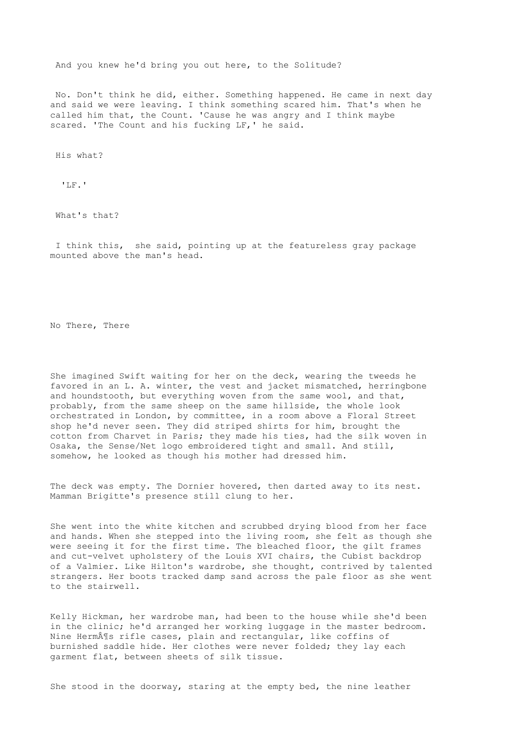And you knew he'd bring you out here, to the Solitude?

 No. Don't think he did, either. Something happened. He came in next day and said we were leaving. I think something scared him. That's when he called him that, the Count. 'Cause he was angry and I think maybe scared. 'The Count and his fucking LF,' he said.

His what?

'LF.'

What's that?

 I think this, she said, pointing up at the featureless gray package mounted above the man's head.

No There, There

She imagined Swift waiting for her on the deck, wearing the tweeds he favored in an L. A. winter, the vest and jacket mismatched, herringbone and houndstooth, but everything woven from the same wool, and that, probably, from the same sheep on the same hillside, the whole look orchestrated in London, by committee, in a room above a Floral Street shop he'd never seen. They did striped shirts for him, brought the cotton from Charvet in Paris; they made his ties, had the silk woven in Osaka, the Sense/Net logo embroidered tight and small. And still, somehow, he looked as though his mother had dressed him.

The deck was empty. The Dornier hovered, then darted away to its nest. Mamman Brigitte's presence still clung to her.

She went into the white kitchen and scrubbed drying blood from her face and hands. When she stepped into the living room, she felt as though she were seeing it for the first time. The bleached floor, the gilt frames and cut-velvet upholstery of the Louis XVI chairs, the Cubist backdrop of a Valmier. Like Hilton's wardrobe, she thought, contrived by talented strangers. Her boots tracked damp sand across the pale floor as she went to the stairwell.

Kelly Hickman, her wardrobe man, had been to the house while she'd been in the clinic; he'd arranged her working luggage in the master bedroom. Nine Herm¶s rifle cases, plain and rectangular, like coffins of burnished saddle hide. Her clothes were never folded; they lay each garment flat, between sheets of silk tissue.

She stood in the doorway, staring at the empty bed, the nine leather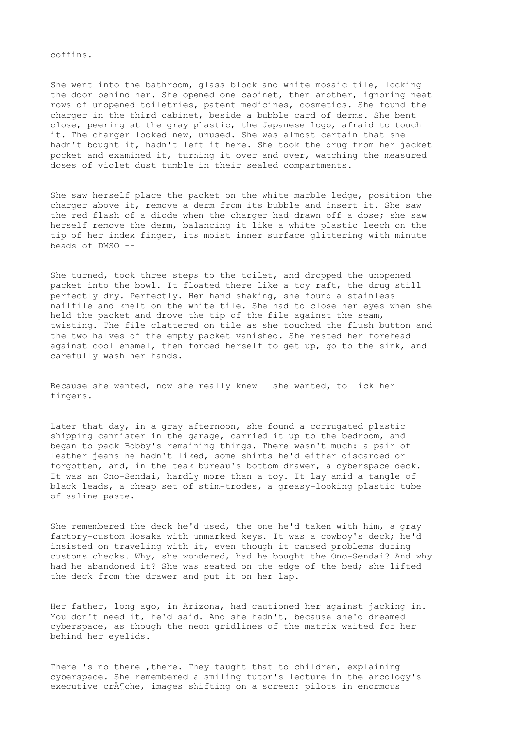coffins.

She went into the bathroom, glass block and white mosaic tile, locking the door behind her. She opened one cabinet, then another, ignoring neat rows of unopened toiletries, patent medicines, cosmetics. She found the charger in the third cabinet, beside a bubble card of derms. She bent close, peering at the gray plastic, the Japanese logo, afraid to touch it. The charger looked new, unused. She was almost certain that she hadn't bought it, hadn't left it here. She took the drug from her jacket pocket and examined it, turning it over and over, watching the measured doses of violet dust tumble in their sealed compartments.

She saw herself place the packet on the white marble ledge, position the charger above it, remove a derm from its bubble and insert it. She saw the red flash of a diode when the charger had drawn off a dose; she saw herself remove the derm, balancing it like a white plastic leech on the tip of her index finger, its moist inner surface glittering with minute beads of DMSO --

She turned, took three steps to the toilet, and dropped the unopened packet into the bowl. It floated there like a toy raft, the drug still perfectly dry. Perfectly. Her hand shaking, she found a stainless nailfile and knelt on the white tile. She had to close her eyes when she held the packet and drove the tip of the file against the seam, twisting. The file clattered on tile as she touched the flush button and the two halves of the empty packet vanished. She rested her forehead against cool enamel, then forced herself to get up, go to the sink, and carefully wash her hands.

Because she wanted, now she really knew she wanted, to lick her fingers.

Later that day, in a gray afternoon, she found a corrugated plastic shipping cannister in the garage, carried it up to the bedroom, and began to pack Bobby's remaining things. There wasn't much: a pair of leather jeans he hadn't liked, some shirts he'd either discarded or forgotten, and, in the teak bureau's bottom drawer, a cyberspace deck. It was an Ono-Sendai, hardly more than a toy. It lay amid a tangle of black leads, a cheap set of stim-trodes, a greasy-looking plastic tube of saline paste.

She remembered the deck he'd used, the one he'd taken with him, a gray factory-custom Hosaka with unmarked keys. It was a cowboy's deck; he'd insisted on traveling with it, even though it caused problems during customs checks. Why, she wondered, had he bought the Ono-Sendai? And why had he abandoned it? She was seated on the edge of the bed; she lifted the deck from the drawer and put it on her lap.

Her father, long ago, in Arizona, had cautioned her against jacking in. You don't need it, he'd said. And she hadn't, because she'd dreamed cyberspace, as though the neon gridlines of the matrix waited for her behind her eyelids.

There 's no there, there. They taught that to children, explaining cyberspace. She remembered a smiling tutor's lecture in the arcology's executive cr¶che, images shifting on a screen: pilots in enormous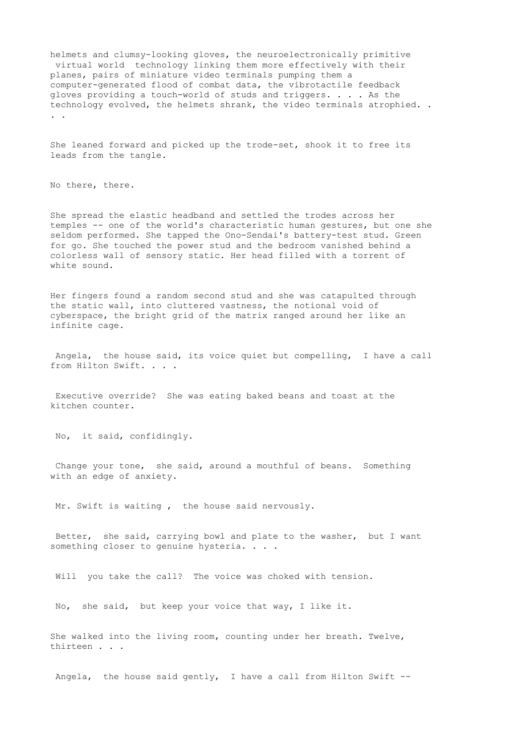helmets and clumsy-looking gloves, the neuroelectronically primitive virtual world technology linking them more effectively with their planes, pairs of miniature video terminals pumping them a computer-generated flood of combat data, the vibrotactile feedback gloves providing a touch-world of studs and triggers. . . . As the technology evolved, the helmets shrank, the video terminals atrophied. . . .

She leaned forward and picked up the trode-set, shook it to free its leads from the tangle.

No there, there.

She spread the elastic headband and settled the trodes across her temples -- one of the world's characteristic human gestures, but one she seldom performed. She tapped the Ono-Sendai's battery-test stud. Green for go. She touched the power stud and the bedroom vanished behind a colorless wall of sensory static. Her head filled with a torrent of white sound.

Her fingers found a random second stud and she was catapulted through the static wall, into cluttered vastness, the notional void of cyberspace, the bright grid of the matrix ranged around her like an infinite cage.

 Angela, the house said, its voice quiet but compelling, I have a call from Hilton Swift. . . .

 Executive override? She was eating baked beans and toast at the kitchen counter.

No, it said, confidingly.

 Change your tone, she said, around a mouthful of beans. Something with an edge of anxiety.

Mr. Swift is waiting , the house said nervously.

 Better, she said, carrying bowl and plate to the washer, but I want something closer to genuine hysteria. . . .

Will you take the call? The voice was choked with tension.

No, she said, but keep your voice that way, I like it.

She walked into the living room, counting under her breath. Twelve, thirteen . . .

Angela, the house said gently, I have a call from Hilton Swift --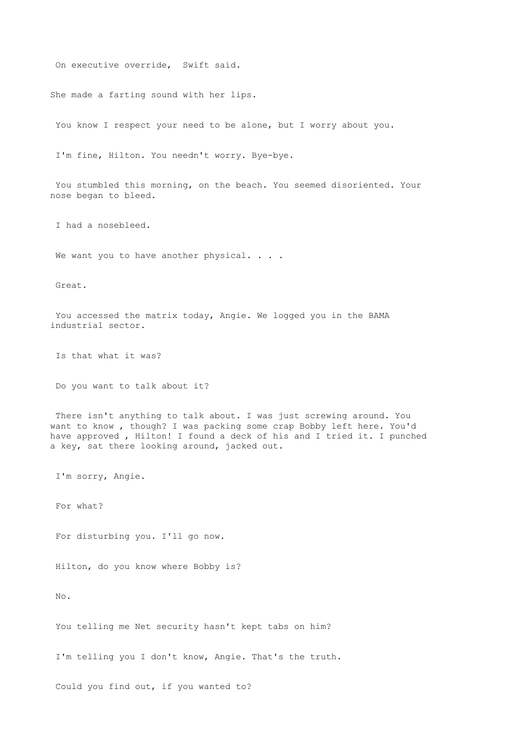On executive override, Swift said.

She made a farting sound with her lips.

You know I respect your need to be alone, but I worry about you.

I'm fine, Hilton. You needn't worry. Bye-bye.

 You stumbled this morning, on the beach. You seemed disoriented. Your nose began to bleed.

I had a nosebleed.

We want you to have another physical. . . .

Great.

 You accessed the matrix today, Angie. We logged you in the BAMA industrial sector.

Is that what it was?

Do you want to talk about it?

There isn't anything to talk about. I was just screwing around. You want to know , though? I was packing some crap Bobby left here. You'd have approved , Hilton! I found a deck of his and I tried it. I punched a key, sat there looking around, jacked out.

I'm sorry, Angie.

For what?

For disturbing you. I'll go now.

Hilton, do you know where Bobby is?

No.

You telling me Net security hasn't kept tabs on him?

I'm telling you I don't know, Angie. That's the truth.

Could you find out, if you wanted to?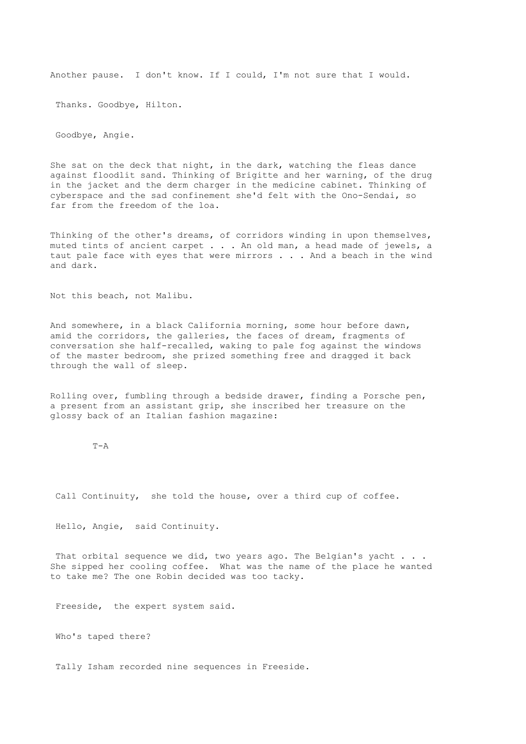Another pause. I don't know. If I could, I'm not sure that I would.

Thanks. Goodbye, Hilton.

Goodbye, Angie.

She sat on the deck that night, in the dark, watching the fleas dance against floodlit sand. Thinking of Brigitte and her warning, of the drug in the jacket and the derm charger in the medicine cabinet. Thinking of cyberspace and the sad confinement she'd felt with the Ono-Sendai, so far from the freedom of the loa.

Thinking of the other's dreams, of corridors winding in upon themselves, muted tints of ancient carpet . . . An old man, a head made of jewels, a taut pale face with eyes that were mirrors . . . And a beach in the wind and dark.

Not this beach, not Malibu.

And somewhere, in a black California morning, some hour before dawn, amid the corridors, the galleries, the faces of dream, fragments of conversation she half-recalled, waking to pale fog against the windows of the master bedroom, she prized something free and dragged it back through the wall of sleep.

Rolling over, fumbling through a bedside drawer, finding a Porsche pen, a present from an assistant grip, she inscribed her treasure on the glossy back of an Italian fashion magazine:

 $T - A$ 

Call Continuity, she told the house, over a third cup of coffee.

Hello, Angie, said Continuity.

That orbital sequence we did, two years ago. The Belgian's yacht . . . She sipped her cooling coffee. What was the name of the place he wanted to take me? The one Robin decided was too tacky.

Freeside, the expert system said.

Who's taped there?

Tally Isham recorded nine sequences in Freeside.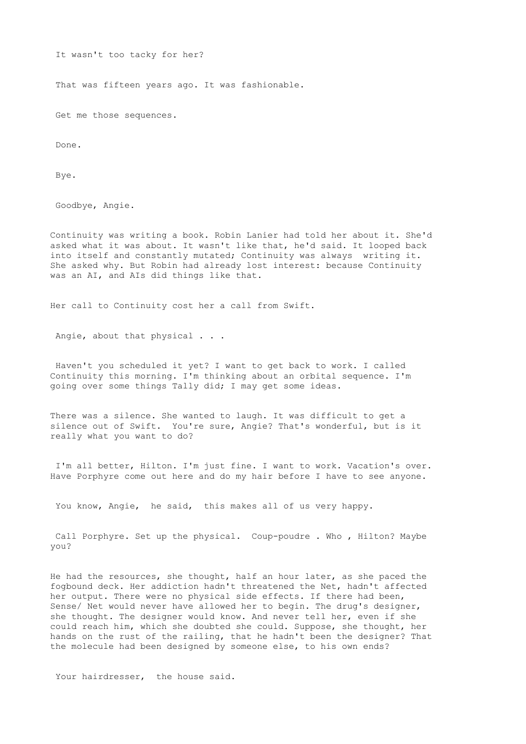It wasn't too tacky for her?

That was fifteen years ago. It was fashionable.

Get me those sequences.

Done.

Bye.

Goodbye, Angie.

Continuity was writing a book. Robin Lanier had told her about it. She'd asked what it was about. It wasn't like that, he'd said. It looped back into itself and constantly mutated; Continuity was always writing it. She asked why. But Robin had already lost interest: because Continuity was an AI, and AIs did things like that.

Her call to Continuity cost her a call from Swift.

Angie, about that physical . . .

 Haven't you scheduled it yet? I want to get back to work. I called Continuity this morning. I'm thinking about an orbital sequence. I'm going over some things Tally did; I may get some ideas.

There was a silence. She wanted to laugh. It was difficult to get a silence out of Swift. You're sure, Angie? That's wonderful, but is it really what you want to do?

 I'm all better, Hilton. I'm just fine. I want to work. Vacation's over. Have Porphyre come out here and do my hair before I have to see anyone.

You know, Angie, he said, this makes all of us very happy.

 Call Porphyre. Set up the physical. Coup-poudre . Who , Hilton? Maybe you?

He had the resources, she thought, half an hour later, as she paced the fogbound deck. Her addiction hadn't threatened the Net, hadn't affected her output. There were no physical side effects. If there had been, Sense/ Net would never have allowed her to begin. The drug's designer, she thought. The designer would know. And never tell her, even if she could reach him, which she doubted she could. Suppose, she thought, her hands on the rust of the railing, that he hadn't been the designer? That the molecule had been designed by someone else, to his own ends?

Your hairdresser, the house said.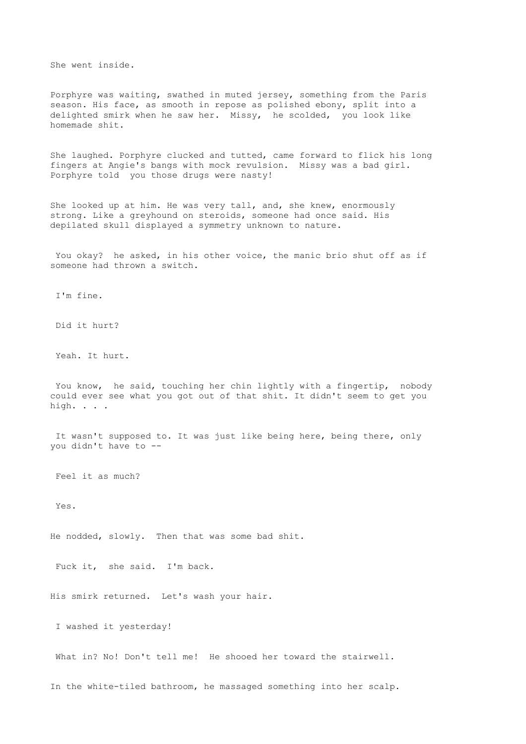She went inside.

Porphyre was waiting, swathed in muted jersey, something from the Paris season. His face, as smooth in repose as polished ebony, split into a delighted smirk when he saw her. Missy, he scolded, you look like homemade shit.

She laughed. Porphyre clucked and tutted, came forward to flick his long fingers at Angie's bangs with mock revulsion. Missy was a bad girl. Porphyre told you those drugs were nasty!

She looked up at him. He was very tall, and, she knew, enormously strong. Like a greyhound on steroids, someone had once said. His depilated skull displayed a symmetry unknown to nature.

 You okay? he asked, in his other voice, the manic brio shut off as if someone had thrown a switch.

I'm fine.

Did it hurt?

Yeah. It hurt.

 You know, he said, touching her chin lightly with a fingertip, nobody could ever see what you got out of that shit. It didn't seem to get you high. . . .

 It wasn't supposed to. It was just like being here, being there, only you didn't have to --

Feel it as much?

Yes.

He nodded, slowly. Then that was some bad shit.

Fuck it, she said. I'm back.

His smirk returned. Let's wash your hair.

I washed it yesterday!

What in? No! Don't tell me! He shooed her toward the stairwell.

In the white-tiled bathroom, he massaged something into her scalp.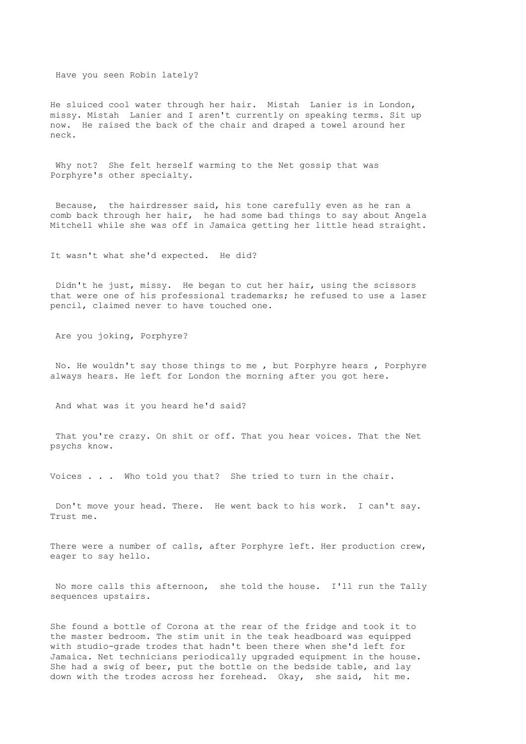Have you seen Robin lately?

He sluiced cool water through her hair. Mistah Lanier is in London, missy. Mistah Lanier and I aren't currently on speaking terms. Sit up now. He raised the back of the chair and draped a towel around her neck.

 Why not? She felt herself warming to the Net gossip that was Porphyre's other specialty.

 Because, the hairdresser said, his tone carefully even as he ran a comb back through her hair, he had some bad things to say about Angela Mitchell while she was off in Jamaica getting her little head straight.

It wasn't what she'd expected. He did?

Didn't he just, missy. He began to cut her hair, using the scissors that were one of his professional trademarks; he refused to use a laser pencil, claimed never to have touched one.

Are you joking, Porphyre?

 No. He wouldn't say those things to me , but Porphyre hears , Porphyre always hears. He left for London the morning after you got here.

And what was it you heard he'd said?

That you're crazy. On shit or off. That you hear voices. That the Net psychs know.

Voices . . . Who told you that? She tried to turn in the chair.

 Don't move your head. There. He went back to his work. I can't say. Trust me.

There were a number of calls, after Porphyre left. Her production crew, eager to say hello.

 No more calls this afternoon, she told the house. I'll run the Tally sequences upstairs.

She found a bottle of Corona at the rear of the fridge and took it to the master bedroom. The stim unit in the teak headboard was equipped with studio-grade trodes that hadn't been there when she'd left for Jamaica. Net technicians periodically upgraded equipment in the house. She had a swig of beer, put the bottle on the bedside table, and lay down with the trodes across her forehead. Okay, she said, hit me.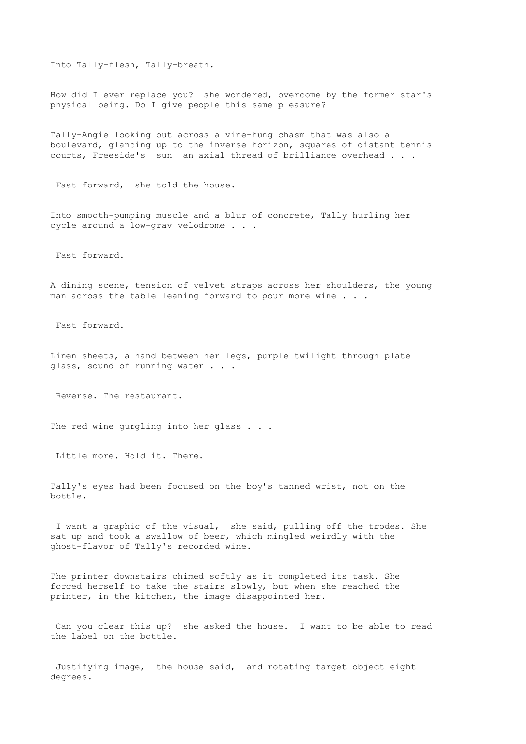Into Tally-flesh, Tally-breath.

How did I ever replace you? she wondered, overcome by the former star's physical being. Do I give people this same pleasure?

Tally-Angie looking out across a vine-hung chasm that was also a boulevard, glancing up to the inverse horizon, squares of distant tennis courts, Freeside's sun an axial thread of brilliance overhead . . .

Fast forward, she told the house.

Into smooth-pumping muscle and a blur of concrete, Tally hurling her cycle around a low-grav velodrome . . .

Fast forward.

A dining scene, tension of velvet straps across her shoulders, the young man across the table leaning forward to pour more wine . . .

Fast forward.

Linen sheets, a hand between her legs, purple twilight through plate glass, sound of running water . . .

Reverse. The restaurant.

The red wine gurgling into her glass . . .

Little more. Hold it. There.

Tally's eyes had been focused on the boy's tanned wrist, not on the bottle.

 I want a graphic of the visual, she said, pulling off the trodes. She sat up and took a swallow of beer, which mingled weirdly with the ghost-flavor of Tally's recorded wine.

The printer downstairs chimed softly as it completed its task. She forced herself to take the stairs slowly, but when she reached the printer, in the kitchen, the image disappointed her.

 Can you clear this up? she asked the house. I want to be able to read the label on the bottle.

 Justifying image, the house said, and rotating target object eight degrees.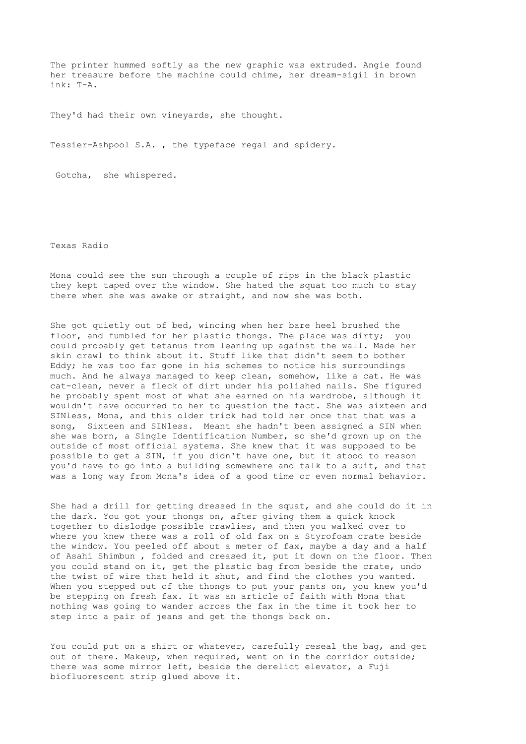The printer hummed softly as the new graphic was extruded. Angie found her treasure before the machine could chime, her dream-sigil in brown ink: T-A.

They'd had their own vineyards, she thought.

Tessier-Ashpool S.A. , the typeface regal and spidery.

Gotcha, she whispered.

Texas Radio

Mona could see the sun through a couple of rips in the black plastic they kept taped over the window. She hated the squat too much to stay there when she was awake or straight, and now she was both.

She got quietly out of bed, wincing when her bare heel brushed the floor, and fumbled for her plastic thongs. The place was dirty; you could probably get tetanus from leaning up against the wall. Made her skin crawl to think about it. Stuff like that didn't seem to bother Eddy; he was too far gone in his schemes to notice his surroundings much. And he always managed to keep clean, somehow, like a cat. He was cat-clean, never a fleck of dirt under his polished nails. She figured he probably spent most of what she earned on his wardrobe, although it wouldn't have occurred to her to question the fact. She was sixteen and SINless, Mona, and this older trick had told her once that that was a song, Sixteen and SINless. Meant she hadn't been assigned a SIN when she was born, a Single Identification Number, so she'd grown up on the outside of most official systems. She knew that it was supposed to be possible to get a SIN, if you didn't have one, but it stood to reason you'd have to go into a building somewhere and talk to a suit, and that was a long way from Mona's idea of a good time or even normal behavior.

She had a drill for getting dressed in the squat, and she could do it in the dark. You got your thongs on, after giving them a quick knock together to dislodge possible crawlies, and then you walked over to where you knew there was a roll of old fax on a Styrofoam crate beside the window. You peeled off about a meter of fax, maybe a day and a half of Asahi Shimbun , folded and creased it, put it down on the floor. Then you could stand on it, get the plastic bag from beside the crate, undo the twist of wire that held it shut, and find the clothes you wanted. When you stepped out of the thongs to put your pants on, you knew you'd be stepping on fresh fax. It was an article of faith with Mona that nothing was going to wander across the fax in the time it took her to step into a pair of jeans and get the thongs back on.

You could put on a shirt or whatever, carefully reseal the bag, and get out of there. Makeup, when required, went on in the corridor outside; there was some mirror left, beside the derelict elevator, a Fuji biofluorescent strip glued above it.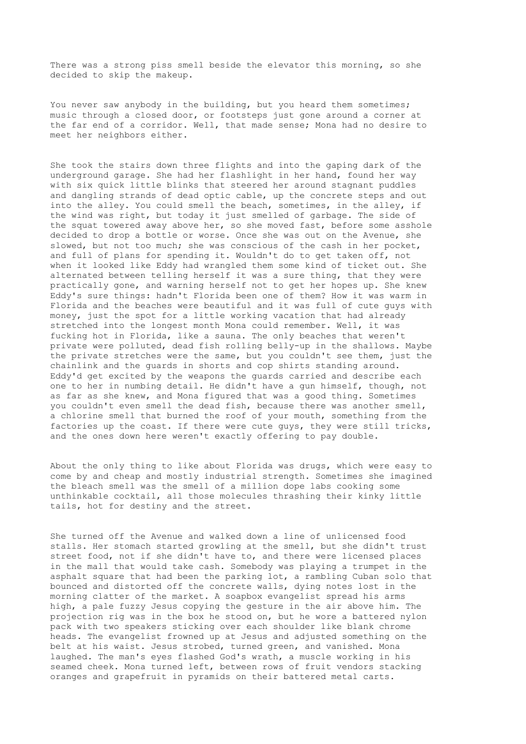There was a strong piss smell beside the elevator this morning, so she decided to skip the makeup.

You never saw anybody in the building, but you heard them sometimes; music through a closed door, or footsteps just gone around a corner at the far end of a corridor. Well, that made sense; Mona had no desire to meet her neighbors either.

She took the stairs down three flights and into the gaping dark of the underground garage. She had her flashlight in her hand, found her way with six quick little blinks that steered her around stagnant puddles and dangling strands of dead optic cable, up the concrete steps and out into the alley. You could smell the beach, sometimes, in the alley, if the wind was right, but today it just smelled of garbage. The side of the squat towered away above her, so she moved fast, before some asshole decided to drop a bottle or worse. Once she was out on the Avenue, she slowed, but not too much; she was conscious of the cash in her pocket, and full of plans for spending it. Wouldn't do to get taken off, not when it looked like Eddy had wrangled them some kind of ticket out. She alternated between telling herself it was a sure thing, that they were practically gone, and warning herself not to get her hopes up. She knew Eddy's sure things: hadn't Florida been one of them? How it was warm in Florida and the beaches were beautiful and it was full of cute guys with money, just the spot for a little working vacation that had already stretched into the longest month Mona could remember. Well, it was fucking hot in Florida, like a sauna. The only beaches that weren't private were polluted, dead fish rolling belly-up in the shallows. Maybe the private stretches were the same, but you couldn't see them, just the chainlink and the guards in shorts and cop shirts standing around. Eddy'd get excited by the weapons the guards carried and describe each one to her in numbing detail. He didn't have a gun himself, though, not as far as she knew, and Mona figured that was a good thing. Sometimes you couldn't even smell the dead fish, because there was another smell, a chlorine smell that burned the roof of your mouth, something from the factories up the coast. If there were cute guys, they were still tricks, and the ones down here weren't exactly offering to pay double.

About the only thing to like about Florida was drugs, which were easy to come by and cheap and mostly industrial strength. Sometimes she imagined the bleach smell was the smell of a million dope labs cooking some unthinkable cocktail, all those molecules thrashing their kinky little tails, hot for destiny and the street.

She turned off the Avenue and walked down a line of unlicensed food stalls. Her stomach started growling at the smell, but she didn't trust street food, not if she didn't have to, and there were licensed places in the mall that would take cash. Somebody was playing a trumpet in the asphalt square that had been the parking lot, a rambling Cuban solo that bounced and distorted off the concrete walls, dying notes lost in the morning clatter of the market. A soapbox evangelist spread his arms high, a pale fuzzy Jesus copying the gesture in the air above him. The projection rig was in the box he stood on, but he wore a battered nylon pack with two speakers sticking over each shoulder like blank chrome heads. The evangelist frowned up at Jesus and adjusted something on the belt at his waist. Jesus strobed, turned green, and vanished. Mona laughed. The man's eyes flashed God's wrath, a muscle working in his seamed cheek. Mona turned left, between rows of fruit vendors stacking oranges and grapefruit in pyramids on their battered metal carts.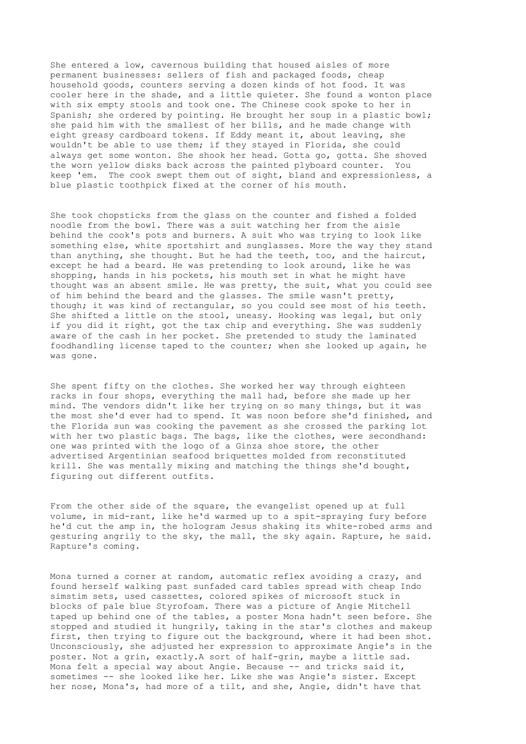She entered a low, cavernous building that housed aisles of more permanent businesses: sellers of fish and packaged foods, cheap household goods, counters serving a dozen kinds of hot food. It was cooler here in the shade, and a little quieter. She found a wonton place with six empty stools and took one. The Chinese cook spoke to her in Spanish; she ordered by pointing. He brought her soup in a plastic bowl; she paid him with the smallest of her bills, and he made change with eight greasy cardboard tokens. If Eddy meant it, about leaving, she wouldn't be able to use them; if they stayed in Florida, she could always get some wonton. She shook her head. Gotta go, gotta. She shoved the worn yellow disks back across the painted plyboard counter. You keep 'em. The cook swept them out of sight, bland and expressionless, a blue plastic toothpick fixed at the corner of his mouth.

She took chopsticks from the glass on the counter and fished a folded noodle from the bowl. There was a suit watching her from the aisle behind the cook's pots and burners. A suit who was trying to look like something else, white sportshirt and sunglasses. More the way they stand than anything, she thought. But he had the teeth, too, and the haircut, except he had a beard. He was pretending to look around, like he was shopping, hands in his pockets, his mouth set in what he might have thought was an absent smile. He was pretty, the suit, what you could see of him behind the beard and the glasses. The smile wasn't pretty, though; it was kind of rectangular, so you could see most of his teeth. She shifted a little on the stool, uneasy. Hooking was legal, but only if you did it right, got the tax chip and everything. She was suddenly aware of the cash in her pocket. She pretended to study the laminated foodhandling license taped to the counter; when she looked up again, he was gone.

She spent fifty on the clothes. She worked her way through eighteen racks in four shops, everything the mall had, before she made up her mind. The vendors didn't like her trying on so many things, but it was the most she'd ever had to spend. It was noon before she'd finished, and the Florida sun was cooking the pavement as she crossed the parking lot with her two plastic bags. The bags, like the clothes, were secondhand: one was printed with the logo of a Ginza shoe store, the other advertised Argentinian seafood briquettes molded from reconstituted krill. She was mentally mixing and matching the things she'd bought, figuring out different outfits.

From the other side of the square, the evangelist opened up at full volume, in mid-rant, like he'd warmed up to a spit-spraying fury before he'd cut the amp in, the hologram Jesus shaking its white-robed arms and gesturing angrily to the sky, the mall, the sky again. Rapture, he said. Rapture's coming.

Mona turned a corner at random, automatic reflex avoiding a crazy, and found herself walking past sunfaded card tables spread with cheap Indo simstim sets, used cassettes, colored spikes of microsoft stuck in blocks of pale blue Styrofoam. There was a picture of Angie Mitchell taped up behind one of the tables, a poster Mona hadn't seen before. She stopped and studied it hungrily, taking in the star's clothes and makeup first, then trying to figure out the background, where it had been shot. Unconsciously, she adjusted her expression to approximate Angie's in the poster. Not a grin, exactly.A sort of half-grin, maybe a little sad. Mona felt a special way about Angie. Because -- and tricks said it, sometimes -- she looked like her. Like she was Angie's sister. Except her nose, Mona's, had more of a tilt, and she, Angie, didn't have that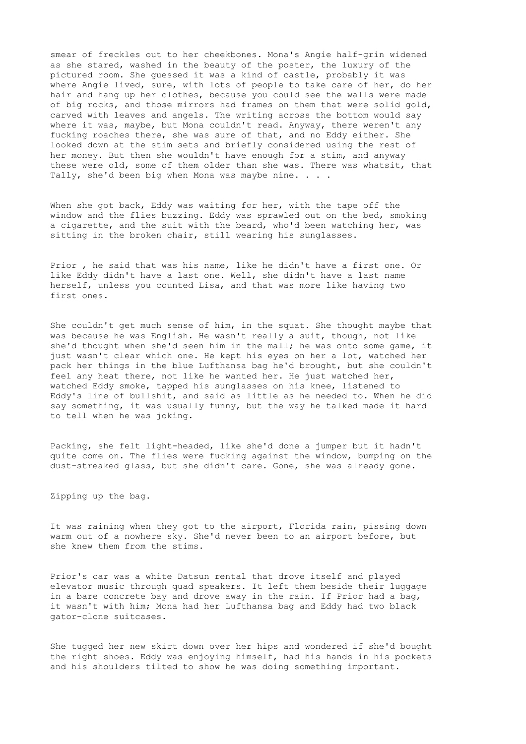smear of freckles out to her cheekbones. Mona's Angie half-grin widened as she stared, washed in the beauty of the poster, the luxury of the pictured room. She guessed it was a kind of castle, probably it was where Angie lived, sure, with lots of people to take care of her, do her hair and hang up her clothes, because you could see the walls were made of big rocks, and those mirrors had frames on them that were solid gold, carved with leaves and angels. The writing across the bottom would say where it was, maybe, but Mona couldn't read. Anyway, there weren't any fucking roaches there, she was sure of that, and no Eddy either. She looked down at the stim sets and briefly considered using the rest of her money. But then she wouldn't have enough for a stim, and anyway these were old, some of them older than she was. There was whatsit, that Tally, she'd been big when Mona was maybe nine. . . .

When she got back, Eddy was waiting for her, with the tape off the window and the flies buzzing. Eddy was sprawled out on the bed, smoking a cigarette, and the suit with the beard, who'd been watching her, was sitting in the broken chair, still wearing his sunglasses.

Prior , he said that was his name, like he didn't have a first one. Or like Eddy didn't have a last one. Well, she didn't have a last name herself, unless you counted Lisa, and that was more like having two first ones.

She couldn't get much sense of him, in the squat. She thought maybe that was because he was English. He wasn't really a suit, though, not like she'd thought when she'd seen him in the mall; he was onto some game, it just wasn't clear which one. He kept his eyes on her a lot, watched her pack her things in the blue Lufthansa bag he'd brought, but she couldn't feel any heat there, not like he wanted her. He just watched her, watched Eddy smoke, tapped his sunglasses on his knee, listened to Eddy's line of bullshit, and said as little as he needed to. When he did say something, it was usually funny, but the way he talked made it hard to tell when he was joking.

Packing, she felt light-headed, like she'd done a jumper but it hadn't quite come on. The flies were fucking against the window, bumping on the dust-streaked glass, but she didn't care. Gone, she was already gone.

Zipping up the bag.

It was raining when they got to the airport, Florida rain, pissing down warm out of a nowhere sky. She'd never been to an airport before, but she knew them from the stims.

Prior's car was a white Datsun rental that drove itself and played elevator music through quad speakers. It left them beside their luggage in a bare concrete bay and drove away in the rain. If Prior had a bag, it wasn't with him; Mona had her Lufthansa bag and Eddy had two black gator-clone suitcases.

She tugged her new skirt down over her hips and wondered if she'd bought the right shoes. Eddy was enjoying himself, had his hands in his pockets and his shoulders tilted to show he was doing something important.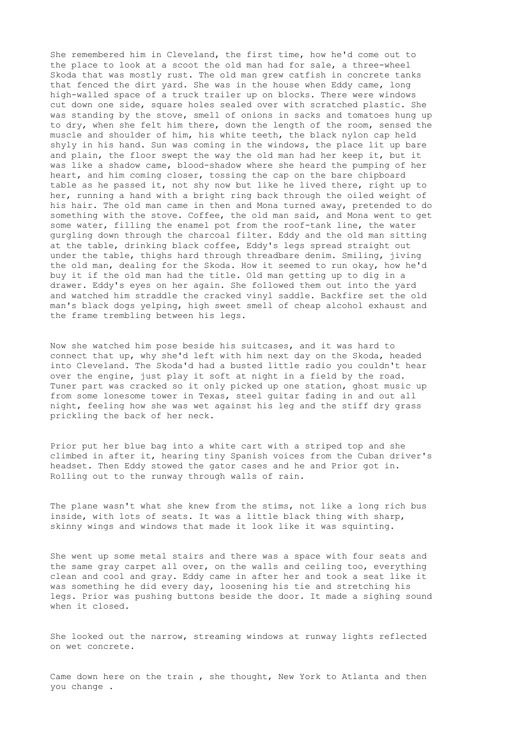She remembered him in Cleveland, the first time, how he'd come out to the place to look at a scoot the old man had for sale, a three-wheel Skoda that was mostly rust. The old man grew catfish in concrete tanks that fenced the dirt yard. She was in the house when Eddy came, long high-walled space of a truck trailer up on blocks. There were windows cut down one side, square holes sealed over with scratched plastic. She was standing by the stove, smell of onions in sacks and tomatoes hung up to dry, when she felt him there, down the length of the room, sensed the muscle and shoulder of him, his white teeth, the black nylon cap held shyly in his hand. Sun was coming in the windows, the place lit up bare and plain, the floor swept the way the old man had her keep it, but it was like a shadow came, blood-shadow where she heard the pumping of her heart, and him coming closer, tossing the cap on the bare chipboard table as he passed it, not shy now but like he lived there, right up to her, running a hand with a bright ring back through the oiled weight of his hair. The old man came in then and Mona turned away, pretended to do something with the stove. Coffee, the old man said, and Mona went to get some water, filling the enamel pot from the roof-tank line, the water gurgling down through the charcoal filter. Eddy and the old man sitting at the table, drinking black coffee, Eddy's legs spread straight out under the table, thighs hard through threadbare denim. Smiling, jiving the old man, dealing for the Skoda. How it seemed to run okay, how he'd buy it if the old man had the title. Old man getting up to dig in a drawer. Eddy's eyes on her again. She followed them out into the yard and watched him straddle the cracked vinyl saddle. Backfire set the old man's black dogs yelping, high sweet smell of cheap alcohol exhaust and the frame trembling between his legs.

Now she watched him pose beside his suitcases, and it was hard to connect that up, why she'd left with him next day on the Skoda, headed into Cleveland. The Skoda'd had a busted little radio you couldn't hear over the engine, just play it soft at night in a field by the road. Tuner part was cracked so it only picked up one station, ghost music up from some lonesome tower in Texas, steel guitar fading in and out all night, feeling how she was wet against his leg and the stiff dry grass prickling the back of her neck.

Prior put her blue bag into a white cart with a striped top and she climbed in after it, hearing tiny Spanish voices from the Cuban driver's headset. Then Eddy stowed the gator cases and he and Prior got in. Rolling out to the runway through walls of rain.

The plane wasn't what she knew from the stims, not like a long rich bus inside, with lots of seats. It was a little black thing with sharp, skinny wings and windows that made it look like it was squinting.

She went up some metal stairs and there was a space with four seats and the same gray carpet all over, on the walls and ceiling too, everything clean and cool and gray. Eddy came in after her and took a seat like it was something he did every day, loosening his tie and stretching his legs. Prior was pushing buttons beside the door. It made a sighing sound when it closed.

She looked out the narrow, streaming windows at runway lights reflected on wet concrete.

Came down here on the train , she thought, New York to Atlanta and then you change .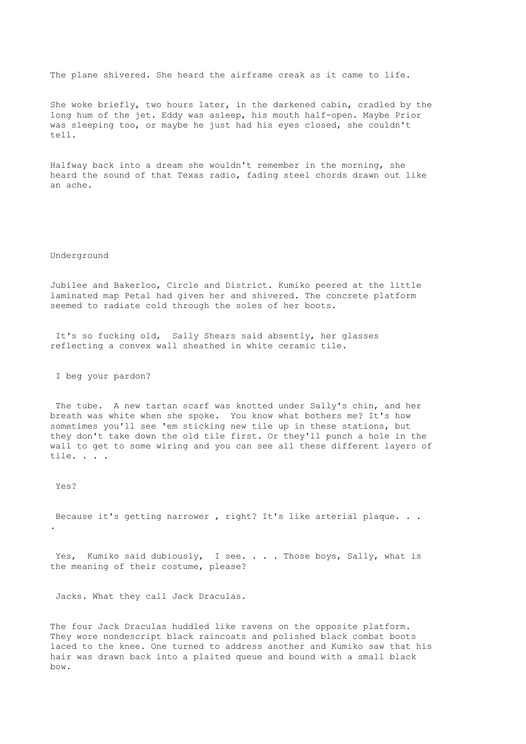The plane shivered. She heard the airframe creak as it came to life.

She woke briefly, two hours later, in the darkened cabin, cradled by the long hum of the jet. Eddy was asleep, his mouth half-open. Maybe Prior was sleeping too, or maybe he just had his eyes closed, she couldn't tell.

Halfway back into a dream she wouldn't remember in the morning, she heard the sound of that Texas radio, fading steel chords drawn out like an ache.

## Underground

Jubilee and Bakerloo, Circle and District. Kumiko peered at the little laminated map Petal had given her and shivered. The concrete platform seemed to radiate cold through the soles of her boots.

 It's so fucking old, Sally Shears said absently, her glasses reflecting a convex wall sheathed in white ceramic tile.

I beg your pardon?

 The tube. A new tartan scarf was knotted under Sally's chin, and her breath was white when she spoke. You know what bothers me? It's how sometimes you'll see 'em sticking new tile up in these stations, but they don't take down the old tile first. Or they'll punch a hole in the wall to get to some wiring and you can see all these different layers of tile. . . .

## Yes?

.

Because it's getting narrower , right? It's like arterial plaque. . .

Yes, Kumiko said dubiously, I see. . . . Those boys, Sally, what is the meaning of their costume, please?

Jacks. What they call Jack Draculas.

The four Jack Draculas huddled like ravens on the opposite platform. They wore nondescript black raincoats and polished black combat boots laced to the knee. One turned to address another and Kumiko saw that his hair was drawn back into a plaited queue and bound with a small black bow.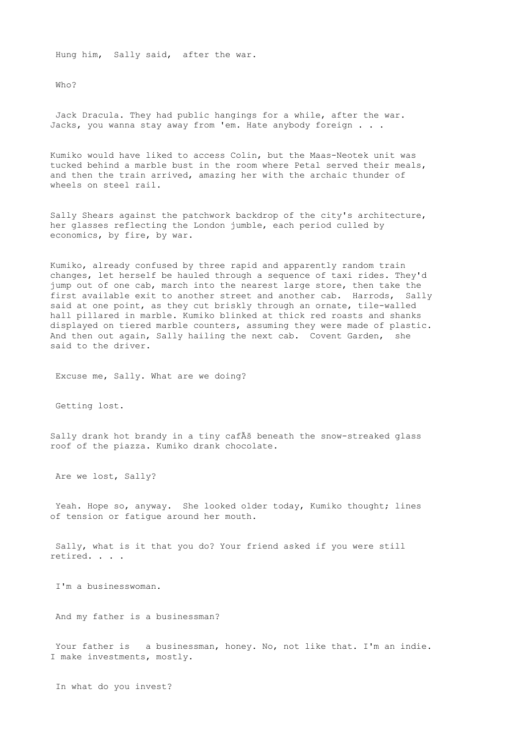Hung him, Sally said, after the war.

Who?

 Jack Dracula. They had public hangings for a while, after the war. Jacks, you wanna stay away from 'em. Hate anybody foreign . . .

Kumiko would have liked to access Colin, but the Maas-Neotek unit was tucked behind a marble bust in the room where Petal served their meals, and then the train arrived, amazing her with the archaic thunder of wheels on steel rail.

Sally Shears against the patchwork backdrop of the city's architecture, her glasses reflecting the London jumble, each period culled by economics, by fire, by war.

Kumiko, already confused by three rapid and apparently random train changes, let herself be hauled through a sequence of taxi rides. They'd jump out of one cab, march into the nearest large store, then take the first available exit to another street and another cab. Harrods, Sally said at one point, as they cut briskly through an ornate, tile-walled hall pillared in marble. Kumiko blinked at thick red roasts and shanks displayed on tiered marble counters, assuming they were made of plastic. And then out again, Sally hailing the next cab. Covent Garden, she said to the driver.

Excuse me, Sally. What are we doing?

Getting lost.

Sally drank hot brandy in a tiny cafÚ beneath the snow-streaked glass roof of the piazza. Kumiko drank chocolate.

Are we lost, Sally?

Yeah. Hope so, anyway. She looked older today, Kumiko thought; lines of tension or fatigue around her mouth.

 Sally, what is it that you do? Your friend asked if you were still retired. . . .

I'm a businesswoman.

And my father is a businessman?

Your father is a businessman, honey. No, not like that. I'm an indie. I make investments, mostly.

In what do you invest?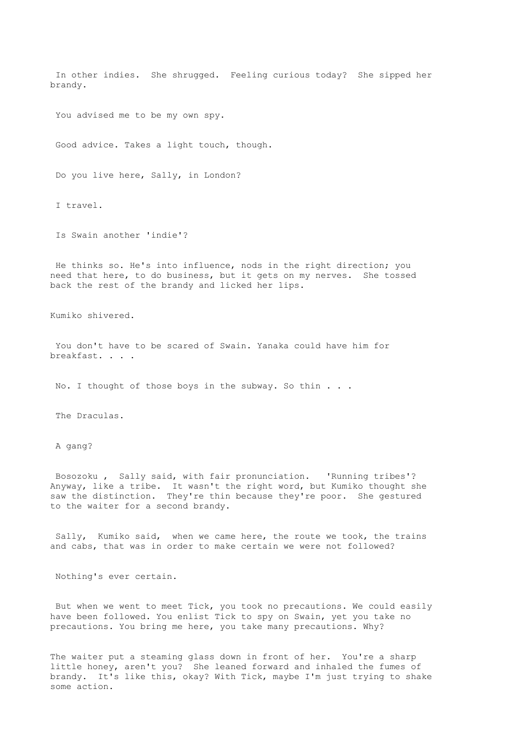In other indies. She shrugged. Feeling curious today? She sipped her brandy. You advised me to be my own spy. Good advice. Takes a light touch, though. Do you live here, Sally, in London? I travel. Is Swain another 'indie'? He thinks so. He's into influence, nods in the right direction; you need that here, to do business, but it gets on my nerves. She tossed back the rest of the brandy and licked her lips. Kumiko shivered. You don't have to be scared of Swain. Yanaka could have him for breakfast. . . . No. I thought of those boys in the subway. So thin . . . The Draculas. A gang? Bosozoku , Sally said, with fair pronunciation. 'Running tribes'? Anyway, like a tribe. It wasn't the right word, but Kumiko thought she saw the distinction. They're thin because they're poor. She gestured to the waiter for a second brandy. Sally, Kumiko said, when we came here, the route we took, the trains and cabs, that was in order to make certain we were not followed?

Nothing's ever certain.

 But when we went to meet Tick, you took no precautions. We could easily have been followed. You enlist Tick to spy on Swain, yet you take no precautions. You bring me here, you take many precautions. Why?

The waiter put a steaming glass down in front of her. You're a sharp little honey, aren't you? She leaned forward and inhaled the fumes of brandy. It's like this, okay? With Tick, maybe I'm just trying to shake some action.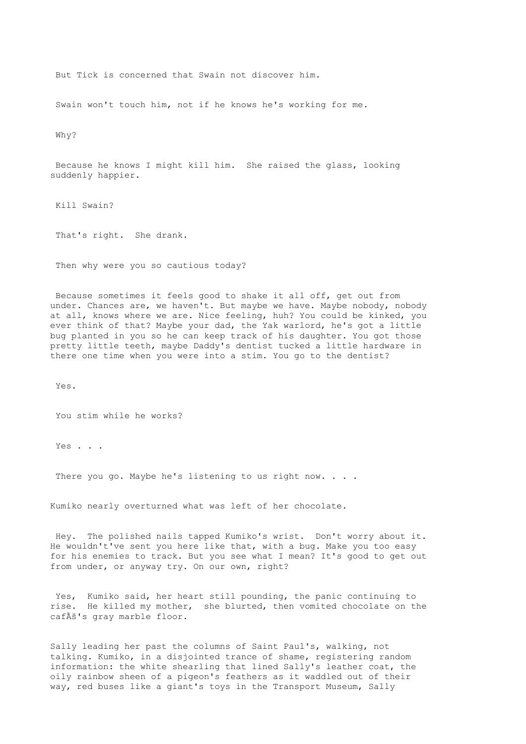But Tick is concerned that Swain not discover him.

Swain won't touch him, not if he knows he's working for me.

Why?

 Because he knows I might kill him. She raised the glass, looking suddenly happier.

Kill Swain?

That's right. She drank.

Then why were you so cautious today?

 Because sometimes it feels good to shake it all off, get out from under. Chances are, we haven't. But maybe we have. Maybe nobody, nobody at all, knows where we are. Nice feeling, huh? You could be kinked, you ever think of that? Maybe your dad, the Yak warlord, he's got a little bug planted in you so he can keep track of his daughter. You got those pretty little teeth, maybe Daddy's dentist tucked a little hardware in there one time when you were into a stim. You go to the dentist?

Yes.

You stim while he works?

Yes . . .

There you go. Maybe he's listening to us right now. . . .

Kumiko nearly overturned what was left of her chocolate.

 Hey. The polished nails tapped Kumiko's wrist. Don't worry about it. He wouldn't've sent you here like that, with a bug. Make you too easy for his enemies to track. But you see what I mean? It's good to get out from under, or anyway try. On our own, right?

 Yes, Kumiko said, her heart still pounding, the panic continuing to rise. He killed my mother, she blurted, then vomited chocolate on the cafÚ's gray marble floor.

Sally leading her past the columns of Saint Paul's, walking, not talking. Kumiko, in a disjointed trance of shame, registering random information: the white shearling that lined Sally's leather coat, the oily rainbow sheen of a pigeon's feathers as it waddled out of their way, red buses like a giant's toys in the Transport Museum, Sally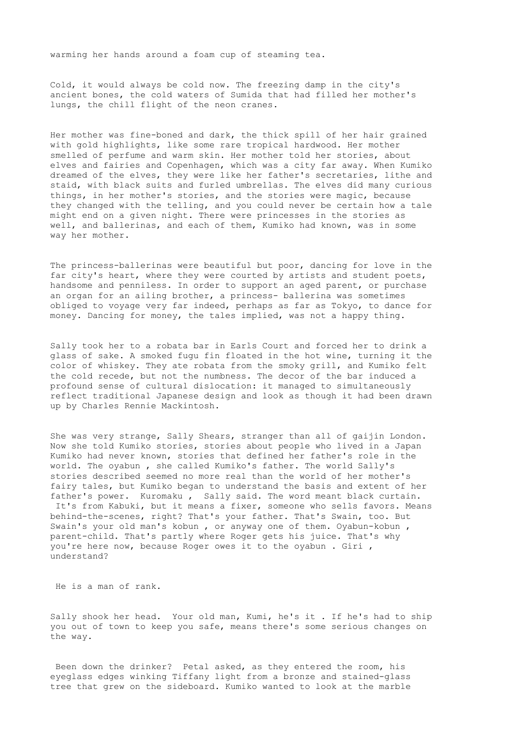warming her hands around a foam cup of steaming tea.

Cold, it would always be cold now. The freezing damp in the city's ancient bones, the cold waters of Sumida that had filled her mother's lungs, the chill flight of the neon cranes.

Her mother was fine-boned and dark, the thick spill of her hair grained with gold highlights, like some rare tropical hardwood. Her mother smelled of perfume and warm skin. Her mother told her stories, about elves and fairies and Copenhagen, which was a city far away. When Kumiko dreamed of the elves, they were like her father's secretaries, lithe and staid, with black suits and furled umbrellas. The elves did many curious things, in her mother's stories, and the stories were magic, because they changed with the telling, and you could never be certain how a tale might end on a given night. There were princesses in the stories as well, and ballerinas, and each of them, Kumiko had known, was in some way her mother.

The princess-ballerinas were beautiful but poor, dancing for love in the far city's heart, where they were courted by artists and student poets, handsome and penniless. In order to support an aged parent, or purchase an organ for an ailing brother, a princess- ballerina was sometimes obliged to voyage very far indeed, perhaps as far as Tokyo, to dance for money. Dancing for money, the tales implied, was not a happy thing.

Sally took her to a robata bar in Earls Court and forced her to drink a glass of sake. A smoked fugu fin floated in the hot wine, turning it the color of whiskey. They ate robata from the smoky grill, and Kumiko felt the cold recede, but not the numbness. The decor of the bar induced a profound sense of cultural dislocation: it managed to simultaneously reflect traditional Japanese design and look as though it had been drawn up by Charles Rennie Mackintosh.

She was very strange, Sally Shears, stranger than all of gaijin London. Now she told Kumiko stories, stories about people who lived in a Japan Kumiko had never known, stories that defined her father's role in the world. The oyabun , she called Kumiko's father. The world Sally's stories described seemed no more real than the world of her mother's fairy tales, but Kumiko began to understand the basis and extent of her father's power. Kuromaku , Sally said. The word meant black curtain. It's from Kabuki, but it means a fixer, someone who sells favors. Means behind-the-scenes, right? That's your father. That's Swain, too. But Swain's your old man's kobun , or anyway one of them. Oyabun-kobun , parent-child. That's partly where Roger gets his juice. That's why you're here now, because Roger owes it to the oyabun . Giri , understand?

He is a man of rank.

Sally shook her head. Your old man, Kumi, he's it . If he's had to ship you out of town to keep you safe, means there's some serious changes on the way.

 Been down the drinker? Petal asked, as they entered the room, his eyeglass edges winking Tiffany light from a bronze and stained-glass tree that grew on the sideboard. Kumiko wanted to look at the marble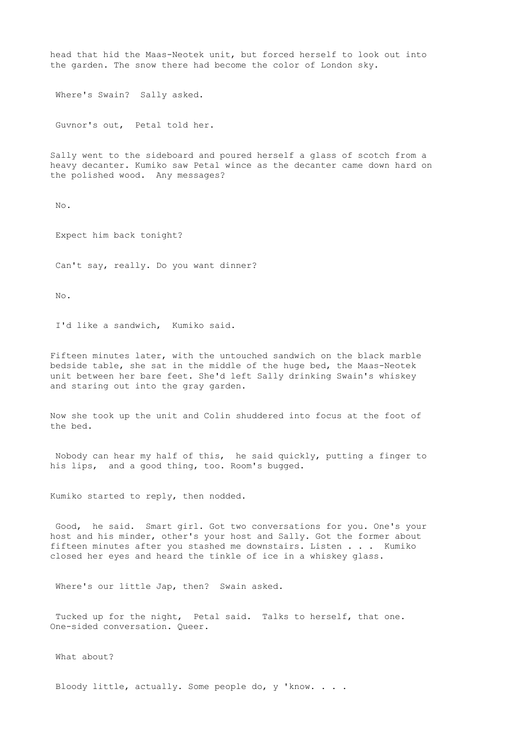head that hid the Maas-Neotek unit, but forced herself to look out into the garden. The snow there had become the color of London sky. Where's Swain? Sally asked. Guvnor's out, Petal told her. Sally went to the sideboard and poured herself a glass of scotch from a heavy decanter. Kumiko saw Petal wince as the decanter came down hard on the polished wood. Any messages? No. Expect him back tonight? Can't say, really. Do you want dinner?  $N<sub>O</sub>$ I'd like a sandwich, Kumiko said.

Fifteen minutes later, with the untouched sandwich on the black marble bedside table, she sat in the middle of the huge bed, the Maas-Neotek unit between her bare feet. She'd left Sally drinking Swain's whiskey and staring out into the gray garden.

Now she took up the unit and Colin shuddered into focus at the foot of the bed.

 Nobody can hear my half of this, he said quickly, putting a finger to his lips, and a good thing, too. Room's bugged.

Kumiko started to reply, then nodded.

 Good, he said. Smart girl. Got two conversations for you. One's your host and his minder, other's your host and Sally. Got the former about fifteen minutes after you stashed me downstairs. Listen . . . Kumiko closed her eyes and heard the tinkle of ice in a whiskey glass.

Where's our little Jap, then? Swain asked.

 Tucked up for the night, Petal said. Talks to herself, that one. One-sided conversation. Queer.

What about?

Bloody little, actually. Some people do, y 'know. . . .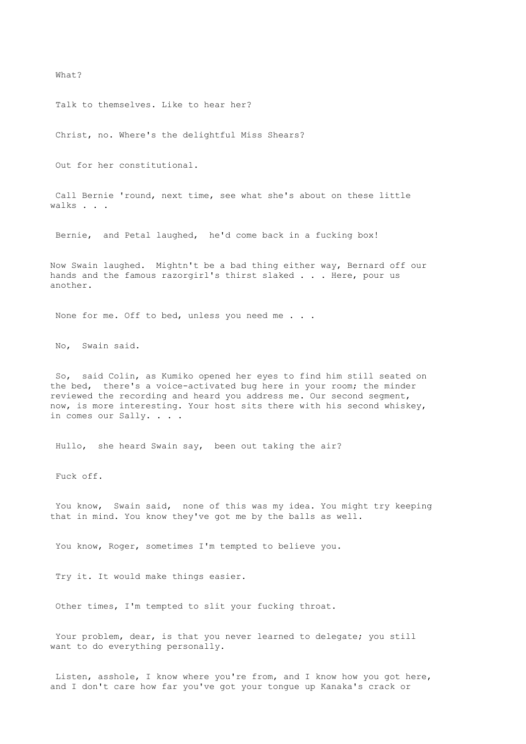What?

Talk to themselves. Like to hear her?

Christ, no. Where's the delightful Miss Shears?

Out for her constitutional.

 Call Bernie 'round, next time, see what she's about on these little walks . . .

Bernie, and Petal laughed, he'd come back in a fucking box!

Now Swain laughed. Mightn't be a bad thing either way, Bernard off our hands and the famous razorgirl's thirst slaked . . . Here, pour us another.

None for me. Off to bed, unless you need me . . .

No, Swain said.

 So, said Colin, as Kumiko opened her eyes to find him still seated on the bed, there's a voice-activated bug here in your room; the minder reviewed the recording and heard you address me. Our second segment, now, is more interesting. Your host sits there with his second whiskey, in comes our Sally. . . .

Hullo, she heard Swain say, been out taking the air?

Fuck off.

 You know, Swain said, none of this was my idea. You might try keeping that in mind. You know they've got me by the balls as well.

You know, Roger, sometimes I'm tempted to believe you.

Try it. It would make things easier.

Other times, I'm tempted to slit your fucking throat.

Your problem, dear, is that you never learned to delegate; you still want to do everything personally.

Listen, asshole, I know where you're from, and I know how you got here, and I don't care how far you've got your tongue up Kanaka's crack or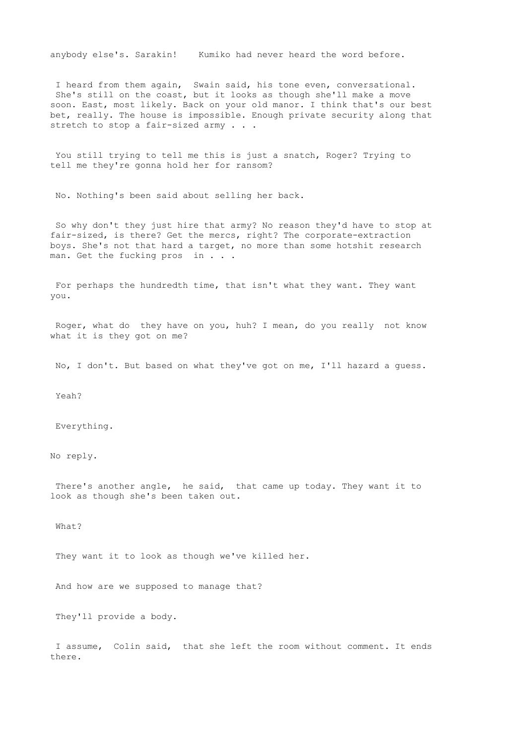anybody else's. Sarakin! Kumiko had never heard the word before.

 I heard from them again, Swain said, his tone even, conversational. She's still on the coast, but it looks as though she'll make a move soon. East, most likely. Back on your old manor. I think that's our best bet, really. The house is impossible. Enough private security along that stretch to stop a fair-sized army . . .

You still trying to tell me this is just a snatch, Roger? Trying to tell me they're gonna hold her for ransom?

No. Nothing's been said about selling her back.

 So why don't they just hire that army? No reason they'd have to stop at fair-sized, is there? Get the mercs, right? The corporate-extraction boys. She's not that hard a target, no more than some hotshit research man. Get the fucking pros in . . .

 For perhaps the hundredth time, that isn't what they want. They want you.

 Roger, what do they have on you, huh? I mean, do you really not know what it is they got on me?

No, I don't. But based on what they've got on me, I'll hazard a guess.

Yeah?

Everything.

No reply.

There's another angle, he said, that came up today. They want it to look as though she's been taken out.

What?

They want it to look as though we've killed her.

And how are we supposed to manage that?

They'll provide a body.

 I assume, Colin said, that she left the room without comment. It ends there.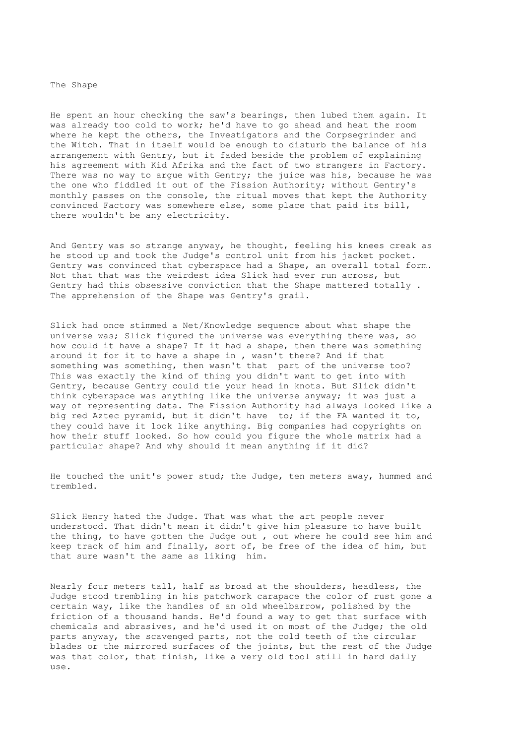The Shape

He spent an hour checking the saw's bearings, then lubed them again. It was already too cold to work; he'd have to go ahead and heat the room where he kept the others, the Investigators and the Corpsegrinder and the Witch. That in itself would be enough to disturb the balance of his arrangement with Gentry, but it faded beside the problem of explaining his agreement with Kid Afrika and the fact of two strangers in Factory. There was no way to argue with Gentry; the juice was his, because he was the one who fiddled it out of the Fission Authority; without Gentry's monthly passes on the console, the ritual moves that kept the Authority convinced Factory was somewhere else, some place that paid its bill, there wouldn't be any electricity.

And Gentry was so strange anyway, he thought, feeling his knees creak as he stood up and took the Judge's control unit from his jacket pocket. Gentry was convinced that cyberspace had a Shape, an overall total form. Not that that was the weirdest idea Slick had ever run across, but Gentry had this obsessive conviction that the Shape mattered totally . The apprehension of the Shape was Gentry's grail.

Slick had once stimmed a Net/Knowledge sequence about what shape the universe was; Slick figured the universe was everything there was, so how could it have a shape? If it had a shape, then there was something around it for it to have a shape in , wasn't there? And if that something was something, then wasn't that part of the universe too? This was exactly the kind of thing you didn't want to get into with Gentry, because Gentry could tie your head in knots. But Slick didn't think cyberspace was anything like the universe anyway; it was just a way of representing data. The Fission Authority had always looked like a big red Aztec pyramid, but it didn't have to; if the FA wanted it to, they could have it look like anything. Big companies had copyrights on how their stuff looked. So how could you figure the whole matrix had a particular shape? And why should it mean anything if it did?

He touched the unit's power stud; the Judge, ten meters away, hummed and trembled.

Slick Henry hated the Judge. That was what the art people never understood. That didn't mean it didn't give him pleasure to have built the thing, to have gotten the Judge out , out where he could see him and keep track of him and finally, sort of, be free of the idea of him, but that sure wasn't the same as liking him.

Nearly four meters tall, half as broad at the shoulders, headless, the Judge stood trembling in his patchwork carapace the color of rust gone a certain way, like the handles of an old wheelbarrow, polished by the friction of a thousand hands. He'd found a way to get that surface with chemicals and abrasives, and he'd used it on most of the Judge; the old parts anyway, the scavenged parts, not the cold teeth of the circular blades or the mirrored surfaces of the joints, but the rest of the Judge was that color, that finish, like a very old tool still in hard daily use.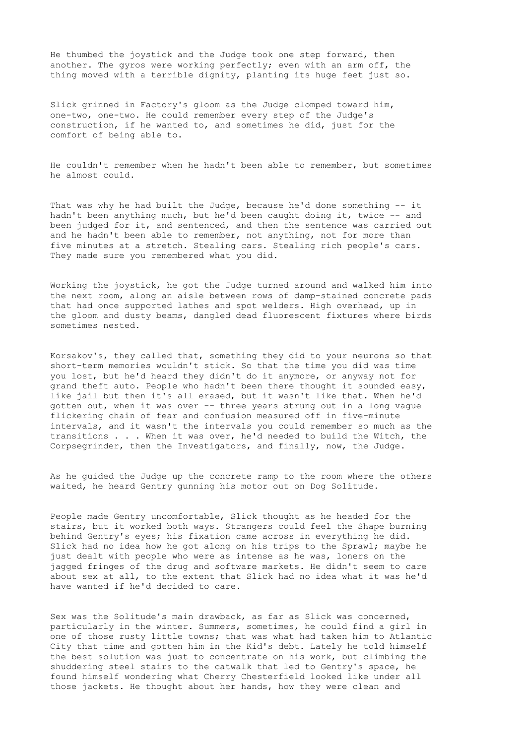He thumbed the joystick and the Judge took one step forward, then another. The gyros were working perfectly; even with an arm off, the thing moved with a terrible dignity, planting its huge feet just so.

Slick grinned in Factory's gloom as the Judge clomped toward him, one-two, one-two. He could remember every step of the Judge's construction, if he wanted to, and sometimes he did, just for the comfort of being able to.

He couldn't remember when he hadn't been able to remember, but sometimes he almost could.

That was why he had built the Judge, because he'd done something -- it hadn't been anything much, but he'd been caught doing it, twice -- and been judged for it, and sentenced, and then the sentence was carried out and he hadn't been able to remember, not anything, not for more than five minutes at a stretch. Stealing cars. Stealing rich people's cars. They made sure you remembered what you did.

Working the joystick, he got the Judge turned around and walked him into the next room, along an aisle between rows of damp-stained concrete pads that had once supported lathes and spot welders. High overhead, up in the gloom and dusty beams, dangled dead fluorescent fixtures where birds sometimes nested.

Korsakov's, they called that, something they did to your neurons so that short-term memories wouldn't stick. So that the time you did was time you lost, but he'd heard they didn't do it anymore, or anyway not for grand theft auto. People who hadn't been there thought it sounded easy, like jail but then it's all erased, but it wasn't like that. When he'd gotten out, when it was over -- three years strung out in a long vague flickering chain of fear and confusion measured off in five-minute intervals, and it wasn't the intervals you could remember so much as the transitions . . . When it was over, he'd needed to build the Witch, the Corpsegrinder, then the Investigators, and finally, now, the Judge.

As he guided the Judge up the concrete ramp to the room where the others waited, he heard Gentry gunning his motor out on Dog Solitude.

People made Gentry uncomfortable, Slick thought as he headed for the stairs, but it worked both ways. Strangers could feel the Shape burning behind Gentry's eyes; his fixation came across in everything he did. Slick had no idea how he got along on his trips to the Sprawl; maybe he just dealt with people who were as intense as he was, loners on the jagged fringes of the drug and software markets. He didn't seem to care about sex at all, to the extent that Slick had no idea what it was he'd have wanted if he'd decided to care.

Sex was the Solitude's main drawback, as far as Slick was concerned, particularly in the winter. Summers, sometimes, he could find a girl in one of those rusty little towns; that was what had taken him to Atlantic City that time and gotten him in the Kid's debt. Lately he told himself the best solution was just to concentrate on his work, but climbing the shuddering steel stairs to the catwalk that led to Gentry's space, he found himself wondering what Cherry Chesterfield looked like under all those jackets. He thought about her hands, how they were clean and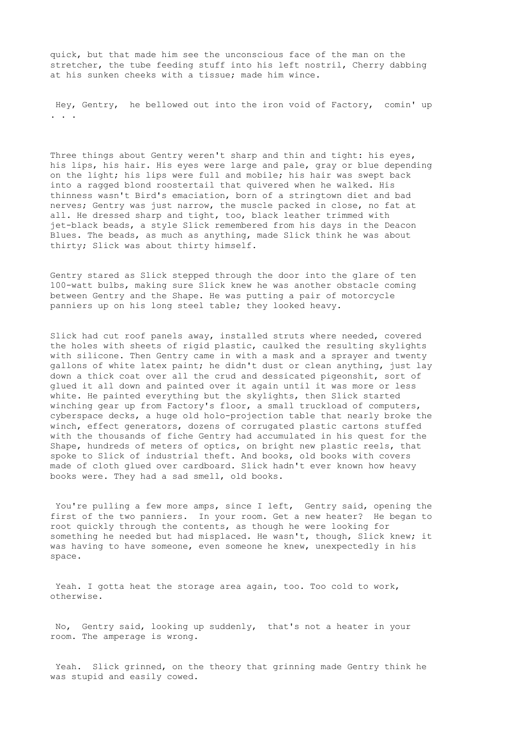quick, but that made him see the unconscious face of the man on the stretcher, the tube feeding stuff into his left nostril, Cherry dabbing at his sunken cheeks with a tissue; made him wince.

 Hey, Gentry, he bellowed out into the iron void of Factory, comin' up . . .

Three things about Gentry weren't sharp and thin and tight: his eyes, his lips, his hair. His eyes were large and pale, gray or blue depending on the light; his lips were full and mobile; his hair was swept back into a ragged blond roostertail that quivered when he walked. His thinness wasn't Bird's emaciation, born of a stringtown diet and bad nerves; Gentry was just narrow, the muscle packed in close, no fat at all. He dressed sharp and tight, too, black leather trimmed with jet-black beads, a style Slick remembered from his days in the Deacon Blues. The beads, as much as anything, made Slick think he was about thirty; Slick was about thirty himself.

Gentry stared as Slick stepped through the door into the glare of ten 100-watt bulbs, making sure Slick knew he was another obstacle coming between Gentry and the Shape. He was putting a pair of motorcycle panniers up on his long steel table; they looked heavy.

Slick had cut roof panels away, installed struts where needed, covered the holes with sheets of rigid plastic, caulked the resulting skylights with silicone. Then Gentry came in with a mask and a sprayer and twenty gallons of white latex paint; he didn't dust or clean anything, just lay down a thick coat over all the crud and dessicated pigeonshit, sort of glued it all down and painted over it again until it was more or less white. He painted everything but the skylights, then Slick started winching gear up from Factory's floor, a small truckload of computers, cyberspace decks, a huge old holo-projection table that nearly broke the winch, effect generators, dozens of corrugated plastic cartons stuffed with the thousands of fiche Gentry had accumulated in his quest for the Shape, hundreds of meters of optics, on bright new plastic reels, that spoke to Slick of industrial theft. And books, old books with covers made of cloth glued over cardboard. Slick hadn't ever known how heavy books were. They had a sad smell, old books.

You're pulling a few more amps, since I left, Gentry said, opening the first of the two panniers. In your room. Get a new heater? He began to root quickly through the contents, as though he were looking for something he needed but had misplaced. He wasn't, though, Slick knew; it was having to have someone, even someone he knew, unexpectedly in his space.

Yeah. I gotta heat the storage area again, too. Too cold to work, otherwise.

 No, Gentry said, looking up suddenly, that's not a heater in your room. The amperage is wrong.

 Yeah. Slick grinned, on the theory that grinning made Gentry think he was stupid and easily cowed.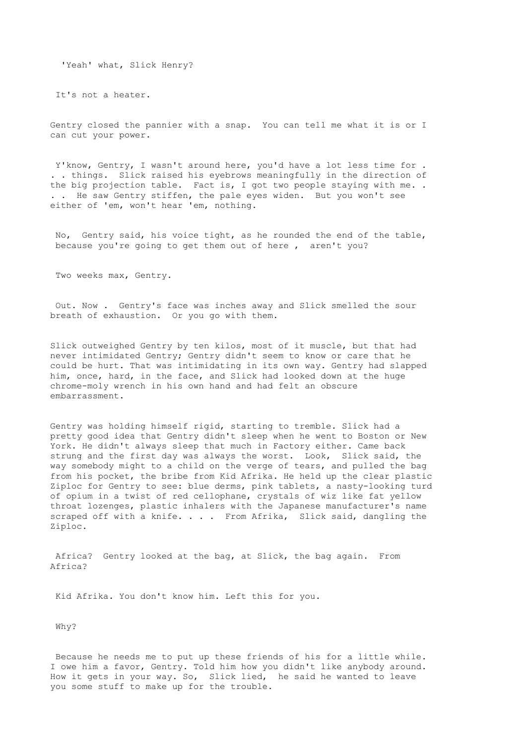'Yeah' what, Slick Henry?

It's not a heater.

Gentry closed the pannier with a snap. You can tell me what it is or I can cut your power.

 Y'know, Gentry, I wasn't around here, you'd have a lot less time for . . . things. Slick raised his eyebrows meaningfully in the direction of the big projection table. Fact is, I got two people staying with me. . . . He saw Gentry stiffen, the pale eyes widen. But you won't see either of 'em, won't hear 'em, nothing.

 No, Gentry said, his voice tight, as he rounded the end of the table, because you're going to get them out of here , aren't you?

Two weeks max, Gentry.

 Out. Now . Gentry's face was inches away and Slick smelled the sour breath of exhaustion. Or you go with them.

Slick outweighed Gentry by ten kilos, most of it muscle, but that had never intimidated Gentry; Gentry didn't seem to know or care that he could be hurt. That was intimidating in its own way. Gentry had slapped him, once, hard, in the face, and Slick had looked down at the huge chrome-moly wrench in his own hand and had felt an obscure embarrassment.

Gentry was holding himself rigid, starting to tremble. Slick had a pretty good idea that Gentry didn't sleep when he went to Boston or New York. He didn't always sleep that much in Factory either. Came back strung and the first day was always the worst. Look, Slick said, the way somebody might to a child on the verge of tears, and pulled the bag from his pocket, the bribe from Kid Afrika. He held up the clear plastic Ziploc for Gentry to see: blue derms, pink tablets, a nasty-looking turd of opium in a twist of red cellophane, crystals of wiz like fat yellow throat lozenges, plastic inhalers with the Japanese manufacturer's name scraped off with a knife. . . . From Afrika, Slick said, dangling the Ziploc.

 Africa? Gentry looked at the bag, at Slick, the bag again. From Africa?

Kid Afrika. You don't know him. Left this for you.

Why?

 Because he needs me to put up these friends of his for a little while. I owe him a favor, Gentry. Told him how you didn't like anybody around. How it gets in your way. So, Slick lied, he said he wanted to leave you some stuff to make up for the trouble.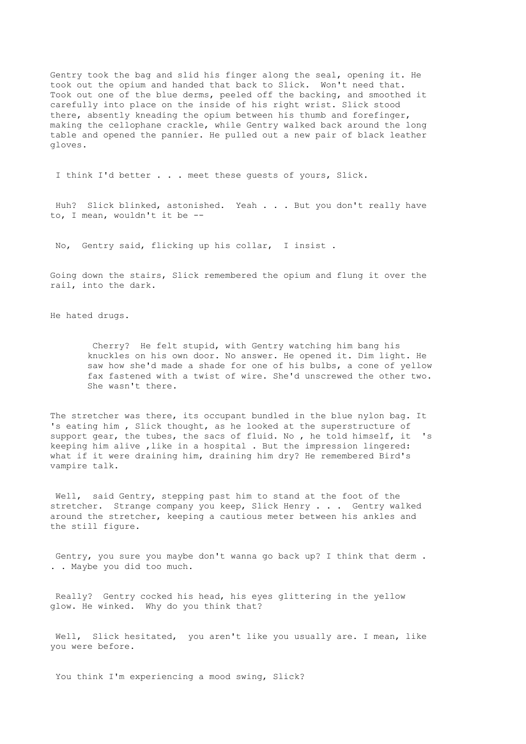Gentry took the bag and slid his finger along the seal, opening it. He took out the opium and handed that back to Slick. Won't need that. Took out one of the blue derms, peeled off the backing, and smoothed it carefully into place on the inside of his right wrist. Slick stood there, absently kneading the opium between his thumb and forefinger, making the cellophane crackle, while Gentry walked back around the long table and opened the pannier. He pulled out a new pair of black leather gloves.

I think I'd better . . . meet these guests of yours, Slick.

 Huh? Slick blinked, astonished. Yeah . . . But you don't really have to, I mean, wouldn't it be --

No, Gentry said, flicking up his collar, I insist .

Going down the stairs, Slick remembered the opium and flung it over the rail, into the dark.

He hated drugs.

 Cherry? He felt stupid, with Gentry watching him bang his knuckles on his own door. No answer. He opened it. Dim light. He saw how she'd made a shade for one of his bulbs, a cone of yellow fax fastened with a twist of wire. She'd unscrewed the other two. She wasn't there.

The stretcher was there, its occupant bundled in the blue nylon bag. It 's eating him , Slick thought, as he looked at the superstructure of support gear, the tubes, the sacs of fluid. No , he told himself, it 's keeping him alive ,like in a hospital . But the impression lingered: what if it were draining him, draining him dry? He remembered Bird's vampire talk.

Well, said Gentry, stepping past him to stand at the foot of the stretcher. Strange company you keep, Slick Henry . . . Gentry walked around the stretcher, keeping a cautious meter between his ankles and the still figure.

 Gentry, you sure you maybe don't wanna go back up? I think that derm . . . Maybe you did too much.

 Really? Gentry cocked his head, his eyes glittering in the yellow glow. He winked. Why do you think that?

Well, Slick hesitated, you aren't like you usually are. I mean, like you were before.

You think I'm experiencing a mood swing, Slick?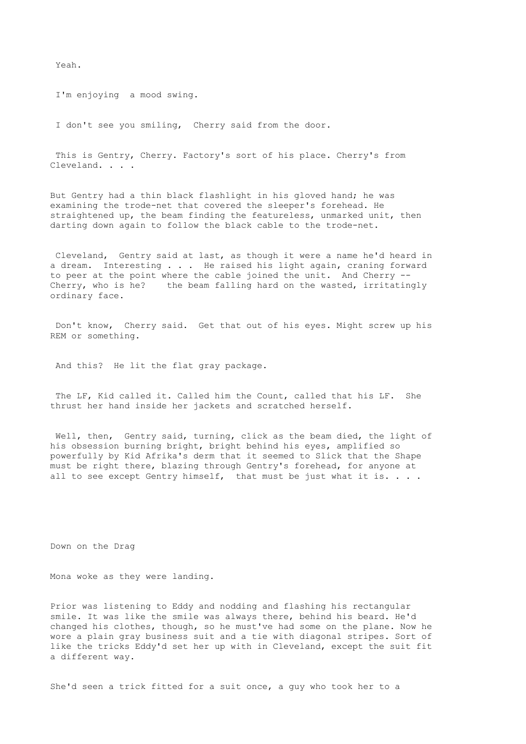Yeah.

I'm enjoying a mood swing.

I don't see you smiling, Cherry said from the door.

 This is Gentry, Cherry. Factory's sort of his place. Cherry's from Cleveland. . . .

But Gentry had a thin black flashlight in his gloved hand; he was examining the trode-net that covered the sleeper's forehead. He straightened up, the beam finding the featureless, unmarked unit, then darting down again to follow the black cable to the trode-net.

 Cleveland, Gentry said at last, as though it were a name he'd heard in a dream. Interesting . . . He raised his light again, craning forward to peer at the point where the cable joined the unit. And Cherry -- Cherry, who is he? the beam falling hard on the wasted, irritatingly ordinary face.

 Don't know, Cherry said. Get that out of his eyes. Might screw up his REM or something.

And this? He lit the flat gray package.

The LF, Kid called it. Called him the Count, called that his LF. She thrust her hand inside her jackets and scratched herself.

Well, then, Gentry said, turning, click as the beam died, the light of his obsession burning bright, bright behind his eyes, amplified so powerfully by Kid Afrika's derm that it seemed to Slick that the Shape must be right there, blazing through Gentry's forehead, for anyone at all to see except Gentry himself, that must be just what it is. . . .

Down on the Drag

Mona woke as they were landing.

Prior was listening to Eddy and nodding and flashing his rectangular smile. It was like the smile was always there, behind his beard. He'd changed his clothes, though, so he must've had some on the plane. Now he wore a plain gray business suit and a tie with diagonal stripes. Sort of like the tricks Eddy'd set her up with in Cleveland, except the suit fit a different way.

She'd seen a trick fitted for a suit once, a guy who took her to a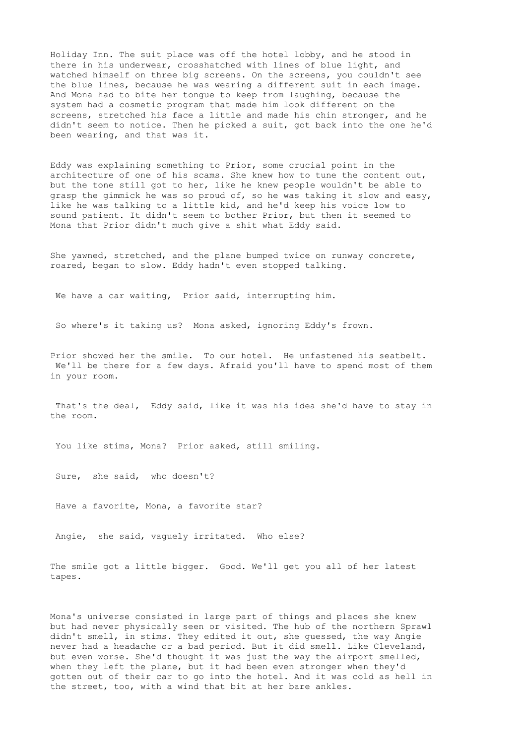Holiday Inn. The suit place was off the hotel lobby, and he stood in there in his underwear, crosshatched with lines of blue light, and watched himself on three big screens. On the screens, you couldn't see the blue lines, because he was wearing a different suit in each image. And Mona had to bite her tongue to keep from laughing, because the system had a cosmetic program that made him look different on the screens, stretched his face a little and made his chin stronger, and he didn't seem to notice. Then he picked a suit, got back into the one he'd been wearing, and that was it.

Eddy was explaining something to Prior, some crucial point in the architecture of one of his scams. She knew how to tune the content out, but the tone still got to her, like he knew people wouldn't be able to grasp the gimmick he was so proud of, so he was taking it slow and easy, like he was talking to a little kid, and he'd keep his voice low to sound patient. It didn't seem to bother Prior, but then it seemed to Mona that Prior didn't much give a shit what Eddy said.

She yawned, stretched, and the plane bumped twice on runway concrete, roared, began to slow. Eddy hadn't even stopped talking.

We have a car waiting, Prior said, interrupting him.

So where's it taking us? Mona asked, ignoring Eddy's frown.

Prior showed her the smile. To our hotel. He unfastened his seatbelt. We'll be there for a few days. Afraid you'll have to spend most of them in your room.

 That's the deal, Eddy said, like it was his idea she'd have to stay in the room.

You like stims, Mona? Prior asked, still smiling.

Sure, she said, who doesn't?

Have a favorite, Mona, a favorite star?

Angie, she said, vaguely irritated. Who else?

The smile got a little bigger. Good. We'll get you all of her latest tapes.

Mona's universe consisted in large part of things and places she knew but had never physically seen or visited. The hub of the northern Sprawl didn't smell, in stims. They edited it out, she guessed, the way Angie never had a headache or a bad period. But it did smell. Like Cleveland, but even worse. She'd thought it was just the way the airport smelled, when they left the plane, but it had been even stronger when they'd gotten out of their car to go into the hotel. And it was cold as hell in the street, too, with a wind that bit at her bare ankles.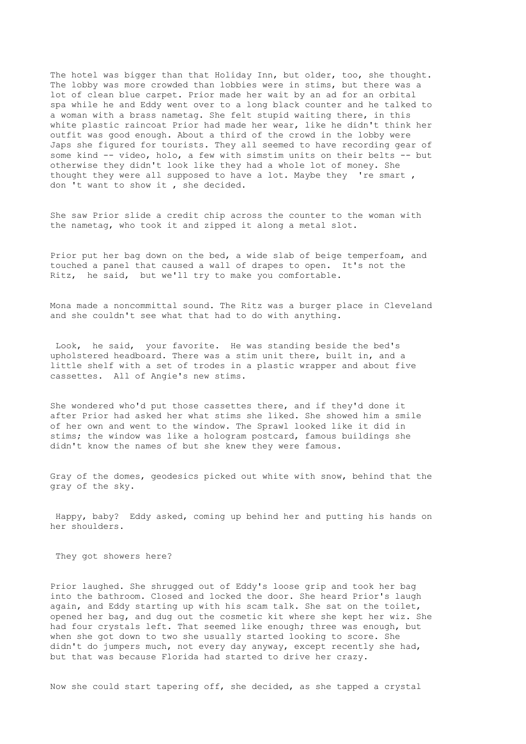The hotel was bigger than that Holiday Inn, but older, too, she thought. The lobby was more crowded than lobbies were in stims, but there was a lot of clean blue carpet. Prior made her wait by an ad for an orbital spa while he and Eddy went over to a long black counter and he talked to a woman with a brass nametag. She felt stupid waiting there, in this white plastic raincoat Prior had made her wear, like he didn't think her outfit was good enough. About a third of the crowd in the lobby were Japs she figured for tourists. They all seemed to have recording gear of some kind -- video, holo, a few with simstim units on their belts -- but otherwise they didn't look like they had a whole lot of money. She thought they were all supposed to have a lot. Maybe they 're smart , don 't want to show it , she decided.

She saw Prior slide a credit chip across the counter to the woman with the nametag, who took it and zipped it along a metal slot.

Prior put her bag down on the bed, a wide slab of beige temperfoam, and touched a panel that caused a wall of drapes to open. It's not the Ritz, he said, but we'll try to make you comfortable.

Mona made a noncommittal sound. The Ritz was a burger place in Cleveland and she couldn't see what that had to do with anything.

 Look, he said, your favorite. He was standing beside the bed's upholstered headboard. There was a stim unit there, built in, and a little shelf with a set of trodes in a plastic wrapper and about five cassettes. All of Angie's new stims.

She wondered who'd put those cassettes there, and if they'd done it after Prior had asked her what stims she liked. She showed him a smile of her own and went to the window. The Sprawl looked like it did in stims; the window was like a hologram postcard, famous buildings she didn't know the names of but she knew they were famous.

Gray of the domes, geodesics picked out white with snow, behind that the gray of the sky.

 Happy, baby? Eddy asked, coming up behind her and putting his hands on her shoulders.

They got showers here?

Prior laughed. She shrugged out of Eddy's loose grip and took her bag into the bathroom. Closed and locked the door. She heard Prior's laugh again, and Eddy starting up with his scam talk. She sat on the toilet, opened her bag, and dug out the cosmetic kit where she kept her wiz. She had four crystals left. That seemed like enough; three was enough, but when she got down to two she usually started looking to score. She didn't do jumpers much, not every day anyway, except recently she had, but that was because Florida had started to drive her crazy.

Now she could start tapering off, she decided, as she tapped a crystal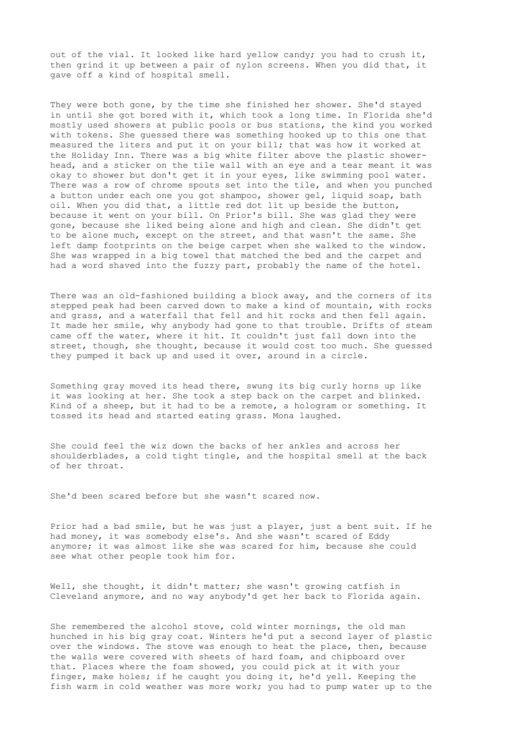out of the vial. It looked like hard yellow candy; you had to crush it, then grind it up between a pair of nylon screens. When you did that, it gave off a kind of hospital smell.

They were both gone, by the time she finished her shower. She'd stayed in until she got bored with it, which took a long time. In Florida she'd mostly used showers at public pools or bus stations, the kind you worked with tokens. She guessed there was something hooked up to this one that measured the liters and put it on your bill; that was how it worked at the Holiday Inn. There was a big white filter above the plastic showerhead, and a sticker on the tile wall with an eye and a tear meant it was okay to shower but don't get it in your eyes, like swimming pool water. There was a row of chrome spouts set into the tile, and when you punched a button under each one you got shampoo, shower gel, liquid soap, bath oil. When you did that, a little red dot lit up beside the button, because it went on your bill. On Prior's bill. She was glad they were gone, because she liked being alone and high and clean. She didn't get to be alone much, except on the street, and that wasn't the same. She left damp footprints on the beige carpet when she walked to the window. She was wrapped in a big towel that matched the bed and the carpet and had a word shaved into the fuzzy part, probably the name of the hotel.

There was an old-fashioned building a block away, and the corners of its stepped peak had been carved down to make a kind of mountain, with rocks and grass, and a waterfall that fell and hit rocks and then fell again. It made her smile, why anybody had gone to that trouble. Drifts of steam came off the water, where it hit. It couldn't just fall down into the street, though, she thought, because it would cost too much. She guessed they pumped it back up and used it over, around in a circle.

Something gray moved its head there, swung its big curly horns up like it was looking at her. She took a step back on the carpet and blinked. Kind of a sheep, but it had to be a remote, a hologram or something. It tossed its head and started eating grass. Mona laughed.

She could feel the wiz down the backs of her ankles and across her shoulderblades, a cold tight tingle, and the hospital smell at the back of her throat.

She'd been scared before but she wasn't scared now.

Prior had a bad smile, but he was just a player, just a bent suit. If he had money, it was somebody else's. And she wasn't scared of Eddy anymore; it was almost like she was scared for him, because she could see what other people took him for.

Well, she thought, it didn't matter; she wasn't growing catfish in Cleveland anymore, and no way anybody'd get her back to Florida again.

She remembered the alcohol stove, cold winter mornings, the old man hunched in his big gray coat. Winters he'd put a second layer of plastic over the windows. The stove was enough to heat the place, then, because the walls were covered with sheets of hard foam, and chipboard over that. Places where the foam showed, you could pick at it with your finger, make holes; if he caught you doing it, he'd yell. Keeping the fish warm in cold weather was more work; you had to pump water up to the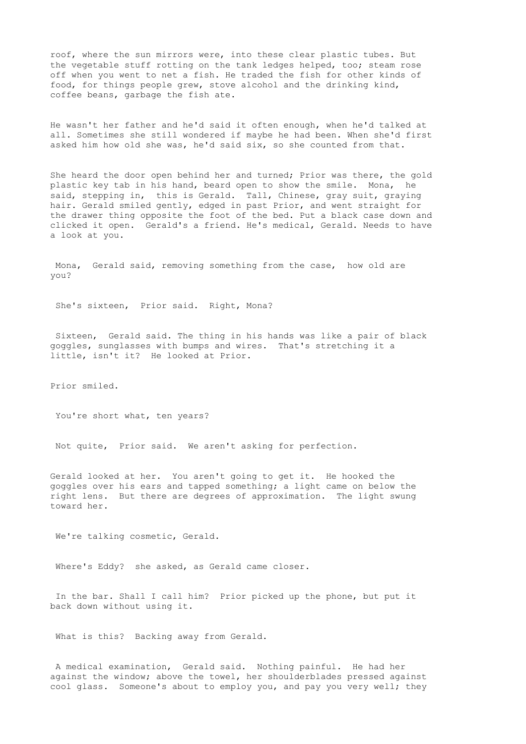roof, where the sun mirrors were, into these clear plastic tubes. But the vegetable stuff rotting on the tank ledges helped, too; steam rose off when you went to net a fish. He traded the fish for other kinds of food, for things people grew, stove alcohol and the drinking kind, coffee beans, garbage the fish ate.

He wasn't her father and he'd said it often enough, when he'd talked at all. Sometimes she still wondered if maybe he had been. When she'd first asked him how old she was, he'd said six, so she counted from that.

She heard the door open behind her and turned; Prior was there, the gold plastic key tab in his hand, beard open to show the smile. Mona, he said, stepping in, this is Gerald. Tall, Chinese, gray suit, graying hair. Gerald smiled gently, edged in past Prior, and went straight for the drawer thing opposite the foot of the bed. Put a black case down and clicked it open. Gerald's a friend. He's medical, Gerald. Needs to have a look at you.

 Mona, Gerald said, removing something from the case, how old are you?

She's sixteen, Prior said. Right, Mona?

 Sixteen, Gerald said. The thing in his hands was like a pair of black goggles, sunglasses with bumps and wires. That's stretching it a little, isn't it? He looked at Prior.

Prior smiled.

You're short what, ten years?

Not quite, Prior said. We aren't asking for perfection.

Gerald looked at her. You aren't going to get it. He hooked the goggles over his ears and tapped something; a light came on below the right lens. But there are degrees of approximation. The light swung toward her.

We're talking cosmetic, Gerald.

Where's Eddy? she asked, as Gerald came closer.

 In the bar. Shall I call him? Prior picked up the phone, but put it back down without using it.

What is this? Backing away from Gerald.

 A medical examination, Gerald said. Nothing painful. He had her against the window; above the towel, her shoulderblades pressed against cool glass. Someone's about to employ you, and pay you very well; they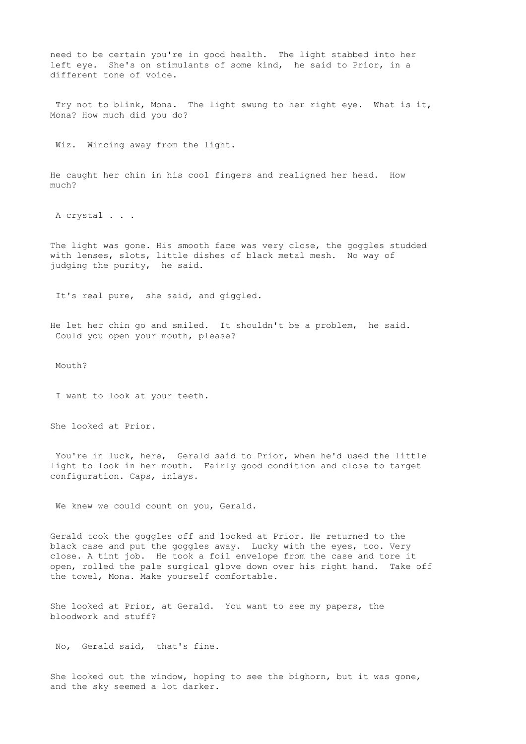need to be certain you're in good health. The light stabbed into her left eye. She's on stimulants of some kind, he said to Prior, in a different tone of voice.

 Try not to blink, Mona. The light swung to her right eye. What is it, Mona? How much did you do?

Wiz. Wincing away from the light.

He caught her chin in his cool fingers and realigned her head. How much?

A crystal . . .

The light was gone. His smooth face was very close, the goggles studded with lenses, slots, little dishes of black metal mesh. No way of judging the purity, he said.

It's real pure, she said, and giggled.

He let her chin go and smiled. It shouldn't be a problem, he said. Could you open your mouth, please?

Mouth?

I want to look at your teeth.

She looked at Prior.

 You're in luck, here, Gerald said to Prior, when he'd used the little light to look in her mouth. Fairly good condition and close to target configuration. Caps, inlays.

We knew we could count on you, Gerald.

Gerald took the goggles off and looked at Prior. He returned to the black case and put the goggles away. Lucky with the eyes, too. Very close. A tint job. He took a foil envelope from the case and tore it open, rolled the pale surgical glove down over his right hand. Take off the towel, Mona. Make yourself comfortable.

She looked at Prior, at Gerald. You want to see my papers, the bloodwork and stuff?

No, Gerald said, that's fine.

She looked out the window, hoping to see the bighorn, but it was gone, and the sky seemed a lot darker.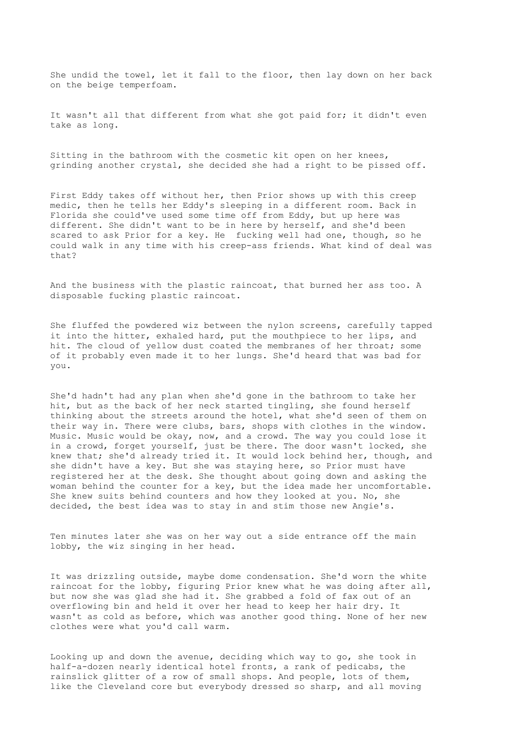She undid the towel, let it fall to the floor, then lay down on her back on the beige temperfoam.

It wasn't all that different from what she got paid for; it didn't even take as long.

Sitting in the bathroom with the cosmetic kit open on her knees, grinding another crystal, she decided she had a right to be pissed off.

First Eddy takes off without her, then Prior shows up with this creep medic, then he tells her Eddy's sleeping in a different room. Back in Florida she could've used some time off from Eddy, but up here was different. She didn't want to be in here by herself, and she'd been scared to ask Prior for a key. He fucking well had one, though, so he could walk in any time with his creep-ass friends. What kind of deal was that?

And the business with the plastic raincoat, that burned her ass too. A disposable fucking plastic raincoat.

She fluffed the powdered wiz between the nylon screens, carefully tapped it into the hitter, exhaled hard, put the mouthpiece to her lips, and hit. The cloud of yellow dust coated the membranes of her throat; some of it probably even made it to her lungs. She'd heard that was bad for you.

She'd hadn't had any plan when she'd gone in the bathroom to take her hit, but as the back of her neck started tingling, she found herself thinking about the streets around the hotel, what she'd seen of them on their way in. There were clubs, bars, shops with clothes in the window. Music. Music would be okay, now, and a crowd. The way you could lose it in a crowd, forget yourself, just be there. The door wasn't locked, she knew that; she'd already tried it. It would lock behind her, though, and she didn't have a key. But she was staying here, so Prior must have registered her at the desk. She thought about going down and asking the woman behind the counter for a key, but the idea made her uncomfortable. She knew suits behind counters and how they looked at you. No, she decided, the best idea was to stay in and stim those new Angie's.

Ten minutes later she was on her way out a side entrance off the main lobby, the wiz singing in her head.

It was drizzling outside, maybe dome condensation. She'd worn the white raincoat for the lobby, figuring Prior knew what he was doing after all, but now she was glad she had it. She grabbed a fold of fax out of an overflowing bin and held it over her head to keep her hair dry. It wasn't as cold as before, which was another good thing. None of her new clothes were what you'd call warm.

Looking up and down the avenue, deciding which way to go, she took in half-a-dozen nearly identical hotel fronts, a rank of pedicabs, the rainslick glitter of a row of small shops. And people, lots of them, like the Cleveland core but everybody dressed so sharp, and all moving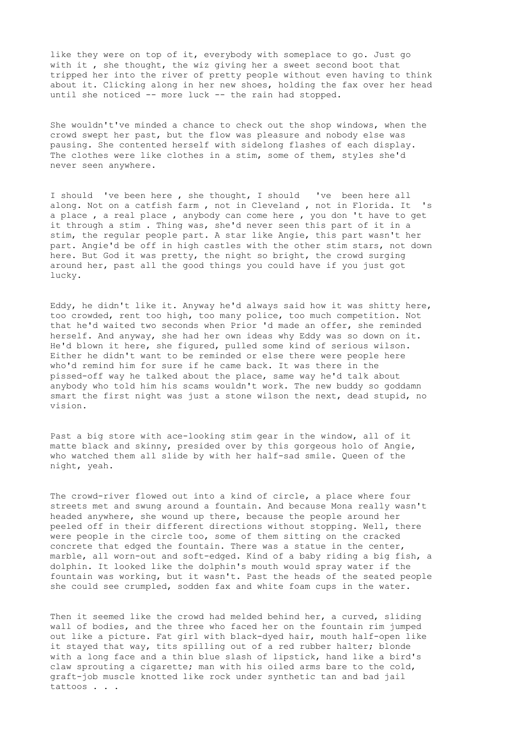like they were on top of it, everybody with someplace to go. Just go with it, she thought, the wiz giving her a sweet second boot that tripped her into the river of pretty people without even having to think about it. Clicking along in her new shoes, holding the fax over her head until she noticed -- more luck -- the rain had stopped.

She wouldn't've minded a chance to check out the shop windows, when the crowd swept her past, but the flow was pleasure and nobody else was pausing. She contented herself with sidelong flashes of each display. The clothes were like clothes in a stim, some of them, styles she'd never seen anywhere.

I should 've been here , she thought, I should 've been here all along. Not on a catfish farm , not in Cleveland , not in Florida. It 's a place , a real place , anybody can come here , you don 't have to get it through a stim . Thing was, she'd never seen this part of it in a stim, the regular people part. A star like Angie, this part wasn't her part. Angie'd be off in high castles with the other stim stars, not down here. But God it was pretty, the night so bright, the crowd surging around her, past all the good things you could have if you just got lucky.

Eddy, he didn't like it. Anyway he'd always said how it was shitty here, too crowded, rent too high, too many police, too much competition. Not that he'd waited two seconds when Prior 'd made an offer, she reminded herself. And anyway, she had her own ideas why Eddy was so down on it. He'd blown it here, she figured, pulled some kind of serious wilson. Either he didn't want to be reminded or else there were people here who'd remind him for sure if he came back. It was there in the pissed-off way he talked about the place, same way he'd talk about anybody who told him his scams wouldn't work. The new buddy so goddamn smart the first night was just a stone wilson the next, dead stupid, no vision.

Past a big store with ace-looking stim gear in the window, all of it matte black and skinny, presided over by this gorgeous holo of Angie, who watched them all slide by with her half-sad smile. Queen of the night, yeah.

The crowd-river flowed out into a kind of circle, a place where four streets met and swung around a fountain. And because Mona really wasn't headed anywhere, she wound up there, because the people around her peeled off in their different directions without stopping. Well, there were people in the circle too, some of them sitting on the cracked concrete that edged the fountain. There was a statue in the center, marble, all worn-out and soft-edged. Kind of a baby riding a big fish, a dolphin. It looked like the dolphin's mouth would spray water if the fountain was working, but it wasn't. Past the heads of the seated people she could see crumpled, sodden fax and white foam cups in the water.

Then it seemed like the crowd had melded behind her, a curved, sliding wall of bodies, and the three who faced her on the fountain rim jumped out like a picture. Fat girl with black-dyed hair, mouth half-open like it stayed that way, tits spilling out of a red rubber halter; blonde with a long face and a thin blue slash of lipstick, hand like a bird's claw sprouting a cigarette; man with his oiled arms bare to the cold, graft-job muscle knotted like rock under synthetic tan and bad jail tattoos . . .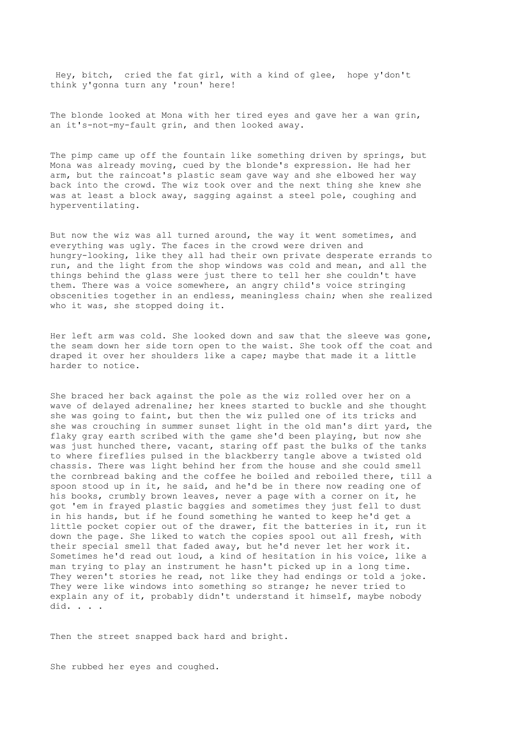Hey, bitch, cried the fat girl, with a kind of glee, hope y'don't think y'gonna turn any 'roun' here!

The blonde looked at Mona with her tired eyes and gave her a wan grin, an it's-not-my-fault grin, and then looked away.

The pimp came up off the fountain like something driven by springs, but Mona was already moving, cued by the blonde's expression. He had her arm, but the raincoat's plastic seam gave way and she elbowed her way back into the crowd. The wiz took over and the next thing she knew she was at least a block away, sagging against a steel pole, coughing and hyperventilating.

But now the wiz was all turned around, the way it went sometimes, and everything was ugly. The faces in the crowd were driven and hungry-looking, like they all had their own private desperate errands to run, and the light from the shop windows was cold and mean, and all the things behind the glass were just there to tell her she couldn't have them. There was a voice somewhere, an angry child's voice stringing obscenities together in an endless, meaningless chain; when she realized who it was, she stopped doing it.

Her left arm was cold. She looked down and saw that the sleeve was gone, the seam down her side torn open to the waist. She took off the coat and draped it over her shoulders like a cape; maybe that made it a little harder to notice.

She braced her back against the pole as the wiz rolled over her on a wave of delayed adrenaline; her knees started to buckle and she thought she was going to faint, but then the wiz pulled one of its tricks and she was crouching in summer sunset light in the old man's dirt yard, the flaky gray earth scribed with the game she'd been playing, but now she was just hunched there, vacant, staring off past the bulks of the tanks to where fireflies pulsed in the blackberry tangle above a twisted old chassis. There was light behind her from the house and she could smell the cornbread baking and the coffee he boiled and reboiled there, till a spoon stood up in it, he said, and he'd be in there now reading one of his books, crumbly brown leaves, never a page with a corner on it, he got 'em in frayed plastic baggies and sometimes they just fell to dust in his hands, but if he found something he wanted to keep he'd get a little pocket copier out of the drawer, fit the batteries in it, run it down the page. She liked to watch the copies spool out all fresh, with their special smell that faded away, but he'd never let her work it. Sometimes he'd read out loud, a kind of hesitation in his voice, like a man trying to play an instrument he hasn't picked up in a long time. They weren't stories he read, not like they had endings or told a joke. They were like windows into something so strange; he never tried to explain any of it, probably didn't understand it himself, maybe nobody did. . . .

Then the street snapped back hard and bright.

She rubbed her eyes and coughed.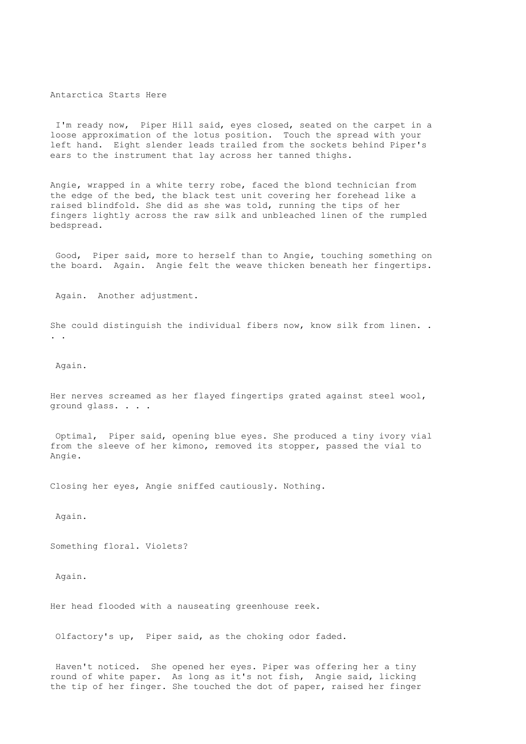Antarctica Starts Here

 I'm ready now, Piper Hill said, eyes closed, seated on the carpet in a loose approximation of the lotus position. Touch the spread with your left hand. Eight slender leads trailed from the sockets behind Piper's ears to the instrument that lay across her tanned thighs.

Angie, wrapped in a white terry robe, faced the blond technician from the edge of the bed, the black test unit covering her forehead like a raised blindfold. She did as she was told, running the tips of her fingers lightly across the raw silk and unbleached linen of the rumpled bedspread.

 Good, Piper said, more to herself than to Angie, touching something on the board. Again. Angie felt the weave thicken beneath her fingertips.

Again. Another adjustment.

She could distinguish the individual fibers now, know silk from linen. . . .

Again.

Her nerves screamed as her flayed fingertips grated against steel wool, ground glass. . . .

 Optimal, Piper said, opening blue eyes. She produced a tiny ivory vial from the sleeve of her kimono, removed its stopper, passed the vial to Angie.

Closing her eyes, Angie sniffed cautiously. Nothing.

Again.

Something floral. Violets?

Again.

Her head flooded with a nauseating greenhouse reek.

Olfactory's up, Piper said, as the choking odor faded.

 Haven't noticed. She opened her eyes. Piper was offering her a tiny round of white paper. As long as it's not fish, Angie said, licking the tip of her finger. She touched the dot of paper, raised her finger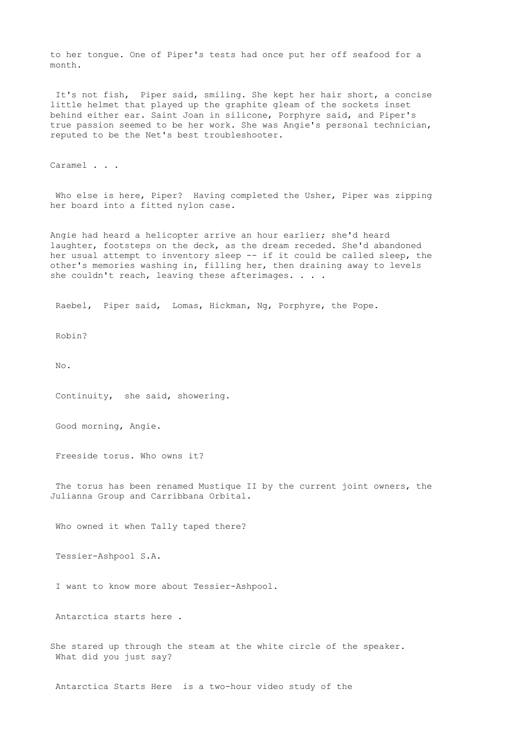to her tongue. One of Piper's tests had once put her off seafood for a month.

 It's not fish, Piper said, smiling. She kept her hair short, a concise little helmet that played up the graphite gleam of the sockets inset behind either ear. Saint Joan in silicone, Porphyre said, and Piper's true passion seemed to be her work. She was Angie's personal technician, reputed to be the Net's best troubleshooter.

Caramel . . .

 Who else is here, Piper? Having completed the Usher, Piper was zipping her board into a fitted nylon case.

Angie had heard a helicopter arrive an hour earlier; she'd heard laughter, footsteps on the deck, as the dream receded. She'd abandoned her usual attempt to inventory sleep -- if it could be called sleep, the other's memories washing in, filling her, then draining away to levels she couldn't reach, leaving these afterimages. . . .

Raebel, Piper said, Lomas, Hickman, Ng, Porphyre, the Pope.

Robin?

 $N<sub>0</sub>$ 

Continuity, she said, showering.

Good morning, Angie.

Freeside torus. Who owns it?

 The torus has been renamed Mustique II by the current joint owners, the Julianna Group and Carribbana Orbital.

Who owned it when Tally taped there?

Tessier-Ashpool S.A.

I want to know more about Tessier-Ashpool.

Antarctica starts here .

She stared up through the steam at the white circle of the speaker. What did you just say?

Antarctica Starts Here is a two-hour video study of the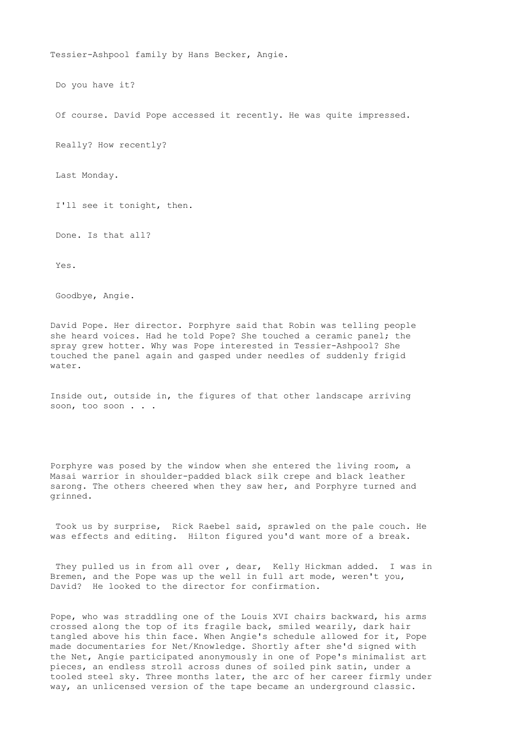Tessier-Ashpool family by Hans Becker, Angie.

Do you have it?

Of course. David Pope accessed it recently. He was quite impressed.

Really? How recently?

Last Monday.

I'll see it tonight, then.

Done. Is that all?

Yes.

Goodbye, Angie.

David Pope. Her director. Porphyre said that Robin was telling people she heard voices. Had he told Pope? She touched a ceramic panel; the spray grew hotter. Why was Pope interested in Tessier-Ashpool? She touched the panel again and gasped under needles of suddenly frigid water.

Inside out, outside in, the figures of that other landscape arriving soon, too soon . . .

Porphyre was posed by the window when she entered the living room, a Masai warrior in shoulder-padded black silk crepe and black leather sarong. The others cheered when they saw her, and Porphyre turned and grinned.

 Took us by surprise, Rick Raebel said, sprawled on the pale couch. He was effects and editing. Hilton figured you'd want more of a break.

They pulled us in from all over, dear, Kelly Hickman added. I was in Bremen, and the Pope was up the well in full art mode, weren't you, David? He looked to the director for confirmation.

Pope, who was straddling one of the Louis XVI chairs backward, his arms crossed along the top of its fragile back, smiled wearily, dark hair tangled above his thin face. When Angie's schedule allowed for it, Pope made documentaries for Net/Knowledge. Shortly after she'd signed with the Net, Angie participated anonymously in one of Pope's minimalist art pieces, an endless stroll across dunes of soiled pink satin, under a tooled steel sky. Three months later, the arc of her career firmly under way, an unlicensed version of the tape became an underground classic.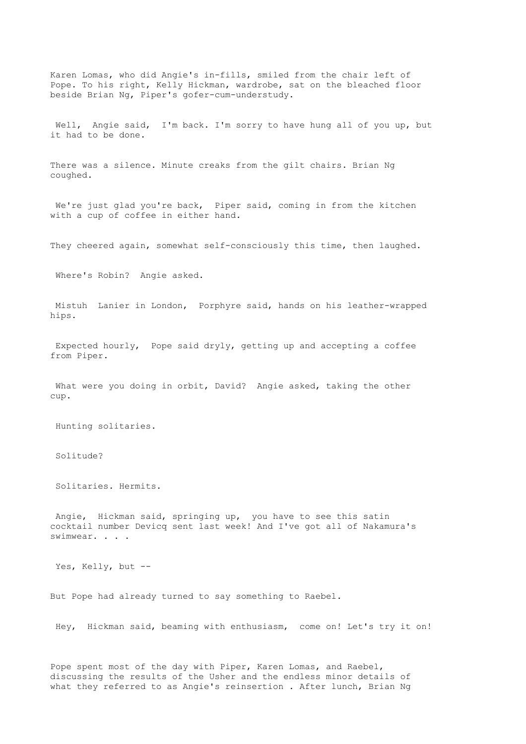Karen Lomas, who did Angie's in-fills, smiled from the chair left of Pope. To his right, Kelly Hickman, wardrobe, sat on the bleached floor beside Brian Ng, Piper's gofer-cum-understudy.

Well, Angie said, I'm back. I'm sorry to have hung all of you up, but it had to be done.

There was a silence. Minute creaks from the gilt chairs. Brian Ng coughed.

 We're just glad you're back, Piper said, coming in from the kitchen with a cup of coffee in either hand.

They cheered again, somewhat self-consciously this time, then laughed.

Where's Robin? Angie asked.

 Mistuh Lanier in London, Porphyre said, hands on his leather-wrapped hips.

 Expected hourly, Pope said dryly, getting up and accepting a coffee from Piper.

 What were you doing in orbit, David? Angie asked, taking the other cup.

Hunting solitaries.

Solitude?

Solitaries. Hermits.

 Angie, Hickman said, springing up, you have to see this satin cocktail number Devicq sent last week! And I've got all of Nakamura's swimwear. . . .

Yes, Kelly, but --

But Pope had already turned to say something to Raebel.

Hey, Hickman said, beaming with enthusiasm, come on! Let's try it on!

Pope spent most of the day with Piper, Karen Lomas, and Raebel, discussing the results of the Usher and the endless minor details of what they referred to as Angie's reinsertion . After lunch, Brian Ng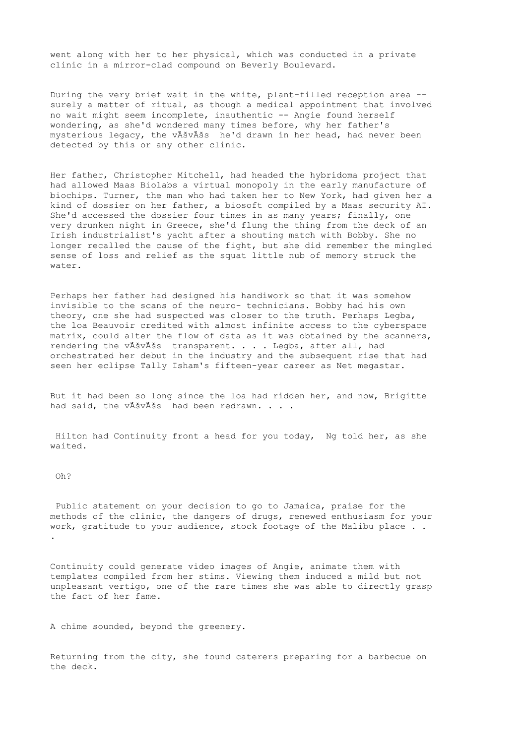went along with her to her physical, which was conducted in a private clinic in a mirror-clad compound on Beverly Boulevard.

During the very brief wait in the white, plant-filled reception area - surely a matter of ritual, as though a medical appointment that involved no wait might seem incomplete, inauthentic -- Angie found herself wondering, as she'd wondered many times before, why her father's mysterious legacy, the vÚvÚs he'd drawn in her head, had never been detected by this or any other clinic.

Her father, Christopher Mitchell, had headed the hybridoma project that had allowed Maas Biolabs a virtual monopoly in the early manufacture of biochips. Turner, the man who had taken her to New York, had given her a kind of dossier on her father, a biosoft compiled by a Maas security AI. She'd accessed the dossier four times in as many years; finally, one very drunken night in Greece, she'd flung the thing from the deck of an Irish industrialist's yacht after a shouting match with Bobby. She no longer recalled the cause of the fight, but she did remember the mingled sense of loss and relief as the squat little nub of memory struck the water.

Perhaps her father had designed his handiwork so that it was somehow invisible to the scans of the neuro- technicians. Bobby had his own theory, one she had suspected was closer to the truth. Perhaps Legba, the loa Beauvoir credited with almost infinite access to the cyberspace matrix, could alter the flow of data as it was obtained by the scanners, rendering the vÚvÚs transparent. . . . Legba, after all, had orchestrated her debut in the industry and the subsequent rise that had seen her eclipse Tally Isham's fifteen-year career as Net megastar.

But it had been so long since the loa had ridden her, and now, Brigitte had said, the vÚvÚs had been redrawn. . . .

Hilton had Continuity front a head for you today, Ng told her, as she waited.

Oh?

 Public statement on your decision to go to Jamaica, praise for the methods of the clinic, the dangers of drugs, renewed enthusiasm for your work, gratitude to your audience, stock footage of the Malibu place . . .

Continuity could generate video images of Angie, animate them with templates compiled from her stims. Viewing them induced a mild but not unpleasant vertigo, one of the rare times she was able to directly grasp the fact of her fame.

A chime sounded, beyond the greenery.

Returning from the city, she found caterers preparing for a barbecue on the deck.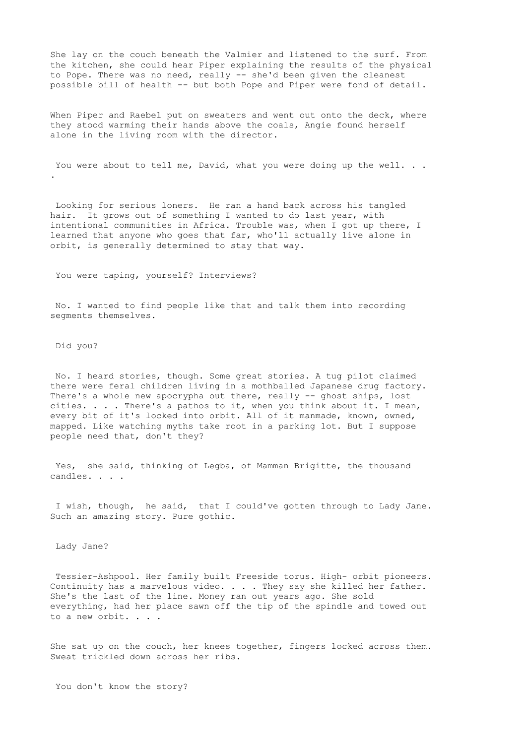She lay on the couch beneath the Valmier and listened to the surf. From the kitchen, she could hear Piper explaining the results of the physical to Pope. There was no need, really -- she'd been given the cleanest possible bill of health -- but both Pope and Piper were fond of detail.

When Piper and Raebel put on sweaters and went out onto the deck, where they stood warming their hands above the coals, Angie found herself alone in the living room with the director.

You were about to tell me, David, what you were doing up the well. .. .

 Looking for serious loners. He ran a hand back across his tangled hair. It grows out of something I wanted to do last year, with intentional communities in Africa. Trouble was, when I got up there, I learned that anyone who goes that far, who'll actually live alone in orbit, is generally determined to stay that way.

You were taping, yourself? Interviews?

 No. I wanted to find people like that and talk them into recording segments themselves.

Did you?

 No. I heard stories, though. Some great stories. A tug pilot claimed there were feral children living in a mothballed Japanese drug factory. There's a whole new apocrypha out there, really -- ghost ships, lost cities. . . . There's a pathos to it, when you think about it. I mean, every bit of it's locked into orbit. All of it manmade, known, owned, mapped. Like watching myths take root in a parking lot. But I suppose people need that, don't they?

 Yes, she said, thinking of Legba, of Mamman Brigitte, the thousand candles. . . .

 I wish, though, he said, that I could've gotten through to Lady Jane. Such an amazing story. Pure gothic.

Lady Jane?

 Tessier-Ashpool. Her family built Freeside torus. High- orbit pioneers. Continuity has a marvelous video. . . . They say she killed her father. She's the last of the line. Money ran out years ago. She sold everything, had her place sawn off the tip of the spindle and towed out to a new orbit. . . .

She sat up on the couch, her knees together, fingers locked across them. Sweat trickled down across her ribs.

You don't know the story?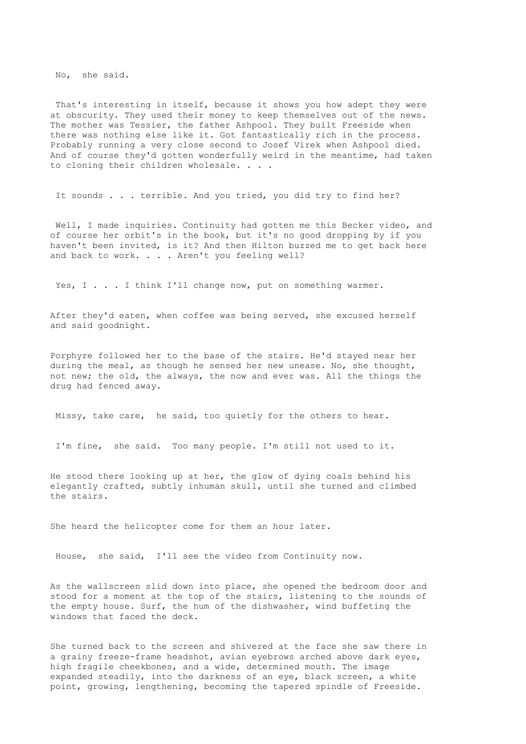No, she said.

 That's interesting in itself, because it shows you how adept they were at obscurity. They used their money to keep themselves out of the news. The mother was Tessier, the father Ashpool. They built Freeside when there was nothing else like it. Got fantastically rich in the process. Probably running a very close second to Josef Virek when Ashpool died. And of course they'd gotten wonderfully weird in the meantime, had taken to cloning their children wholesale. . . .

It sounds . . . terrible. And you tried, you did try to find her?

Well, I made inquiries. Continuity had gotten me this Becker video, and of course her orbit's in the book, but it's no good dropping by if you haven't been invited, is it? And then Hilton buzzed me to get back here and back to work. . . . Aren't you feeling well?

Yes, I . . . I think I'll change now, put on something warmer.

After they'd eaten, when coffee was being served, she excused herself and said goodnight.

Porphyre followed her to the base of the stairs. He'd stayed near her during the meal, as though he sensed her new unease. No, she thought, not new; the old, the always, the now and ever was. All the things the drug had fenced away.

Missy, take care, he said, too quietly for the others to hear.

I'm fine, she said. Too many people. I'm still not used to it.

He stood there looking up at her, the glow of dying coals behind his elegantly crafted, subtly inhuman skull, until she turned and climbed the stairs.

She heard the helicopter come for them an hour later.

House, she said, I'll see the video from Continuity now.

As the wallscreen slid down into place, she opened the bedroom door and stood for a moment at the top of the stairs, listening to the sounds of the empty house. Surf, the hum of the dishwasher, wind buffeting the windows that faced the deck.

She turned back to the screen and shivered at the face she saw there in a grainy freeze-frame headshot, avian eyebrows arched above dark eyes, high fragile cheekbones, and a wide, determined mouth. The image expanded steadily, into the darkness of an eye, black screen, a white point, growing, lengthening, becoming the tapered spindle of Freeside.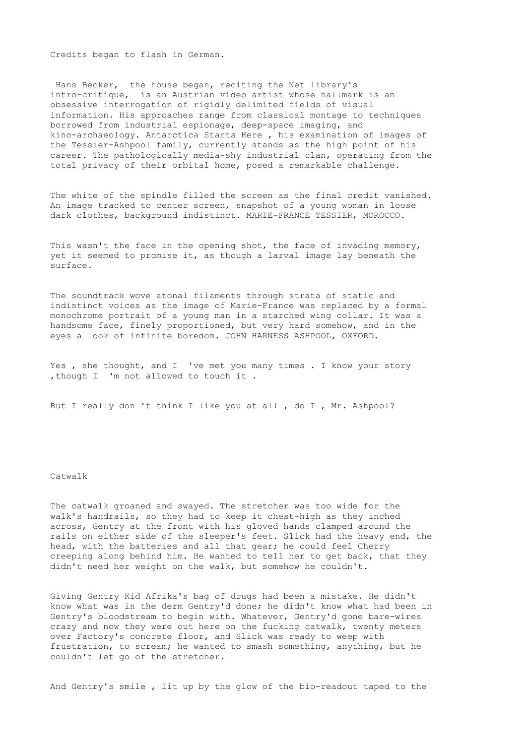Credits began to flash in German.

 Hans Becker, the house began, reciting the Net library's intro-critique, is an Austrian video artist whose hallmark is an obsessive interrogation of rigidly delimited fields of visual information. His approaches range from classical montage to techniques borrowed from industrial espionage, deep-space imaging, and kino-archaeology. Antarctica Starts Here , his examination of images of the Tessier-Ashpool family, currently stands as the high point of his career. The pathologically media-shy industrial clan, operating from the total privacy of their orbital home, posed a remarkable challenge.

The white of the spindle filled the screen as the final credit vanished. An image tracked to center screen, snapshot of a young woman in loose dark clothes, background indistinct. MARIE-FRANCE TESSIER, MOROCCO.

This wasn't the face in the opening shot, the face of invading memory, yet it seemed to promise it, as though a larval image lay beneath the surface.

The soundtrack wove atonal filaments through strata of static and indistinct voices as the image of Marie-France was replaced by a formal monochrome portrait of a young man in a starched wing collar. It was a handsome face, finely proportioned, but very hard somehow, and in the eyes a look of infinite boredom. JOHN HARNESS ASHPOOL, OXFORD.

Yes, she thought, and I 've met you many times . I know your story ,though I 'm not allowed to touch it .

But I really don 't think I like you at all , do I , Mr. Ashpool?

## Catwalk

The catwalk groaned and swayed. The stretcher was too wide for the walk's handrails, so they had to keep it chest-high as they inched across, Gentry at the front with his gloved hands clamped around the rails on either side of the sleeper's feet. Slick had the heavy end, the head, with the batteries and all that gear; he could feel Cherry creeping along behind him. He wanted to tell her to get back, that they didn't need her weight on the walk, but somehow he couldn't.

Giving Gentry Kid Afrika's bag of drugs had been a mistake. He didn't know what was in the derm Gentry'd done; he didn't know what had been in Gentry's bloodstream to begin with. Whatever, Gentry'd gone bare-wires crazy and now they were out here on the fucking catwalk, twenty meters over Factory's concrete floor, and Slick was ready to weep with frustration, to scream; he wanted to smash something, anything, but he couldn't let go of the stretcher.

And Gentry's smile , lit up by the glow of the bio-readout taped to the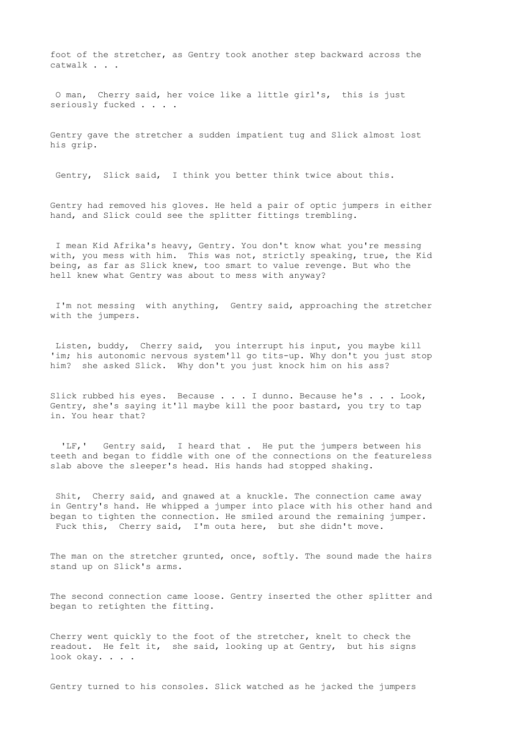foot of the stretcher, as Gentry took another step backward across the catwalk . . .

 O man, Cherry said, her voice like a little girl's, this is just seriously fucked . . . .

Gentry gave the stretcher a sudden impatient tug and Slick almost lost his grip.

Gentry, Slick said, I think you better think twice about this.

Gentry had removed his gloves. He held a pair of optic jumpers in either hand, and Slick could see the splitter fittings trembling.

 I mean Kid Afrika's heavy, Gentry. You don't know what you're messing with, you mess with him. This was not, strictly speaking, true, the Kid being, as far as Slick knew, too smart to value revenge. But who the hell knew what Gentry was about to mess with anyway?

 I'm not messing with anything, Gentry said, approaching the stretcher with the jumpers.

 Listen, buddy, Cherry said, you interrupt his input, you maybe kill 'im; his autonomic nervous system'll go tits-up. Why don't you just stop him? she asked Slick. Why don't you just knock him on his ass?

Slick rubbed his eyes. Because . . . I dunno. Because he's . . . Look, Gentry, she's saying it'll maybe kill the poor bastard, you try to tap in. You hear that?

 'LF,' Gentry said, I heard that . He put the jumpers between his teeth and began to fiddle with one of the connections on the featureless slab above the sleeper's head. His hands had stopped shaking.

 Shit, Cherry said, and gnawed at a knuckle. The connection came away in Gentry's hand. He whipped a jumper into place with his other hand and began to tighten the connection. He smiled around the remaining jumper. Fuck this, Cherry said, I'm outa here, but she didn't move.

The man on the stretcher grunted, once, softly. The sound made the hairs stand up on Slick's arms.

The second connection came loose. Gentry inserted the other splitter and began to retighten the fitting.

Cherry went quickly to the foot of the stretcher, knelt to check the readout. He felt it, she said, looking up at Gentry, but his signs look okay. . . .

Gentry turned to his consoles. Slick watched as he jacked the jumpers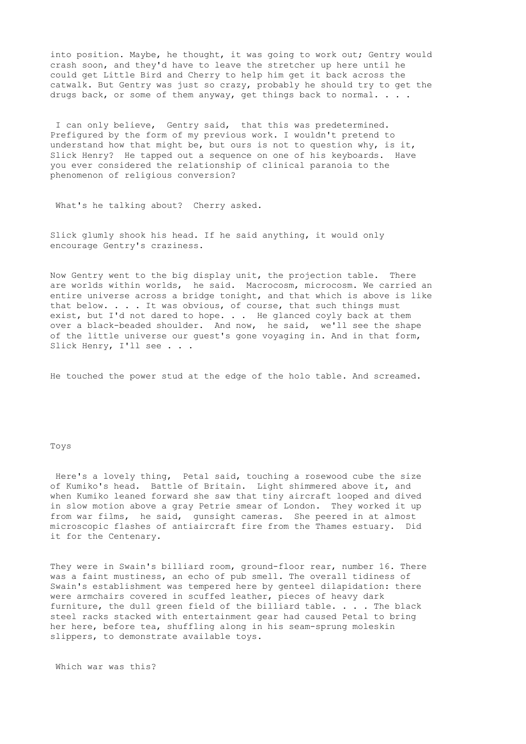into position. Maybe, he thought, it was going to work out; Gentry would crash soon, and they'd have to leave the stretcher up here until he could get Little Bird and Cherry to help him get it back across the catwalk. But Gentry was just so crazy, probably he should try to get the drugs back, or some of them anyway, get things back to normal. . . .

 I can only believe, Gentry said, that this was predetermined. Prefigured by the form of my previous work. I wouldn't pretend to understand how that might be, but ours is not to question why, is it, Slick Henry? He tapped out a sequence on one of his keyboards. Have you ever considered the relationship of clinical paranoia to the phenomenon of religious conversion?

What's he talking about? Cherry asked.

Slick glumly shook his head. If he said anything, it would only encourage Gentry's craziness.

Now Gentry went to the big display unit, the projection table. There are worlds within worlds, he said. Macrocosm, microcosm. We carried an entire universe across a bridge tonight, and that which is above is like that below. . . . It was obvious, of course, that such things must exist, but I'd not dared to hope. . . He glanced coyly back at them over a black-beaded shoulder. And now, he said, we'll see the shape of the little universe our guest's gone voyaging in. And in that form, Slick Henry, I'll see . . .

He touched the power stud at the edge of the holo table. And screamed.

## Toys

 Here's a lovely thing, Petal said, touching a rosewood cube the size of Kumiko's head. Battle of Britain. Light shimmered above it, and when Kumiko leaned forward she saw that tiny aircraft looped and dived in slow motion above a gray Petrie smear of London. They worked it up from war films, he said, gunsight cameras. She peered in at almost microscopic flashes of antiaircraft fire from the Thames estuary. Did it for the Centenary.

They were in Swain's billiard room, ground-floor rear, number 16. There was a faint mustiness, an echo of pub smell. The overall tidiness of Swain's establishment was tempered here by genteel dilapidation: there were armchairs covered in scuffed leather, pieces of heavy dark furniture, the dull green field of the billiard table. . . . The black steel racks stacked with entertainment gear had caused Petal to bring her here, before tea, shuffling along in his seam-sprung moleskin slippers, to demonstrate available toys.

Which war was this?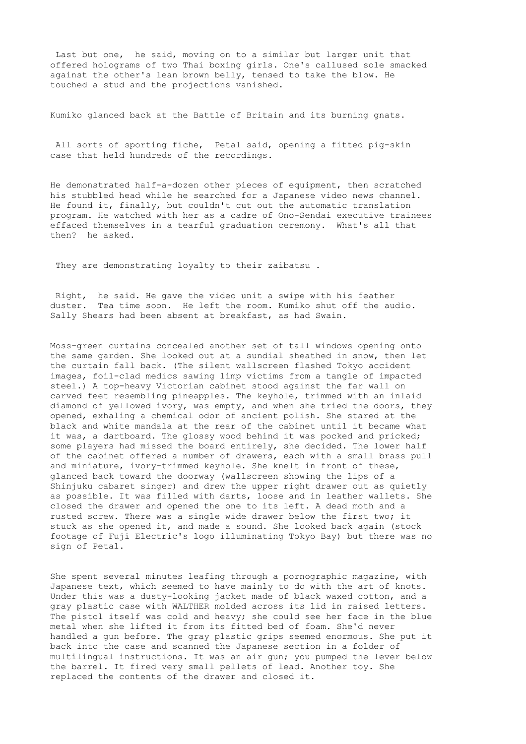Last but one, he said, moving on to a similar but larger unit that offered holograms of two Thai boxing girls. One's callused sole smacked against the other's lean brown belly, tensed to take the blow. He touched a stud and the projections vanished.

Kumiko glanced back at the Battle of Britain and its burning gnats.

 All sorts of sporting fiche, Petal said, opening a fitted pig-skin case that held hundreds of the recordings.

He demonstrated half-a-dozen other pieces of equipment, then scratched his stubbled head while he searched for a Japanese video news channel. He found it, finally, but couldn't cut out the automatic translation program. He watched with her as a cadre of Ono-Sendai executive trainees effaced themselves in a tearful graduation ceremony. What's all that then? he asked.

They are demonstrating loyalty to their zaibatsu.

 Right, he said. He gave the video unit a swipe with his feather duster. Tea time soon. He left the room. Kumiko shut off the audio. Sally Shears had been absent at breakfast, as had Swain.

Moss-green curtains concealed another set of tall windows opening onto the same garden. She looked out at a sundial sheathed in snow, then let the curtain fall back. (The silent wallscreen flashed Tokyo accident images, foil-clad medics sawing limp victims from a tangle of impacted steel.) A top-heavy Victorian cabinet stood against the far wall on carved feet resembling pineapples. The keyhole, trimmed with an inlaid diamond of yellowed ivory, was empty, and when she tried the doors, they opened, exhaling a chemical odor of ancient polish. She stared at the black and white mandala at the rear of the cabinet until it became what it was, a dartboard. The glossy wood behind it was pocked and pricked; some players had missed the board entirely, she decided. The lower half of the cabinet offered a number of drawers, each with a small brass pull and miniature, ivory-trimmed keyhole. She knelt in front of these, glanced back toward the doorway (wallscreen showing the lips of a Shinjuku cabaret singer) and drew the upper right drawer out as quietly as possible. It was filled with darts, loose and in leather wallets. She closed the drawer and opened the one to its left. A dead moth and a rusted screw. There was a single wide drawer below the first two; it stuck as she opened it, and made a sound. She looked back again (stock footage of Fuji Electric's logo illuminating Tokyo Bay) but there was no sign of Petal.

She spent several minutes leafing through a pornographic magazine, with Japanese text, which seemed to have mainly to do with the art of knots. Under this was a dusty-looking jacket made of black waxed cotton, and a gray plastic case with WALTHER molded across its lid in raised letters. The pistol itself was cold and heavy; she could see her face in the blue metal when she lifted it from its fitted bed of foam. She'd never handled a gun before. The gray plastic grips seemed enormous. She put it back into the case and scanned the Japanese section in a folder of multilingual instructions. It was an air gun; you pumped the lever below the barrel. It fired very small pellets of lead. Another toy. She replaced the contents of the drawer and closed it.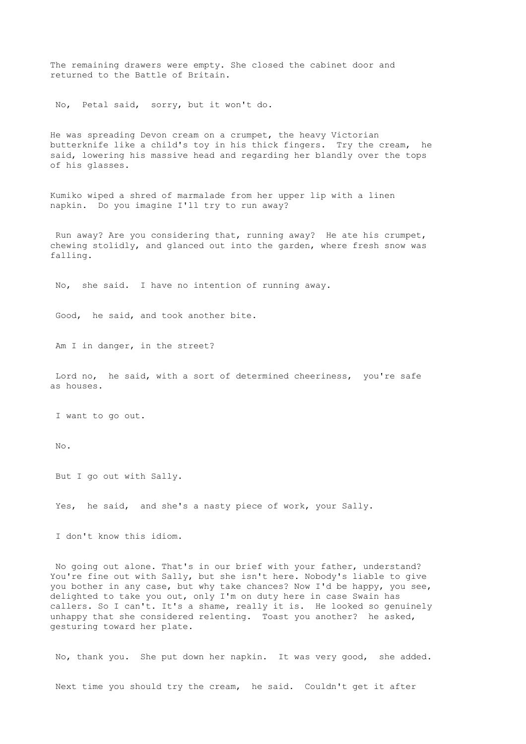The remaining drawers were empty. She closed the cabinet door and returned to the Battle of Britain.

No, Petal said, sorry, but it won't do.

He was spreading Devon cream on a crumpet, the heavy Victorian butterknife like a child's toy in his thick fingers. Try the cream, he said, lowering his massive head and regarding her blandly over the tops of his glasses.

Kumiko wiped a shred of marmalade from her upper lip with a linen napkin. Do you imagine I'll try to run away?

 Run away? Are you considering that, running away? He ate his crumpet, chewing stolidly, and glanced out into the garden, where fresh snow was falling.

No, she said. I have no intention of running away.

Good, he said, and took another bite.

Am I in danger, in the street?

Lord no, he said, with a sort of determined cheeriness, you're safe as houses.

I want to go out.

 $N<sub>O</sub>$ 

But I go out with Sally.

Yes, he said, and she's a nasty piece of work, your Sally.

I don't know this idiom.

 No going out alone. That's in our brief with your father, understand? You're fine out with Sally, but she isn't here. Nobody's liable to give you bother in any case, but why take chances? Now I'd be happy, you see, delighted to take you out, only I'm on duty here in case Swain has callers. So I can't. It's a shame, really it is. He looked so genuinely unhappy that she considered relenting. Toast you another? he asked, gesturing toward her plate.

 No, thank you. She put down her napkin. It was very good, she added. Next time you should try the cream, he said. Couldn't get it after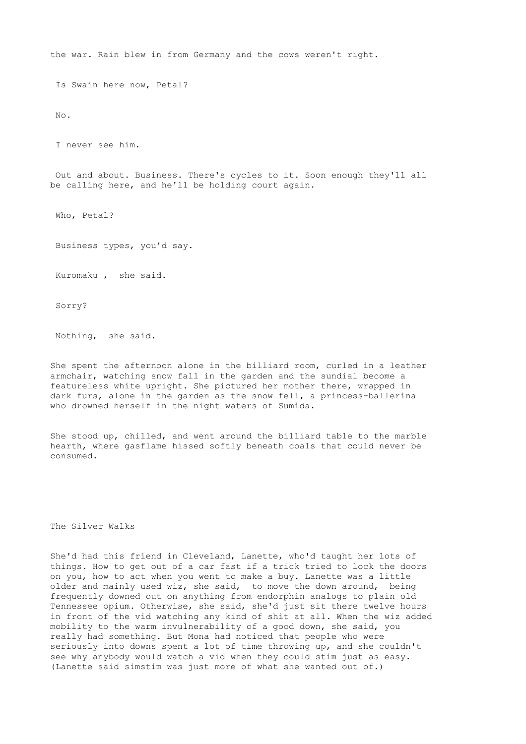the war. Rain blew in from Germany and the cows weren't right.

Is Swain here now, Petal?

 $N<sub>0</sub>$ 

I never see him.

 Out and about. Business. There's cycles to it. Soon enough they'll all be calling here, and he'll be holding court again.

Who, Petal?

Business types, you'd say.

Kuromaku , she said.

Sorry?

Nothing, she said.

She spent the afternoon alone in the billiard room, curled in a leather armchair, watching snow fall in the garden and the sundial become a featureless white upright. She pictured her mother there, wrapped in dark furs, alone in the garden as the snow fell, a princess-ballerina who drowned herself in the night waters of Sumida.

She stood up, chilled, and went around the billiard table to the marble hearth, where gasflame hissed softly beneath coals that could never be consumed.

The Silver Walks

She'd had this friend in Cleveland, Lanette, who'd taught her lots of things. How to get out of a car fast if a trick tried to lock the doors on you, how to act when you went to make a buy. Lanette was a little older and mainly used wiz, she said, to move the down around, being frequently downed out on anything from endorphin analogs to plain old Tennessee opium. Otherwise, she said, she'd just sit there twelve hours in front of the vid watching any kind of shit at all. When the wiz added mobility to the warm invulnerability of a good down, she said, you really had something. But Mona had noticed that people who were seriously into downs spent a lot of time throwing up, and she couldn't see why anybody would watch a vid when they could stim just as easy. (Lanette said simstim was just more of what she wanted out of.)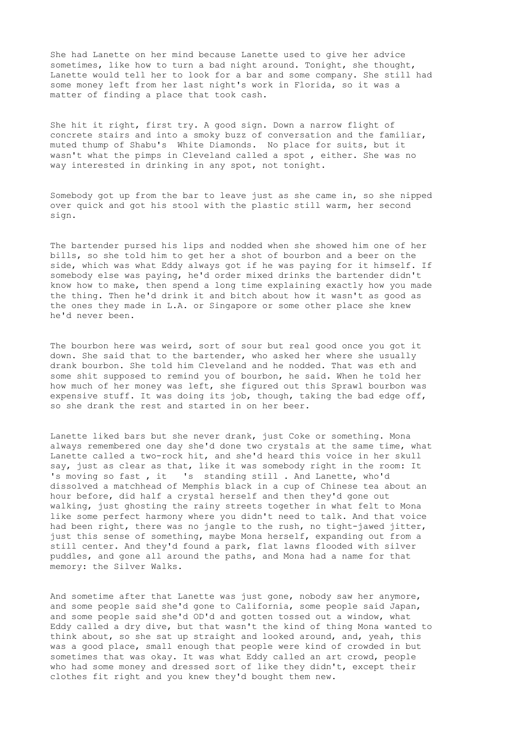She had Lanette on her mind because Lanette used to give her advice sometimes, like how to turn a bad night around. Tonight, she thought, Lanette would tell her to look for a bar and some company. She still had some money left from her last night's work in Florida, so it was a matter of finding a place that took cash.

She hit it right, first try. A good sign. Down a narrow flight of concrete stairs and into a smoky buzz of conversation and the familiar, muted thump of Shabu's White Diamonds. No place for suits, but it wasn't what the pimps in Cleveland called a spot , either. She was no way interested in drinking in any spot, not tonight.

Somebody got up from the bar to leave just as she came in, so she nipped over quick and got his stool with the plastic still warm, her second sign.

The bartender pursed his lips and nodded when she showed him one of her bills, so she told him to get her a shot of bourbon and a beer on the side, which was what Eddy always got if he was paying for it himself. If somebody else was paying, he'd order mixed drinks the bartender didn't know how to make, then spend a long time explaining exactly how you made the thing. Then he'd drink it and bitch about how it wasn't as good as the ones they made in L.A. or Singapore or some other place she knew he'd never been.

The bourbon here was weird, sort of sour but real good once you got it down. She said that to the bartender, who asked her where she usually drank bourbon. She told him Cleveland and he nodded. That was eth and some shit supposed to remind you of bourbon, he said. When he told her how much of her money was left, she figured out this Sprawl bourbon was expensive stuff. It was doing its job, though, taking the bad edge off, so she drank the rest and started in on her beer.

Lanette liked bars but she never drank, just Coke or something. Mona always remembered one day she'd done two crystals at the same time, what Lanette called a two-rock hit, and she'd heard this voice in her skull say, just as clear as that, like it was somebody right in the room: It 's moving so fast , it 's standing still . And Lanette, who'd dissolved a matchhead of Memphis black in a cup of Chinese tea about an hour before, did half a crystal herself and then they'd gone out walking, just ghosting the rainy streets together in what felt to Mona like some perfect harmony where you didn't need to talk. And that voice had been right, there was no jangle to the rush, no tight-jawed jitter, just this sense of something, maybe Mona herself, expanding out from a still center. And they'd found a park, flat lawns flooded with silver puddles, and gone all around the paths, and Mona had a name for that memory: the Silver Walks.

And sometime after that Lanette was just gone, nobody saw her anymore, and some people said she'd gone to California, some people said Japan, and some people said she'd OD'd and gotten tossed out a window, what Eddy called a dry dive, but that wasn't the kind of thing Mona wanted to think about, so she sat up straight and looked around, and, yeah, this was a good place, small enough that people were kind of crowded in but sometimes that was okay. It was what Eddy called an art crowd, people who had some money and dressed sort of like they didn't, except their clothes fit right and you knew they'd bought them new.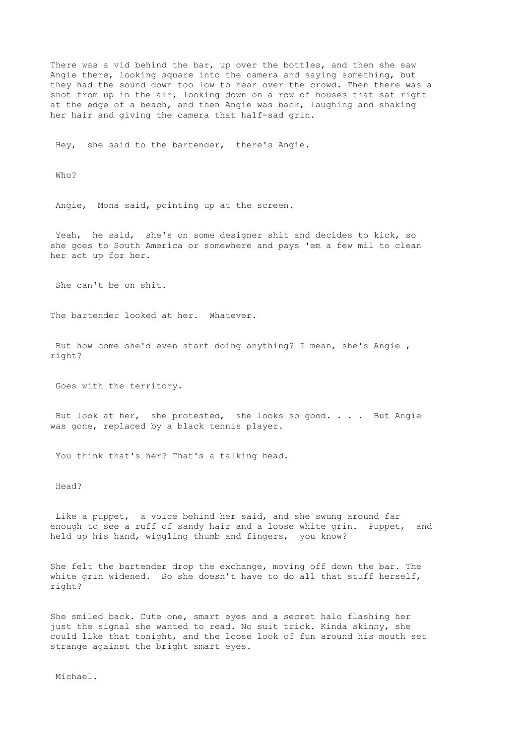There was a vid behind the bar, up over the bottles, and then she saw Angie there, looking square into the camera and saying something, but they had the sound down too low to hear over the crowd. Then there was a shot from up in the air, looking down on a row of houses that sat right at the edge of a beach, and then Angie was back, laughing and shaking her hair and giving the camera that half-sad grin.

Hey, she said to the bartender, there's Angie.

 $Mh<sub>2</sub>$ 

Angie, Mona said, pointing up at the screen.

 Yeah, he said, she's on some designer shit and decides to kick, so she goes to South America or somewhere and pays 'em a few mil to clean her act up for her.

She can't be on shit.

The bartender looked at her. Whatever.

 But how come she'd even start doing anything? I mean, she's Angie , right?

Goes with the territory.

 But look at her, she protested, she looks so good. . . . But Angie was gone, replaced by a black tennis player.

You think that's her? That's a talking head.

Head?

 Like a puppet, a voice behind her said, and she swung around far enough to see a ruff of sandy hair and a loose white grin. Puppet, and held up his hand, wiggling thumb and fingers, you know?

She felt the bartender drop the exchange, moving off down the bar. The white grin widened. So she doesn't have to do all that stuff herself, right?

She smiled back. Cute one, smart eyes and a secret halo flashing her just the signal she wanted to read. No suit trick. Kinda skinny, she could like that tonight, and the loose look of fun around his mouth set strange against the bright smart eyes.

Michael.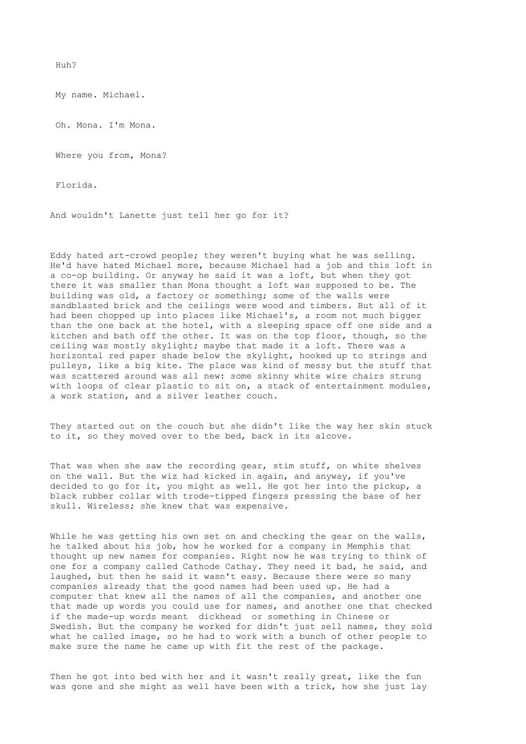Huh?

My name. Michael.

Oh. Mona. I'm Mona.

Where you from, Mona?

Florida.

And wouldn't Lanette just tell her go for it?

Eddy hated art-crowd people; they weren't buying what he was selling. He'd have hated Michael more, because Michael had a job and this loft in a co-op building. Or anyway he said it was a loft, but when they got there it was smaller than Mona thought a loft was supposed to be. The building was old, a factory or something; some of the walls were sandblasted brick and the ceilings were wood and timbers. But all of it had been chopped up into places like Michael's, a room not much bigger than the one back at the hotel, with a sleeping space off one side and a kitchen and bath off the other. It was on the top floor, though, so the ceiling was mostly skylight; maybe that made it a loft. There was a horizontal red paper shade below the skylight, hooked up to strings and pulleys, like a big kite. The place was kind of messy but the stuff that was scattered around was all new: some skinny white wire chairs strung with loops of clear plastic to sit on, a stack of entertainment modules, a work station, and a silver leather couch.

They started out on the couch but she didn't like the way her skin stuck to it, so they moved over to the bed, back in its alcove.

That was when she saw the recording gear, stim stuff, on white shelves on the wall. But the wiz had kicked in again, and anyway, if you've decided to go for it, you might as well. He got her into the pickup, a black rubber collar with trode-tipped fingers pressing the base of her skull. Wireless; she knew that was expensive.

While he was getting his own set on and checking the gear on the walls, he talked about his job, how he worked for a company in Memphis that thought up new names for companies. Right now he was trying to think of one for a company called Cathode Cathay. They need it bad, he said, and laughed, but then he said it wasn't easy. Because there were so many companies already that the good names had been used up. He had a computer that knew all the names of all the companies, and another one that made up words you could use for names, and another one that checked if the made-up words meant dickhead or something in Chinese or Swedish. But the company he worked for didn't just sell names, they sold what he called image, so he had to work with a bunch of other people to make sure the name he came up with fit the rest of the package.

Then he got into bed with her and it wasn't really great, like the fun was gone and she might as well have been with a trick, how she just lay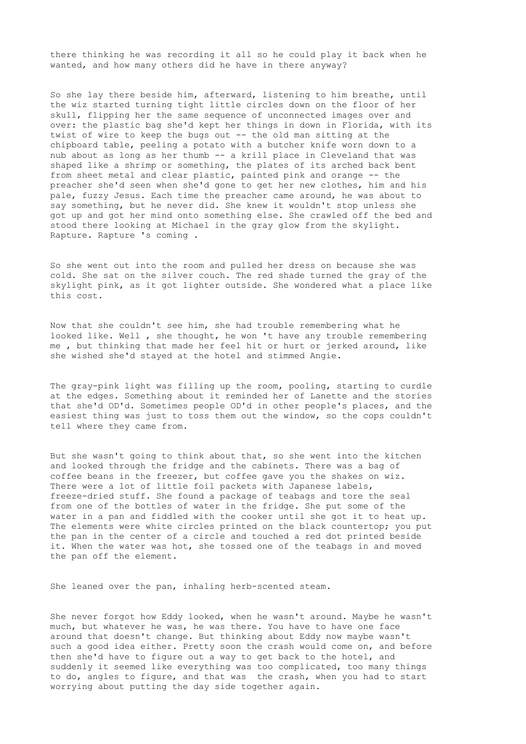there thinking he was recording it all so he could play it back when he wanted, and how many others did he have in there anyway?

So she lay there beside him, afterward, listening to him breathe, until the wiz started turning tight little circles down on the floor of her skull, flipping her the same sequence of unconnected images over and over: the plastic bag she'd kept her things in down in Florida, with its twist of wire to keep the bugs out -- the old man sitting at the chipboard table, peeling a potato with a butcher knife worn down to a nub about as long as her thumb -- a krill place in Cleveland that was shaped like a shrimp or something, the plates of its arched back bent from sheet metal and clear plastic, painted pink and orange -- the preacher she'd seen when she'd gone to get her new clothes, him and his pale, fuzzy Jesus. Each time the preacher came around, he was about to say something, but he never did. She knew it wouldn't stop unless she got up and got her mind onto something else. She crawled off the bed and stood there looking at Michael in the gray glow from the skylight. Rapture. Rapture 's coming .

So she went out into the room and pulled her dress on because she was cold. She sat on the silver couch. The red shade turned the gray of the skylight pink, as it got lighter outside. She wondered what a place like this cost.

Now that she couldn't see him, she had trouble remembering what he looked like. Well , she thought, he won 't have any trouble remembering me , but thinking that made her feel hit or hurt or jerked around, like she wished she'd stayed at the hotel and stimmed Angie.

The gray-pink light was filling up the room, pooling, starting to curdle at the edges. Something about it reminded her of Lanette and the stories that she'd OD'd. Sometimes people OD'd in other people's places, and the easiest thing was just to toss them out the window, so the cops couldn't tell where they came from.

But she wasn't going to think about that, so she went into the kitchen and looked through the fridge and the cabinets. There was a bag of coffee beans in the freezer, but coffee gave you the shakes on wiz. There were a lot of little foil packets with Japanese labels, freeze-dried stuff. She found a package of teabags and tore the seal from one of the bottles of water in the fridge. She put some of the water in a pan and fiddled with the cooker until she got it to heat up. The elements were white circles printed on the black countertop; you put the pan in the center of a circle and touched a red dot printed beside it. When the water was hot, she tossed one of the teabags in and moved the pan off the element.

She leaned over the pan, inhaling herb-scented steam.

She never forgot how Eddy looked, when he wasn't around. Maybe he wasn't much, but whatever he was, he was there. You have to have one face around that doesn't change. But thinking about Eddy now maybe wasn't such a good idea either. Pretty soon the crash would come on, and before then she'd have to figure out a way to get back to the hotel, and suddenly it seemed like everything was too complicated, too many things to do, angles to figure, and that was the crash, when you had to start worrying about putting the day side together again.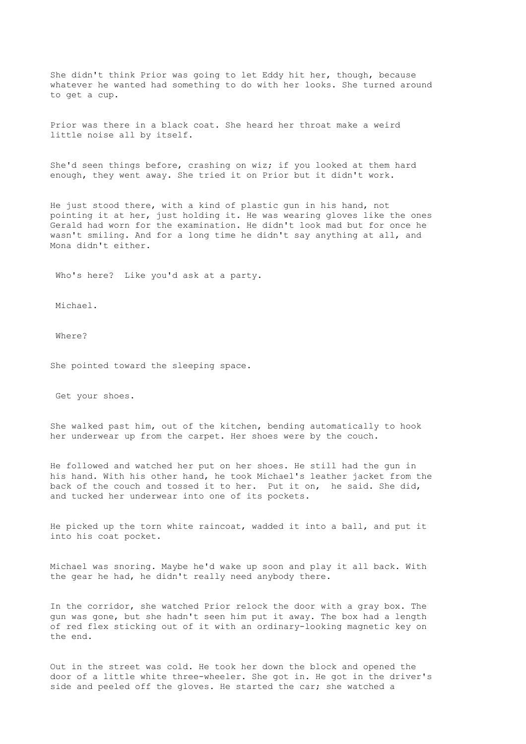She didn't think Prior was going to let Eddy hit her, though, because whatever he wanted had something to do with her looks. She turned around to get a cup.

Prior was there in a black coat. She heard her throat make a weird little noise all by itself.

She'd seen things before, crashing on wiz; if you looked at them hard enough, they went away. She tried it on Prior but it didn't work.

He just stood there, with a kind of plastic gun in his hand, not pointing it at her, just holding it. He was wearing gloves like the ones Gerald had worn for the examination. He didn't look mad but for once he wasn't smiling. And for a long time he didn't say anything at all, and Mona didn't either.

Who's here? Like you'd ask at a party.

Michael.

Where?

She pointed toward the sleeping space.

Get your shoes.

She walked past him, out of the kitchen, bending automatically to hook her underwear up from the carpet. Her shoes were by the couch.

He followed and watched her put on her shoes. He still had the gun in his hand. With his other hand, he took Michael's leather jacket from the back of the couch and tossed it to her. Put it on, he said. She did, and tucked her underwear into one of its pockets.

He picked up the torn white raincoat, wadded it into a ball, and put it into his coat pocket.

Michael was snoring. Maybe he'd wake up soon and play it all back. With the gear he had, he didn't really need anybody there.

In the corridor, she watched Prior relock the door with a gray box. The gun was gone, but she hadn't seen him put it away. The box had a length of red flex sticking out of it with an ordinary-looking magnetic key on the end.

Out in the street was cold. He took her down the block and opened the door of a little white three-wheeler. She got in. He got in the driver's side and peeled off the gloves. He started the car; she watched a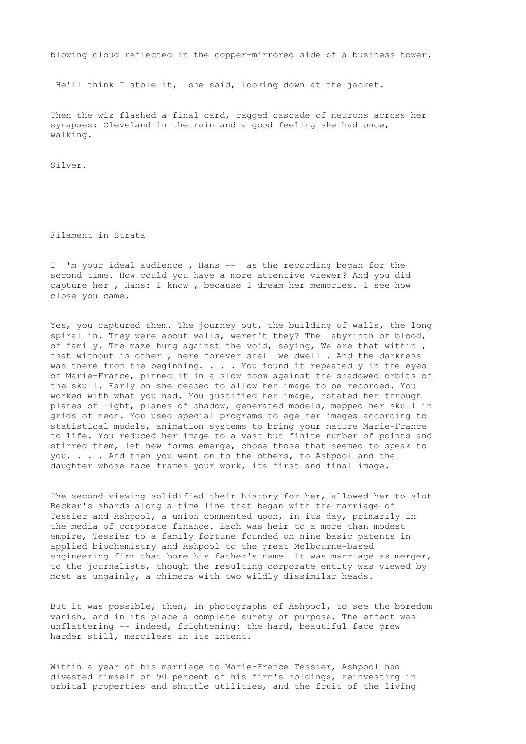blowing cloud reflected in the copper-mirrored side of a business tower.

He'll think I stole it, she said, looking down at the jacket.

Then the wiz flashed a final card, ragged cascade of neurons across her synapses: Cleveland in the rain and a good feeling she had once, walking.

Silver.

Filament in Strata

I 'm your ideal audience , Hans -- as the recording began for the second time. How could you have a more attentive viewer? And you did capture her , Hans: I know , because I dream her memories. I see how close you came.

Yes, you captured them. The journey out, the building of walls, the long spiral in. They were about walls, weren't they? The labyrinth of blood, of family. The maze hung against the void, saying, We are that within , that without is other , here forever shall we dwell . And the darkness was there from the beginning.  $\ldots$  . You found it repeatedly in the eyes of Marie-France, pinned it in a slow zoom against the shadowed orbits of the skull. Early on she ceased to allow her image to be recorded. You worked with what you had. You justified her image, rotated her through planes of light, planes of shadow, generated models, mapped her skull in grids of neon. You used special programs to age her images according to statistical models, animation systems to bring your mature Marie-France to life. You reduced her image to a vast but finite number of points and stirred them, let new forms emerge, chose those that seemed to speak to you. . . . And then you went on to the others, to Ashpool and the daughter whose face frames your work, its first and final image.

The second viewing solidified their history for her, allowed her to slot Becker's shards along a time line that began with the marriage of Tessier and Ashpool, a union commented upon, in its day, primarily in the media of corporate finance. Each was heir to a more than modest empire, Tessier to a family fortune founded on nine basic patents in applied biochemistry and Ashpool to the great Melbourne-based engineering firm that bore his father's name. It was marriage as merger, to the journalists, though the resulting corporate entity was viewed by most as ungainly, a chimera with two wildly dissimilar heads.

But it was possible, then, in photographs of Ashpool, to see the boredom vanish, and in its place a complete surety of purpose. The effect was unflattering -- indeed, frightening: the hard, beautiful face grew harder still, merciless in its intent.

Within a year of his marriage to Marie-France Tessier, Ashpool had divested himself of 90 percent of his firm's holdings, reinvesting in orbital properties and shuttle utilities, and the fruit of the living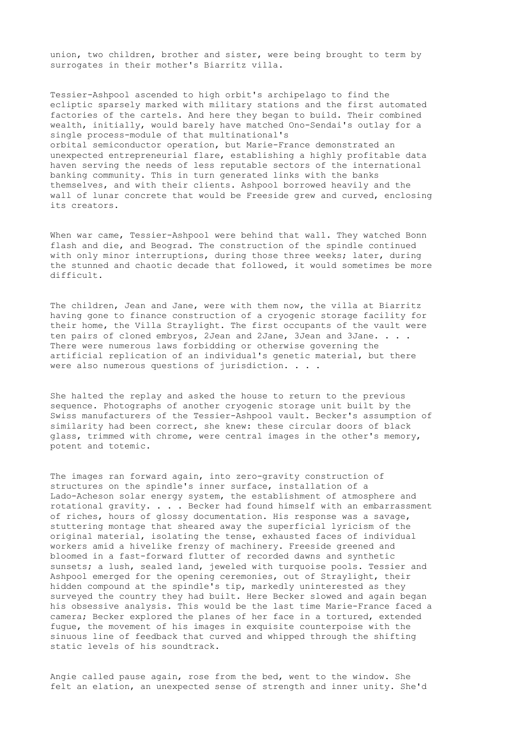union, two children, brother and sister, were being brought to term by surrogates in their mother's Biarritz villa.

Tessier-Ashpool ascended to high orbit's archipelago to find the ecliptic sparsely marked with military stations and the first automated factories of the cartels. And here they began to build. Their combined wealth, initially, would barely have matched Ono-Sendai's outlay for a single process-module of that multinational's orbital semiconductor operation, but Marie-France demonstrated an unexpected entrepreneurial flare, establishing a highly profitable data haven serving the needs of less reputable sectors of the international banking community. This in turn generated links with the banks themselves, and with their clients. Ashpool borrowed heavily and the wall of lunar concrete that would be Freeside grew and curved, enclosing its creators.

When war came, Tessier-Ashpool were behind that wall. They watched Bonn flash and die, and Beograd. The construction of the spindle continued with only minor interruptions, during those three weeks; later, during the stunned and chaotic decade that followed, it would sometimes be more difficult.

The children, Jean and Jane, were with them now, the villa at Biarritz having gone to finance construction of a cryogenic storage facility for their home, the Villa Straylight. The first occupants of the vault were ten pairs of cloned embryos, 2Jean and 2Jane, 3Jean and 3Jane. . . . There were numerous laws forbidding or otherwise governing the artificial replication of an individual's genetic material, but there were also numerous questions of jurisdiction. . . .

She halted the replay and asked the house to return to the previous sequence. Photographs of another cryogenic storage unit built by the Swiss manufacturers of the Tessier-Ashpool vault. Becker's assumption of similarity had been correct, she knew: these circular doors of black glass, trimmed with chrome, were central images in the other's memory, potent and totemic.

The images ran forward again, into zero-gravity construction of structures on the spindle's inner surface, installation of a Lado-Acheson solar energy system, the establishment of atmosphere and rotational gravity. . . . Becker had found himself with an embarrassment of riches, hours of glossy documentation. His response was a savage, stuttering montage that sheared away the superficial lyricism of the original material, isolating the tense, exhausted faces of individual workers amid a hivelike frenzy of machinery. Freeside greened and bloomed in a fast-forward flutter of recorded dawns and synthetic sunsets; a lush, sealed land, jeweled with turquoise pools. Tessier and Ashpool emerged for the opening ceremonies, out of Straylight, their hidden compound at the spindle's tip, markedly uninterested as they surveyed the country they had built. Here Becker slowed and again began his obsessive analysis. This would be the last time Marie-France faced a camera; Becker explored the planes of her face in a tortured, extended fugue, the movement of his images in exquisite counterpoise with the sinuous line of feedback that curved and whipped through the shifting static levels of his soundtrack.

Angie called pause again, rose from the bed, went to the window. She felt an elation, an unexpected sense of strength and inner unity. She'd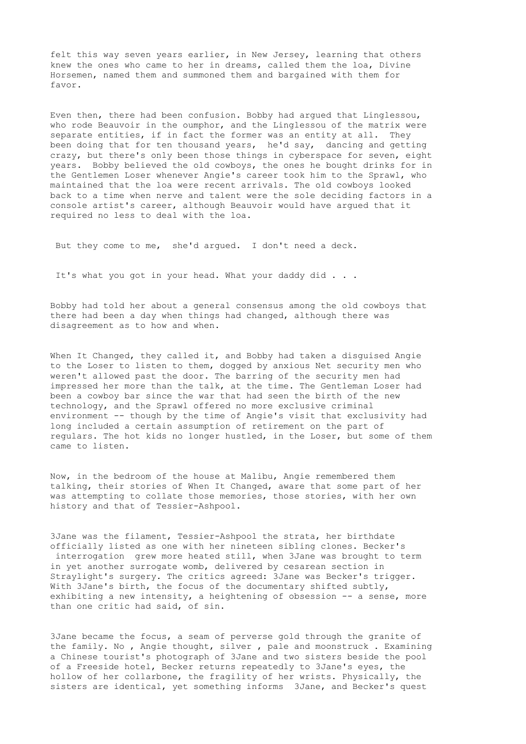felt this way seven years earlier, in New Jersey, learning that others knew the ones who came to her in dreams, called them the loa, Divine Horsemen, named them and summoned them and bargained with them for favor.

Even then, there had been confusion. Bobby had argued that Linglessou, who rode Beauvoir in the oumphor, and the Linglessou of the matrix were separate entities, if in fact the former was an entity at all. They been doing that for ten thousand years, he'd say, dancing and getting crazy, but there's only been those things in cyberspace for seven, eight years. Bobby believed the old cowboys, the ones he bought drinks for in the Gentlemen Loser whenever Angie's career took him to the Sprawl, who maintained that the loa were recent arrivals. The old cowboys looked back to a time when nerve and talent were the sole deciding factors in a console artist's career, although Beauvoir would have argued that it required no less to deal with the loa.

But they come to me, she'd argued. I don't need a deck.

It's what you got in your head. What your daddy did . . .

Bobby had told her about a general consensus among the old cowboys that there had been a day when things had changed, although there was disagreement as to how and when.

When It Changed, they called it, and Bobby had taken a disguised Angie to the Loser to listen to them, dogged by anxious Net security men who weren't allowed past the door. The barring of the security men had impressed her more than the talk, at the time. The Gentleman Loser had been a cowboy bar since the war that had seen the birth of the new technology, and the Sprawl offered no more exclusive criminal environment -- though by the time of Angie's visit that exclusivity had long included a certain assumption of retirement on the part of regulars. The hot kids no longer hustled, in the Loser, but some of them came to listen.

Now, in the bedroom of the house at Malibu, Angie remembered them talking, their stories of When It Changed, aware that some part of her was attempting to collate those memories, those stories, with her own history and that of Tessier-Ashpool.

3Jane was the filament, Tessier-Ashpool the strata, her birthdate officially listed as one with her nineteen sibling clones. Becker's interrogation grew more heated still, when 3Jane was brought to term in yet another surrogate womb, delivered by cesarean section in Straylight's surgery. The critics agreed: 3Jane was Becker's trigger. With 3Jane's birth, the focus of the documentary shifted subtly, exhibiting a new intensity, a heightening of obsession -- a sense, more than one critic had said, of sin.

3Jane became the focus, a seam of perverse gold through the granite of the family. No , Angie thought, silver , pale and moonstruck . Examining a Chinese tourist's photograph of 3Jane and two sisters beside the pool of a Freeside hotel, Becker returns repeatedly to 3Jane's eyes, the hollow of her collarbone, the fragility of her wrists. Physically, the sisters are identical, yet something informs 3Jane, and Becker's quest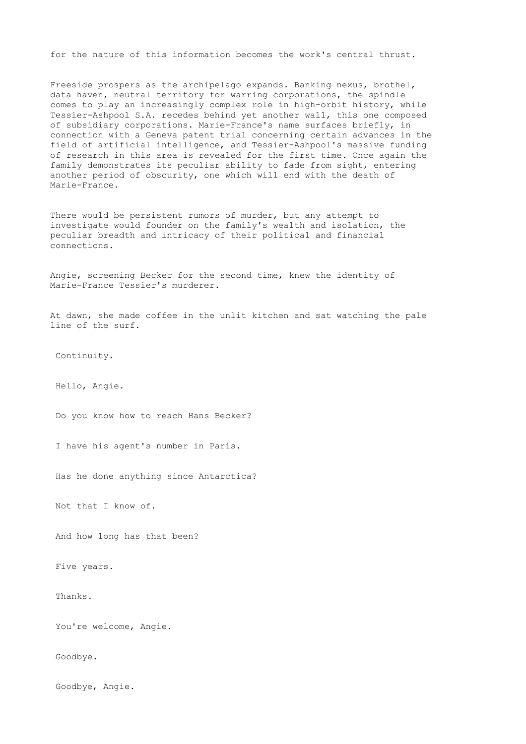for the nature of this information becomes the work's central thrust.

Freeside prospers as the archipelago expands. Banking nexus, brothel, data haven, neutral territory for warring corporations, the spindle comes to play an increasingly complex role in high-orbit history, while Tessier-Ashpool S.A. recedes behind yet another wall, this one composed of subsidiary corporations. Marie-France's name surfaces briefly, in connection with a Geneva patent trial concerning certain advances in the field of artificial intelligence, and Tessier-Ashpool's massive funding of research in this area is revealed for the first time. Once again the family demonstrates its peculiar ability to fade from sight, entering another period of obscurity, one which will end with the death of Marie-France.

There would be persistent rumors of murder, but any attempt to investigate would founder on the family's wealth and isolation, the peculiar breadth and intricacy of their political and financial connections.

Angie, screening Becker for the second time, knew the identity of Marie-France Tessier's murderer.

At dawn, she made coffee in the unlit kitchen and sat watching the pale line of the surf.

Continuity.

Hello, Angie.

Do you know how to reach Hans Becker?

I have his agent's number in Paris.

Has he done anything since Antarctica?

Not that I know of.

And how long has that been?

Five years.

Thanks.

You're welcome, Angie.

Goodbye.

Goodbye, Angie.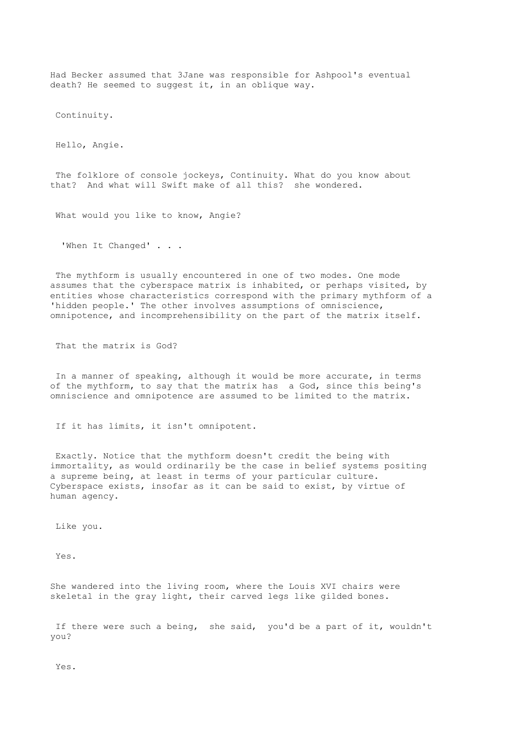Had Becker assumed that 3Jane was responsible for Ashpool's eventual death? He seemed to suggest it, in an oblique way.

Continuity.

Hello, Angie.

The folklore of console jockeys, Continuity. What do you know about that? And what will Swift make of all this? she wondered.

What would you like to know, Angie?

'When It Changed' . . .

 The mythform is usually encountered in one of two modes. One mode assumes that the cyberspace matrix is inhabited, or perhaps visited, by entities whose characteristics correspond with the primary mythform of a 'hidden people.' The other involves assumptions of omniscience, omnipotence, and incomprehensibility on the part of the matrix itself.

That the matrix is God?

 In a manner of speaking, although it would be more accurate, in terms of the mythform, to say that the matrix has a God, since this being's omniscience and omnipotence are assumed to be limited to the matrix.

If it has limits, it isn't omnipotent.

 Exactly. Notice that the mythform doesn't credit the being with immortality, as would ordinarily be the case in belief systems positing a supreme being, at least in terms of your particular culture. Cyberspace exists, insofar as it can be said to exist, by virtue of human agency.

Like you.

Yes.

She wandered into the living room, where the Louis XVI chairs were skeletal in the gray light, their carved legs like gilded bones.

 If there were such a being, she said, you'd be a part of it, wouldn't you?

Yes.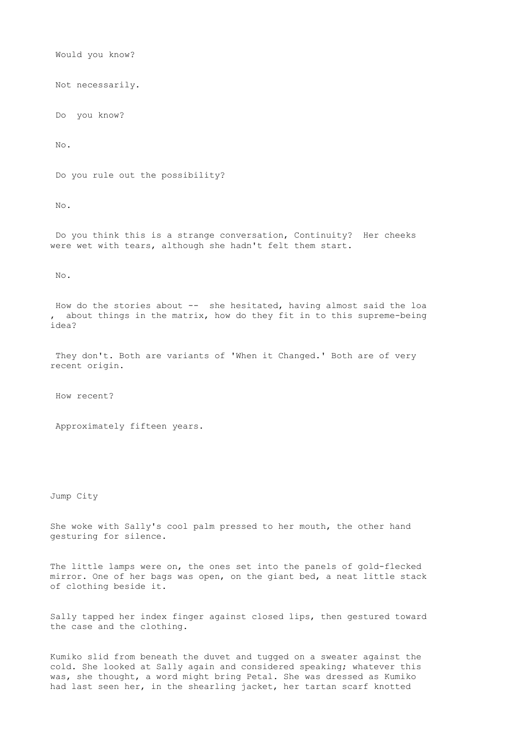Would you know? Not necessarily. Do you know?

 $N<sub>0</sub>$ 

Do you rule out the possibility?

No.

 Do you think this is a strange conversation, Continuity? Her cheeks were wet with tears, although she hadn't felt them start.

No.

 How do the stories about -- she hesitated, having almost said the loa , about things in the matrix, how do they fit in to this supreme-being idea?

They don't. Both are variants of 'When it Changed.' Both are of very recent origin.

How recent?

Approximately fifteen years.

Jump City

She woke with Sally's cool palm pressed to her mouth, the other hand gesturing for silence.

The little lamps were on, the ones set into the panels of gold-flecked mirror. One of her bags was open, on the giant bed, a neat little stack of clothing beside it.

Sally tapped her index finger against closed lips, then gestured toward the case and the clothing.

Kumiko slid from beneath the duvet and tugged on a sweater against the cold. She looked at Sally again and considered speaking; whatever this was, she thought, a word might bring Petal. She was dressed as Kumiko had last seen her, in the shearling jacket, her tartan scarf knotted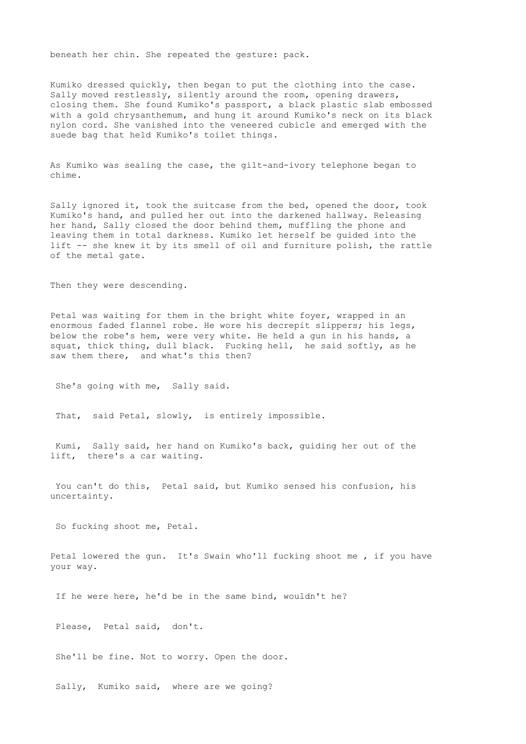beneath her chin. She repeated the gesture: pack.

Kumiko dressed quickly, then began to put the clothing into the case. Sally moved restlessly, silently around the room, opening drawers, closing them. She found Kumiko's passport, a black plastic slab embossed with a gold chrysanthemum, and hung it around Kumiko's neck on its black nylon cord. She vanished into the veneered cubicle and emerged with the suede bag that held Kumiko's toilet things.

As Kumiko was sealing the case, the gilt-and-ivory telephone began to chime.

Sally ignored it, took the suitcase from the bed, opened the door, took Kumiko's hand, and pulled her out into the darkened hallway. Releasing her hand, Sally closed the door behind them, muffling the phone and leaving them in total darkness. Kumiko let herself be guided into the lift -- she knew it by its smell of oil and furniture polish, the rattle of the metal gate.

Then they were descending.

Petal was waiting for them in the bright white foyer, wrapped in an enormous faded flannel robe. He wore his decrepit slippers; his legs, below the robe's hem, were very white. He held a gun in his hands, a squat, thick thing, dull black. Fucking hell, he said softly, as he saw them there, and what's this then?

She's going with me, Sally said.

That, said Petal, slowly, is entirely impossible.

 Kumi, Sally said, her hand on Kumiko's back, guiding her out of the lift, there's a car waiting.

 You can't do this, Petal said, but Kumiko sensed his confusion, his uncertainty.

So fucking shoot me, Petal.

Petal lowered the gun. It's Swain who'll fucking shoot me , if you have your way.

If he were here, he'd be in the same bind, wouldn't he?

Please, Petal said, don't.

She'll be fine. Not to worry. Open the door.

Sally, Kumiko said, where are we going?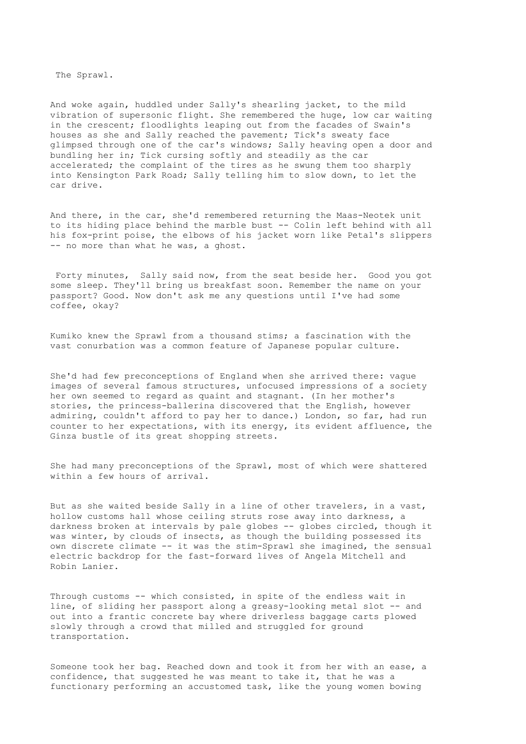The Sprawl.

And woke again, huddled under Sally's shearling jacket, to the mild vibration of supersonic flight. She remembered the huge, low car waiting in the crescent; floodlights leaping out from the facades of Swain's houses as she and Sally reached the pavement; Tick's sweaty face glimpsed through one of the car's windows; Sally heaving open a door and bundling her in; Tick cursing softly and steadily as the car accelerated; the complaint of the tires as he swung them too sharply into Kensington Park Road; Sally telling him to slow down, to let the car drive.

And there, in the car, she'd remembered returning the Maas-Neotek unit to its hiding place behind the marble bust -- Colin left behind with all his fox-print poise, the elbows of his jacket worn like Petal's slippers -- no more than what he was, a ghost.

 Forty minutes, Sally said now, from the seat beside her. Good you got some sleep. They'll bring us breakfast soon. Remember the name on your passport? Good. Now don't ask me any questions until I've had some coffee, okay?

Kumiko knew the Sprawl from a thousand stims; a fascination with the vast conurbation was a common feature of Japanese popular culture.

She'd had few preconceptions of England when she arrived there: vague images of several famous structures, unfocused impressions of a society her own seemed to regard as quaint and stagnant. (In her mother's stories, the princess-ballerina discovered that the English, however admiring, couldn't afford to pay her to dance.) London, so far, had run counter to her expectations, with its energy, its evident affluence, the Ginza bustle of its great shopping streets.

She had many preconceptions of the Sprawl, most of which were shattered within a few hours of arrival.

But as she waited beside Sally in a line of other travelers, in a vast, hollow customs hall whose ceiling struts rose away into darkness, a darkness broken at intervals by pale globes -- globes circled, though it was winter, by clouds of insects, as though the building possessed its own discrete climate -- it was the stim-Sprawl she imagined, the sensual electric backdrop for the fast-forward lives of Angela Mitchell and Robin Lanier.

Through customs -- which consisted, in spite of the endless wait in line, of sliding her passport along a greasy-looking metal slot -- and out into a frantic concrete bay where driverless baggage carts plowed slowly through a crowd that milled and struggled for ground transportation.

Someone took her bag. Reached down and took it from her with an ease, a confidence, that suggested he was meant to take it, that he was a functionary performing an accustomed task, like the young women bowing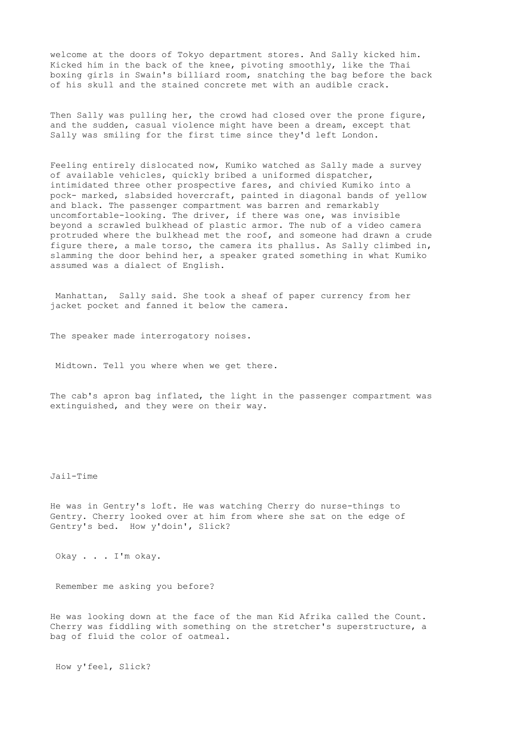welcome at the doors of Tokyo department stores. And Sally kicked him. Kicked him in the back of the knee, pivoting smoothly, like the Thai boxing girls in Swain's billiard room, snatching the bag before the back of his skull and the stained concrete met with an audible crack.

Then Sally was pulling her, the crowd had closed over the prone figure, and the sudden, casual violence might have been a dream, except that Sally was smiling for the first time since they'd left London.

Feeling entirely dislocated now, Kumiko watched as Sally made a survey of available vehicles, quickly bribed a uniformed dispatcher, intimidated three other prospective fares, and chivied Kumiko into a pock- marked, slabsided hovercraft, painted in diagonal bands of yellow and black. The passenger compartment was barren and remarkably uncomfortable-looking. The driver, if there was one, was invisible beyond a scrawled bulkhead of plastic armor. The nub of a video camera protruded where the bulkhead met the roof, and someone had drawn a crude figure there, a male torso, the camera its phallus. As Sally climbed in, slamming the door behind her, a speaker grated something in what Kumiko assumed was a dialect of English.

 Manhattan, Sally said. She took a sheaf of paper currency from her jacket pocket and fanned it below the camera.

The speaker made interrogatory noises.

Midtown. Tell you where when we get there.

The cab's apron bag inflated, the light in the passenger compartment was extinguished, and they were on their way.

Jail-Time

He was in Gentry's loft. He was watching Cherry do nurse-things to Gentry. Cherry looked over at him from where she sat on the edge of Gentry's bed. How y'doin', Slick?

Okay . . . I'm okay.

Remember me asking you before?

He was looking down at the face of the man Kid Afrika called the Count. Cherry was fiddling with something on the stretcher's superstructure, a bag of fluid the color of oatmeal.

How y'feel, Slick?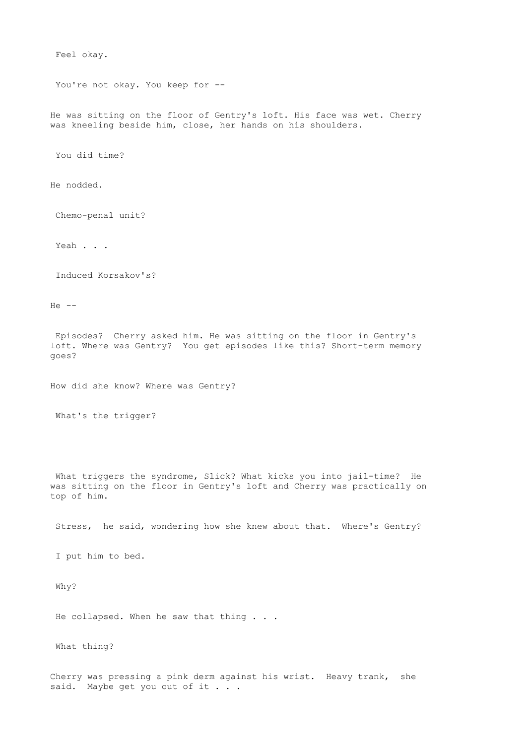Feel okay.

You're not okay. You keep for --

He was sitting on the floor of Gentry's loft. His face was wet. Cherry was kneeling beside him, close, her hands on his shoulders.

You did time?

He nodded.

Chemo-penal unit?

Yeah . . .

Induced Korsakov's?

 $He$   $-$ 

 Episodes? Cherry asked him. He was sitting on the floor in Gentry's loft. Where was Gentry? You get episodes like this? Short-term memory goes?

How did she know? Where was Gentry?

What's the trigger?

 What triggers the syndrome, Slick? What kicks you into jail-time? He was sitting on the floor in Gentry's loft and Cherry was practically on top of him.

Stress, he said, wondering how she knew about that. Where's Gentry?

I put him to bed.

Why?

He collapsed. When he saw that thing . . .

What thing?

Cherry was pressing a pink derm against his wrist. Heavy trank, she said. Maybe get you out of it . . .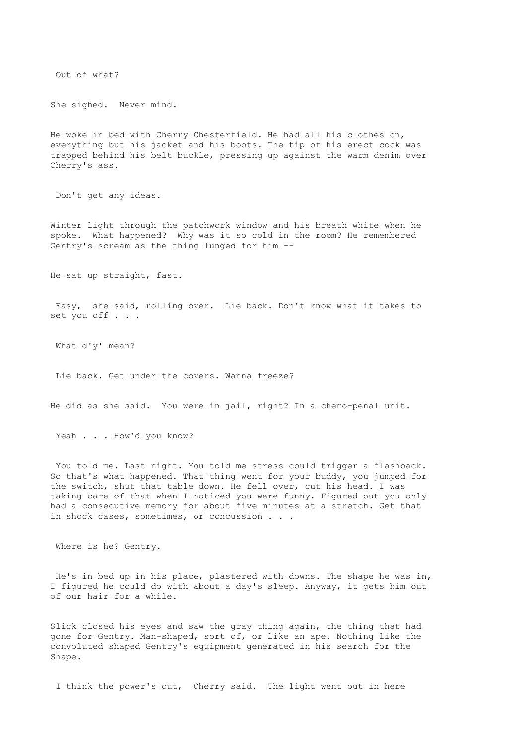Out of what?

She sighed. Never mind.

He woke in bed with Cherry Chesterfield. He had all his clothes on, everything but his jacket and his boots. The tip of his erect cock was trapped behind his belt buckle, pressing up against the warm denim over Cherry's ass.

Don't get any ideas.

Winter light through the patchwork window and his breath white when he spoke. What happened? Why was it so cold in the room? He remembered Gentry's scream as the thing lunged for him --

He sat up straight, fast.

 Easy, she said, rolling over. Lie back. Don't know what it takes to set you off . . .

What d'y' mean?

Lie back. Get under the covers. Wanna freeze?

He did as she said. You were in jail, right? In a chemo-penal unit.

Yeah . . . How'd you know?

You told me. Last night. You told me stress could trigger a flashback. So that's what happened. That thing went for your buddy, you jumped for the switch, shut that table down. He fell over, cut his head. I was taking care of that when I noticed you were funny. Figured out you only had a consecutive memory for about five minutes at a stretch. Get that in shock cases, sometimes, or concussion . . .

Where is he? Gentry.

 He's in bed up in his place, plastered with downs. The shape he was in, I figured he could do with about a day's sleep. Anyway, it gets him out of our hair for a while.

Slick closed his eyes and saw the gray thing again, the thing that had gone for Gentry. Man-shaped, sort of, or like an ape. Nothing like the convoluted shaped Gentry's equipment generated in his search for the Shape.

I think the power's out, Cherry said. The light went out in here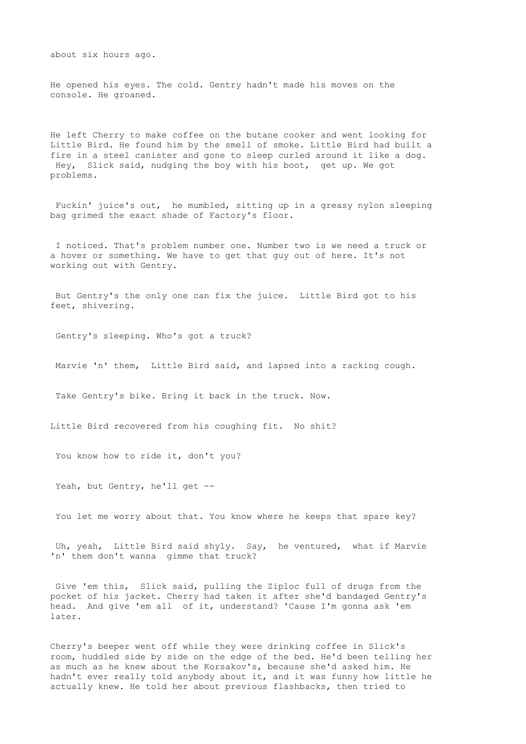about six hours ago.

He opened his eyes. The cold. Gentry hadn't made his moves on the console. He groaned.

He left Cherry to make coffee on the butane cooker and went looking for Little Bird. He found him by the smell of smoke. Little Bird had built a fire in a steel canister and gone to sleep curled around it like a dog. Hey, Slick said, nudging the boy with his boot, get up. We got problems.

 Fuckin' juice's out, he mumbled, sitting up in a greasy nylon sleeping bag grimed the exact shade of Factory's floor.

 I noticed. That's problem number one. Number two is we need a truck or a hover or something. We have to get that guy out of here. It's not working out with Gentry.

 But Gentry's the only one can fix the juice. Little Bird got to his feet, shivering.

Gentry's sleeping. Who's got a truck?

Marvie 'n' them, Little Bird said, and lapsed into a racking cough.

Take Gentry's bike. Bring it back in the truck. Now.

Little Bird recovered from his coughing fit. No shit?

You know how to ride it, don't you?

Yeah, but Gentry, he'll get --

You let me worry about that. You know where he keeps that spare key?

 Uh, yeah, Little Bird said shyly. Say, he ventured, what if Marvie 'n' them don't wanna gimme that truck?

 Give 'em this, Slick said, pulling the Ziploc full of drugs from the pocket of his jacket. Cherry had taken it after she'd bandaged Gentry's head. And give 'em all of it, understand? 'Cause I'm gonna ask 'em later.

Cherry's beeper went off while they were drinking coffee in Slick's room, huddled side by side on the edge of the bed. He'd been telling her as much as he knew about the Korsakov's, because she'd asked him. He hadn't ever really told anybody about it, and it was funny how little he actually knew. He told her about previous flashbacks, then tried to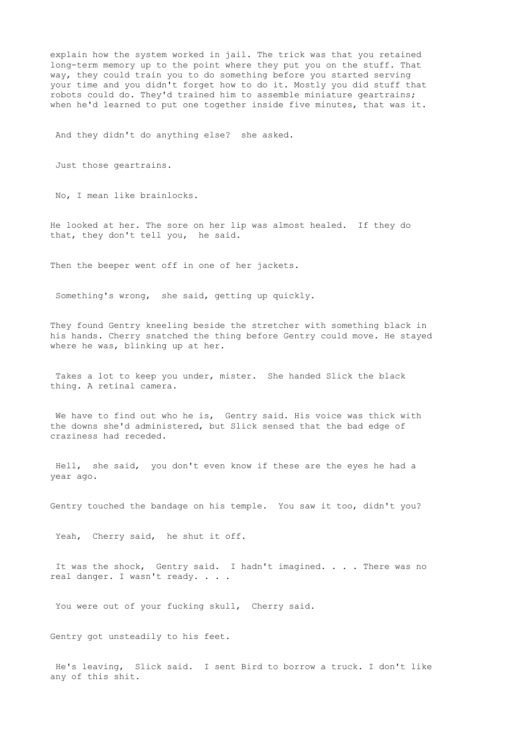explain how the system worked in jail. The trick was that you retained long-term memory up to the point where they put you on the stuff. That way, they could train you to do something before you started serving your time and you didn't forget how to do it. Mostly you did stuff that robots could do. They'd trained him to assemble miniature geartrains; when he'd learned to put one together inside five minutes, that was it.

And they didn't do anything else? she asked.

Just those geartrains.

No, I mean like brainlocks.

He looked at her. The sore on her lip was almost healed. If they do that, they don't tell you, he said.

Then the beeper went off in one of her jackets.

Something's wrong, she said, getting up quickly.

They found Gentry kneeling beside the stretcher with something black in his hands. Cherry snatched the thing before Gentry could move. He stayed where he was, blinking up at her.

 Takes a lot to keep you under, mister. She handed Slick the black thing. A retinal camera.

We have to find out who he is, Gentry said. His voice was thick with the downs she'd administered, but Slick sensed that the bad edge of craziness had receded.

 Hell, she said, you don't even know if these are the eyes he had a year ago.

Gentry touched the bandage on his temple. You saw it too, didn't you?

Yeah, Cherry said, he shut it off.

It was the shock, Gentry said. I hadn't imagined. . . . There was no real danger. I wasn't ready. . . .

You were out of your fucking skull, Cherry said.

Gentry got unsteadily to his feet.

 He's leaving, Slick said. I sent Bird to borrow a truck. I don't like any of this shit.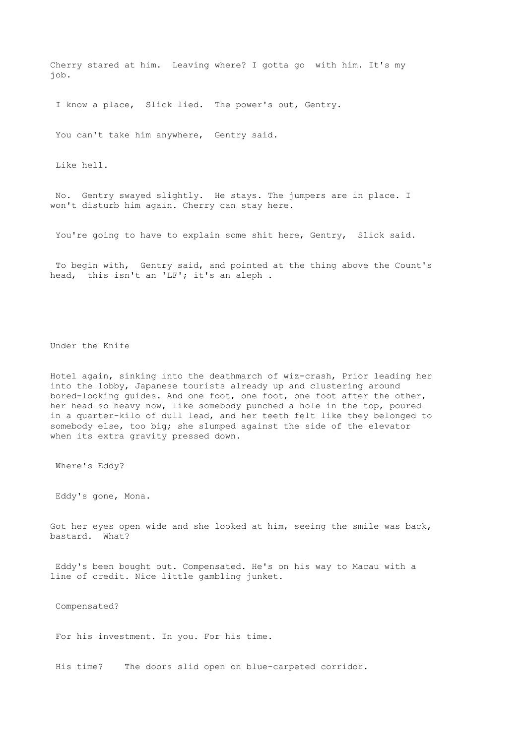Cherry stared at him. Leaving where? I gotta go with him. It's my job.

I know a place, Slick lied. The power's out, Gentry.

You can't take him anywhere, Gentry said.

Like hell.

 No. Gentry swayed slightly. He stays. The jumpers are in place. I won't disturb him again. Cherry can stay here.

You're going to have to explain some shit here, Gentry, Slick said.

 To begin with, Gentry said, and pointed at the thing above the Count's head, this isn't an 'LF'; it's an aleph.

Under the Knife

Hotel again, sinking into the deathmarch of wiz-crash, Prior leading her into the lobby, Japanese tourists already up and clustering around bored-looking guides. And one foot, one foot, one foot after the other, her head so heavy now, like somebody punched a hole in the top, poured in a quarter-kilo of dull lead, and her teeth felt like they belonged to somebody else, too big; she slumped against the side of the elevator when its extra gravity pressed down.

Where's Eddy?

Eddy's gone, Mona.

Got her eyes open wide and she looked at him, seeing the smile was back, bastard. What?

 Eddy's been bought out. Compensated. He's on his way to Macau with a line of credit. Nice little gambling junket.

Compensated?

For his investment. In you. For his time.

His time? The doors slid open on blue-carpeted corridor.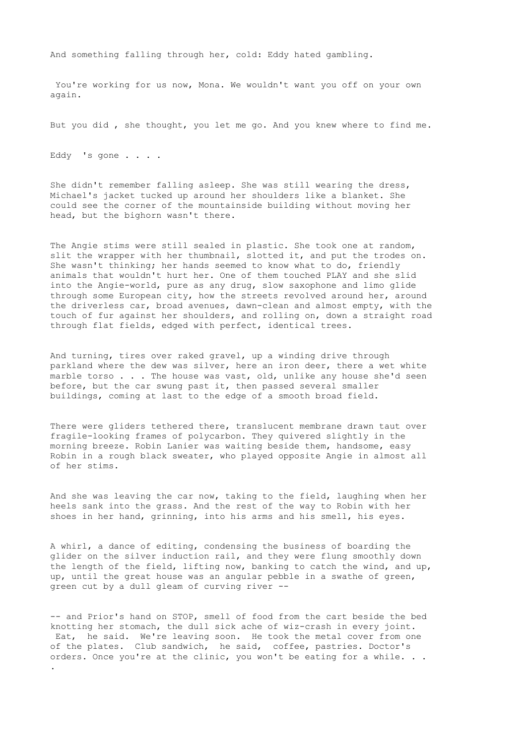And something falling through her, cold: Eddy hated gambling.

 You're working for us now, Mona. We wouldn't want you off on your own again.

But you did , she thought, you let me go. And you knew where to find me.

Eddy 's gone . . . .

She didn't remember falling asleep. She was still wearing the dress, Michael's jacket tucked up around her shoulders like a blanket. She could see the corner of the mountainside building without moving her head, but the bighorn wasn't there.

The Angie stims were still sealed in plastic. She took one at random, slit the wrapper with her thumbnail, slotted it, and put the trodes on. She wasn't thinking; her hands seemed to know what to do, friendly animals that wouldn't hurt her. One of them touched PLAY and she slid into the Angie-world, pure as any drug, slow saxophone and limo glide through some European city, how the streets revolved around her, around the driverless car, broad avenues, dawn-clean and almost empty, with the touch of fur against her shoulders, and rolling on, down a straight road through flat fields, edged with perfect, identical trees.

And turning, tires over raked gravel, up a winding drive through parkland where the dew was silver, here an iron deer, there a wet white marble torso . . . The house was vast, old, unlike any house she'd seen before, but the car swung past it, then passed several smaller buildings, coming at last to the edge of a smooth broad field.

There were gliders tethered there, translucent membrane drawn taut over fragile-looking frames of polycarbon. They quivered slightly in the morning breeze. Robin Lanier was waiting beside them, handsome, easy Robin in a rough black sweater, who played opposite Angie in almost all of her stims.

And she was leaving the car now, taking to the field, laughing when her heels sank into the grass. And the rest of the way to Robin with her shoes in her hand, grinning, into his arms and his smell, his eyes.

A whirl, a dance of editing, condensing the business of boarding the glider on the silver induction rail, and they were flung smoothly down the length of the field, lifting now, banking to catch the wind, and up, up, until the great house was an angular pebble in a swathe of green, green cut by a dull gleam of curving river --

-- and Prior's hand on STOP, smell of food from the cart beside the bed knotting her stomach, the dull sick ache of wiz-crash in every joint. Eat, he said. We're leaving soon. He took the metal cover from one of the plates. Club sandwich, he said, coffee, pastries. Doctor's orders. Once you're at the clinic, you won't be eating for a while. . . .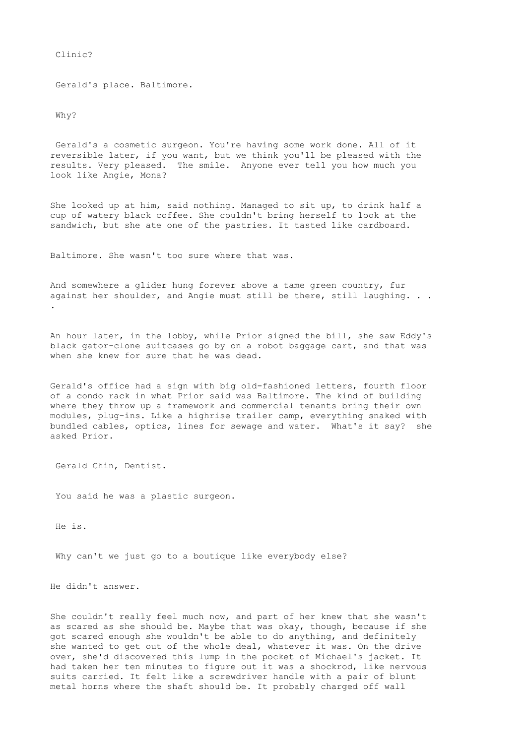Clinic?

Gerald's place. Baltimore.

Why?

 Gerald's a cosmetic surgeon. You're having some work done. All of it reversible later, if you want, but we think you'll be pleased with the results. Very pleased. The smile. Anyone ever tell you how much you look like Angie, Mona?

She looked up at him, said nothing. Managed to sit up, to drink half a cup of watery black coffee. She couldn't bring herself to look at the sandwich, but she ate one of the pastries. It tasted like cardboard.

Baltimore. She wasn't too sure where that was.

And somewhere a glider hung forever above a tame green country, fur against her shoulder, and Angie must still be there, still laughing. . . .

An hour later, in the lobby, while Prior signed the bill, she saw Eddy's black gator-clone suitcases go by on a robot baggage cart, and that was when she knew for sure that he was dead.

Gerald's office had a sign with big old-fashioned letters, fourth floor of a condo rack in what Prior said was Baltimore. The kind of building where they throw up a framework and commercial tenants bring their own modules, plug-ins. Like a highrise trailer camp, everything snaked with bundled cables, optics, lines for sewage and water. What's it say? she asked Prior.

Gerald Chin, Dentist.

You said he was a plastic surgeon.

He is.

Why can't we just go to a boutique like everybody else?

He didn't answer.

She couldn't really feel much now, and part of her knew that she wasn't as scared as she should be. Maybe that was okay, though, because if she got scared enough she wouldn't be able to do anything, and definitely she wanted to get out of the whole deal, whatever it was. On the drive over, she'd discovered this lump in the pocket of Michael's jacket. It had taken her ten minutes to figure out it was a shockrod, like nervous suits carried. It felt like a screwdriver handle with a pair of blunt metal horns where the shaft should be. It probably charged off wall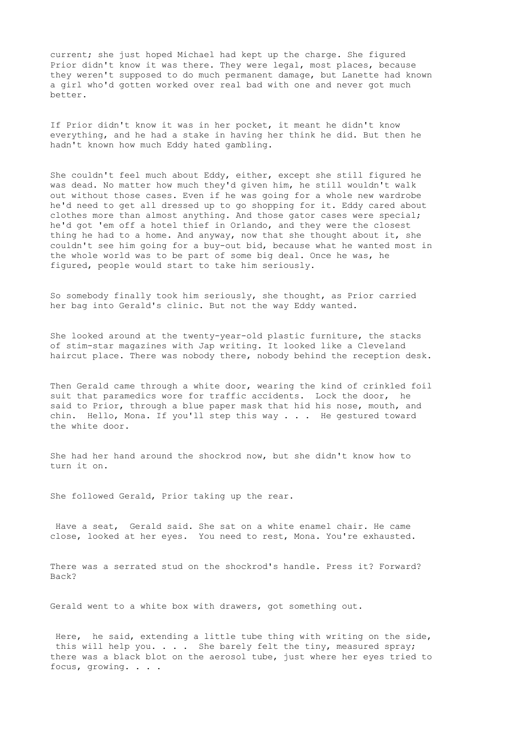current; she just hoped Michael had kept up the charge. She figured Prior didn't know it was there. They were legal, most places, because they weren't supposed to do much permanent damage, but Lanette had known a girl who'd gotten worked over real bad with one and never got much better.

If Prior didn't know it was in her pocket, it meant he didn't know everything, and he had a stake in having her think he did. But then he hadn't known how much Eddy hated gambling.

She couldn't feel much about Eddy, either, except she still figured he was dead. No matter how much they'd given him, he still wouldn't walk out without those cases. Even if he was going for a whole new wardrobe he'd need to get all dressed up to go shopping for it. Eddy cared about clothes more than almost anything. And those gator cases were special; he'd got 'em off a hotel thief in Orlando, and they were the closest thing he had to a home. And anyway, now that she thought about it, she couldn't see him going for a buy-out bid, because what he wanted most in the whole world was to be part of some big deal. Once he was, he figured, people would start to take him seriously.

So somebody finally took him seriously, she thought, as Prior carried her bag into Gerald's clinic. But not the way Eddy wanted.

She looked around at the twenty-year-old plastic furniture, the stacks of stim-star magazines with Jap writing. It looked like a Cleveland haircut place. There was nobody there, nobody behind the reception desk.

Then Gerald came through a white door, wearing the kind of crinkled foil suit that paramedics wore for traffic accidents. Lock the door, he said to Prior, through a blue paper mask that hid his nose, mouth, and chin. Hello, Mona. If you'll step this way . . . He gestured toward the white door.

She had her hand around the shockrod now, but she didn't know how to turn it on.

She followed Gerald, Prior taking up the rear.

 Have a seat, Gerald said. She sat on a white enamel chair. He came close, looked at her eyes. You need to rest, Mona. You're exhausted.

There was a serrated stud on the shockrod's handle. Press it? Forward? Back?

Gerald went to a white box with drawers, got something out.

 Here, he said, extending a little tube thing with writing on the side, this will help you. . . . She barely felt the tiny, measured spray; there was a black blot on the aerosol tube, just where her eyes tried to focus, growing. . . .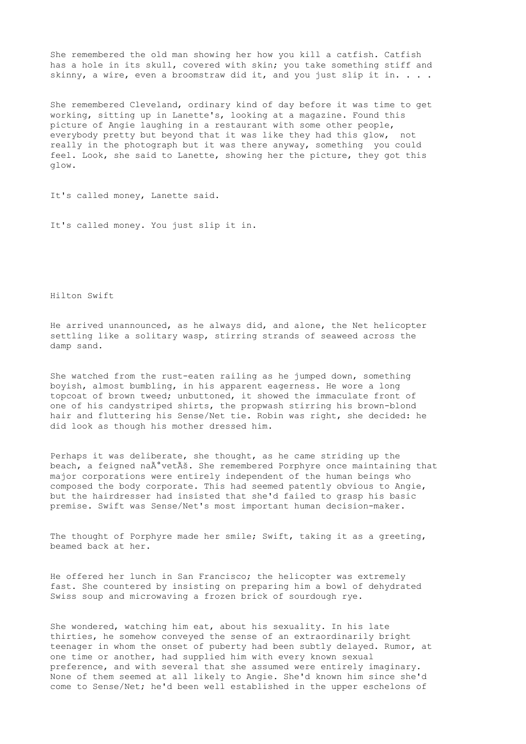She remembered the old man showing her how you kill a catfish. Catfish has a hole in its skull, covered with skin; you take something stiff and skinny, a wire, even a broomstraw did it, and you just slip it in. . . .

She remembered Cleveland, ordinary kind of day before it was time to get working, sitting up in Lanette's, looking at a magazine. Found this picture of Angie laughing in a restaurant with some other people, everybody pretty but beyond that it was like they had this glow, not really in the photograph but it was there anyway, something you could feel. Look, she said to Lanette, showing her the picture, they got this glow.

It's called money, Lanette said.

It's called money. You just slip it in.

Hilton Swift

He arrived unannounced, as he always did, and alone, the Net helicopter settling like a solitary wasp, stirring strands of seaweed across the damp sand.

She watched from the rust-eaten railing as he jumped down, something boyish, almost bumbling, in his apparent eagerness. He wore a long topcoat of brown tweed; unbuttoned, it showed the immaculate front of one of his candystriped shirts, the propwash stirring his brown-blond hair and fluttering his Sense/Net tie. Robin was right, she decided: he did look as though his mother dressed him.

Perhaps it was deliberate, she thought, as he came striding up the beach, a feigned na $\tilde{A}^{\circ}$ vetÚ. She remembered Porphyre once maintaining that major corporations were entirely independent of the human beings who composed the body corporate. This had seemed patently obvious to Angie, but the hairdresser had insisted that she'd failed to grasp his basic premise. Swift was Sense/Net's most important human decision-maker.

The thought of Porphyre made her smile; Swift, taking it as a greeting, beamed back at her.

He offered her lunch in San Francisco; the helicopter was extremely fast. She countered by insisting on preparing him a bowl of dehydrated Swiss soup and microwaving a frozen brick of sourdough rye.

She wondered, watching him eat, about his sexuality. In his late thirties, he somehow conveyed the sense of an extraordinarily bright teenager in whom the onset of puberty had been subtly delayed. Rumor, at one time or another, had supplied him with every known sexual preference, and with several that she assumed were entirely imaginary. None of them seemed at all likely to Angie. She'd known him since she'd come to Sense/Net; he'd been well established in the upper eschelons of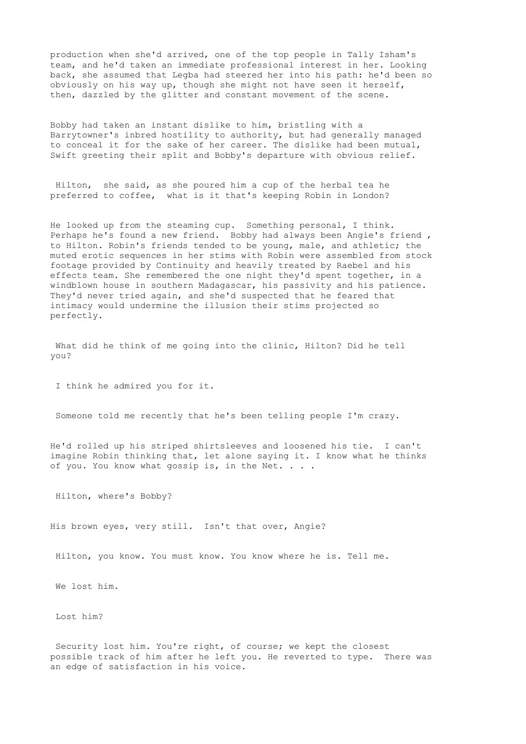production when she'd arrived, one of the top people in Tally Isham's team, and he'd taken an immediate professional interest in her. Looking back, she assumed that Legba had steered her into his path: he'd been so obviously on his way up, though she might not have seen it herself, then, dazzled by the glitter and constant movement of the scene.

Bobby had taken an instant dislike to him, bristling with a Barrytowner's inbred hostility to authority, but had generally managed to conceal it for the sake of her career. The dislike had been mutual, Swift greeting their split and Bobby's departure with obvious relief.

 Hilton, she said, as she poured him a cup of the herbal tea he preferred to coffee, what is it that's keeping Robin in London?

He looked up from the steaming cup. Something personal, I think. Perhaps he's found a new friend. Bobby had always been Angie's friend , to Hilton. Robin's friends tended to be young, male, and athletic; the muted erotic sequences in her stims with Robin were assembled from stock footage provided by Continuity and heavily treated by Raebel and his effects team. She remembered the one night they'd spent together, in a windblown house in southern Madagascar, his passivity and his patience. They'd never tried again, and she'd suspected that he feared that intimacy would undermine the illusion their stims projected so perfectly.

 What did he think of me going into the clinic, Hilton? Did he tell you?

I think he admired you for it.

Someone told me recently that he's been telling people I'm crazy.

He'd rolled up his striped shirtsleeves and loosened his tie. I can't imagine Robin thinking that, let alone saying it. I know what he thinks of you. You know what gossip is, in the Net. . . .

Hilton, where's Bobby?

His brown eyes, very still. Isn't that over, Angie?

Hilton, you know. You must know. You know where he is. Tell me.

We lost him.

Lost him?

 Security lost him. You're right, of course; we kept the closest possible track of him after he left you. He reverted to type. There was an edge of satisfaction in his voice.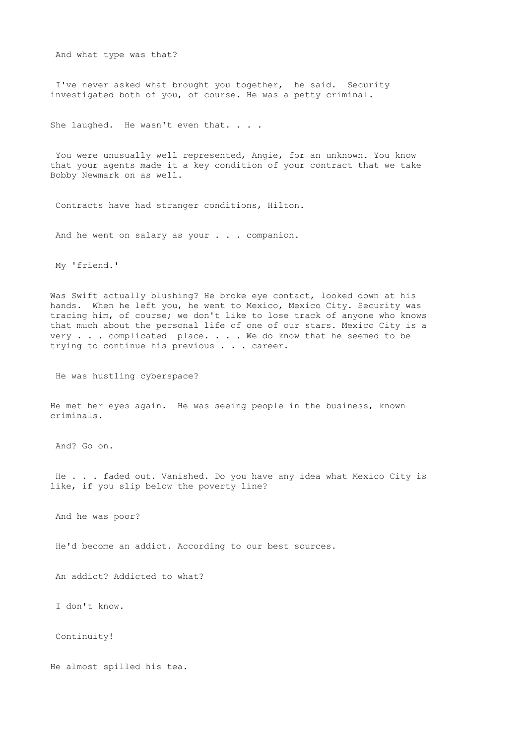And what type was that?

 I've never asked what brought you together, he said. Security investigated both of you, of course. He was a petty criminal.

She laughed. He wasn't even that. . . .

You were unusually well represented, Angie, for an unknown. You know that your agents made it a key condition of your contract that we take Bobby Newmark on as well.

Contracts have had stranger conditions, Hilton.

And he went on salary as your . . . companion.

My 'friend.'

Was Swift actually blushing? He broke eye contact, looked down at his hands. When he left you, he went to Mexico, Mexico City. Security was tracing him, of course; we don't like to lose track of anyone who knows that much about the personal life of one of our stars. Mexico City is a very . . . complicated place. . . . We do know that he seemed to be trying to continue his previous . . . career.

He was hustling cyberspace?

He met her eyes again. He was seeing people in the business, known criminals.

And? Go on.

 He . . . faded out. Vanished. Do you have any idea what Mexico City is like, if you slip below the poverty line?

And he was poor?

He'd become an addict. According to our best sources.

An addict? Addicted to what?

I don't know.

Continuity!

He almost spilled his tea.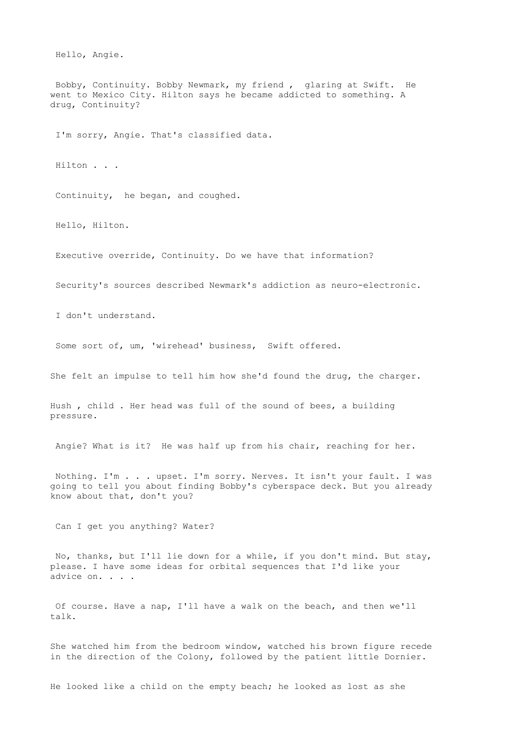Hello, Angie.

 Bobby, Continuity. Bobby Newmark, my friend , glaring at Swift. He went to Mexico City. Hilton says he became addicted to something. A drug, Continuity?

I'm sorry, Angie. That's classified data.

Hilton . . .

Continuity, he began, and coughed.

Hello, Hilton.

Executive override, Continuity. Do we have that information?

Security's sources described Newmark's addiction as neuro-electronic.

I don't understand.

Some sort of, um, 'wirehead' business, Swift offered.

She felt an impulse to tell him how she'd found the drug, the charger.

Hush , child . Her head was full of the sound of bees, a building pressure.

Angie? What is it? He was half up from his chair, reaching for her.

 Nothing. I'm . . . upset. I'm sorry. Nerves. It isn't your fault. I was going to tell you about finding Bobby's cyberspace deck. But you already know about that, don't you?

Can I get you anything? Water?

 No, thanks, but I'll lie down for a while, if you don't mind. But stay, please. I have some ideas for orbital sequences that I'd like your .<br>advice on. . . .

 Of course. Have a nap, I'll have a walk on the beach, and then we'll talk.

She watched him from the bedroom window, watched his brown figure recede in the direction of the Colony, followed by the patient little Dornier.

He looked like a child on the empty beach; he looked as lost as she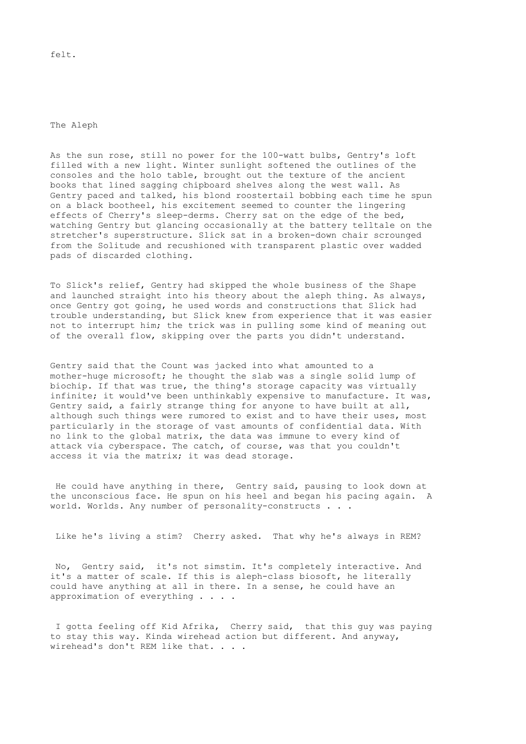The Aleph

As the sun rose, still no power for the 100-watt bulbs, Gentry's loft filled with a new light. Winter sunlight softened the outlines of the consoles and the holo table, brought out the texture of the ancient books that lined sagging chipboard shelves along the west wall. As Gentry paced and talked, his blond roostertail bobbing each time he spun on a black bootheel, his excitement seemed to counter the lingering effects of Cherry's sleep-derms. Cherry sat on the edge of the bed, watching Gentry but glancing occasionally at the battery telltale on the stretcher's superstructure. Slick sat in a broken-down chair scrounged from the Solitude and recushioned with transparent plastic over wadded pads of discarded clothing.

To Slick's relief, Gentry had skipped the whole business of the Shape and launched straight into his theory about the aleph thing. As always, once Gentry got going, he used words and constructions that Slick had trouble understanding, but Slick knew from experience that it was easier not to interrupt him; the trick was in pulling some kind of meaning out of the overall flow, skipping over the parts you didn't understand.

Gentry said that the Count was jacked into what amounted to a mother-huge microsoft; he thought the slab was a single solid lump of biochip. If that was true, the thing's storage capacity was virtually infinite; it would've been unthinkably expensive to manufacture. It was, Gentry said, a fairly strange thing for anyone to have built at all, although such things were rumored to exist and to have their uses, most particularly in the storage of vast amounts of confidential data. With no link to the global matrix, the data was immune to every kind of attack via cyberspace. The catch, of course, was that you couldn't access it via the matrix; it was dead storage.

 He could have anything in there, Gentry said, pausing to look down at the unconscious face. He spun on his heel and began his pacing again. A world. Worlds. Any number of personality-constructs . . .

Like he's living a stim? Cherry asked. That why he's always in REM?

 No, Gentry said, it's not simstim. It's completely interactive. And it's a matter of scale. If this is aleph-class biosoft, he literally could have anything at all in there. In a sense, he could have an approximation of everything . . . .

 I gotta feeling off Kid Afrika, Cherry said, that this guy was paying to stay this way. Kinda wirehead action but different. And anyway, wirehead's don't REM like that. . . .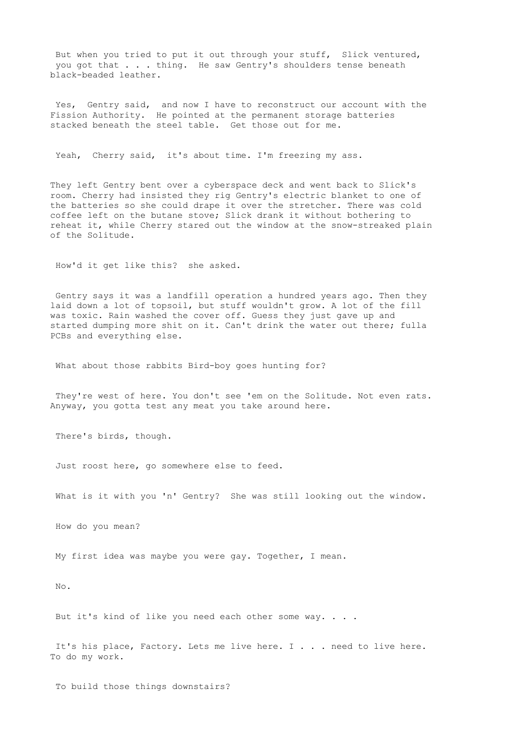But when you tried to put it out through your stuff, Slick ventured, you got that . . . thing. He saw Gentry's shoulders tense beneath black-beaded leather.

 Yes, Gentry said, and now I have to reconstruct our account with the Fission Authority. He pointed at the permanent storage batteries stacked beneath the steel table. Get those out for me.

Yeah, Cherry said, it's about time. I'm freezing my ass.

They left Gentry bent over a cyberspace deck and went back to Slick's room. Cherry had insisted they rig Gentry's electric blanket to one of the batteries so she could drape it over the stretcher. There was cold coffee left on the butane stove; Slick drank it without bothering to reheat it, while Cherry stared out the window at the snow-streaked plain of the Solitude.

How'd it get like this? she asked.

 Gentry says it was a landfill operation a hundred years ago. Then they laid down a lot of topsoil, but stuff wouldn't grow. A lot of the fill was toxic. Rain washed the cover off. Guess they just gave up and started dumping more shit on it. Can't drink the water out there; fulla PCBs and everything else.

What about those rabbits Bird-boy goes hunting for?

 They're west of here. You don't see 'em on the Solitude. Not even rats. Anyway, you gotta test any meat you take around here.

There's birds, though.

Just roost here, go somewhere else to feed.

What is it with you 'n' Gentry? She was still looking out the window.

How do you mean?

My first idea was maybe you were gay. Together, I mean.

 $N<sub>O</sub>$ 

But it's kind of like you need each other some way. . . .

 It's his place, Factory. Lets me live here. I . . . need to live here. To do my work.

To build those things downstairs?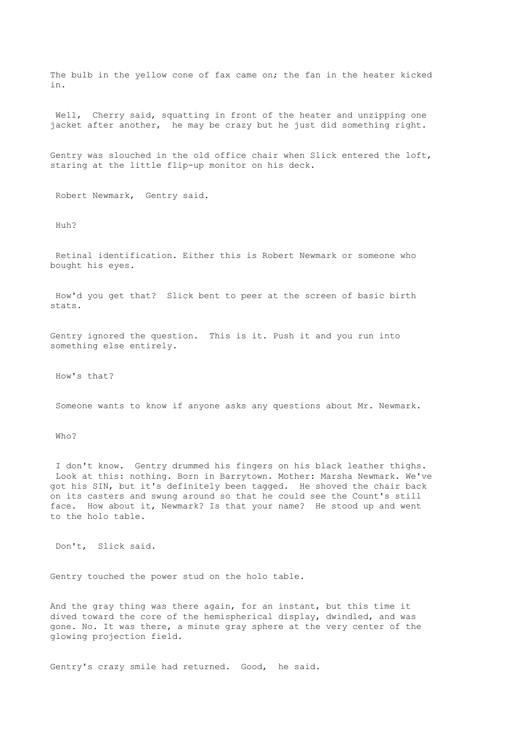The bulb in the yellow cone of fax came on; the fan in the heater kicked in.

Well, Cherry said, squatting in front of the heater and unzipping one jacket after another, he may be crazy but he just did something right.

Gentry was slouched in the old office chair when Slick entered the loft, staring at the little flip-up monitor on his deck.

Robert Newmark, Gentry said.

Huh?

 Retinal identification. Either this is Robert Newmark or someone who bought his eyes.

 How'd you get that? Slick bent to peer at the screen of basic birth stats.

Gentry ignored the question. This is it. Push it and you run into something else entirely.

How's that?

Someone wants to know if anyone asks any questions about Mr. Newmark.

Who?

 I don't know. Gentry drummed his fingers on his black leather thighs. Look at this: nothing. Born in Barrytown. Mother: Marsha Newmark. We've got his SIN, but it's definitely been tagged. He shoved the chair back on its casters and swung around so that he could see the Count's still face. How about it, Newmark? Is that your name? He stood up and went to the holo table.

Don't, Slick said.

Gentry touched the power stud on the holo table.

And the gray thing was there again, for an instant, but this time it dived toward the core of the hemispherical display, dwindled, and was gone. No. It was there, a minute gray sphere at the very center of the glowing projection field.

Gentry's crazy smile had returned. Good, he said.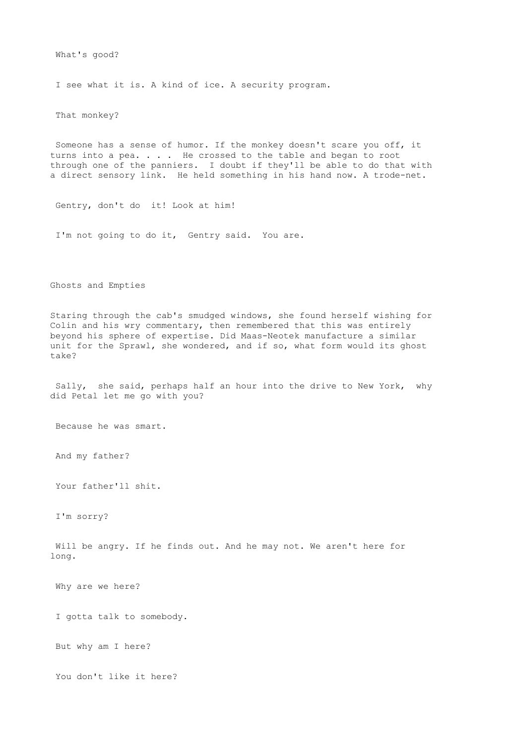What's good? I see what it is. A kind of ice. A security program. That monkey? Someone has a sense of humor. If the monkey doesn't scare you off, it turns into a pea. . . . He crossed to the table and began to root through one of the panniers. I doubt if they'll be able to do that with a direct sensory link. He held something in his hand now. A trode-net.

Gentry, don't do it! Look at him!

I'm not going to do it, Gentry said. You are.

Ghosts and Empties

Staring through the cab's smudged windows, she found herself wishing for Colin and his wry commentary, then remembered that this was entirely beyond his sphere of expertise. Did Maas-Neotek manufacture a similar unit for the Sprawl, she wondered, and if so, what form would its ghost take?

Sally, she said, perhaps half an hour into the drive to New York, why did Petal let me go with you?

Because he was smart.

And my father?

Your father'll shit.

I'm sorry?

 Will be angry. If he finds out. And he may not. We aren't here for long.

Why are we here?

I gotta talk to somebody.

But why am I here?

You don't like it here?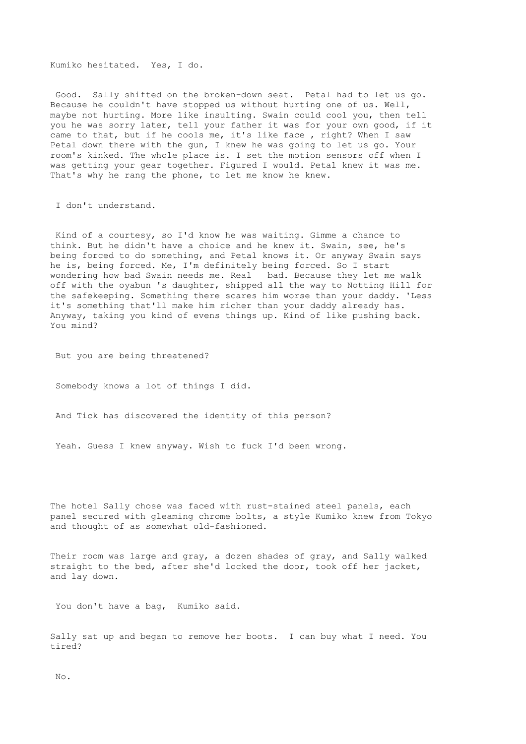Kumiko hesitated. Yes, I do.

 Good. Sally shifted on the broken-down seat. Petal had to let us go. Because he couldn't have stopped us without hurting one of us. Well, maybe not hurting. More like insulting. Swain could cool you, then tell you he was sorry later, tell your father it was for your own good, if it came to that, but if he cools me, it's like face , right? When I saw Petal down there with the gun, I knew he was going to let us go. Your room's kinked. The whole place is. I set the motion sensors off when I was getting your gear together. Figured I would. Petal knew it was me. That's why he rang the phone, to let me know he knew.

I don't understand.

 Kind of a courtesy, so I'd know he was waiting. Gimme a chance to think. But he didn't have a choice and he knew it. Swain, see, he's being forced to do something, and Petal knows it. Or anyway Swain says he is, being forced. Me, I'm definitely being forced. So I start wondering how bad Swain needs me. Real bad. Because they let me walk off with the oyabun 's daughter, shipped all the way to Notting Hill for the safekeeping. Something there scares him worse than your daddy. 'Less it's something that'll make him richer than your daddy already has. Anyway, taking you kind of evens things up. Kind of like pushing back. You mind?

But you are being threatened?

Somebody knows a lot of things I did.

And Tick has discovered the identity of this person?

Yeah. Guess I knew anyway. Wish to fuck I'd been wrong.

The hotel Sally chose was faced with rust-stained steel panels, each panel secured with gleaming chrome bolts, a style Kumiko knew from Tokyo and thought of as somewhat old-fashioned.

Their room was large and gray, a dozen shades of gray, and Sally walked straight to the bed, after she'd locked the door, took off her jacket, and lay down.

You don't have a bag, Kumiko said.

Sally sat up and began to remove her boots. I can buy what I need. You tired?

 $N<sub>0</sub>$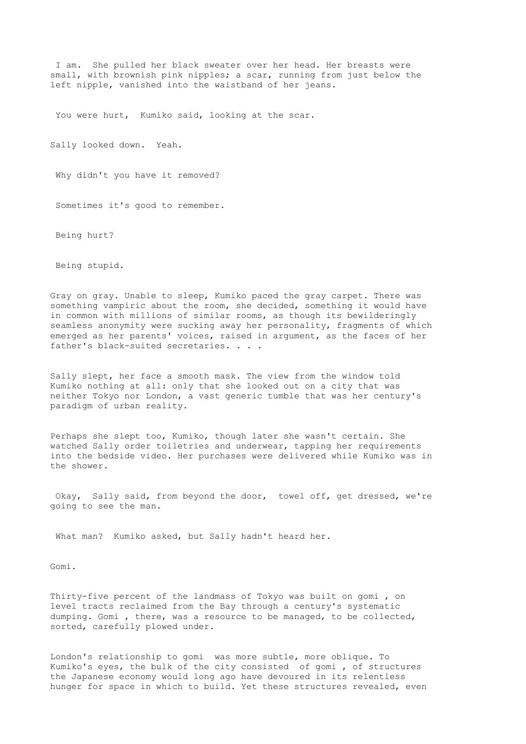I am. She pulled her black sweater over her head. Her breasts were small, with brownish pink nipples; a scar, running from just below the left nipple, vanished into the waistband of her jeans.

You were hurt, Kumiko said, looking at the scar.

Sally looked down. Yeah.

Why didn't you have it removed?

Sometimes it's good to remember.

Being hurt?

Being stupid.

Gray on gray. Unable to sleep, Kumiko paced the gray carpet. There was something vampiric about the room, she decided, something it would have in common with millions of similar rooms, as though its bewilderingly seamless anonymity were sucking away her personality, fragments of which emerged as her parents' voices, raised in argument, as the faces of her father's black-suited secretaries. . . .

Sally slept, her face a smooth mask. The view from the window told Kumiko nothing at all: only that she looked out on a city that was neither Tokyo nor London, a vast generic tumble that was her century's paradigm of urban reality.

Perhaps she slept too, Kumiko, though later she wasn't certain. She watched Sally order toiletries and underwear, tapping her requirements into the bedside video. Her purchases were delivered while Kumiko was in the shower.

Okay, Sally said, from beyond the door, towel off, get dressed, we're going to see the man.

What man? Kumiko asked, but Sally hadn't heard her.

Gomi.

Thirty-five percent of the landmass of Tokyo was built on gomi , on level tracts reclaimed from the Bay through a century's systematic dumping. Gomi , there, was a resource to be managed, to be collected, sorted, carefully plowed under.

London's relationship to gomi was more subtle, more oblique. To Kumiko's eyes, the bulk of the city consisted of gomi , of structures the Japanese economy would long ago have devoured in its relentless hunger for space in which to build. Yet these structures revealed, even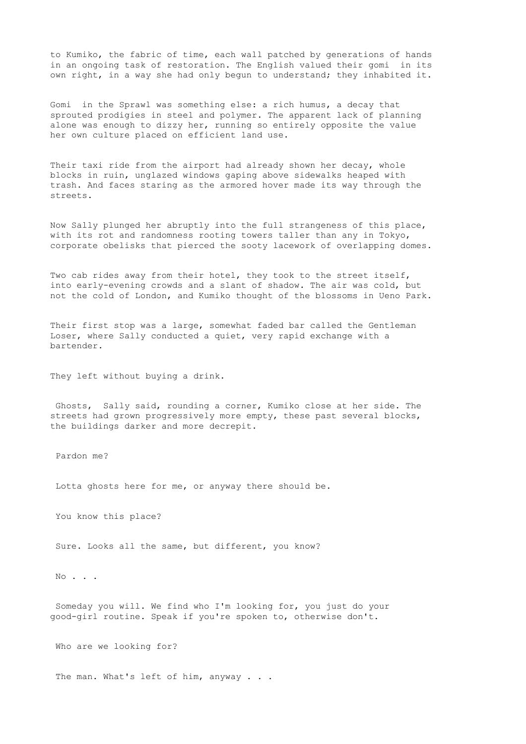to Kumiko, the fabric of time, each wall patched by generations of hands in an ongoing task of restoration. The English valued their gomi in its own right, in a way she had only begun to understand; they inhabited it.

Gomi in the Sprawl was something else: a rich humus, a decay that sprouted prodigies in steel and polymer. The apparent lack of planning alone was enough to dizzy her, running so entirely opposite the value her own culture placed on efficient land use.

Their taxi ride from the airport had already shown her decay, whole blocks in ruin, unglazed windows gaping above sidewalks heaped with trash. And faces staring as the armored hover made its way through the streets.

Now Sally plunged her abruptly into the full strangeness of this place, with its rot and randomness rooting towers taller than any in Tokyo, corporate obelisks that pierced the sooty lacework of overlapping domes.

Two cab rides away from their hotel, they took to the street itself, into early-evening crowds and a slant of shadow. The air was cold, but not the cold of London, and Kumiko thought of the blossoms in Ueno Park.

Their first stop was a large, somewhat faded bar called the Gentleman Loser, where Sally conducted a quiet, very rapid exchange with a bartender.

They left without buying a drink.

 Ghosts, Sally said, rounding a corner, Kumiko close at her side. The streets had grown progressively more empty, these past several blocks, the buildings darker and more decrepit.

Pardon me?

Lotta ghosts here for me, or anyway there should be.

You know this place?

Sure. Looks all the same, but different, you know?

No . . .

 Someday you will. We find who I'm looking for, you just do your good-girl routine. Speak if you're spoken to, otherwise don't.

Who are we looking for?

The man. What's left of him, anyway . . .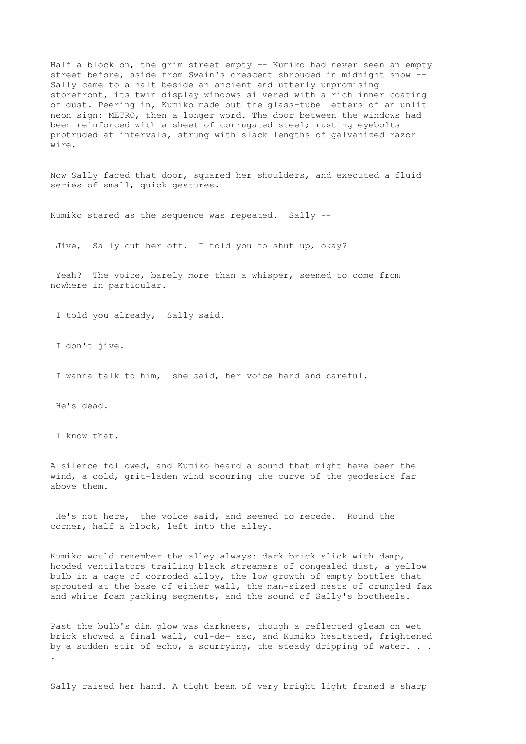Half a block on, the grim street empty -- Kumiko had never seen an empty street before, aside from Swain's crescent shrouded in midnight snow --Sally came to a halt beside an ancient and utterly unpromising storefront, its twin display windows silvered with a rich inner coating of dust. Peering in, Kumiko made out the glass-tube letters of an unlit neon sign: METRO, then a longer word. The door between the windows had been reinforced with a sheet of corrugated steel; rusting eyebolts protruded at intervals, strung with slack lengths of galvanized razor wire.

Now Sally faced that door, squared her shoulders, and executed a fluid series of small, quick gestures.

Kumiko stared as the sequence was repeated. Sally --

Jive, Sally cut her off. I told you to shut up, okay?

 Yeah? The voice, barely more than a whisper, seemed to come from nowhere in particular.

I told you already, Sally said.

I don't jive.

I wanna talk to him, she said, her voice hard and careful.

He's dead.

I know that.

A silence followed, and Kumiko heard a sound that might have been the wind, a cold, grit-laden wind scouring the curve of the geodesics far above them.

 He's not here, the voice said, and seemed to recede. Round the corner, half a block, left into the alley.

Kumiko would remember the alley always: dark brick slick with damp, hooded ventilators trailing black streamers of congealed dust, a yellow bulb in a cage of corroded alloy, the low growth of empty bottles that sprouted at the base of either wall, the man-sized nests of crumpled fax and white foam packing segments, and the sound of Sally's bootheels.

Past the bulb's dim glow was darkness, though a reflected gleam on wet brick showed a final wall, cul-de- sac, and Kumiko hesitated, frightened by a sudden stir of echo, a scurrying, the steady dripping of water. . . .

Sally raised her hand. A tight beam of very bright light framed a sharp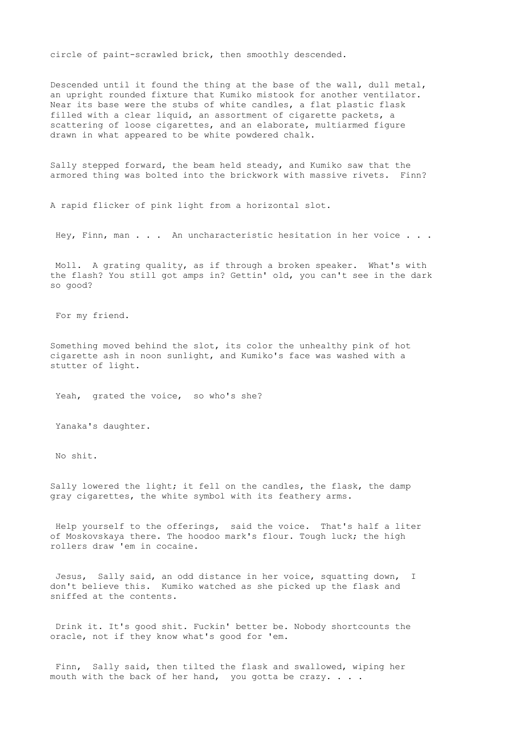circle of paint-scrawled brick, then smoothly descended.

Descended until it found the thing at the base of the wall, dull metal, an upright rounded fixture that Kumiko mistook for another ventilator. Near its base were the stubs of white candles, a flat plastic flask filled with a clear liquid, an assortment of cigarette packets, a scattering of loose cigarettes, and an elaborate, multiarmed figure drawn in what appeared to be white powdered chalk.

Sally stepped forward, the beam held steady, and Kumiko saw that the armored thing was bolted into the brickwork with massive rivets. Finn?

A rapid flicker of pink light from a horizontal slot.

Hey, Finn, man . . . An uncharacteristic hesitation in her voice . . .

 Moll. A grating quality, as if through a broken speaker. What's with the flash? You still got amps in? Gettin' old, you can't see in the dark so good?

For my friend.

Something moved behind the slot, its color the unhealthy pink of hot cigarette ash in noon sunlight, and Kumiko's face was washed with a stutter of light.

Yeah, grated the voice, so who's she?

Yanaka's daughter.

No shit.

Sally lowered the light; it fell on the candles, the flask, the damp gray cigarettes, the white symbol with its feathery arms.

 Help yourself to the offerings, said the voice. That's half a liter of Moskovskaya there. The hoodoo mark's flour. Tough luck; the high rollers draw 'em in cocaine.

 Jesus, Sally said, an odd distance in her voice, squatting down, I don't believe this. Kumiko watched as she picked up the flask and sniffed at the contents.

 Drink it. It's good shit. Fuckin' better be. Nobody shortcounts the oracle, not if they know what's good for 'em.

 Finn, Sally said, then tilted the flask and swallowed, wiping her mouth with the back of her hand, you gotta be crazy. . . .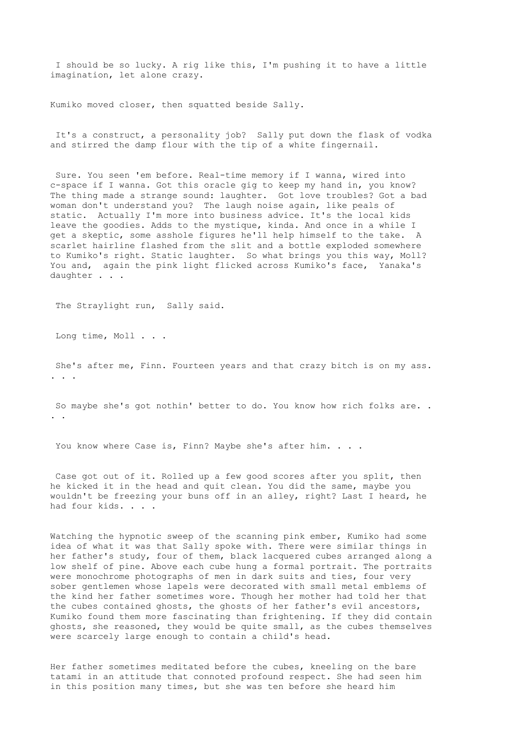I should be so lucky. A rig like this, I'm pushing it to have a little imagination, let alone crazy.

Kumiko moved closer, then squatted beside Sally.

 It's a construct, a personality job? Sally put down the flask of vodka and stirred the damp flour with the tip of a white fingernail.

 Sure. You seen 'em before. Real-time memory if I wanna, wired into c-space if I wanna. Got this oracle gig to keep my hand in, you know? The thing made a strange sound: laughter. Got love troubles? Got a bad woman don't understand you? The laugh noise again, like peals of static. Actually I'm more into business advice. It's the local kids leave the goodies. Adds to the mystique, kinda. And once in a while I get a skeptic, some asshole figures he'll help himself to the take. A scarlet hairline flashed from the slit and a bottle exploded somewhere to Kumiko's right. Static laughter. So what brings you this way, Moll? You and, again the pink light flicked across Kumiko's face, Yanaka's daughter . . .

The Straylight run, Sally said.

Long time, Moll . . .

 She's after me, Finn. Fourteen years and that crazy bitch is on my ass. . . .

 So maybe she's got nothin' better to do. You know how rich folks are. . . .

You know where Case is, Finn? Maybe she's after him. . . .

 Case got out of it. Rolled up a few good scores after you split, then he kicked it in the head and quit clean. You did the same, maybe you wouldn't be freezing your buns off in an alley, right? Last I heard, he had four kids. . . .

Watching the hypnotic sweep of the scanning pink ember, Kumiko had some idea of what it was that Sally spoke with. There were similar things in her father's study, four of them, black lacquered cubes arranged along a low shelf of pine. Above each cube hung a formal portrait. The portraits were monochrome photographs of men in dark suits and ties, four very sober gentlemen whose lapels were decorated with small metal emblems of the kind her father sometimes wore. Though her mother had told her that the cubes contained ghosts, the ghosts of her father's evil ancestors, Kumiko found them more fascinating than frightening. If they did contain ghosts, she reasoned, they would be quite small, as the cubes themselves were scarcely large enough to contain a child's head.

Her father sometimes meditated before the cubes, kneeling on the bare tatami in an attitude that connoted profound respect. She had seen him in this position many times, but she was ten before she heard him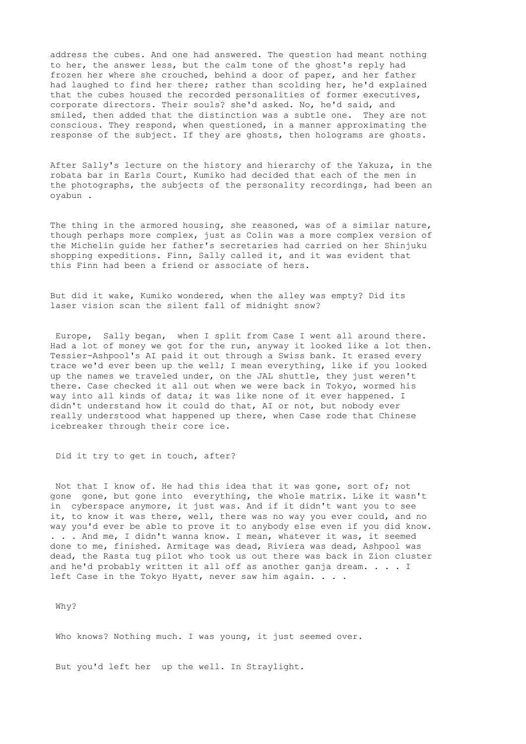address the cubes. And one had answered. The question had meant nothing to her, the answer less, but the calm tone of the ghost's reply had frozen her where she crouched, behind a door of paper, and her father had laughed to find her there; rather than scolding her, he'd explained that the cubes housed the recorded personalities of former executives, corporate directors. Their souls? she'd asked. No, he'd said, and smiled, then added that the distinction was a subtle one. They are not conscious. They respond, when questioned, in a manner approximating the response of the subject. If they are ghosts, then holograms are ghosts.

After Sally's lecture on the history and hierarchy of the Yakuza, in the robata bar in Earls Court, Kumiko had decided that each of the men in the photographs, the subjects of the personality recordings, had been an oyabun .

The thing in the armored housing, she reasoned, was of a similar nature, though perhaps more complex, just as Colin was a more complex version of the Michelin guide her father's secretaries had carried on her Shinjuku shopping expeditions. Finn, Sally called it, and it was evident that this Finn had been a friend or associate of hers.

But did it wake, Kumiko wondered, when the alley was empty? Did its laser vision scan the silent fall of midnight snow?

 Europe, Sally began, when I split from Case I went all around there. Had a lot of money we got for the run, anyway it looked like a lot then. Tessier-Ashpool's AI paid it out through a Swiss bank. It erased every trace we'd ever been up the well; I mean everything, like if you looked up the names we traveled under, on the JAL shuttle, they just weren't there. Case checked it all out when we were back in Tokyo, wormed his way into all kinds of data; it was like none of it ever happened. I didn't understand how it could do that, AI or not, but nobody ever really understood what happened up there, when Case rode that Chinese icebreaker through their core ice.

Did it try to get in touch, after?

Not that I know of. He had this idea that it was gone, sort of; not gone gone, but gone into everything, the whole matrix. Like it wasn't in cyberspace anymore, it just was. And if it didn't want you to see it, to know it was there, well, there was no way you ever could, and no way you'd ever be able to prove it to anybody else even if you did know. . . . And me, I didn't wanna know. I mean, whatever it was, it seemed done to me, finished. Armitage was dead, Riviera was dead, Ashpool was dead, the Rasta tug pilot who took us out there was back in Zion cluster and he'd probably written it all off as another ganja dream. . . . I left Case in the Tokyo Hyatt, never saw him again. . . .

Why?

Who knows? Nothing much. I was young, it just seemed over.

But you'd left her up the well. In Straylight.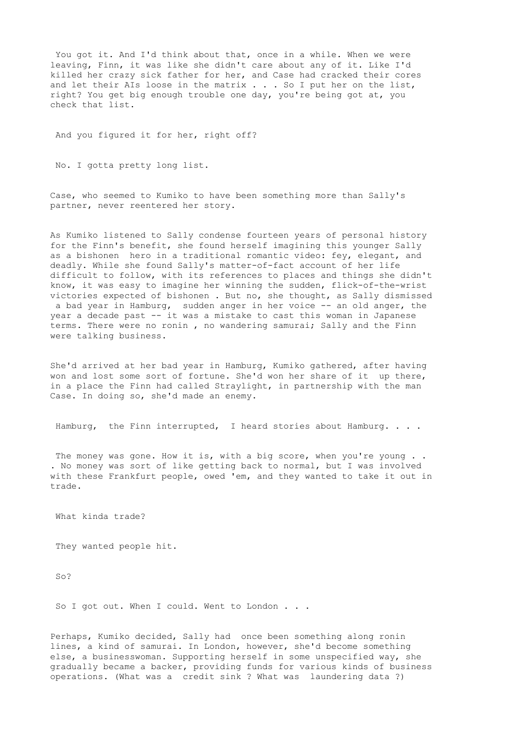You got it. And I'd think about that, once in a while. When we were leaving, Finn, it was like she didn't care about any of it. Like I'd killed her crazy sick father for her, and Case had cracked their cores and let their AIs loose in the matrix  $\ldots$  . So I put her on the list, right? You get big enough trouble one day, you're being got at, you check that list.

And you figured it for her, right off?

No. I gotta pretty long list.

Case, who seemed to Kumiko to have been something more than Sally's partner, never reentered her story.

As Kumiko listened to Sally condense fourteen years of personal history for the Finn's benefit, she found herself imagining this younger Sally as a bishonen hero in a traditional romantic video: fey, elegant, and deadly. While she found Sally's matter-of-fact account of her life difficult to follow, with its references to places and things she didn't know, it was easy to imagine her winning the sudden, flick-of-the-wrist victories expected of bishonen . But no, she thought, as Sally dismissed a bad year in Hamburg, sudden anger in her voice -- an old anger, the year a decade past -- it was a mistake to cast this woman in Japanese terms. There were no ronin , no wandering samurai; Sally and the Finn were talking business.

She'd arrived at her bad year in Hamburg, Kumiko gathered, after having won and lost some sort of fortune. She'd won her share of it up there, in a place the Finn had called Straylight, in partnership with the man Case. In doing so, she'd made an enemy.

Hamburg, the Finn interrupted, I heard stories about Hamburg. . . .

The money was gone. How it is, with a big score, when you're young . . . No money was sort of like getting back to normal, but I was involved with these Frankfurt people, owed 'em, and they wanted to take it out in trade.

What kinda trade?

They wanted people hit.

So?

So I got out. When I could. Went to London . . .

Perhaps, Kumiko decided, Sally had once been something along ronin lines, a kind of samurai. In London, however, she'd become something else, a businesswoman. Supporting herself in some unspecified way, she gradually became a backer, providing funds for various kinds of business operations. (What was a credit sink ? What was laundering data ?)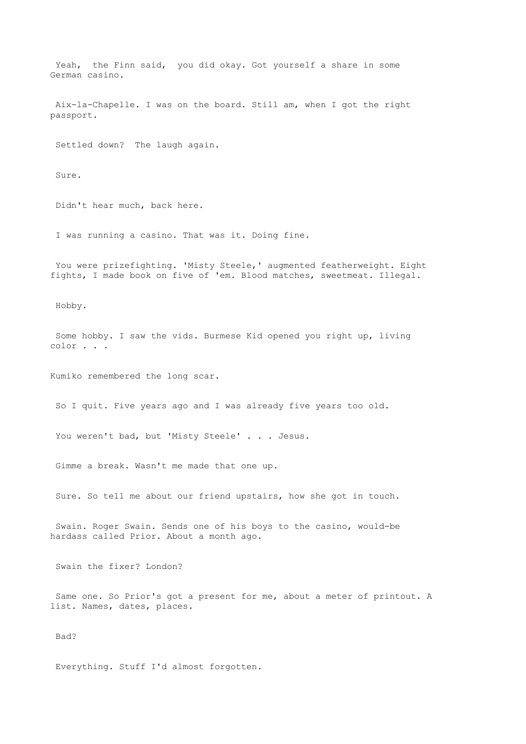Yeah, the Finn said, you did okay. Got yourself a share in some German casino.

 Aix-la-Chapelle. I was on the board. Still am, when I got the right passport.

Settled down? The laugh again.

Sure.

Didn't hear much, back here.

I was running a casino. That was it. Doing fine.

You were prizefighting. 'Misty Steele,' augmented featherweight. Eight fights, I made book on five of 'em. Blood matches, sweetmeat. Illegal.

Hobby.

 Some hobby. I saw the vids. Burmese Kid opened you right up, living color . . .

Kumiko remembered the long scar.

So I quit. Five years ago and I was already five years too old.

You weren't bad, but 'Misty Steele' . . . Jesus.

Gimme a break. Wasn't me made that one up.

Sure. So tell me about our friend upstairs, how she got in touch.

 Swain. Roger Swain. Sends one of his boys to the casino, would-be hardass called Prior. About a month ago.

Swain the fixer? London?

 Same one. So Prior's got a present for me, about a meter of printout. A list. Names, dates, places.

Bad?

Everything. Stuff I'd almost forgotten.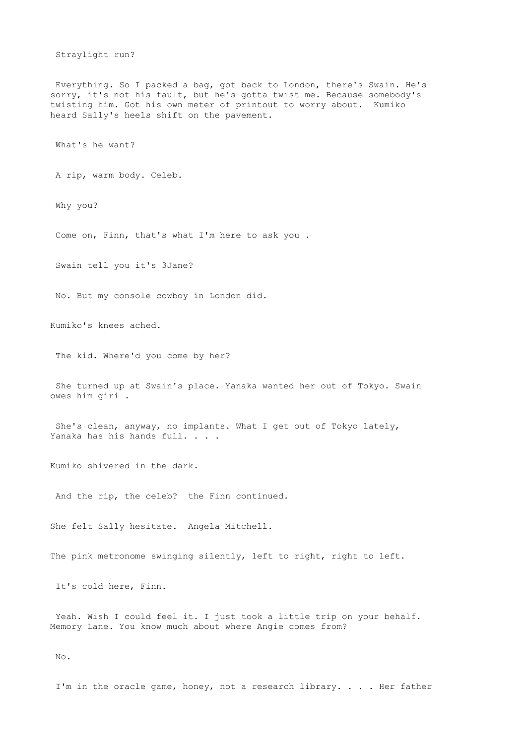Straylight run? Everything. So I packed a bag, got back to London, there's Swain. He's sorry, it's not his fault, but he's gotta twist me. Because somebody's twisting him. Got his own meter of printout to worry about. Kumiko heard Sally's heels shift on the pavement. What's he want? A rip, warm body. Celeb. Why you? Come on, Finn, that's what I'm here to ask you . Swain tell you it's 3Jane? No. But my console cowboy in London did. Kumiko's knees ached. The kid. Where'd you come by her? She turned up at Swain's place. Yanaka wanted her out of Tokyo. Swain owes him giri . She's clean, anyway, no implants. What I get out of Tokyo lately, Yanaka has his hands full. . . . Kumiko shivered in the dark. And the rip, the celeb? the Finn continued. She felt Sally hesitate. Angela Mitchell. The pink metronome swinging silently, left to right, right to left. It's cold here, Finn. Yeah. Wish I could feel it. I just took a little trip on your behalf. Memory Lane. You know much about where Angie comes from?

 $N<sub>O</sub>$ 

I'm in the oracle game, honey, not a research library. . . . Her father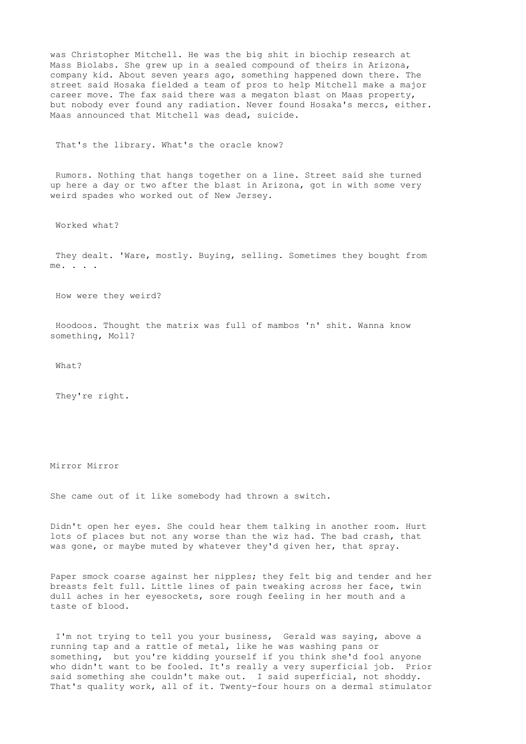was Christopher Mitchell. He was the big shit in biochip research at Mass Biolabs. She grew up in a sealed compound of theirs in Arizona, company kid. About seven years ago, something happened down there. The street said Hosaka fielded a team of pros to help Mitchell make a major career move. The fax said there was a megaton blast on Maas property, but nobody ever found any radiation. Never found Hosaka's mercs, either. Maas announced that Mitchell was dead, suicide.

That's the library. What's the oracle know?

 Rumors. Nothing that hangs together on a line. Street said she turned up here a day or two after the blast in Arizona, got in with some very weird spades who worked out of New Jersey.

Worked what?

They dealt. 'Ware, mostly. Buying, selling. Sometimes they bought from me. . . .

How were they weird?

 Hoodoos. Thought the matrix was full of mambos 'n' shit. Wanna know something, Moll?

What?

They're right.

Mirror Mirror

She came out of it like somebody had thrown a switch.

Didn't open her eyes. She could hear them talking in another room. Hurt lots of places but not any worse than the wiz had. The bad crash, that was gone, or maybe muted by whatever they'd given her, that spray.

Paper smock coarse against her nipples; they felt big and tender and her breasts felt full. Little lines of pain tweaking across her face, twin dull aches in her eyesockets, sore rough feeling in her mouth and a taste of blood.

 I'm not trying to tell you your business, Gerald was saying, above a running tap and a rattle of metal, like he was washing pans or something, but you're kidding yourself if you think she'd fool anyone who didn't want to be fooled. It's really a very superficial job. Prior said something she couldn't make out. I said superficial, not shoddy. That's quality work, all of it. Twenty-four hours on a dermal stimulator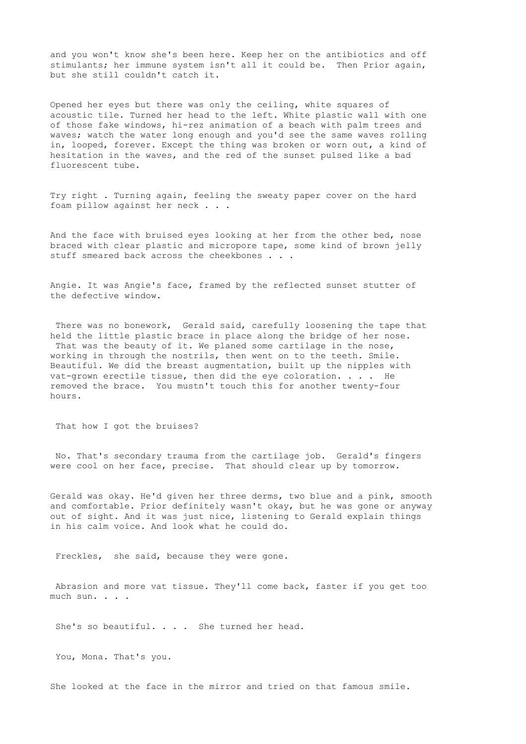and you won't know she's been here. Keep her on the antibiotics and off stimulants; her immune system isn't all it could be. Then Prior again, but she still couldn't catch it.

Opened her eyes but there was only the ceiling, white squares of acoustic tile. Turned her head to the left. White plastic wall with one of those fake windows, hi-rez animation of a beach with palm trees and waves; watch the water long enough and you'd see the same waves rolling in, looped, forever. Except the thing was broken or worn out, a kind of hesitation in the waves, and the red of the sunset pulsed like a bad fluorescent tube.

Try right . Turning again, feeling the sweaty paper cover on the hard foam pillow against her neck . . .

And the face with bruised eyes looking at her from the other bed, nose braced with clear plastic and micropore tape, some kind of brown jelly stuff smeared back across the cheekbones . . .

Angie. It was Angie's face, framed by the reflected sunset stutter of the defective window.

 There was no bonework, Gerald said, carefully loosening the tape that held the little plastic brace in place along the bridge of her nose. That was the beauty of it. We planed some cartilage in the nose, working in through the nostrils, then went on to the teeth. Smile. Beautiful. We did the breast augmentation, built up the nipples with vat-grown erectile tissue, then did the eye coloration. . . . He removed the brace. You mustn't touch this for another twenty-four hours.

That how I got the bruises?

 No. That's secondary trauma from the cartilage job. Gerald's fingers were cool on her face, precise. That should clear up by tomorrow.

Gerald was okay. He'd given her three derms, two blue and a pink, smooth and comfortable. Prior definitely wasn't okay, but he was gone or anyway out of sight. And it was just nice, listening to Gerald explain things in his calm voice. And look what he could do.

Freckles, she said, because they were gone.

 Abrasion and more vat tissue. They'll come back, faster if you get too much sun. . . .

She's so beautiful. . . . She turned her head.

You, Mona. That's you.

She looked at the face in the mirror and tried on that famous smile.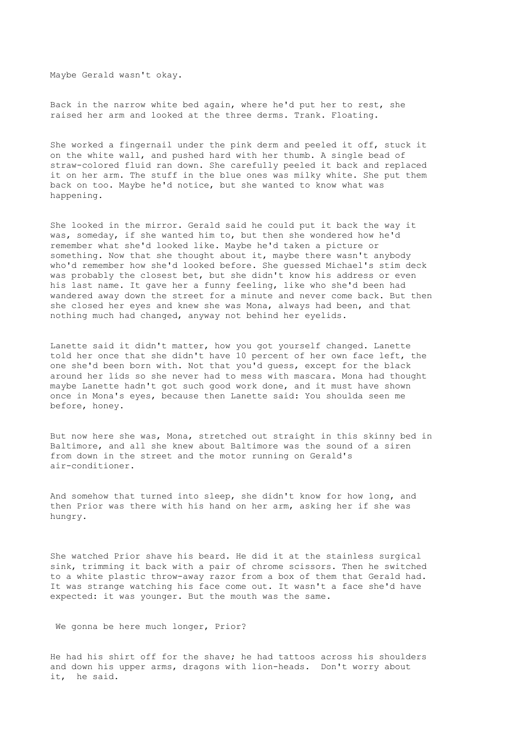Maybe Gerald wasn't okay.

Back in the narrow white bed again, where he'd put her to rest, she raised her arm and looked at the three derms. Trank. Floating.

She worked a fingernail under the pink derm and peeled it off, stuck it on the white wall, and pushed hard with her thumb. A single bead of straw-colored fluid ran down. She carefully peeled it back and replaced it on her arm. The stuff in the blue ones was milky white. She put them back on too. Maybe he'd notice, but she wanted to know what was happening.

She looked in the mirror. Gerald said he could put it back the way it was, someday, if she wanted him to, but then she wondered how he'd remember what she'd looked like. Maybe he'd taken a picture or something. Now that she thought about it, maybe there wasn't anybody who'd remember how she'd looked before. She guessed Michael's stim deck was probably the closest bet, but she didn't know his address or even his last name. It gave her a funny feeling, like who she'd been had wandered away down the street for a minute and never come back. But then she closed her eyes and knew she was Mona, always had been, and that nothing much had changed, anyway not behind her eyelids.

Lanette said it didn't matter, how you got yourself changed. Lanette told her once that she didn't have 10 percent of her own face left, the one she'd been born with. Not that you'd guess, except for the black around her lids so she never had to mess with mascara. Mona had thought maybe Lanette hadn't got such good work done, and it must have shown once in Mona's eyes, because then Lanette said: You shoulda seen me before, honey.

But now here she was, Mona, stretched out straight in this skinny bed in Baltimore, and all she knew about Baltimore was the sound of a siren from down in the street and the motor running on Gerald's air-conditioner.

And somehow that turned into sleep, she didn't know for how long, and then Prior was there with his hand on her arm, asking her if she was hungry.

She watched Prior shave his beard. He did it at the stainless surgical sink, trimming it back with a pair of chrome scissors. Then he switched to a white plastic throw-away razor from a box of them that Gerald had. It was strange watching his face come out. It wasn't a face she'd have expected: it was younger. But the mouth was the same.

We gonna be here much longer, Prior?

He had his shirt off for the shave; he had tattoos across his shoulders and down his upper arms, dragons with lion-heads. Don't worry about it, he said.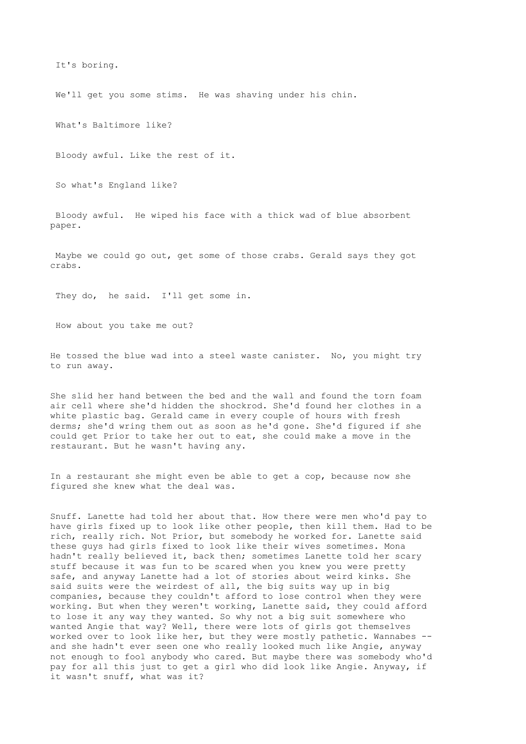It's boring.

We'll get you some stims. He was shaving under his chin.

What's Baltimore like?

Bloody awful. Like the rest of it.

So what's England like?

 Bloody awful. He wiped his face with a thick wad of blue absorbent paper.

 Maybe we could go out, get some of those crabs. Gerald says they got crabs.

They do, he said. I'll get some in.

How about you take me out?

He tossed the blue wad into a steel waste canister. No, you might try to run away.

She slid her hand between the bed and the wall and found the torn foam air cell where she'd hidden the shockrod. She'd found her clothes in a white plastic bag. Gerald came in every couple of hours with fresh derms; she'd wring them out as soon as he'd gone. She'd figured if she could get Prior to take her out to eat, she could make a move in the restaurant. But he wasn't having any.

In a restaurant she might even be able to get a cop, because now she figured she knew what the deal was.

Snuff. Lanette had told her about that. How there were men who'd pay to have girls fixed up to look like other people, then kill them. Had to be rich, really rich. Not Prior, but somebody he worked for. Lanette said these guys had girls fixed to look like their wives sometimes. Mona hadn't really believed it, back then; sometimes Lanette told her scary stuff because it was fun to be scared when you knew you were pretty safe, and anyway Lanette had a lot of stories about weird kinks. She said suits were the weirdest of all, the big suits way up in big companies, because they couldn't afford to lose control when they were working. But when they weren't working, Lanette said, they could afford to lose it any way they wanted. So why not a big suit somewhere who wanted Angie that way? Well, there were lots of girls got themselves worked over to look like her, but they were mostly pathetic. Wannabes - and she hadn't ever seen one who really looked much like Angie, anyway not enough to fool anybody who cared. But maybe there was somebody who'd pay for all this just to get a girl who did look like Angie. Anyway, if it wasn't snuff, what was it?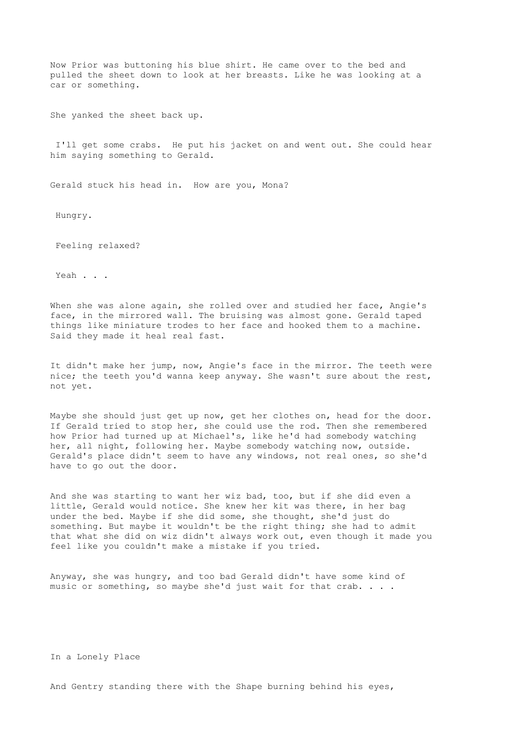Now Prior was buttoning his blue shirt. He came over to the bed and pulled the sheet down to look at her breasts. Like he was looking at a car or something.

She yanked the sheet back up.

 I'll get some crabs. He put his jacket on and went out. She could hear him saying something to Gerald.

Gerald stuck his head in. How are you, Mona?

Hungry.

Feeling relaxed?

Yeah . . .

When she was alone again, she rolled over and studied her face, Angie's face, in the mirrored wall. The bruising was almost gone. Gerald taped things like miniature trodes to her face and hooked them to a machine. Said they made it heal real fast.

It didn't make her jump, now, Angie's face in the mirror. The teeth were nice; the teeth you'd wanna keep anyway. She wasn't sure about the rest, not yet.

Maybe she should just get up now, get her clothes on, head for the door. If Gerald tried to stop her, she could use the rod. Then she remembered how Prior had turned up at Michael's, like he'd had somebody watching her, all night, following her. Maybe somebody watching now, outside. Gerald's place didn't seem to have any windows, not real ones, so she'd have to go out the door.

And she was starting to want her wiz bad, too, but if she did even a little, Gerald would notice. She knew her kit was there, in her bag under the bed. Maybe if she did some, she thought, she'd just do something. But maybe it wouldn't be the right thing; she had to admit that what she did on wiz didn't always work out, even though it made you feel like you couldn't make a mistake if you tried.

Anyway, she was hungry, and too bad Gerald didn't have some kind of music or something, so maybe she'd just wait for that crab. . . .

In a Lonely Place

And Gentry standing there with the Shape burning behind his eyes,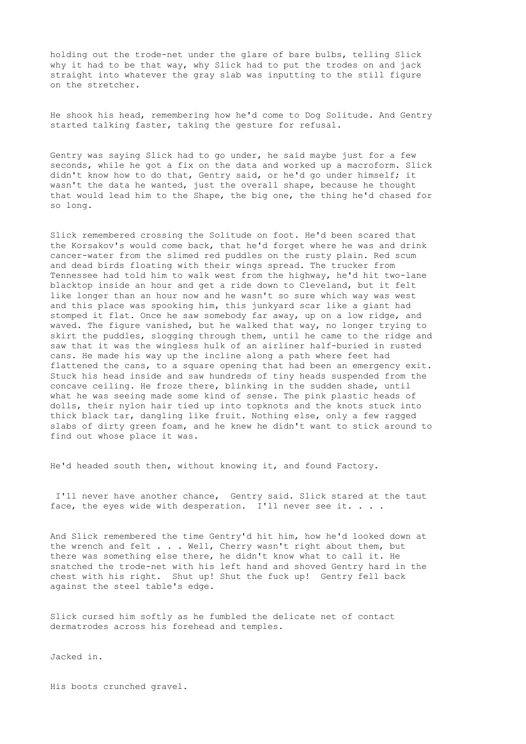holding out the trode-net under the glare of bare bulbs, telling Slick why it had to be that way, why Slick had to put the trodes on and jack straight into whatever the gray slab was inputting to the still figure on the stretcher.

He shook his head, remembering how he'd come to Dog Solitude. And Gentry started talking faster, taking the gesture for refusal.

Gentry was saying Slick had to go under, he said maybe just for a few seconds, while he got a fix on the data and worked up a macroform. Slick didn't know how to do that, Gentry said, or he'd go under himself; it wasn't the data he wanted, just the overall shape, because he thought that would lead him to the Shape, the big one, the thing he'd chased for so long.

Slick remembered crossing the Solitude on foot. He'd been scared that the Korsakov's would come back, that he'd forget where he was and drink cancer-water from the slimed red puddles on the rusty plain. Red scum and dead birds floating with their wings spread. The trucker from Tennessee had told him to walk west from the highway, he'd hit two-lane blacktop inside an hour and get a ride down to Cleveland, but it felt like longer than an hour now and he wasn't so sure which way was west and this place was spooking him, this junkyard scar like a giant had stomped it flat. Once he saw somebody far away, up on a low ridge, and waved. The figure vanished, but he walked that way, no longer trying to skirt the puddles, slogging through them, until he came to the ridge and saw that it was the wingless hulk of an airliner half-buried in rusted cans. He made his way up the incline along a path where feet had flattened the cans, to a square opening that had been an emergency exit. Stuck his head inside and saw hundreds of tiny heads suspended from the concave ceiling. He froze there, blinking in the sudden shade, until what he was seeing made some kind of sense. The pink plastic heads of dolls, their nylon hair tied up into topknots and the knots stuck into thick black tar, dangling like fruit. Nothing else, only a few ragged slabs of dirty green foam, and he knew he didn't want to stick around to find out whose place it was.

He'd headed south then, without knowing it, and found Factory.

 I'll never have another chance, Gentry said. Slick stared at the taut face, the eyes wide with desperation. I'll never see it. . . .

And Slick remembered the time Gentry'd hit him, how he'd looked down at the wrench and felt . . . Well, Cherry wasn't right about them, but there was something else there, he didn't know what to call it. He snatched the trode-net with his left hand and shoved Gentry hard in the chest with his right. Shut up! Shut the fuck up! Gentry fell back against the steel table's edge.

Slick cursed him softly as he fumbled the delicate net of contact dermatrodes across his forehead and temples.

Jacked in.

His boots crunched gravel.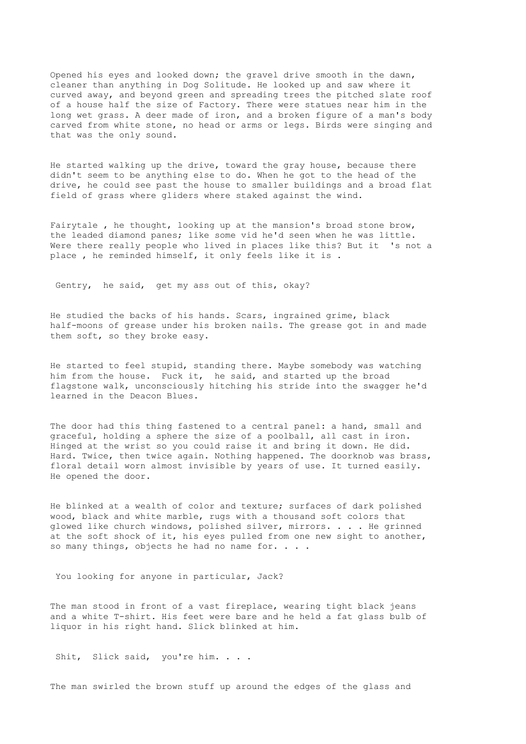Opened his eyes and looked down; the gravel drive smooth in the dawn, cleaner than anything in Dog Solitude. He looked up and saw where it curved away, and beyond green and spreading trees the pitched slate roof of a house half the size of Factory. There were statues near him in the long wet grass. A deer made of iron, and a broken figure of a man's body carved from white stone, no head or arms or legs. Birds were singing and that was the only sound.

He started walking up the drive, toward the gray house, because there didn't seem to be anything else to do. When he got to the head of the drive, he could see past the house to smaller buildings and a broad flat field of grass where gliders where staked against the wind.

Fairytale, he thought, looking up at the mansion's broad stone brow, the leaded diamond panes; like some vid he'd seen when he was little. Were there really people who lived in places like this? But it 's not a place , he reminded himself, it only feels like it is .

Gentry, he said, get my ass out of this, okay?

He studied the backs of his hands. Scars, ingrained grime, black half-moons of grease under his broken nails. The grease got in and made them soft, so they broke easy.

He started to feel stupid, standing there. Maybe somebody was watching him from the house. Fuck it, he said, and started up the broad flagstone walk, unconsciously hitching his stride into the swagger he'd learned in the Deacon Blues.

The door had this thing fastened to a central panel: a hand, small and graceful, holding a sphere the size of a poolball, all cast in iron. Hinged at the wrist so you could raise it and bring it down. He did. Hard. Twice, then twice again. Nothing happened. The doorknob was brass, floral detail worn almost invisible by years of use. It turned easily. He opened the door.

He blinked at a wealth of color and texture; surfaces of dark polished wood, black and white marble, rugs with a thousand soft colors that glowed like church windows, polished silver, mirrors. . . . He grinned at the soft shock of it, his eyes pulled from one new sight to another, so many things, objects he had no name for. . . .

You looking for anyone in particular, Jack?

The man stood in front of a vast fireplace, wearing tight black jeans and a white T-shirt. His feet were bare and he held a fat glass bulb of liquor in his right hand. Slick blinked at him.

Shit, Slick said, you're him. . . .

The man swirled the brown stuff up around the edges of the glass and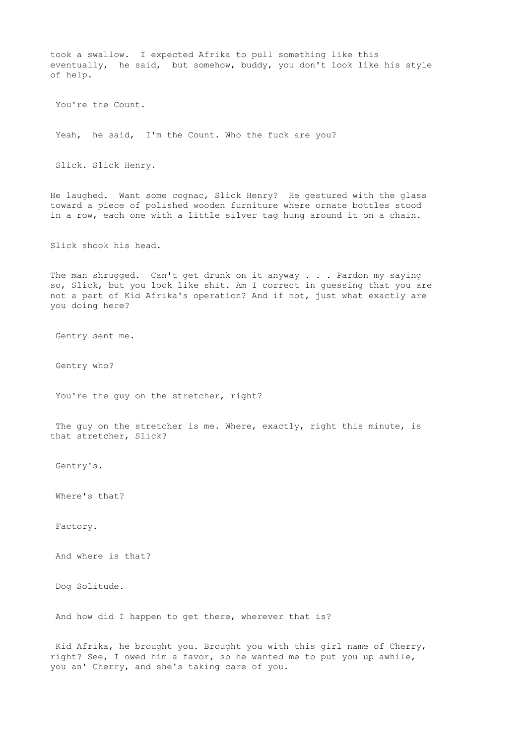took a swallow. I expected Afrika to pull something like this eventually, he said, but somehow, buddy, you don't look like his style of help. You're the Count. Yeah, he said, I'm the Count. Who the fuck are you? Slick. Slick Henry. He laughed. Want some cognac, Slick Henry? He gestured with the glass toward a piece of polished wooden furniture where ornate bottles stood in a row, each one with a little silver tag hung around it on a chain. Slick shook his head. The man shrugged. Can't get drunk on it anyway . . . Pardon my saying so, Slick, but you look like shit. Am I correct in guessing that you are not a part of Kid Afrika's operation? And if not, just what exactly are you doing here? Gentry sent me. Gentry who? You're the guy on the stretcher, right? The guy on the stretcher is me. Where, exactly, right this minute, is that stretcher, Slick? Gentry's. Where's that? Factory. And where is that? Dog Solitude.

And how did I happen to get there, wherever that is?

Kid Afrika, he brought you. Brought you with this girl name of Cherry, right? See, I owed him a favor, so he wanted me to put you up awhile, you an' Cherry, and she's taking care of you.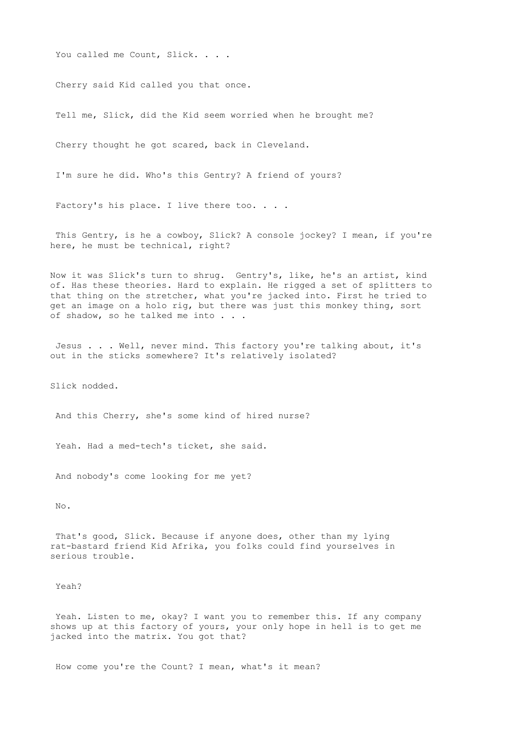You called me Count, Slick. . . .

Cherry said Kid called you that once.

Tell me, Slick, did the Kid seem worried when he brought me?

Cherry thought he got scared, back in Cleveland.

I'm sure he did. Who's this Gentry? A friend of yours?

Factory's his place. I live there too. . . .

 This Gentry, is he a cowboy, Slick? A console jockey? I mean, if you're here, he must be technical, right?

Now it was Slick's turn to shrug. Gentry's, like, he's an artist, kind of. Has these theories. Hard to explain. He rigged a set of splitters to that thing on the stretcher, what you're jacked into. First he tried to get an image on a holo rig, but there was just this monkey thing, sort of shadow, so he talked me into . . .

 Jesus . . . Well, never mind. This factory you're talking about, it's out in the sticks somewhere? It's relatively isolated?

Slick nodded.

And this Cherry, she's some kind of hired nurse?

Yeah. Had a med-tech's ticket, she said.

And nobody's come looking for me yet?

No.

 That's good, Slick. Because if anyone does, other than my lying rat-bastard friend Kid Afrika, you folks could find yourselves in serious trouble.

## Yeah?

 Yeah. Listen to me, okay? I want you to remember this. If any company shows up at this factory of yours, your only hope in hell is to get me jacked into the matrix. You got that?

How come you're the Count? I mean, what's it mean?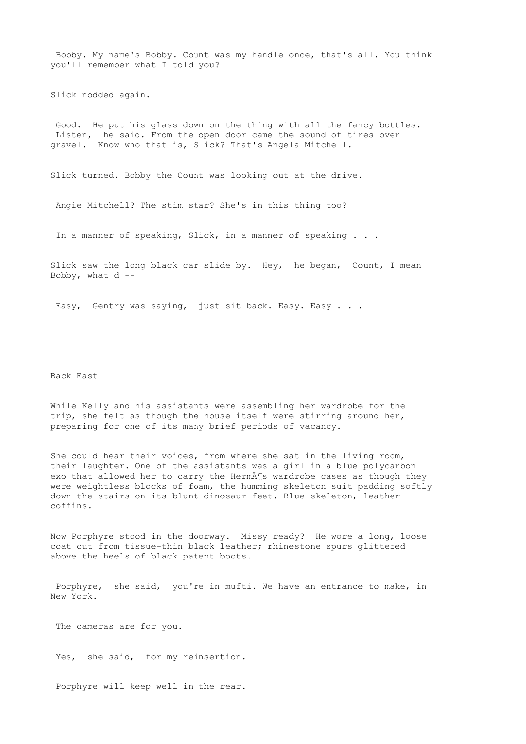Bobby. My name's Bobby. Count was my handle once, that's all. You think you'll remember what I told you?

Slick nodded again.

 Good. He put his glass down on the thing with all the fancy bottles. Listen, he said. From the open door came the sound of tires over gravel. Know who that is, Slick? That's Angela Mitchell.

Slick turned. Bobby the Count was looking out at the drive.

Angie Mitchell? The stim star? She's in this thing too?

In a manner of speaking, Slick, in a manner of speaking . . .

Slick saw the long black car slide by. Hey, he began, Count, I mean Bobby, what  $d$  --

Easy, Gentry was saying, just sit back. Easy. Easy . . .

## Back East

While Kelly and his assistants were assembling her wardrobe for the trip, she felt as though the house itself were stirring around her, preparing for one of its many brief periods of vacancy.

She could hear their voices, from where she sat in the living room, their laughter. One of the assistants was a girl in a blue polycarbon exo that allowed her to carry the Herm¶s wardrobe cases as though they were weightless blocks of foam, the humming skeleton suit padding softly down the stairs on its blunt dinosaur feet. Blue skeleton, leather coffins.

Now Porphyre stood in the doorway. Missy ready? He wore a long, loose coat cut from tissue-thin black leather; rhinestone spurs glittered above the heels of black patent boots.

 Porphyre, she said, you're in mufti. We have an entrance to make, in New York.

The cameras are for you.

Yes, she said, for my reinsertion.

Porphyre will keep well in the rear.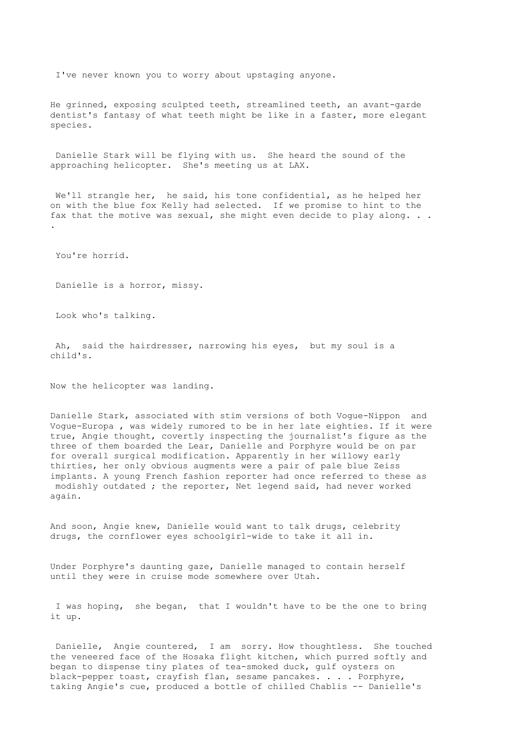I've never known you to worry about upstaging anyone.

He grinned, exposing sculpted teeth, streamlined teeth, an avant-garde dentist's fantasy of what teeth might be like in a faster, more elegant species.

 Danielle Stark will be flying with us. She heard the sound of the approaching helicopter. She's meeting us at LAX.

We'll strangle her, he said, his tone confidential, as he helped her on with the blue fox Kelly had selected. If we promise to hint to the fax that the motive was sexual, she might even decide to play along. . . .

You're horrid.

Danielle is a horror, missy.

Look who's talking.

 Ah, said the hairdresser, narrowing his eyes, but my soul is a child's.

Now the helicopter was landing.

Danielle Stark, associated with stim versions of both Vogue-Nippon and Vogue-Europa , was widely rumored to be in her late eighties. If it were true, Angie thought, covertly inspecting the journalist's figure as the three of them boarded the Lear, Danielle and Porphyre would be on par for overall surgical modification. Apparently in her willowy early thirties, her only obvious augments were a pair of pale blue Zeiss implants. A young French fashion reporter had once referred to these as modishly outdated ; the reporter, Net legend said, had never worked again.

And soon, Angie knew, Danielle would want to talk drugs, celebrity drugs, the cornflower eyes schoolgirl-wide to take it all in.

Under Porphyre's daunting gaze, Danielle managed to contain herself until they were in cruise mode somewhere over Utah.

 I was hoping, she began, that I wouldn't have to be the one to bring it up.

 Danielle, Angie countered, I am sorry. How thoughtless. She touched the veneered face of the Hosaka flight kitchen, which purred softly and began to dispense tiny plates of tea-smoked duck, gulf oysters on black-pepper toast, crayfish flan, sesame pancakes. . . . Porphyre, taking Angie's cue, produced a bottle of chilled Chablis -- Danielle's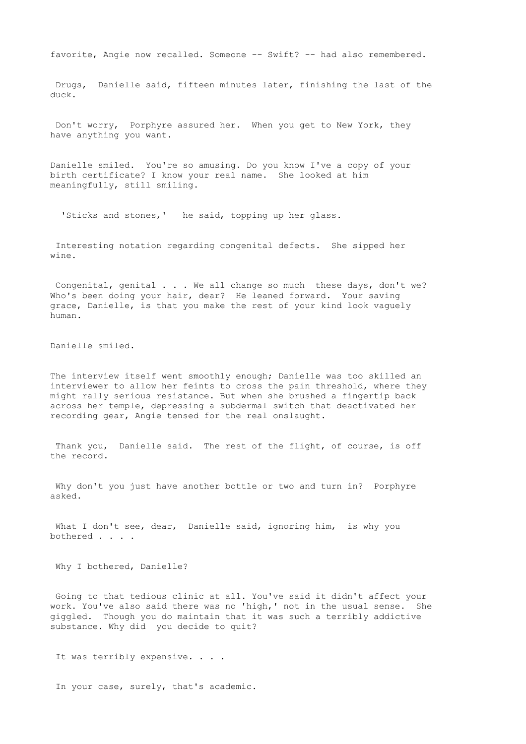favorite, Angie now recalled. Someone -- Swift? -- had also remembered.

 Drugs, Danielle said, fifteen minutes later, finishing the last of the duck.

 Don't worry, Porphyre assured her. When you get to New York, they have anything you want.

Danielle smiled. You're so amusing. Do you know I've a copy of your birth certificate? I know your real name. She looked at him meaningfully, still smiling.

'Sticks and stones,' he said, topping up her glass.

 Interesting notation regarding congenital defects. She sipped her wine.

 Congenital, genital . . . We all change so much these days, don't we? Who's been doing your hair, dear? He leaned forward. Your saving grace, Danielle, is that you make the rest of your kind look vaguely human.

Danielle smiled.

The interview itself went smoothly enough; Danielle was too skilled an interviewer to allow her feints to cross the pain threshold, where they might rally serious resistance. But when she brushed a fingertip back across her temple, depressing a subdermal switch that deactivated her recording gear, Angie tensed for the real onslaught.

Thank you, Danielle said. The rest of the flight, of course, is off the record.

 Why don't you just have another bottle or two and turn in? Porphyre asked.

What I don't see, dear, Danielle said, ignoring him, is why you bothered . . . .

Why I bothered, Danielle?

 Going to that tedious clinic at all. You've said it didn't affect your work. You've also said there was no 'high,' not in the usual sense. She giggled. Though you do maintain that it was such a terribly addictive substance. Why did you decide to quit?

It was terribly expensive. . . .

In your case, surely, that's academic.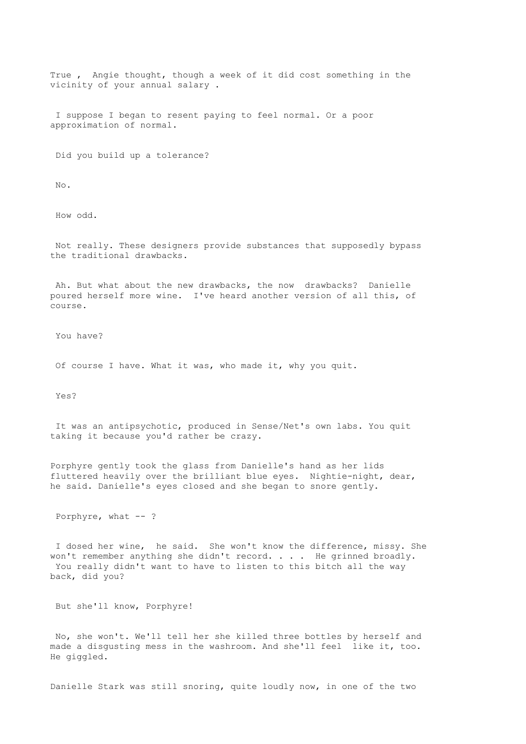True , Angie thought, though a week of it did cost something in the vicinity of your annual salary .

 I suppose I began to resent paying to feel normal. Or a poor approximation of normal.

Did you build up a tolerance?

No.

How odd.

 Not really. These designers provide substances that supposedly bypass the traditional drawbacks.

 Ah. But what about the new drawbacks, the now drawbacks? Danielle poured herself more wine. I've heard another version of all this, of course.

You have?

Of course I have. What it was, who made it, why you quit.

Yes?

 It was an antipsychotic, produced in Sense/Net's own labs. You quit taking it because you'd rather be crazy.

Porphyre gently took the glass from Danielle's hand as her lids fluttered heavily over the brilliant blue eyes. Nightie-night, dear, he said. Danielle's eyes closed and she began to snore gently.

Porphyre, what -- ?

 I dosed her wine, he said. She won't know the difference, missy. She won't remember anything she didn't record. . . . He grinned broadly. You really didn't want to have to listen to this bitch all the way back, did you?

But she'll know, Porphyre!

 No, she won't. We'll tell her she killed three bottles by herself and made a disgusting mess in the washroom. And she'll feel like it, too. He giggled.

Danielle Stark was still snoring, quite loudly now, in one of the two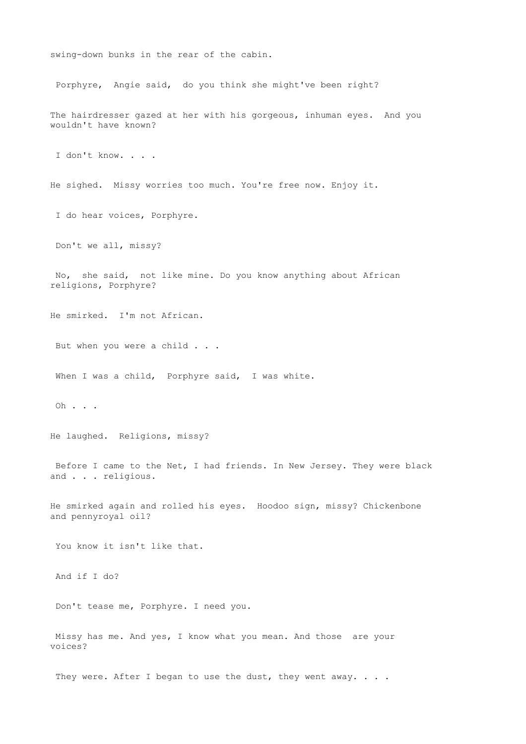swing-down bunks in the rear of the cabin. Porphyre, Angie said, do you think she might've been right? The hairdresser gazed at her with his gorgeous, inhuman eyes. And you wouldn't have known? I don't know. . . . He sighed. Missy worries too much. You're free now. Enjoy it. I do hear voices, Porphyre. Don't we all, missy? No, she said, not like mine. Do you know anything about African religions, Porphyre? He smirked. I'm not African. But when you were a child . . . When I was a child, Porphyre said, I was white. Oh . . . He laughed. Religions, missy? Before I came to the Net, I had friends. In New Jersey. They were black and . . . religious. He smirked again and rolled his eyes. Hoodoo sign, missy? Chickenbone and pennyroyal oil? You know it isn't like that. And if I do? Don't tease me, Porphyre. I need you. Missy has me. And yes, I know what you mean. And those are your voices? They were. After I began to use the dust, they went away. . . .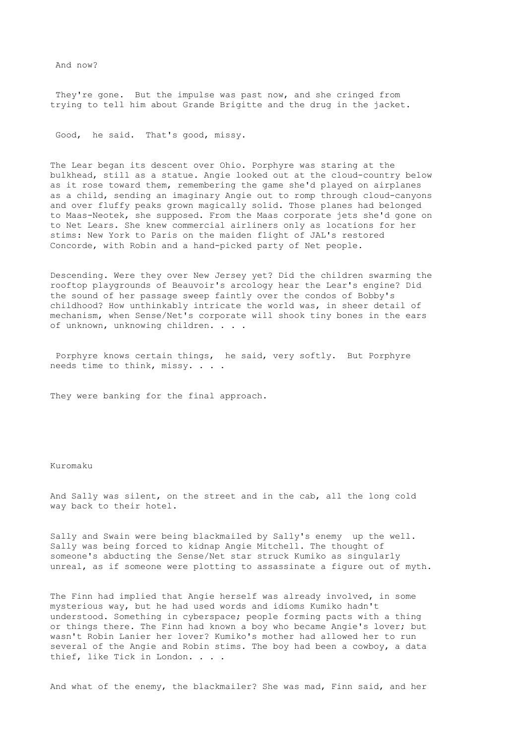And now?

 They're gone. But the impulse was past now, and she cringed from trying to tell him about Grande Brigitte and the drug in the jacket.

Good, he said. That's good, missy.

The Lear began its descent over Ohio. Porphyre was staring at the bulkhead, still as a statue. Angie looked out at the cloud-country below as it rose toward them, remembering the game she'd played on airplanes as a child, sending an imaginary Angie out to romp through cloud-canyons and over fluffy peaks grown magically solid. Those planes had belonged to Maas-Neotek, she supposed. From the Maas corporate jets she'd gone on to Net Lears. She knew commercial airliners only as locations for her stims: New York to Paris on the maiden flight of JAL's restored Concorde, with Robin and a hand-picked party of Net people.

Descending. Were they over New Jersey yet? Did the children swarming the rooftop playgrounds of Beauvoir's arcology hear the Lear's engine? Did the sound of her passage sweep faintly over the condos of Bobby's childhood? How unthinkably intricate the world was, in sheer detail of mechanism, when Sense/Net's corporate will shook tiny bones in the ears of unknown, unknowing children. . . .

 Porphyre knows certain things, he said, very softly. But Porphyre needs time to think, missy. . . .

They were banking for the final approach.

Kuromaku

And Sally was silent, on the street and in the cab, all the long cold way back to their hotel.

Sally and Swain were being blackmailed by Sally's enemy up the well. Sally was being forced to kidnap Angie Mitchell. The thought of someone's abducting the Sense/Net star struck Kumiko as singularly unreal, as if someone were plotting to assassinate a figure out of myth.

The Finn had implied that Angie herself was already involved, in some mysterious way, but he had used words and idioms Kumiko hadn't understood. Something in cyberspace; people forming pacts with a thing or things there. The Finn had known a boy who became Angie's lover; but wasn't Robin Lanier her lover? Kumiko's mother had allowed her to run several of the Angie and Robin stims. The boy had been a cowboy, a data thief, like Tick in London. . . .

And what of the enemy, the blackmailer? She was mad, Finn said, and her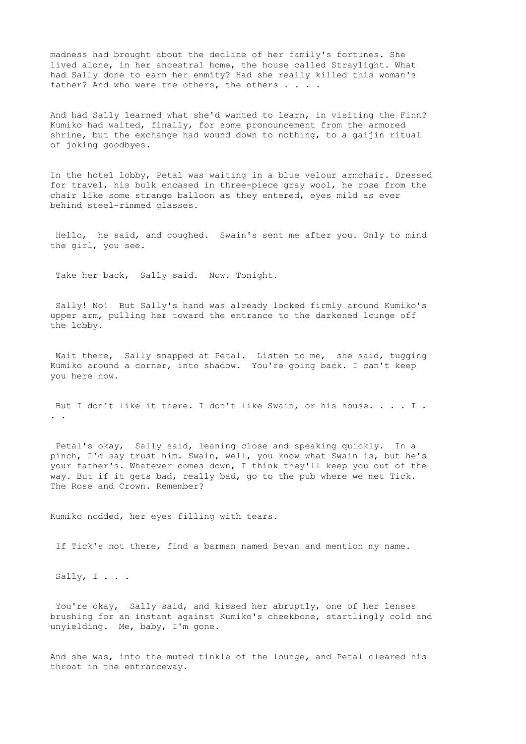madness had brought about the decline of her family's fortunes. She lived alone, in her ancestral home, the house called Straylight. What had Sally done to earn her enmity? Had she really killed this woman's father? And who were the others, the others  $\dots$ .

And had Sally learned what she'd wanted to learn, in visiting the Finn? Kumiko had waited, finally, for some pronouncement from the armored shrine, but the exchange had wound down to nothing, to a gaijin ritual of joking goodbyes.

In the hotel lobby, Petal was waiting in a blue velour armchair. Dressed for travel, his bulk encased in three-piece gray wool, he rose from the chair like some strange balloon as they entered, eyes mild as ever behind steel-rimmed glasses.

 Hello, he said, and coughed. Swain's sent me after you. Only to mind the girl, you see.

Take her back, Sally said. Now. Tonight.

 Sally! No! But Sally's hand was already locked firmly around Kumiko's upper arm, pulling her toward the entrance to the darkened lounge off the lobby.

Wait there, Sally snapped at Petal. Listen to me, she said, tugging Kumiko around a corner, into shadow. You're going back. I can't keep you here now.

But I don't like it there. I don't like Swain, or his house. . . . I . . .

 Petal's okay, Sally said, leaning close and speaking quickly. In a pinch, I'd say trust him. Swain, well, you know what Swain is, but he's your father's. Whatever comes down, I think they'll keep you out of the way. But if it gets bad, really bad, go to the pub where we met Tick. The Rose and Crown. Remember?

Kumiko nodded, her eyes filling with tears.

If Tick's not there, find a barman named Bevan and mention my name.

Sally, I . . .

 You're okay, Sally said, and kissed her abruptly, one of her lenses brushing for an instant against Kumiko's cheekbone, startlingly cold and unyielding. Me, baby, I'm gone.

And she was, into the muted tinkle of the lounge, and Petal cleared his throat in the entranceway.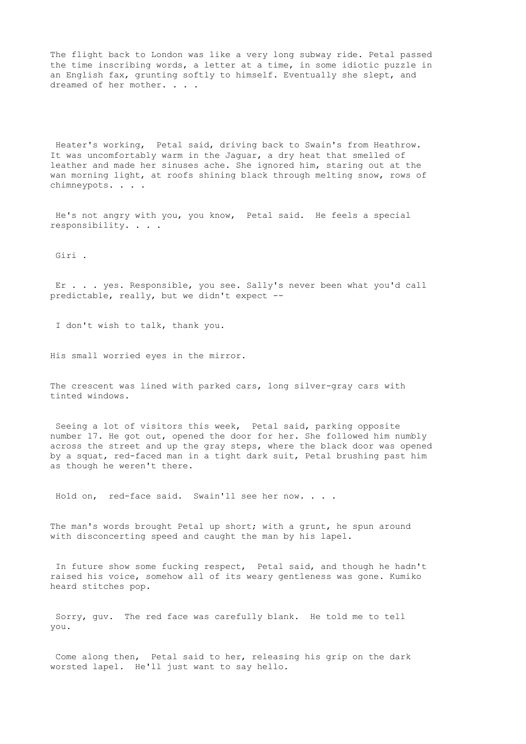The flight back to London was like a very long subway ride. Petal passed the time inscribing words, a letter at a time, in some idiotic puzzle in an English fax, grunting softly to himself. Eventually she slept, and dreamed of her mother. . . .

 Heater's working, Petal said, driving back to Swain's from Heathrow. It was uncomfortably warm in the Jaguar, a dry heat that smelled of leather and made her sinuses ache. She ignored him, staring out at the wan morning light, at roofs shining black through melting snow, rows of chimneypots. . . .

 He's not angry with you, you know, Petal said. He feels a special responsibility. . . .

Giri .

 Er . . . yes. Responsible, you see. Sally's never been what you'd call predictable, really, but we didn't expect --

I don't wish to talk, thank you.

His small worried eyes in the mirror.

The crescent was lined with parked cars, long silver-gray cars with tinted windows.

 Seeing a lot of visitors this week, Petal said, parking opposite number 17. He got out, opened the door for her. She followed him numbly across the street and up the gray steps, where the black door was opened by a squat, red-faced man in a tight dark suit, Petal brushing past him as though he weren't there.

Hold on, red-face said. Swain'll see her now. . . .

The man's words brought Petal up short; with a grunt, he spun around with disconcerting speed and caught the man by his lapel.

 In future show some fucking respect, Petal said, and though he hadn't raised his voice, somehow all of its weary gentleness was gone. Kumiko heard stitches pop.

 Sorry, guv. The red face was carefully blank. He told me to tell you.

 Come along then, Petal said to her, releasing his grip on the dark worsted lapel. He'll just want to say hello.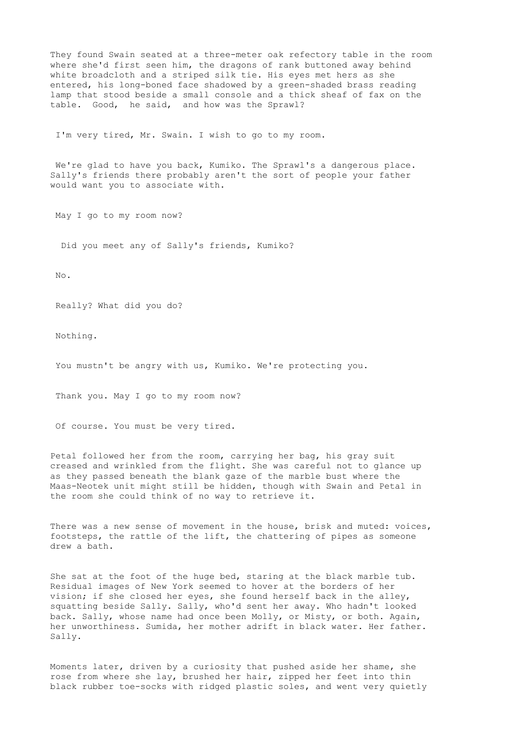They found Swain seated at a three-meter oak refectory table in the room where she'd first seen him, the dragons of rank buttoned away behind white broadcloth and a striped silk tie. His eyes met hers as she entered, his long-boned face shadowed by a green-shaded brass reading lamp that stood beside a small console and a thick sheaf of fax on the table. Good, he said, and how was the Sprawl?

I'm very tired, Mr. Swain. I wish to go to my room.

We're glad to have you back, Kumiko. The Sprawl's a dangerous place. Sally's friends there probably aren't the sort of people your father would want you to associate with.

May I go to my room now?

Did you meet any of Sally's friends, Kumiko?

 $N_{\bigcap}$ 

Really? What did you do?

Nothing.

You mustn't be angry with us, Kumiko. We're protecting you.

Thank you. May I go to my room now?

Of course. You must be very tired.

Petal followed her from the room, carrying her bag, his gray suit creased and wrinkled from the flight. She was careful not to glance up as they passed beneath the blank gaze of the marble bust where the Maas-Neotek unit might still be hidden, though with Swain and Petal in the room she could think of no way to retrieve it.

There was a new sense of movement in the house, brisk and muted: voices, footsteps, the rattle of the lift, the chattering of pipes as someone drew a bath.

She sat at the foot of the huge bed, staring at the black marble tub. Residual images of New York seemed to hover at the borders of her vision; if she closed her eyes, she found herself back in the alley, squatting beside Sally. Sally, who'd sent her away. Who hadn't looked back. Sally, whose name had once been Molly, or Misty, or both. Again, her unworthiness. Sumida, her mother adrift in black water. Her father. Sally.

Moments later, driven by a curiosity that pushed aside her shame, she rose from where she lay, brushed her hair, zipped her feet into thin black rubber toe-socks with ridged plastic soles, and went very quietly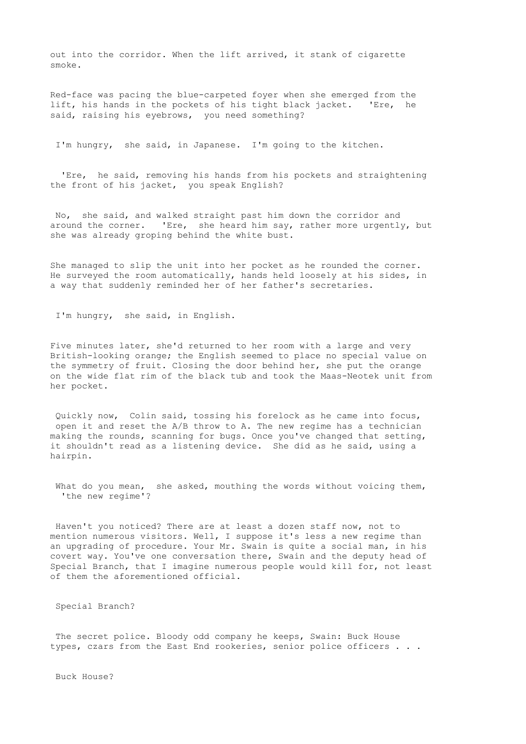out into the corridor. When the lift arrived, it stank of cigarette smoke.

Red-face was pacing the blue-carpeted foyer when she emerged from the lift, his hands in the pockets of his tight black jacket. 'Ere, he said, raising his eyebrows, you need something?

I'm hungry, she said, in Japanese. I'm going to the kitchen.

 'Ere, he said, removing his hands from his pockets and straightening the front of his jacket, you speak English?

 No, she said, and walked straight past him down the corridor and around the corner. 'Ere, she heard him say, rather more urgently, but she was already groping behind the white bust.

She managed to slip the unit into her pocket as he rounded the corner. He surveyed the room automatically, hands held loosely at his sides, in a way that suddenly reminded her of her father's secretaries.

I'm hungry, she said, in English.

Five minutes later, she'd returned to her room with a large and very British-looking orange; the English seemed to place no special value on the symmetry of fruit. Closing the door behind her, she put the orange on the wide flat rim of the black tub and took the Maas-Neotek unit from her pocket.

 Quickly now, Colin said, tossing his forelock as he came into focus, open it and reset the A/B throw to A. The new regime has a technician making the rounds, scanning for bugs. Once you've changed that setting, it shouldn't read as a listening device. She did as he said, using a hairpin.

What do you mean, she asked, mouthing the words without voicing them, 'the new regime'?

 Haven't you noticed? There are at least a dozen staff now, not to mention numerous visitors. Well, I suppose it's less a new regime than an upgrading of procedure. Your Mr. Swain is quite a social man, in his covert way. You've one conversation there, Swain and the deputy head of Special Branch, that I imagine numerous people would kill for, not least of them the aforementioned official.

Special Branch?

 The secret police. Bloody odd company he keeps, Swain: Buck House types, czars from the East End rookeries, senior police officers . . .

Buck House?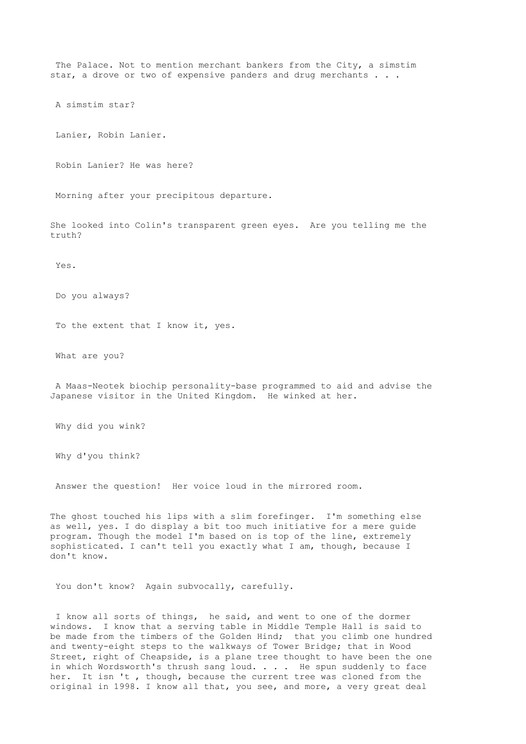The Palace. Not to mention merchant bankers from the City, a simstim star, a drove or two of expensive panders and drug merchants . . .

A simstim star?

Lanier, Robin Lanier.

Robin Lanier? He was here?

Morning after your precipitous departure.

She looked into Colin's transparent green eyes. Are you telling me the  $t$ ruth?

Yes.

Do you always?

To the extent that I know it, yes.

What are you?

 A Maas-Neotek biochip personality-base programmed to aid and advise the Japanese visitor in the United Kingdom. He winked at her.

Why did you wink?

Why d'you think?

Answer the question! Her voice loud in the mirrored room.

The ghost touched his lips with a slim forefinger. I'm something else as well, yes. I do display a bit too much initiative for a mere guide program. Though the model I'm based on is top of the line, extremely sophisticated. I can't tell you exactly what I am, though, because I don't know.

You don't know? Again subvocally, carefully.

 I know all sorts of things, he said, and went to one of the dormer windows. I know that a serving table in Middle Temple Hall is said to be made from the timbers of the Golden Hind; that you climb one hundred and twenty-eight steps to the walkways of Tower Bridge; that in Wood Street, right of Cheapside, is a plane tree thought to have been the one in which Wordsworth's thrush sang loud. . . . He spun suddenly to face her. It isn 't, though, because the current tree was cloned from the original in 1998. I know all that, you see, and more, a very great deal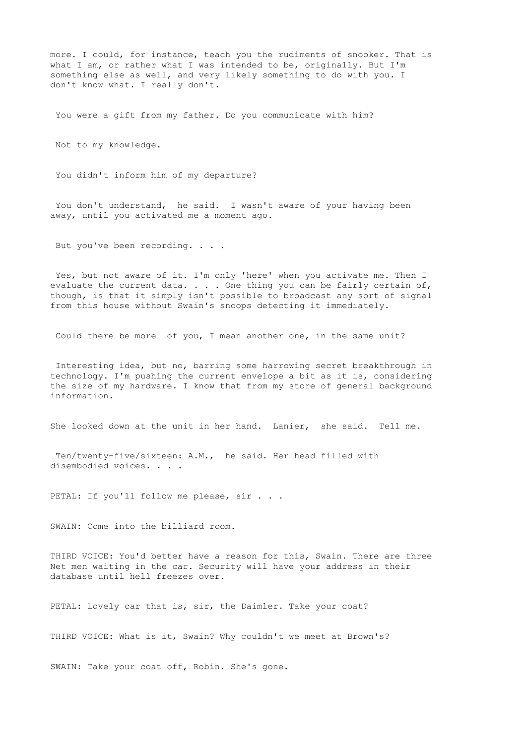more. I could, for instance, teach you the rudiments of snooker. That is what I am, or rather what I was intended to be, originally. But I'm something else as well, and very likely something to do with you. I don't know what. I really don't.

You were a gift from my father. Do you communicate with him?

Not to my knowledge.

You didn't inform him of my departure?

You don't understand, he said. I wasn't aware of your having been away, until you activated me a moment ago.

But you've been recording. . . .

 Yes, but not aware of it. I'm only 'here' when you activate me. Then I evaluate the current data.  $\ldots$  . One thing you can be fairly certain of, though, is that it simply isn't possible to broadcast any sort of signal from this house without Swain's snoops detecting it immediately.

Could there be more of you, I mean another one, in the same unit?

 Interesting idea, but no, barring some harrowing secret breakthrough in technology. I'm pushing the current envelope a bit as it is, considering the size of my hardware. I know that from my store of general background information.

She looked down at the unit in her hand. Lanier, she said. Tell me.

 Ten/twenty-five/sixteen: A.M., he said. Her head filled with disembodied voices. . . .

PETAL: If you'll follow me please, sir . . .

SWAIN: Come into the billiard room.

THIRD VOICE: You'd better have a reason for this, Swain. There are three Net men waiting in the car. Security will have your address in their database until hell freezes over.

PETAL: Lovely car that is, sir, the Daimler. Take your coat?

THIRD VOICE: What is it, Swain? Why couldn't we meet at Brown's?

SWAIN: Take your coat off, Robin. She's gone.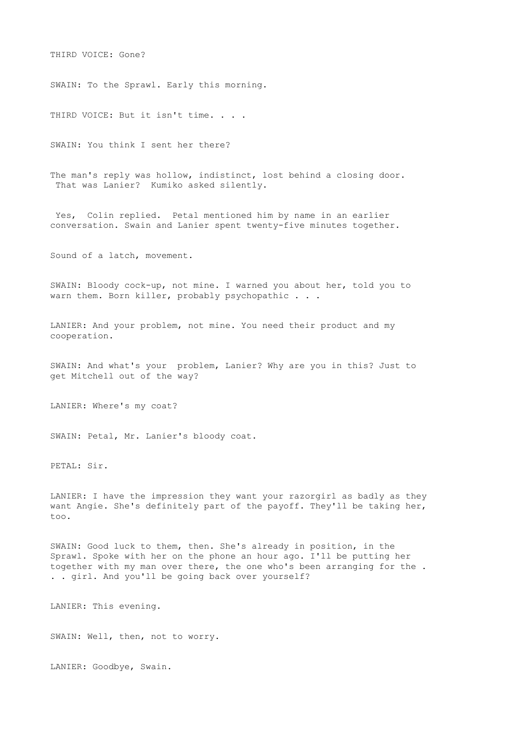THIRD VOICE: Gone?

SWAIN: To the Sprawl. Early this morning.

THIRD VOICE: But it isn't time. . . .

SWAIN: You think I sent her there?

The man's reply was hollow, indistinct, lost behind a closing door. That was Lanier? Kumiko asked silently.

 Yes, Colin replied. Petal mentioned him by name in an earlier conversation. Swain and Lanier spent twenty-five minutes together.

Sound of a latch, movement.

SWAIN: Bloody cock-up, not mine. I warned you about her, told you to warn them. Born killer, probably psychopathic . . .

LANIER: And your problem, not mine. You need their product and my cooperation.

SWAIN: And what's your problem, Lanier? Why are you in this? Just to get Mitchell out of the way?

LANIER: Where's my coat?

SWAIN: Petal, Mr. Lanier's bloody coat.

PETAL: Sir.

LANIER: I have the impression they want your razorgirl as badly as they want Angie. She's definitely part of the payoff. They'll be taking her, too.

SWAIN: Good luck to them, then. She's already in position, in the Sprawl. Spoke with her on the phone an hour ago. I'll be putting her together with my man over there, the one who's been arranging for the . . . girl. And you'll be going back over yourself?

LANIER: This evening.

SWAIN: Well, then, not to worry.

LANIER: Goodbye, Swain.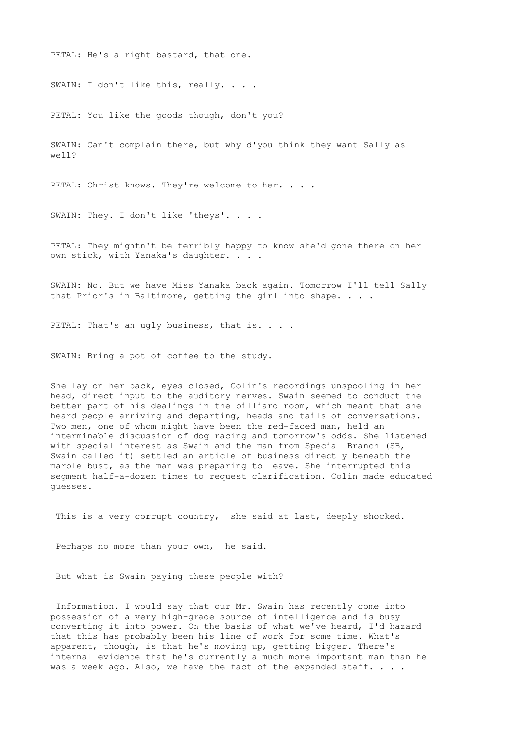PETAL: He's a right bastard, that one.

SWAIN: I don't like this, really. . . .

PETAL: You like the goods though, don't you?

SWAIN: Can't complain there, but why d'you think they want Sally as well?

PETAL: Christ knows. They're welcome to her. . . .

SWAIN: They. I don't like 'theys'. . . .

PETAL: They mightn't be terribly happy to know she'd gone there on her own stick, with Yanaka's daughter. . . .

SWAIN: No. But we have Miss Yanaka back again. Tomorrow I'll tell Sally that Prior's in Baltimore, getting the girl into shape. . . .

PETAL: That's an ugly business, that is. . . .

SWAIN: Bring a pot of coffee to the study.

She lay on her back, eyes closed, Colin's recordings unspooling in her head, direct input to the auditory nerves. Swain seemed to conduct the better part of his dealings in the billiard room, which meant that she heard people arriving and departing, heads and tails of conversations. Two men, one of whom might have been the red-faced man, held an interminable discussion of dog racing and tomorrow's odds. She listened with special interest as Swain and the man from Special Branch (SB, Swain called it) settled an article of business directly beneath the marble bust, as the man was preparing to leave. She interrupted this segment half-a-dozen times to request clarification. Colin made educated guesses.

This is a very corrupt country, she said at last, deeply shocked.

Perhaps no more than your own, he said.

But what is Swain paying these people with?

 Information. I would say that our Mr. Swain has recently come into possession of a very high-grade source of intelligence and is busy converting it into power. On the basis of what we've heard, I'd hazard that this has probably been his line of work for some time. What's apparent, though, is that he's moving up, getting bigger. There's internal evidence that he's currently a much more important man than he was a week ago. Also, we have the fact of the expanded staff. . . .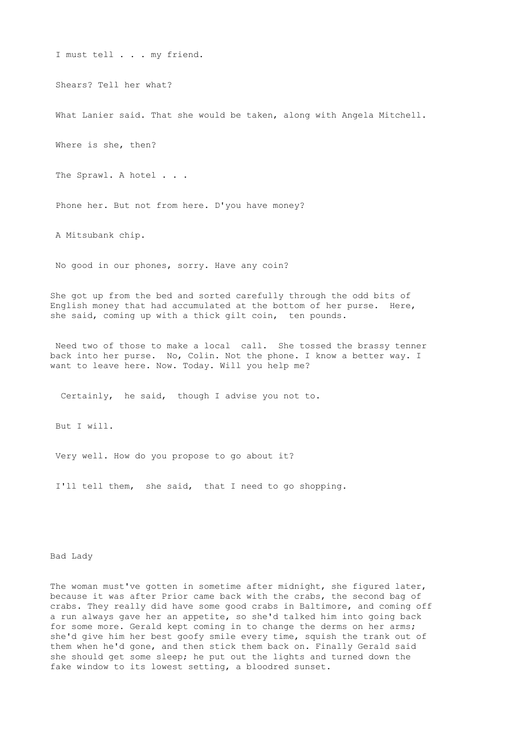I must tell . . . my friend.

Shears? Tell her what?

What Lanier said. That she would be taken, along with Angela Mitchell.

Where is she, then?

The Sprawl. A hotel . . .

Phone her. But not from here. D'you have money?

A Mitsubank chip.

No good in our phones, sorry. Have any coin?

She got up from the bed and sorted carefully through the odd bits of English money that had accumulated at the bottom of her purse. Here, she said, coming up with a thick gilt coin, ten pounds.

 Need two of those to make a local call. She tossed the brassy tenner back into her purse. No, Colin. Not the phone. I know a better way. I want to leave here. Now. Today. Will you help me?

Certainly, he said, though I advise you not to.

But I will.

Very well. How do you propose to go about it?

I'll tell them, she said, that I need to go shopping.

Bad Lady

The woman must've gotten in sometime after midnight, she figured later, because it was after Prior came back with the crabs, the second bag of crabs. They really did have some good crabs in Baltimore, and coming off a run always gave her an appetite, so she'd talked him into going back for some more. Gerald kept coming in to change the derms on her arms; she'd give him her best goofy smile every time, squish the trank out of them when he'd gone, and then stick them back on. Finally Gerald said she should get some sleep; he put out the lights and turned down the fake window to its lowest setting, a bloodred sunset.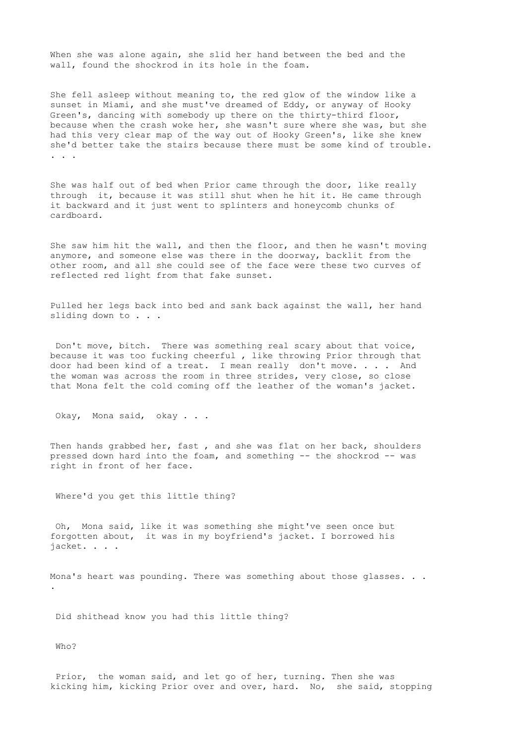When she was alone again, she slid her hand between the bed and the wall, found the shockrod in its hole in the foam.

She fell asleep without meaning to, the red glow of the window like a sunset in Miami, and she must've dreamed of Eddy, or anyway of Hooky Green's, dancing with somebody up there on the thirty-third floor, because when the crash woke her, she wasn't sure where she was, but she had this very clear map of the way out of Hooky Green's, like she knew she'd better take the stairs because there must be some kind of trouble. . . .

She was half out of bed when Prior came through the door, like really through it, because it was still shut when he hit it. He came through it backward and it just went to splinters and honeycomb chunks of cardboard.

She saw him hit the wall, and then the floor, and then he wasn't moving anymore, and someone else was there in the doorway, backlit from the other room, and all she could see of the face were these two curves of reflected red light from that fake sunset.

Pulled her legs back into bed and sank back against the wall, her hand sliding down to . . .

Don't move, bitch. There was something real scary about that voice, because it was too fucking cheerful , like throwing Prior through that door had been kind of a treat. I mean really don't move. . . . And the woman was across the room in three strides, very close, so close that Mona felt the cold coming off the leather of the woman's jacket.

Okay, Mona said, okay . . .

Then hands grabbed her, fast , and she was flat on her back, shoulders pressed down hard into the foam, and something -- the shockrod -- was right in front of her face.

Where'd you get this little thing?

 Oh, Mona said, like it was something she might've seen once but forgotten about, it was in my boyfriend's jacket. I borrowed his jacket. . . .

Mona's heart was pounding. There was something about those glasses. . . .

Did shithead know you had this little thing?

Who?

 Prior, the woman said, and let go of her, turning. Then she was kicking him, kicking Prior over and over, hard. No, she said, stopping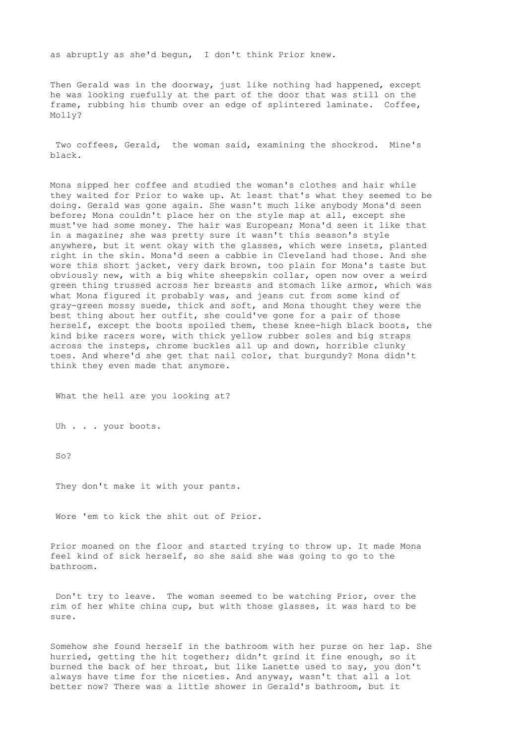as abruptly as she'd begun, I don't think Prior knew.

Then Gerald was in the doorway, just like nothing had happened, except he was looking ruefully at the part of the door that was still on the frame, rubbing his thumb over an edge of splintered laminate. Coffee, Molly?

 Two coffees, Gerald, the woman said, examining the shockrod. Mine's black.

Mona sipped her coffee and studied the woman's clothes and hair while they waited for Prior to wake up. At least that's what they seemed to be doing. Gerald was gone again. She wasn't much like anybody Mona'd seen before; Mona couldn't place her on the style map at all, except she must've had some money. The hair was European; Mona'd seen it like that in a magazine; she was pretty sure it wasn't this season's style anywhere, but it went okay with the glasses, which were insets, planted right in the skin. Mona'd seen a cabbie in Cleveland had those. And she wore this short jacket, very dark brown, too plain for Mona's taste but obviously new, with a big white sheepskin collar, open now over a weird green thing trussed across her breasts and stomach like armor, which was what Mona figured it probably was, and jeans cut from some kind of gray-green mossy suede, thick and soft, and Mona thought they were the best thing about her outfit, she could've gone for a pair of those herself, except the boots spoiled them, these knee-high black boots, the kind bike racers wore, with thick yellow rubber soles and big straps across the insteps, chrome buckles all up and down, horrible clunky toes. And where'd she get that nail color, that burgundy? Mona didn't think they even made that anymore.

What the hell are you looking at?

Uh . . . your boots.

So?

They don't make it with your pants.

Wore 'em to kick the shit out of Prior.

Prior moaned on the floor and started trying to throw up. It made Mona feel kind of sick herself, so she said she was going to go to the bathroom.

 Don't try to leave. The woman seemed to be watching Prior, over the rim of her white china cup, but with those glasses, it was hard to be sure.

Somehow she found herself in the bathroom with her purse on her lap. She hurried, getting the hit together; didn't grind it fine enough, so it burned the back of her throat, but like Lanette used to say, you don't always have time for the niceties. And anyway, wasn't that all a lot better now? There was a little shower in Gerald's bathroom, but it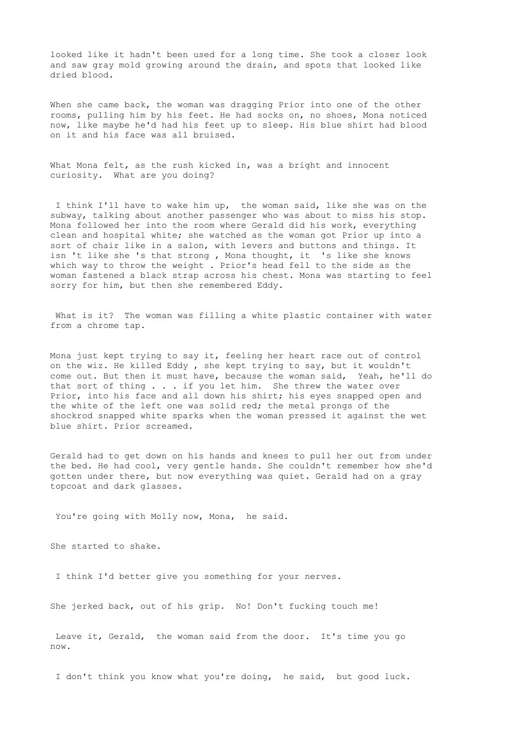looked like it hadn't been used for a long time. She took a closer look and saw gray mold growing around the drain, and spots that looked like dried blood.

When she came back, the woman was dragging Prior into one of the other rooms, pulling him by his feet. He had socks on, no shoes, Mona noticed now, like maybe he'd had his feet up to sleep. His blue shirt had blood on it and his face was all bruised.

What Mona felt, as the rush kicked in, was a bright and innocent curiosity. What are you doing?

 I think I'll have to wake him up, the woman said, like she was on the subway, talking about another passenger who was about to miss his stop. Mona followed her into the room where Gerald did his work, everything clean and hospital white; she watched as the woman got Prior up into a sort of chair like in a salon, with levers and buttons and things. It isn 't like she 's that strong , Mona thought, it 's like she knows which way to throw the weight . Prior's head fell to the side as the woman fastened a black strap across his chest. Mona was starting to feel sorry for him, but then she remembered Eddy.

 What is it? The woman was filling a white plastic container with water from a chrome tap.

Mona just kept trying to say it, feeling her heart race out of control on the wiz. He killed Eddy , she kept trying to say, but it wouldn't come out. But then it must have, because the woman said, Yeah, he'll do that sort of thing . . . if you let him. She threw the water over Prior, into his face and all down his shirt; his eyes snapped open and the white of the left one was solid red; the metal prongs of the shockrod snapped white sparks when the woman pressed it against the wet blue shirt. Prior screamed.

Gerald had to get down on his hands and knees to pull her out from under the bed. He had cool, very gentle hands. She couldn't remember how she'd gotten under there, but now everything was quiet. Gerald had on a gray topcoat and dark glasses.

You're going with Molly now, Mona, he said.

She started to shake.

I think I'd better give you something for your nerves.

She jerked back, out of his grip. No! Don't fucking touch me!

 Leave it, Gerald, the woman said from the door. It's time you go now.

I don't think you know what you're doing, he said, but good luck.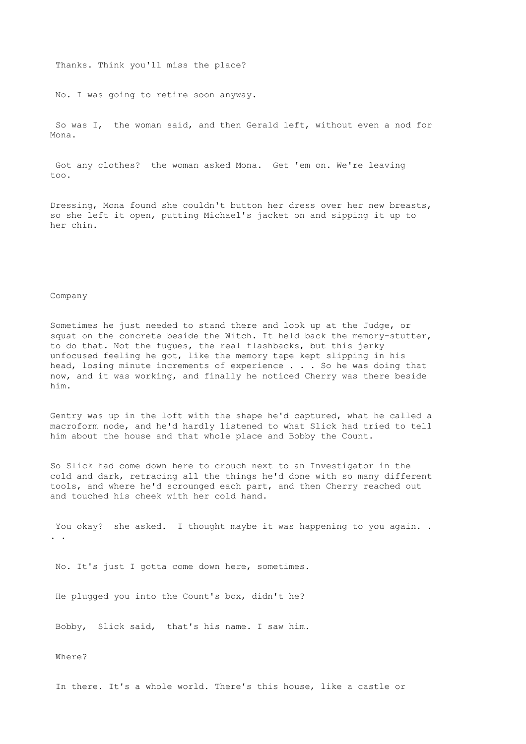Thanks. Think you'll miss the place?

No. I was going to retire soon anyway.

 So was I, the woman said, and then Gerald left, without even a nod for Mona.

 Got any clothes? the woman asked Mona. Get 'em on. We're leaving too.

Dressing, Mona found she couldn't button her dress over her new breasts, so she left it open, putting Michael's jacket on and sipping it up to her chin.

## Company

Sometimes he just needed to stand there and look up at the Judge, or squat on the concrete beside the Witch. It held back the memory-stutter, to do that. Not the fugues, the real flashbacks, but this jerky unfocused feeling he got, like the memory tape kept slipping in his head, losing minute increments of experience . . . So he was doing that now, and it was working, and finally he noticed Cherry was there beside him.

Gentry was up in the loft with the shape he'd captured, what he called a macroform node, and he'd hardly listened to what Slick had tried to tell him about the house and that whole place and Bobby the Count.

So Slick had come down here to crouch next to an Investigator in the cold and dark, retracing all the things he'd done with so many different tools, and where he'd scrounged each part, and then Cherry reached out and touched his cheek with her cold hand.

You okay? she asked. I thought maybe it was happening to you again.. . .

No. It's just I gotta come down here, sometimes.

He plugged you into the Count's box, didn't he?

Bobby, Slick said, that's his name. I saw him.

Where?

In there. It's a whole world. There's this house, like a castle or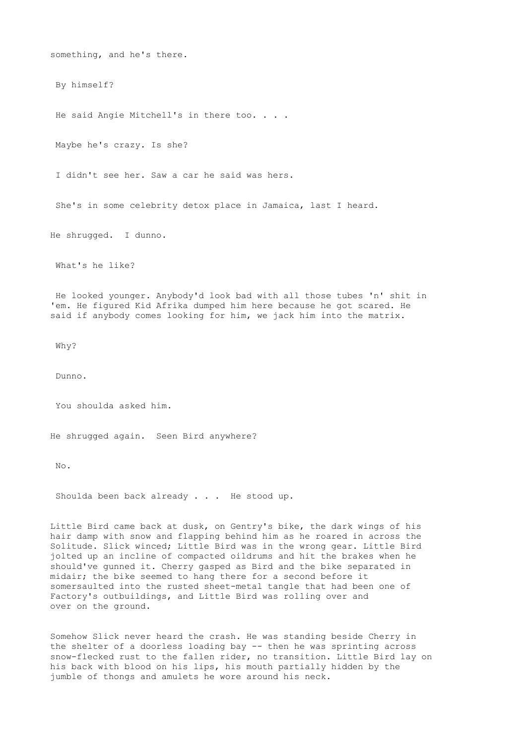something, and he's there. By himself? He said Angie Mitchell's in there too. . . . Maybe he's crazy. Is she? I didn't see her. Saw a car he said was hers. She's in some celebrity detox place in Jamaica, last I heard. He shrugged. I dunno. What's he like? He looked younger. Anybody'd look bad with all those tubes 'n' shit in 'em. He figured Kid Afrika dumped him here because he got scared. He said if anybody comes looking for him, we jack him into the matrix. Why? Dunno.

You shoulda asked him.

He shrugged again. Seen Bird anywhere?

No.

Shoulda been back already . . . He stood up.

Little Bird came back at dusk, on Gentry's bike, the dark wings of his hair damp with snow and flapping behind him as he roared in across the Solitude. Slick winced; Little Bird was in the wrong gear. Little Bird jolted up an incline of compacted oildrums and hit the brakes when he should've gunned it. Cherry gasped as Bird and the bike separated in midair; the bike seemed to hang there for a second before it somersaulted into the rusted sheet-metal tangle that had been one of Factory's outbuildings, and Little Bird was rolling over and over on the ground.

Somehow Slick never heard the crash. He was standing beside Cherry in the shelter of a doorless loading bay -- then he was sprinting across snow-flecked rust to the fallen rider, no transition. Little Bird lay on his back with blood on his lips, his mouth partially hidden by the jumble of thongs and amulets he wore around his neck.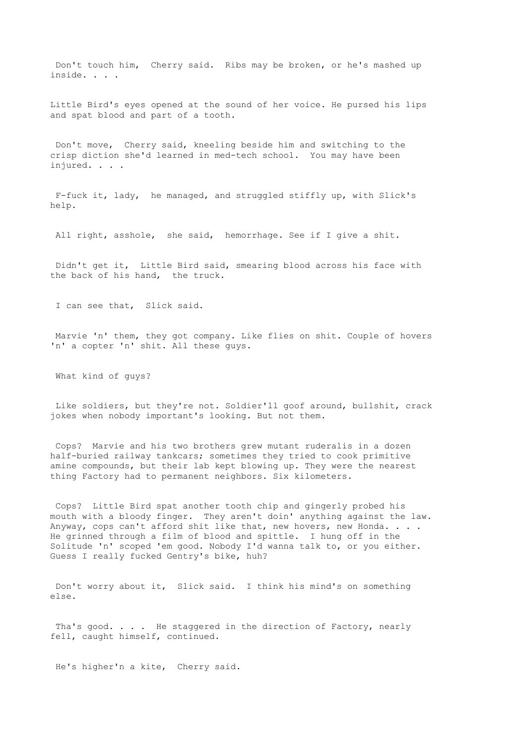Don't touch him, Cherry said. Ribs may be broken, or he's mashed up inside. . . .

Little Bird's eyes opened at the sound of her voice. He pursed his lips and spat blood and part of a tooth.

 Don't move, Cherry said, kneeling beside him and switching to the crisp diction she'd learned in med-tech school. You may have been injured. . . .

 F-fuck it, lady, he managed, and struggled stiffly up, with Slick's help.

All right, asshole, she said, hemorrhage. See if I give a shit.

 Didn't get it, Little Bird said, smearing blood across his face with the back of his hand, the truck.

I can see that, Slick said.

 Marvie 'n' them, they got company. Like flies on shit. Couple of hovers 'n' a copter 'n' shit. All these guys.

What kind of guys?

Like soldiers, but they're not. Soldier'll goof around, bullshit, crack jokes when nobody important's looking. But not them.

 Cops? Marvie and his two brothers grew mutant ruderalis in a dozen half-buried railway tankcars; sometimes they tried to cook primitive amine compounds, but their lab kept blowing up. They were the nearest thing Factory had to permanent neighbors. Six kilometers.

 Cops? Little Bird spat another tooth chip and gingerly probed his mouth with a bloody finger. They aren't doin' anything against the law. Anyway, cops can't afford shit like that, new hovers, new Honda. . . . He grinned through a film of blood and spittle. I hung off in the Solitude 'n' scoped 'em good. Nobody I'd wanna talk to, or you either. Guess I really fucked Gentry's bike, huh?

 Don't worry about it, Slick said. I think his mind's on something else.

Tha's good. . . . He staggered in the direction of Factory, nearly fell, caught himself, continued.

He's higher'n a kite, Cherry said.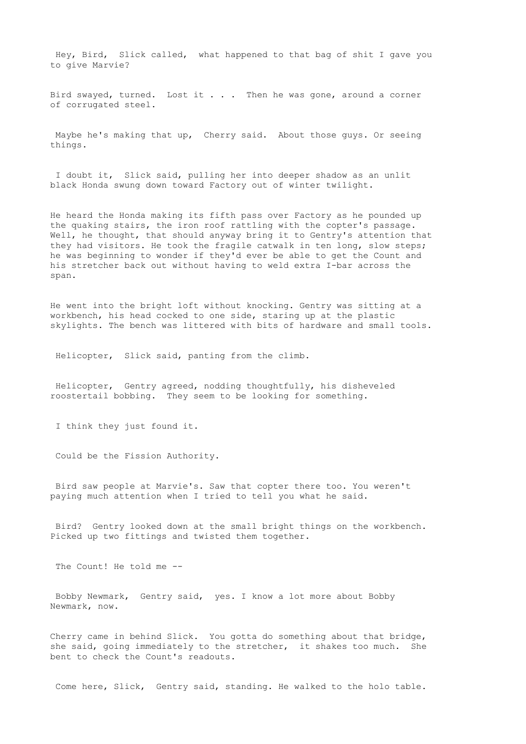Hey, Bird, Slick called, what happened to that bag of shit I gave you to give Marvie?

Bird swayed, turned. Lost it . . . Then he was gone, around a corner of corrugated steel.

 Maybe he's making that up, Cherry said. About those guys. Or seeing things.

 I doubt it, Slick said, pulling her into deeper shadow as an unlit black Honda swung down toward Factory out of winter twilight.

He heard the Honda making its fifth pass over Factory as he pounded up the quaking stairs, the iron roof rattling with the copter's passage. Well, he thought, that should anyway bring it to Gentry's attention that they had visitors. He took the fragile catwalk in ten long, slow steps; he was beginning to wonder if they'd ever be able to get the Count and his stretcher back out without having to weld extra I-bar across the span.

He went into the bright loft without knocking. Gentry was sitting at a workbench, his head cocked to one side, staring up at the plastic skylights. The bench was littered with bits of hardware and small tools.

Helicopter, Slick said, panting from the climb.

 Helicopter, Gentry agreed, nodding thoughtfully, his disheveled roostertail bobbing. They seem to be looking for something.

I think they just found it.

Could be the Fission Authority.

 Bird saw people at Marvie's. Saw that copter there too. You weren't paying much attention when I tried to tell you what he said.

 Bird? Gentry looked down at the small bright things on the workbench. Picked up two fittings and twisted them together.

The Count! He told me --

 Bobby Newmark, Gentry said, yes. I know a lot more about Bobby Newmark, now.

Cherry came in behind Slick. You gotta do something about that bridge, she said, going immediately to the stretcher, it shakes too much. She bent to check the Count's readouts.

Come here, Slick, Gentry said, standing. He walked to the holo table.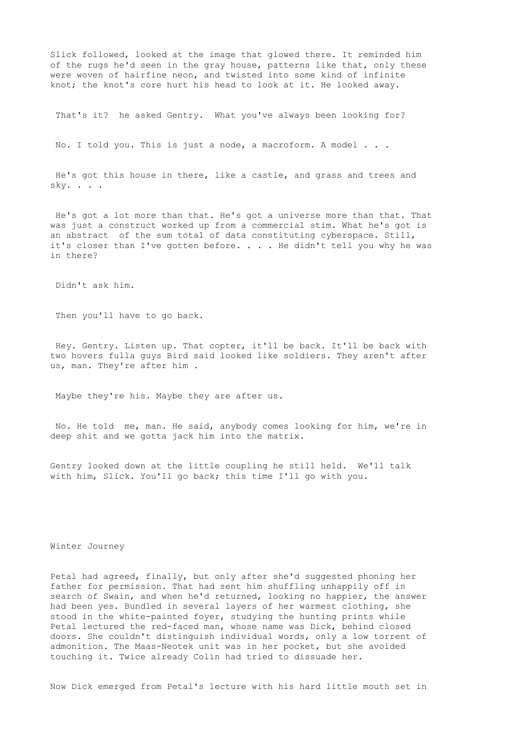Slick followed, looked at the image that glowed there. It reminded him of the rugs he'd seen in the gray house, patterns like that, only these were woven of hairfine neon, and twisted into some kind of infinite knot; the knot's core hurt his head to look at it. He looked away.

That's it? he asked Gentry. What you've always been looking for?

No. I told you. This is just a node, a macroform. A model . . .

 He's got this house in there, like a castle, and grass and trees and sky. . . .

 He's got a lot more than that. He's got a universe more than that. That was just a construct worked up from a commercial stim. What he's got is an abstract of the sum total of data constituting cyberspace. Still, it's closer than I've gotten before. . . . He didn't tell you why he was in there?

Didn't ask him.

Then you'll have to go back.

 Hey. Gentry. Listen up. That copter, it'll be back. It'll be back with two hovers fulla guys Bird said looked like soldiers. They aren't after us, man. They're after him .

Maybe they're his. Maybe they are after us.

 No. He told me, man. He said, anybody comes looking for him, we're in deep shit and we gotta jack him into the matrix.

Gentry looked down at the little coupling he still held. We'll talk with him, Slick. You'll go back; this time I'll go with you.

Winter Journey

Petal had agreed, finally, but only after she'd suggested phoning her father for permission. That had sent him shuffling unhappily off in search of Swain, and when he'd returned, looking no happier, the answer had been yes. Bundled in several layers of her warmest clothing, she stood in the white-painted foyer, studying the hunting prints while Petal lectured the red-faced man, whose name was Dick, behind closed doors. She couldn't distinguish individual words, only a low torrent of admonition. The Maas-Neotek unit was in her pocket, but she avoided touching it. Twice already Colin had tried to dissuade her.

Now Dick emerged from Petal's lecture with his hard little mouth set in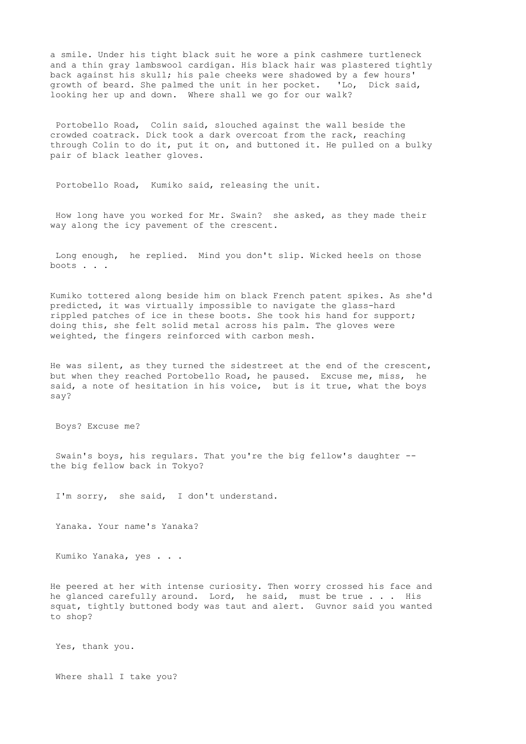a smile. Under his tight black suit he wore a pink cashmere turtleneck and a thin gray lambswool cardigan. His black hair was plastered tightly back against his skull; his pale cheeks were shadowed by a few hours' growth of beard. She palmed the unit in her pocket. 'Lo, Dick said, looking her up and down. Where shall we go for our walk?

 Portobello Road, Colin said, slouched against the wall beside the crowded coatrack. Dick took a dark overcoat from the rack, reaching through Colin to do it, put it on, and buttoned it. He pulled on a bulky pair of black leather gloves.

Portobello Road, Kumiko said, releasing the unit.

 How long have you worked for Mr. Swain? she asked, as they made their way along the icy pavement of the crescent.

 Long enough, he replied. Mind you don't slip. Wicked heels on those boots . . .

Kumiko tottered along beside him on black French patent spikes. As she'd predicted, it was virtually impossible to navigate the glass-hard rippled patches of ice in these boots. She took his hand for support; doing this, she felt solid metal across his palm. The gloves were weighted, the fingers reinforced with carbon mesh.

He was silent, as they turned the sidestreet at the end of the crescent, but when they reached Portobello Road, he paused. Excuse me, miss, he said, a note of hesitation in his voice, but is it true, what the boys say?

Boys? Excuse me?

 Swain's boys, his regulars. That you're the big fellow's daughter - the big fellow back in Tokyo?

I'm sorry, she said, I don't understand.

Yanaka. Your name's Yanaka?

Kumiko Yanaka, yes . . .

He peered at her with intense curiosity. Then worry crossed his face and he glanced carefully around. Lord, he said, must be true . . . His squat, tightly buttoned body was taut and alert. Guvnor said you wanted to shop?

Yes, thank you.

Where shall I take you?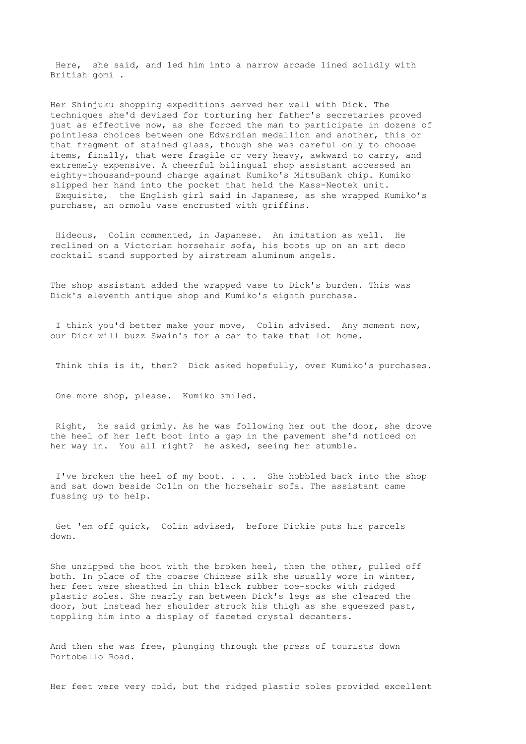Here, she said, and led him into a narrow arcade lined solidly with British gomi .

Her Shinjuku shopping expeditions served her well with Dick. The techniques she'd devised for torturing her father's secretaries proved just as effective now, as she forced the man to participate in dozens of pointless choices between one Edwardian medallion and another, this or that fragment of stained glass, though she was careful only to choose items, finally, that were fragile or very heavy, awkward to carry, and extremely expensive. A cheerful bilingual shop assistant accessed an eighty-thousand-pound charge against Kumiko's MitsuBank chip. Kumiko slipped her hand into the pocket that held the Mass-Neotek unit. Exquisite, the English girl said in Japanese, as she wrapped Kumiko's purchase, an ormolu vase encrusted with griffins.

 Hideous, Colin commented, in Japanese. An imitation as well. He reclined on a Victorian horsehair sofa, his boots up on an art deco cocktail stand supported by airstream aluminum angels.

The shop assistant added the wrapped vase to Dick's burden. This was Dick's eleventh antique shop and Kumiko's eighth purchase.

 I think you'd better make your move, Colin advised. Any moment now, our Dick will buzz Swain's for a car to take that lot home.

Think this is it, then? Dick asked hopefully, over Kumiko's purchases.

One more shop, please. Kumiko smiled.

 Right, he said grimly. As he was following her out the door, she drove the heel of her left boot into a gap in the pavement she'd noticed on her way in. You all right? he asked, seeing her stumble.

I've broken the heel of my boot. . . . She hobbled back into the shop and sat down beside Colin on the horsehair sofa. The assistant came fussing up to help.

 Get 'em off quick, Colin advised, before Dickie puts his parcels down.

She unzipped the boot with the broken heel, then the other, pulled off both. In place of the coarse Chinese silk she usually wore in winter, her feet were sheathed in thin black rubber toe-socks with ridged plastic soles. She nearly ran between Dick's legs as she cleared the door, but instead her shoulder struck his thigh as she squeezed past, toppling him into a display of faceted crystal decanters.

And then she was free, plunging through the press of tourists down Portobello Road.

Her feet were very cold, but the ridged plastic soles provided excellent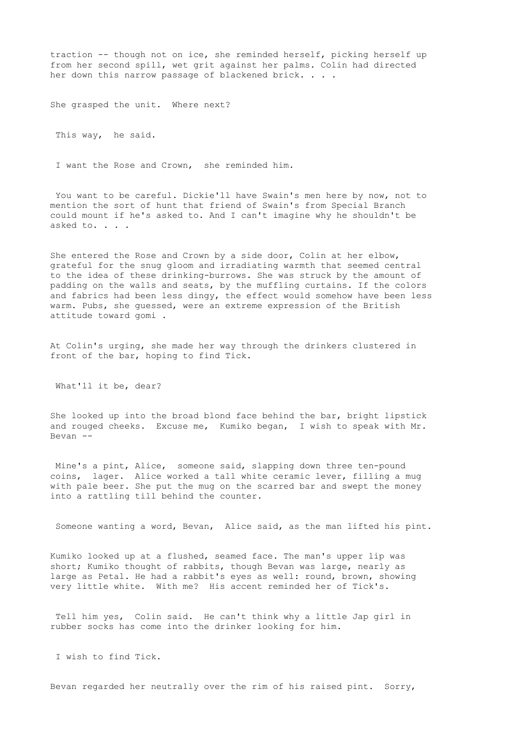traction -- though not on ice, she reminded herself, picking herself up from her second spill, wet grit against her palms. Colin had directed her down this narrow passage of blackened brick. . . .

She grasped the unit. Where next?

This way, he said.

I want the Rose and Crown, she reminded him.

 You want to be careful. Dickie'll have Swain's men here by now, not to mention the sort of hunt that friend of Swain's from Special Branch could mount if he's asked to. And I can't imagine why he shouldn't be asked to. . . .

She entered the Rose and Crown by a side door, Colin at her elbow, grateful for the snug gloom and irradiating warmth that seemed central to the idea of these drinking-burrows. She was struck by the amount of padding on the walls and seats, by the muffling curtains. If the colors and fabrics had been less dingy, the effect would somehow have been less warm. Pubs, she guessed, were an extreme expression of the British attitude toward gomi .

At Colin's urging, she made her way through the drinkers clustered in front of the bar, hoping to find Tick.

What'll it be, dear?

She looked up into the broad blond face behind the bar, bright lipstick and rouged cheeks. Excuse me, Kumiko began, I wish to speak with Mr. Bevan --

 Mine's a pint, Alice, someone said, slapping down three ten-pound coins, lager. Alice worked a tall white ceramic lever, filling a mug with pale beer. She put the mug on the scarred bar and swept the money into a rattling till behind the counter.

Someone wanting a word, Bevan, Alice said, as the man lifted his pint.

Kumiko looked up at a flushed, seamed face. The man's upper lip was short; Kumiko thought of rabbits, though Bevan was large, nearly as large as Petal. He had a rabbit's eyes as well: round, brown, showing very little white. With me? His accent reminded her of Tick's.

 Tell him yes, Colin said. He can't think why a little Jap girl in rubber socks has come into the drinker looking for him.

I wish to find Tick.

Bevan regarded her neutrally over the rim of his raised pint. Sorry,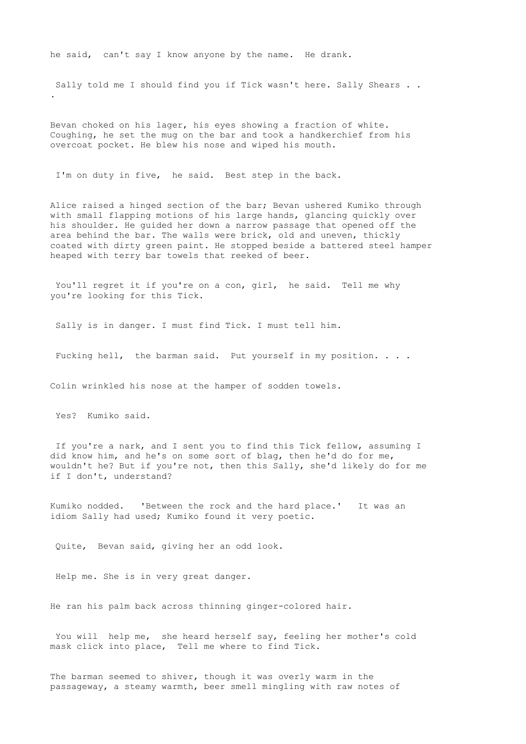he said, can't say I know anyone by the name. He drank.

Sally told me I should find you if Tick wasn't here. Sally Shears . . .

Bevan choked on his lager, his eyes showing a fraction of white. Coughing, he set the mug on the bar and took a handkerchief from his overcoat pocket. He blew his nose and wiped his mouth.

I'm on duty in five, he said. Best step in the back.

Alice raised a hinged section of the bar; Bevan ushered Kumiko through with small flapping motions of his large hands, glancing quickly over his shoulder. He guided her down a narrow passage that opened off the area behind the bar. The walls were brick, old and uneven, thickly coated with dirty green paint. He stopped beside a battered steel hamper heaped with terry bar towels that reeked of beer.

You'll regret it if you're on a con, girl, he said. Tell me why you're looking for this Tick.

Sally is in danger. I must find Tick. I must tell him.

Fucking hell, the barman said. Put yourself in my position. . . .

Colin wrinkled his nose at the hamper of sodden towels.

Yes? Kumiko said.

 If you're a nark, and I sent you to find this Tick fellow, assuming I did know him, and he's on some sort of blag, then he'd do for me, wouldn't he? But if you're not, then this Sally, she'd likely do for me if I don't, understand?

Kumiko nodded. 'Between the rock and the hard place.' It was an idiom Sally had used; Kumiko found it very poetic.

Quite, Bevan said, giving her an odd look.

Help me. She is in very great danger.

He ran his palm back across thinning ginger-colored hair.

 You will help me, she heard herself say, feeling her mother's cold mask click into place, Tell me where to find Tick.

The barman seemed to shiver, though it was overly warm in the passageway, a steamy warmth, beer smell mingling with raw notes of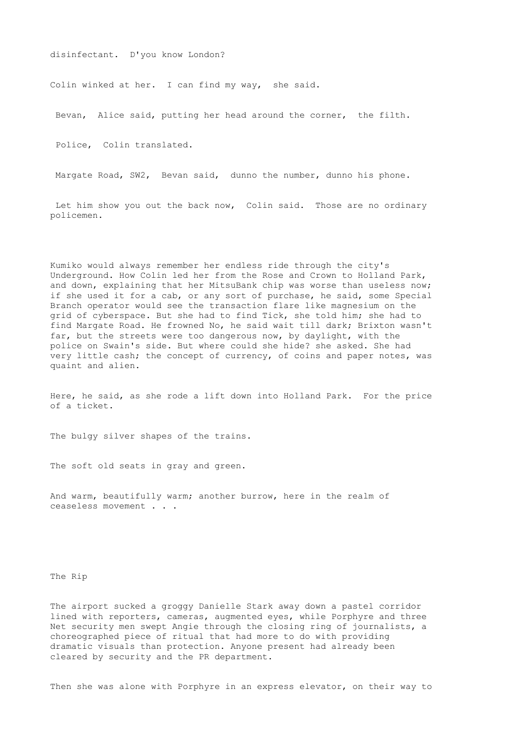disinfectant. D'you know London?

Colin winked at her. I can find my way, she said.

Bevan, Alice said, putting her head around the corner, the filth.

Police, Colin translated.

Margate Road, SW2, Bevan said, dunno the number, dunno his phone.

Let him show you out the back now, Colin said. Those are no ordinary policemen.

Kumiko would always remember her endless ride through the city's Underground. How Colin led her from the Rose and Crown to Holland Park, and down, explaining that her MitsuBank chip was worse than useless now; if she used it for a cab, or any sort of purchase, he said, some Special Branch operator would see the transaction flare like magnesium on the grid of cyberspace. But she had to find Tick, she told him; she had to find Margate Road. He frowned No, he said wait till dark; Brixton wasn't far, but the streets were too dangerous now, by daylight, with the police on Swain's side. But where could she hide? she asked. She had very little cash; the concept of currency, of coins and paper notes, was quaint and alien.

Here, he said, as she rode a lift down into Holland Park. For the price of a ticket.

The bulgy silver shapes of the trains.

The soft old seats in gray and green.

And warm, beautifully warm; another burrow, here in the realm of ceaseless movement . . .

The Rip

The airport sucked a groggy Danielle Stark away down a pastel corridor lined with reporters, cameras, augmented eyes, while Porphyre and three Net security men swept Angie through the closing ring of journalists, a choreographed piece of ritual that had more to do with providing dramatic visuals than protection. Anyone present had already been cleared by security and the PR department.

Then she was alone with Porphyre in an express elevator, on their way to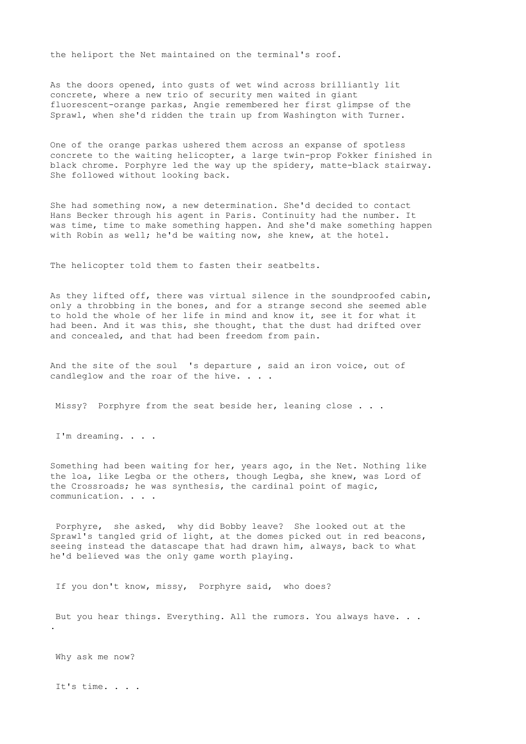the heliport the Net maintained on the terminal's roof.

As the doors opened, into gusts of wet wind across brilliantly lit concrete, where a new trio of security men waited in giant fluorescent-orange parkas, Angie remembered her first glimpse of the Sprawl, when she'd ridden the train up from Washington with Turner.

One of the orange parkas ushered them across an expanse of spotless concrete to the waiting helicopter, a large twin-prop Fokker finished in black chrome. Porphyre led the way up the spidery, matte-black stairway. She followed without looking back.

She had something now, a new determination. She'd decided to contact Hans Becker through his agent in Paris. Continuity had the number. It was time, time to make something happen. And she'd make something happen with Robin as well; he'd be waiting now, she knew, at the hotel.

The helicopter told them to fasten their seatbelts.

As they lifted off, there was virtual silence in the soundproofed cabin, only a throbbing in the bones, and for a strange second she seemed able to hold the whole of her life in mind and know it, see it for what it had been. And it was this, she thought, that the dust had drifted over and concealed, and that had been freedom from pain.

And the site of the soul 's departure , said an iron voice, out of candleglow and the roar of the hive. . . .

Missy? Porphyre from the seat beside her, leaning close . . .

I'm dreaming. . . .

Something had been waiting for her, years ago, in the Net. Nothing like the loa, like Legba or the others, though Legba, she knew, was Lord of the Crossroads; he was synthesis, the cardinal point of magic, communication. . . .

 Porphyre, she asked, why did Bobby leave? She looked out at the Sprawl's tangled grid of light, at the domes picked out in red beacons, seeing instead the datascape that had drawn him, always, back to what he'd believed was the only game worth playing.

If you don't know, missy, Porphyre said, who does?

But you hear things. Everything. All the rumors. You always have. . .

Why ask me now?

.

It's time. . . .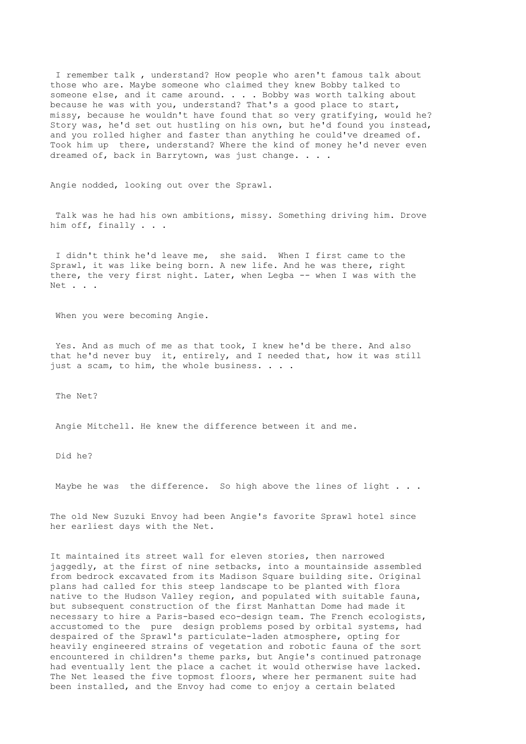I remember talk , understand? How people who aren't famous talk about those who are. Maybe someone who claimed they knew Bobby talked to someone else, and it came around. . . . Bobby was worth talking about because he was with you, understand? That's a good place to start, missy, because he wouldn't have found that so very gratifying, would he? Story was, he'd set out hustling on his own, but he'd found you instead, and you rolled higher and faster than anything he could've dreamed of. Took him up there, understand? Where the kind of money he'd never even dreamed of, back in Barrytown, was just change. . . .

Angie nodded, looking out over the Sprawl.

 Talk was he had his own ambitions, missy. Something driving him. Drove him off, finally . . .

 I didn't think he'd leave me, she said. When I first came to the Sprawl, it was like being born. A new life. And he was there, right there, the very first night. Later, when Legba -- when I was with the Net . . .

When you were becoming Angie.

 Yes. And as much of me as that took, I knew he'd be there. And also that he'd never buy it, entirely, and I needed that, how it was still just a scam, to him, the whole business. . .

The Net?

Angie Mitchell. He knew the difference between it and me.

Did he?

Maybe he was the difference. So high above the lines of light . . .

The old New Suzuki Envoy had been Angie's favorite Sprawl hotel since her earliest days with the Net.

It maintained its street wall for eleven stories, then narrowed jaggedly, at the first of nine setbacks, into a mountainside assembled from bedrock excavated from its Madison Square building site. Original plans had called for this steep landscape to be planted with flora native to the Hudson Valley region, and populated with suitable fauna, but subsequent construction of the first Manhattan Dome had made it necessary to hire a Paris-based eco-design team. The French ecologists, accustomed to the pure design problems posed by orbital systems, had despaired of the Sprawl's particulate-laden atmosphere, opting for heavily engineered strains of vegetation and robotic fauna of the sort encountered in children's theme parks, but Angie's continued patronage had eventually lent the place a cachet it would otherwise have lacked. The Net leased the five topmost floors, where her permanent suite had been installed, and the Envoy had come to enjoy a certain belated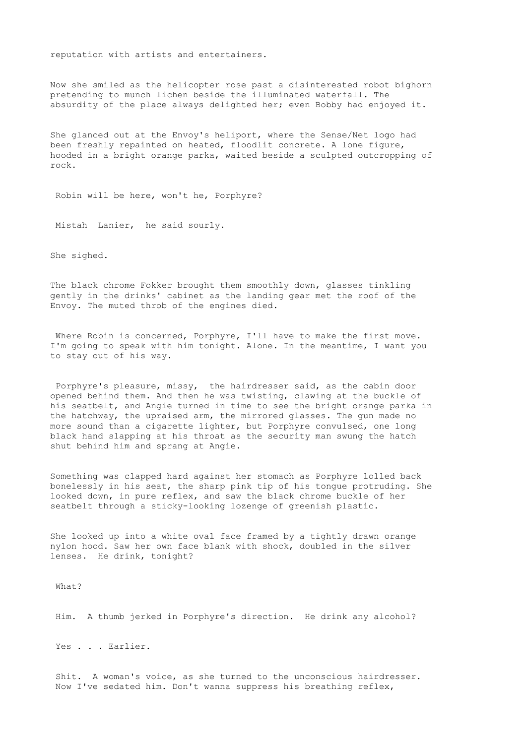reputation with artists and entertainers.

Now she smiled as the helicopter rose past a disinterested robot bighorn pretending to munch lichen beside the illuminated waterfall. The absurdity of the place always delighted her; even Bobby had enjoyed it.

She glanced out at the Envoy's heliport, where the Sense/Net logo had been freshly repainted on heated, floodlit concrete. A lone figure, hooded in a bright orange parka, waited beside a sculpted outcropping of rock.

Robin will be here, won't he, Porphyre?

Mistah Lanier, he said sourly.

She sighed.

The black chrome Fokker brought them smoothly down, glasses tinkling gently in the drinks' cabinet as the landing gear met the roof of the Envoy. The muted throb of the engines died.

Where Robin is concerned, Porphyre, I'll have to make the first move. I'm going to speak with him tonight. Alone. In the meantime, I want you to stay out of his way.

 Porphyre's pleasure, missy, the hairdresser said, as the cabin door opened behind them. And then he was twisting, clawing at the buckle of his seatbelt, and Angie turned in time to see the bright orange parka in the hatchway, the upraised arm, the mirrored glasses. The gun made no more sound than a cigarette lighter, but Porphyre convulsed, one long black hand slapping at his throat as the security man swung the hatch shut behind him and sprang at Angie.

Something was clapped hard against her stomach as Porphyre lolled back bonelessly in his seat, the sharp pink tip of his tongue protruding. She looked down, in pure reflex, and saw the black chrome buckle of her seatbelt through a sticky-looking lozenge of greenish plastic.

She looked up into a white oval face framed by a tightly drawn orange nylon hood. Saw her own face blank with shock, doubled in the silver lenses. He drink, tonight?

What?

Him. A thumb jerked in Porphyre's direction. He drink any alcohol?

Yes . . . Earlier.

 Shit. A woman's voice, as she turned to the unconscious hairdresser. Now I've sedated him. Don't wanna suppress his breathing reflex,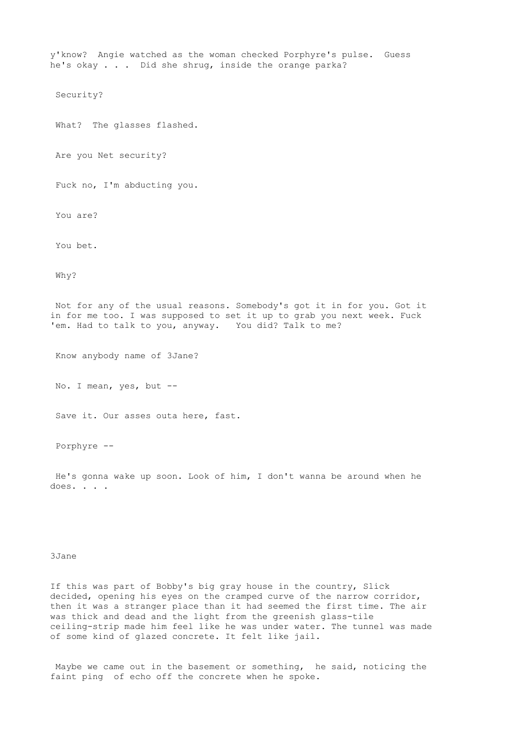y'know? Angie watched as the woman checked Porphyre's pulse. Guess he's okay . . . Did she shrug, inside the orange parka? Security? What? The glasses flashed. Are you Net security? Fuck no, I'm abducting you. You are? You bet. Why? Not for any of the usual reasons. Somebody's got it in for you. Got it in for me too. I was supposed to set it up to grab you next week. Fuck 'em. Had to talk to you, anyway. You did? Talk to me? Know anybody name of 3Jane? No. I mean, yes, but -- Save it. Our asses outa here, fast. Porphyre -- He's gonna wake up soon. Look of him, I don't wanna be around when he does. . . .

# 3Jane

If this was part of Bobby's big gray house in the country, Slick decided, opening his eyes on the cramped curve of the narrow corridor, then it was a stranger place than it had seemed the first time. The air was thick and dead and the light from the greenish glass-tile ceiling-strip made him feel like he was under water. The tunnel was made of some kind of glazed concrete. It felt like jail.

 Maybe we came out in the basement or something, he said, noticing the faint ping of echo off the concrete when he spoke.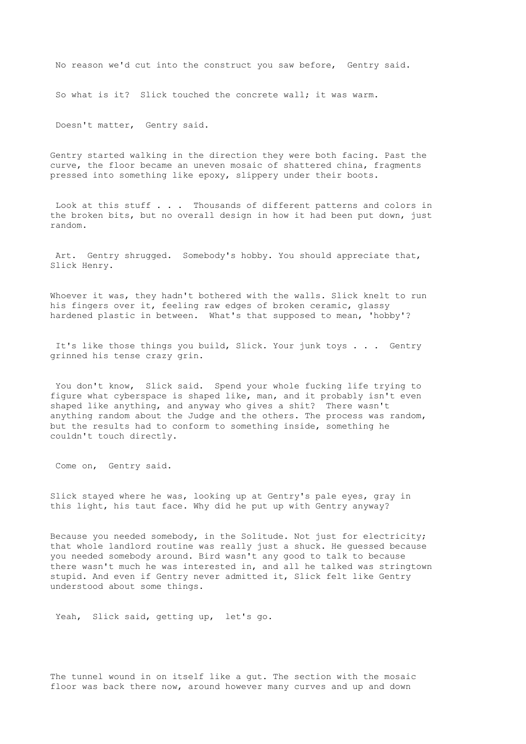No reason we'd cut into the construct you saw before, Gentry said.

So what is it? Slick touched the concrete wall; it was warm.

Doesn't matter, Gentry said.

Gentry started walking in the direction they were both facing. Past the curve, the floor became an uneven mosaic of shattered china, fragments pressed into something like epoxy, slippery under their boots.

Look at this stuff . . . Thousands of different patterns and colors in the broken bits, but no overall design in how it had been put down, just random.

 Art. Gentry shrugged. Somebody's hobby. You should appreciate that, Slick Henry.

Whoever it was, they hadn't bothered with the walls. Slick knelt to run his fingers over it, feeling raw edges of broken ceramic, glassy hardened plastic in between. What's that supposed to mean, 'hobby'?

It's like those things you build, Slick. Your junk toys . . . Gentry grinned his tense crazy grin.

You don't know, Slick said. Spend your whole fucking life trying to figure what cyberspace is shaped like, man, and it probably isn't even shaped like anything, and anyway who gives a shit? There wasn't anything random about the Judge and the others. The process was random, but the results had to conform to something inside, something he couldn't touch directly.

Come on, Gentry said.

Slick stayed where he was, looking up at Gentry's pale eyes, gray in this light, his taut face. Why did he put up with Gentry anyway?

Because you needed somebody, in the Solitude. Not just for electricity; that whole landlord routine was really just a shuck. He guessed because you needed somebody around. Bird wasn't any good to talk to because there wasn't much he was interested in, and all he talked was stringtown stupid. And even if Gentry never admitted it, Slick felt like Gentry understood about some things.

Yeah, Slick said, getting up, let's go.

The tunnel wound in on itself like a gut. The section with the mosaic floor was back there now, around however many curves and up and down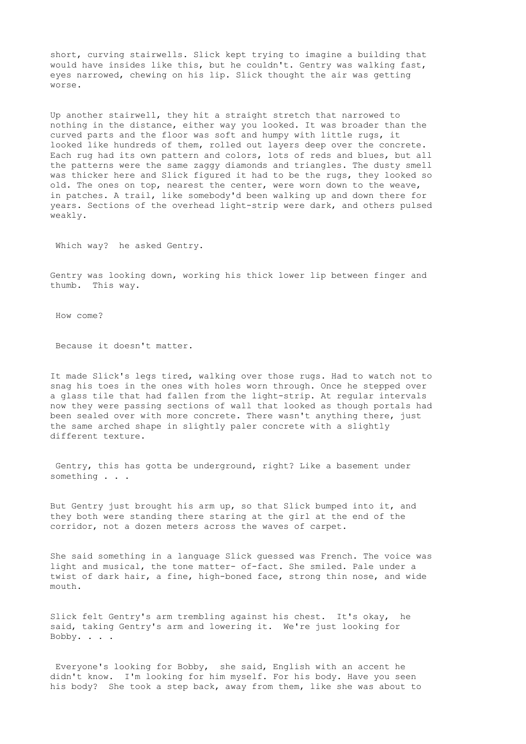short, curving stairwells. Slick kept trying to imagine a building that would have insides like this, but he couldn't. Gentry was walking fast, eyes narrowed, chewing on his lip. Slick thought the air was getting worse.

Up another stairwell, they hit a straight stretch that narrowed to nothing in the distance, either way you looked. It was broader than the curved parts and the floor was soft and humpy with little rugs, it looked like hundreds of them, rolled out layers deep over the concrete. Each rug had its own pattern and colors, lots of reds and blues, but all the patterns were the same zaggy diamonds and triangles. The dusty smell was thicker here and Slick figured it had to be the rugs, they looked so old. The ones on top, nearest the center, were worn down to the weave, in patches. A trail, like somebody'd been walking up and down there for years. Sections of the overhead light-strip were dark, and others pulsed weakly.

Which way? he asked Gentry.

Gentry was looking down, working his thick lower lip between finger and thumb. This way.

How come?

Because it doesn't matter.

It made Slick's legs tired, walking over those rugs. Had to watch not to snag his toes in the ones with holes worn through. Once he stepped over a glass tile that had fallen from the light-strip. At regular intervals now they were passing sections of wall that looked as though portals had been sealed over with more concrete. There wasn't anything there, just the same arched shape in slightly paler concrete with a slightly different texture.

 Gentry, this has gotta be underground, right? Like a basement under something . . .

But Gentry just brought his arm up, so that Slick bumped into it, and they both were standing there staring at the girl at the end of the corridor, not a dozen meters across the waves of carpet.

She said something in a language Slick guessed was French. The voice was light and musical, the tone matter- of-fact. She smiled. Pale under a twist of dark hair, a fine, high-boned face, strong thin nose, and wide mouth.

Slick felt Gentry's arm trembling against his chest. It's okay, he said, taking Gentry's arm and lowering it. We're just looking for Bobby. . . .

 Everyone's looking for Bobby, she said, English with an accent he didn't know. I'm looking for him myself. For his body. Have you seen his body? She took a step back, away from them, like she was about to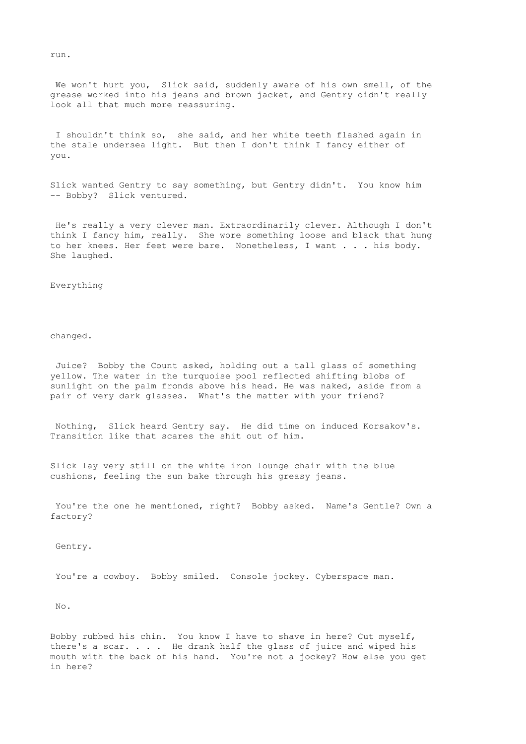We won't hurt you, Slick said, suddenly aware of his own smell, of the grease worked into his jeans and brown jacket, and Gentry didn't really look all that much more reassuring.

 I shouldn't think so, she said, and her white teeth flashed again in the stale undersea light. But then I don't think I fancy either of you.

Slick wanted Gentry to say something, but Gentry didn't. You know him -- Bobby? Slick ventured.

 He's really a very clever man. Extraordinarily clever. Although I don't think I fancy him, really. She wore something loose and black that hung to her knees. Her feet were bare. Nonetheless, I want . . . his body. She laughed.

Everything

changed.

 Juice? Bobby the Count asked, holding out a tall glass of something yellow. The water in the turquoise pool reflected shifting blobs of sunlight on the palm fronds above his head. He was naked, aside from a pair of very dark glasses. What's the matter with your friend?

 Nothing, Slick heard Gentry say. He did time on induced Korsakov's. Transition like that scares the shit out of him.

Slick lay very still on the white iron lounge chair with the blue cushions, feeling the sun bake through his greasy jeans.

You're the one he mentioned, right? Bobby asked. Name's Gentle? Own a factory?

Gentry.

You're a cowboy. Bobby smiled. Console jockey. Cyberspace man.

No.

Bobby rubbed his chin. You know I have to shave in here? Cut myself, there's a scar. . . . He drank half the glass of juice and wiped his mouth with the back of his hand. You're not a jockey? How else you get in here?

run.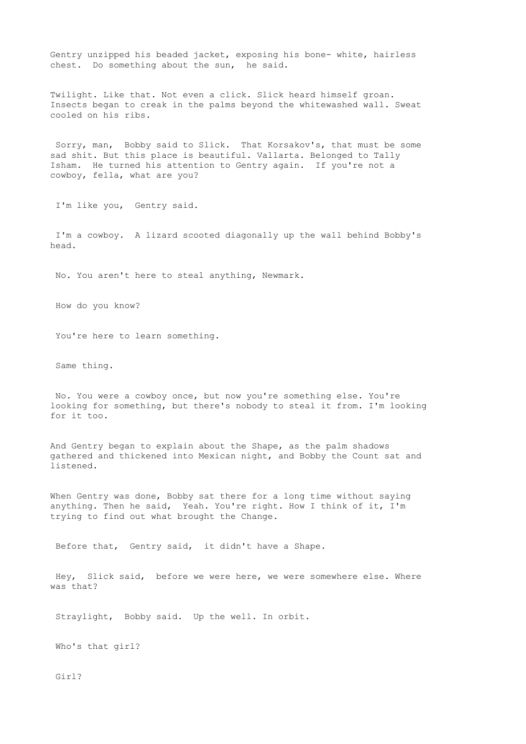Gentry unzipped his beaded jacket, exposing his bone- white, hairless chest. Do something about the sun, he said.

Twilight. Like that. Not even a click. Slick heard himself groan. Insects began to creak in the palms beyond the whitewashed wall. Sweat cooled on his ribs.

 Sorry, man, Bobby said to Slick. That Korsakov's, that must be some sad shit. But this place is beautiful. Vallarta. Belonged to Tally Isham. He turned his attention to Gentry again. If you're not a cowboy, fella, what are you?

I'm like you, Gentry said.

 I'm a cowboy. A lizard scooted diagonally up the wall behind Bobby's head.

No. You aren't here to steal anything, Newmark.

How do you know?

You're here to learn something.

Same thing.

 No. You were a cowboy once, but now you're something else. You're looking for something, but there's nobody to steal it from. I'm looking for it too.

And Gentry began to explain about the Shape, as the palm shadows gathered and thickened into Mexican night, and Bobby the Count sat and listened.

When Gentry was done, Bobby sat there for a long time without saying anything. Then he said, Yeah. You're right. How I think of it, I'm trying to find out what brought the Change.

Before that, Gentry said, it didn't have a Shape.

 Hey, Slick said, before we were here, we were somewhere else. Where was that?

Straylight, Bobby said. Up the well. In orbit.

Who's that girl?

Girl?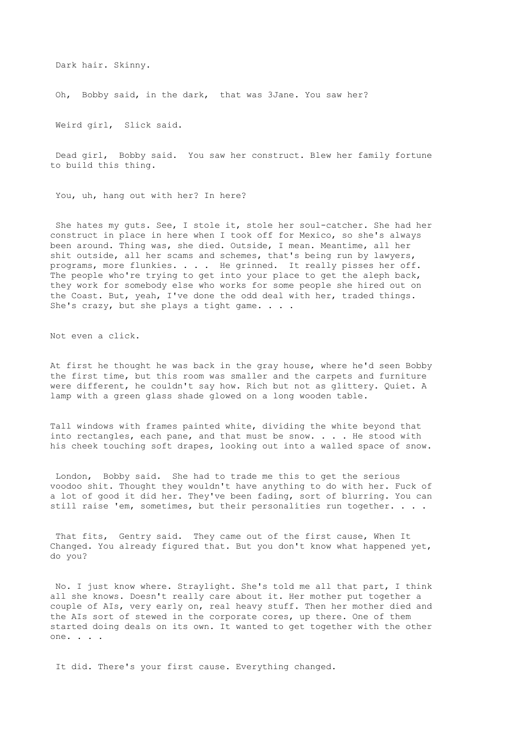Dark hair. Skinny.

Oh, Bobby said, in the dark, that was 3Jane. You saw her?

Weird girl, Slick said.

 Dead girl, Bobby said. You saw her construct. Blew her family fortune to build this thing.

You, uh, hang out with her? In here?

 She hates my guts. See, I stole it, stole her soul-catcher. She had her construct in place in here when I took off for Mexico, so she's always been around. Thing was, she died. Outside, I mean. Meantime, all her shit outside, all her scams and schemes, that's being run by lawyers, programs, more flunkies. . . . He grinned. It really pisses her off. The people who're trying to get into your place to get the aleph back, they work for somebody else who works for some people she hired out on the Coast. But, yeah, I've done the odd deal with her, traded things. She's crazy, but she plays a tight game. . . .

Not even a click.

At first he thought he was back in the gray house, where he'd seen Bobby the first time, but this room was smaller and the carpets and furniture were different, he couldn't say how. Rich but not as glittery. Quiet. A lamp with a green glass shade glowed on a long wooden table.

Tall windows with frames painted white, dividing the white beyond that into rectangles, each pane, and that must be snow. . . . He stood with his cheek touching soft drapes, looking out into a walled space of snow.

 London, Bobby said. She had to trade me this to get the serious voodoo shit. Thought they wouldn't have anything to do with her. Fuck of a lot of good it did her. They've been fading, sort of blurring. You can still raise 'em, sometimes, but their personalities run together. . . .

That fits, Gentry said. They came out of the first cause, When It Changed. You already figured that. But you don't know what happened yet, do you?

 No. I just know where. Straylight. She's told me all that part, I think all she knows. Doesn't really care about it. Her mother put together a couple of AIs, very early on, real heavy stuff. Then her mother died and the AIs sort of stewed in the corporate cores, up there. One of them started doing deals on its own. It wanted to get together with the other one. . . .

It did. There's your first cause. Everything changed.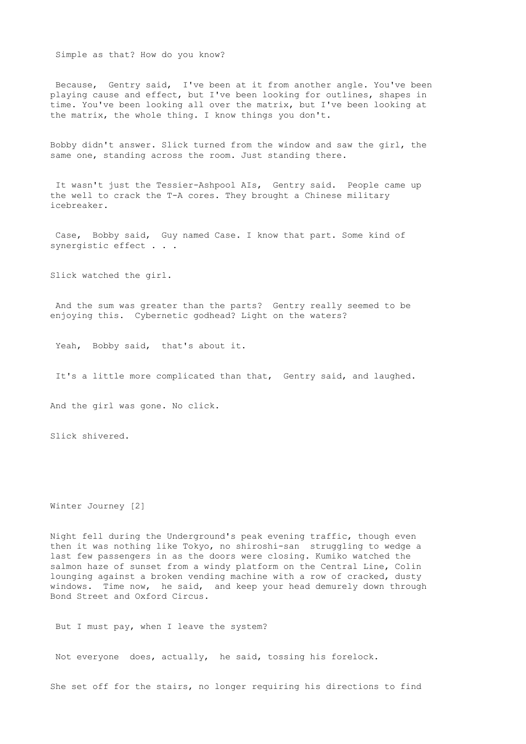Simple as that? How do you know?

 Because, Gentry said, I've been at it from another angle. You've been playing cause and effect, but I've been looking for outlines, shapes in time. You've been looking all over the matrix, but I've been looking at the matrix, the whole thing. I know things you don't.

Bobby didn't answer. Slick turned from the window and saw the girl, the same one, standing across the room. Just standing there.

 It wasn't just the Tessier-Ashpool AIs, Gentry said. People came up the well to crack the T-A cores. They brought a Chinese military icebreaker.

 Case, Bobby said, Guy named Case. I know that part. Some kind of synergistic effect . . .

Slick watched the girl.

 And the sum was greater than the parts? Gentry really seemed to be enjoying this. Cybernetic godhead? Light on the waters?

Yeah, Bobby said, that's about it.

It's a little more complicated than that, Gentry said, and laughed.

And the girl was gone. No click.

Slick shivered.

Winter Journey [2]

Night fell during the Underground's peak evening traffic, though even then it was nothing like Tokyo, no shiroshi-san struggling to wedge a last few passengers in as the doors were closing. Kumiko watched the salmon haze of sunset from a windy platform on the Central Line, Colin lounging against a broken vending machine with a row of cracked, dusty windows. Time now, he said, and keep your head demurely down through Bond Street and Oxford Circus.

But I must pay, when I leave the system?

Not everyone does, actually, he said, tossing his forelock.

She set off for the stairs, no longer requiring his directions to find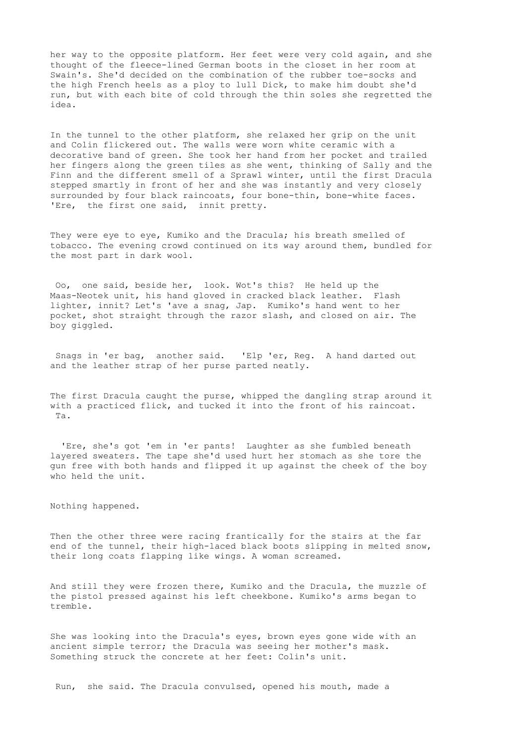her way to the opposite platform. Her feet were very cold again, and she thought of the fleece-lined German boots in the closet in her room at Swain's. She'd decided on the combination of the rubber toe-socks and the high French heels as a ploy to lull Dick, to make him doubt she'd run, but with each bite of cold through the thin soles she regretted the idea.

In the tunnel to the other platform, she relaxed her grip on the unit and Colin flickered out. The walls were worn white ceramic with a decorative band of green. She took her hand from her pocket and trailed her fingers along the green tiles as she went, thinking of Sally and the Finn and the different smell of a Sprawl winter, until the first Dracula stepped smartly in front of her and she was instantly and very closely surrounded by four black raincoats, four bone-thin, bone-white faces. 'Ere, the first one said, innit pretty.

They were eye to eye, Kumiko and the Dracula; his breath smelled of tobacco. The evening crowd continued on its way around them, bundled for the most part in dark wool.

 Oo, one said, beside her, look. Wot's this? He held up the Maas-Neotek unit, his hand gloved in cracked black leather. Flash lighter, innit? Let's 'ave a snag, Jap. Kumiko's hand went to her pocket, shot straight through the razor slash, and closed on air. The boy giggled.

 Snags in 'er bag, another said. 'Elp 'er, Reg. A hand darted out and the leather strap of her purse parted neatly.

The first Dracula caught the purse, whipped the dangling strap around it with a practiced flick, and tucked it into the front of his raincoat. Ta.

 'Ere, she's got 'em in 'er pants! Laughter as she fumbled beneath layered sweaters. The tape she'd used hurt her stomach as she tore the gun free with both hands and flipped it up against the cheek of the boy who held the unit.

## Nothing happened.

Then the other three were racing frantically for the stairs at the far end of the tunnel, their high-laced black boots slipping in melted snow, their long coats flapping like wings. A woman screamed.

And still they were frozen there, Kumiko and the Dracula, the muzzle of the pistol pressed against his left cheekbone. Kumiko's arms began to tremble.

She was looking into the Dracula's eyes, brown eyes gone wide with an ancient simple terror; the Dracula was seeing her mother's mask. Something struck the concrete at her feet: Colin's unit.

Run, she said. The Dracula convulsed, opened his mouth, made a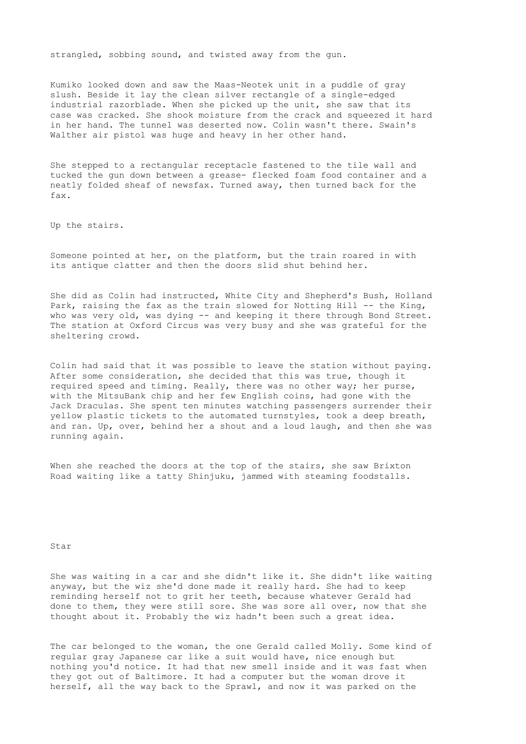strangled, sobbing sound, and twisted away from the gun.

Kumiko looked down and saw the Maas-Neotek unit in a puddle of gray slush. Beside it lay the clean silver rectangle of a single-edged industrial razorblade. When she picked up the unit, she saw that its case was cracked. She shook moisture from the crack and squeezed it hard in her hand. The tunnel was deserted now. Colin wasn't there. Swain's Walther air pistol was huge and heavy in her other hand.

She stepped to a rectangular receptacle fastened to the tile wall and tucked the gun down between a grease- flecked foam food container and a neatly folded sheaf of newsfax. Turned away, then turned back for the fax.

Up the stairs.

Someone pointed at her, on the platform, but the train roared in with its antique clatter and then the doors slid shut behind her.

She did as Colin had instructed, White City and Shepherd's Bush, Holland Park, raising the fax as the train slowed for Notting Hill -- the King, who was very old, was dying -- and keeping it there through Bond Street. The station at Oxford Circus was very busy and she was grateful for the sheltering crowd.

Colin had said that it was possible to leave the station without paying. After some consideration, she decided that this was true, though it required speed and timing. Really, there was no other way; her purse, with the MitsuBank chip and her few English coins, had gone with the Jack Draculas. She spent ten minutes watching passengers surrender their yellow plastic tickets to the automated turnstyles, took a deep breath, and ran. Up, over, behind her a shout and a loud laugh, and then she was running again.

When she reached the doors at the top of the stairs, she saw Brixton Road waiting like a tatty Shinjuku, jammed with steaming foodstalls.

## Star

She was waiting in a car and she didn't like it. She didn't like waiting anyway, but the wiz she'd done made it really hard. She had to keep reminding herself not to grit her teeth, because whatever Gerald had done to them, they were still sore. She was sore all over, now that she thought about it. Probably the wiz hadn't been such a great idea.

The car belonged to the woman, the one Gerald called Molly. Some kind of regular gray Japanese car like a suit would have, nice enough but nothing you'd notice. It had that new smell inside and it was fast when they got out of Baltimore. It had a computer but the woman drove it herself, all the way back to the Sprawl, and now it was parked on the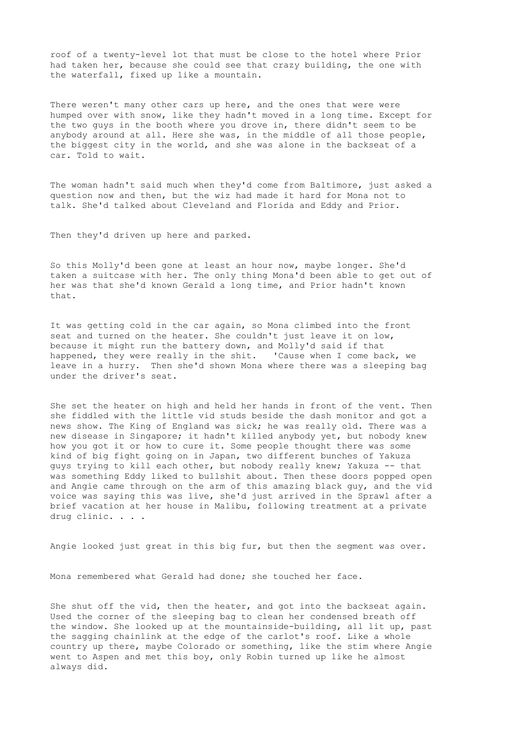roof of a twenty-level lot that must be close to the hotel where Prior had taken her, because she could see that crazy building, the one with the waterfall, fixed up like a mountain.

There weren't many other cars up here, and the ones that were were humped over with snow, like they hadn't moved in a long time. Except for the two guys in the booth where you drove in, there didn't seem to be anybody around at all. Here she was, in the middle of all those people, the biggest city in the world, and she was alone in the backseat of a car. Told to wait.

The woman hadn't said much when they'd come from Baltimore, just asked a question now and then, but the wiz had made it hard for Mona not to talk. She'd talked about Cleveland and Florida and Eddy and Prior.

Then they'd driven up here and parked.

So this Molly'd been gone at least an hour now, maybe longer. She'd taken a suitcase with her. The only thing Mona'd been able to get out of her was that she'd known Gerald a long time, and Prior hadn't known that.

It was getting cold in the car again, so Mona climbed into the front seat and turned on the heater. She couldn't just leave it on low, because it might run the battery down, and Molly'd said if that happened, they were really in the shit. 'Cause when I come back, we leave in a hurry. Then she'd shown Mona where there was a sleeping bag under the driver's seat.

She set the heater on high and held her hands in front of the vent. Then she fiddled with the little vid studs beside the dash monitor and got a news show. The King of England was sick; he was really old. There was a new disease in Singapore; it hadn't killed anybody yet, but nobody knew how you got it or how to cure it. Some people thought there was some kind of big fight going on in Japan, two different bunches of Yakuza guys trying to kill each other, but nobody really knew; Yakuza -- that was something Eddy liked to bullshit about. Then these doors popped open and Angie came through on the arm of this amazing black guy, and the vid voice was saying this was live, she'd just arrived in the Sprawl after a brief vacation at her house in Malibu, following treatment at a private drug clinic. . . .

Angie looked just great in this big fur, but then the segment was over.

Mona remembered what Gerald had done; she touched her face.

She shut off the vid, then the heater, and got into the backseat again. Used the corner of the sleeping bag to clean her condensed breath off the window. She looked up at the mountainside-building, all lit up, past the sagging chainlink at the edge of the carlot's roof. Like a whole country up there, maybe Colorado or something, like the stim where Angie went to Aspen and met this boy, only Robin turned up like he almost always did.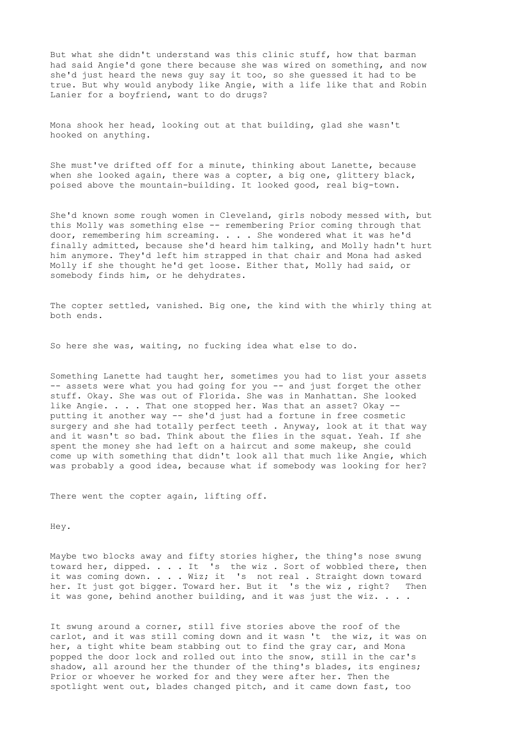But what she didn't understand was this clinic stuff, how that barman had said Angie'd gone there because she was wired on something, and now she'd just heard the news guy say it too, so she guessed it had to be true. But why would anybody like Angie, with a life like that and Robin Lanier for a boyfriend, want to do drugs?

Mona shook her head, looking out at that building, glad she wasn't hooked on anything.

She must've drifted off for a minute, thinking about Lanette, because when she looked again, there was a copter, a big one, glittery black, poised above the mountain-building. It looked good, real big-town.

She'd known some rough women in Cleveland, girls nobody messed with, but this Molly was something else -- remembering Prior coming through that door, remembering him screaming. . . . She wondered what it was he'd finally admitted, because she'd heard him talking, and Molly hadn't hurt him anymore. They'd left him strapped in that chair and Mona had asked Molly if she thought he'd get loose. Either that, Molly had said, or somebody finds him, or he dehydrates.

The copter settled, vanished. Big one, the kind with the whirly thing at both ends.

So here she was, waiting, no fucking idea what else to do.

Something Lanette had taught her, sometimes you had to list your assets -- assets were what you had going for you -- and just forget the other stuff. Okay. She was out of Florida. She was in Manhattan. She looked like Angie. . . . That one stopped her. Was that an asset? Okay -putting it another way -- she'd just had a fortune in free cosmetic surgery and she had totally perfect teeth . Anyway, look at it that way and it wasn't so bad. Think about the flies in the squat. Yeah. If she spent the money she had left on a haircut and some makeup, she could come up with something that didn't look all that much like Angie, which was probably a good idea, because what if somebody was looking for her?

There went the copter again, lifting off.

Hey.

Maybe two blocks away and fifty stories higher, the thing's nose swung toward her, dipped. . . . It 's the wiz . Sort of wobbled there, then it was coming down. . . . Wiz; it 's not real . Straight down toward her. It just got bigger. Toward her. But it 's the wiz, right? Then it was gone, behind another building, and it was just the wiz. . . .

It swung around a corner, still five stories above the roof of the carlot, and it was still coming down and it wasn 't the wiz, it was on her, a tight white beam stabbing out to find the gray car, and Mona popped the door lock and rolled out into the snow, still in the car's shadow, all around her the thunder of the thing's blades, its engines; Prior or whoever he worked for and they were after her. Then the spotlight went out, blades changed pitch, and it came down fast, too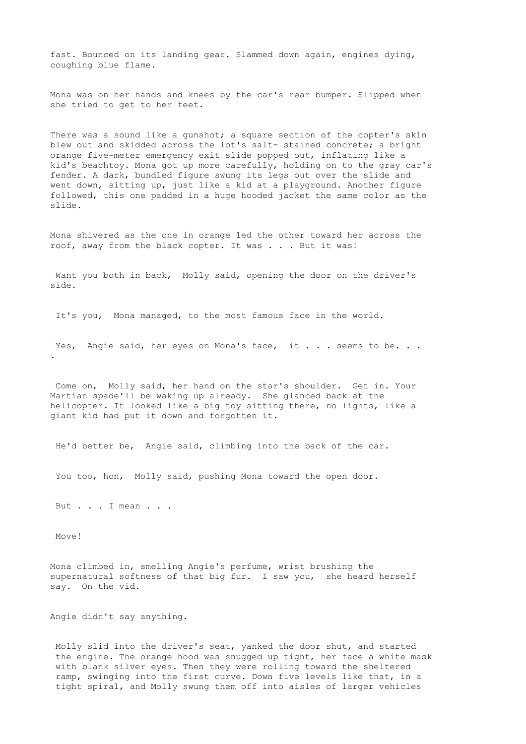fast. Bounced on its landing gear. Slammed down again, engines dying, coughing blue flame.

Mona was on her hands and knees by the car's rear bumper. Slipped when she tried to get to her feet.

There was a sound like a gunshot; a square section of the copter's skin blew out and skidded across the lot's salt- stained concrete; a bright orange five-meter emergency exit slide popped out, inflating like a kid's beachtoy. Mona got up more carefully, holding on to the gray car's fender. A dark, bundled figure swung its legs out over the slide and went down, sitting up, just like a kid at a playground. Another figure followed, this one padded in a huge hooded jacket the same color as the slide.

Mona shivered as the one in orange led the other toward her across the roof, away from the black copter. It was . . . But it was!

Want you both in back, Molly said, opening the door on the driver's side.

It's you, Mona managed, to the most famous face in the world.

Yes, Angie said, her eyes on Mona's face, it . . . seems to be. . .

 Come on, Molly said, her hand on the star's shoulder. Get in. Your Martian spade'll be waking up already. She glanced back at the helicopter. It looked like a big toy sitting there, no lights, like a giant kid had put it down and forgotten it.

He'd better be, Angie said, climbing into the back of the car.

You too, hon, Molly said, pushing Mona toward the open door.

But . . . I mean . . .

Move!

.

Mona climbed in, smelling Angie's perfume, wrist brushing the supernatural softness of that big fur. I saw you, she heard herself say. On the vid.

Angie didn't say anything.

 Molly slid into the driver's seat, yanked the door shut, and started the engine. The orange hood was snugged up tight, her face a white mask with blank silver eyes. Then they were rolling toward the sheltered ramp, swinging into the first curve. Down five levels like that, in a tight spiral, and Molly swung them off into aisles of larger vehicles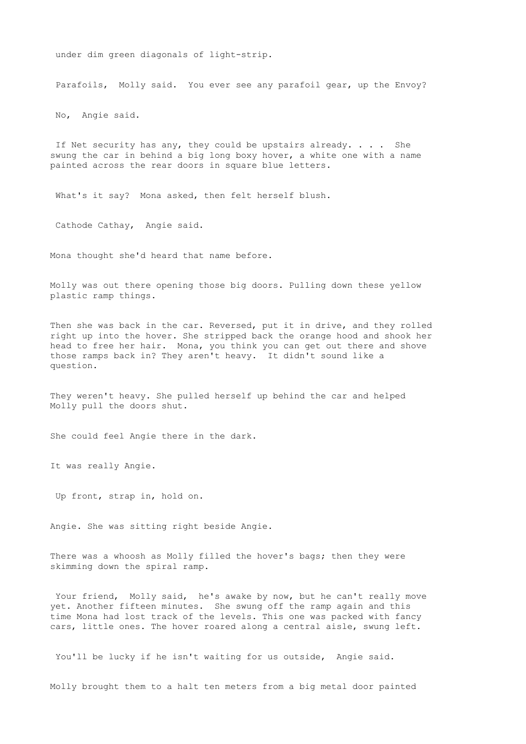under dim green diagonals of light-strip.

Parafoils, Molly said. You ever see any parafoil gear, up the Envoy?

No, Angie said.

 If Net security has any, they could be upstairs already. . . . She swung the car in behind a big long boxy hover, a white one with a name painted across the rear doors in square blue letters.

What's it say? Mona asked, then felt herself blush.

Cathode Cathay, Angie said.

Mona thought she'd heard that name before.

Molly was out there opening those big doors. Pulling down these yellow plastic ramp things.

Then she was back in the car. Reversed, put it in drive, and they rolled right up into the hover. She stripped back the orange hood and shook her head to free her hair. Mona, you think you can get out there and shove those ramps back in? They aren't heavy. It didn't sound like a question.

They weren't heavy. She pulled herself up behind the car and helped Molly pull the doors shut.

She could feel Angie there in the dark.

It was really Angie.

Up front, strap in, hold on.

Angie. She was sitting right beside Angie.

There was a whoosh as Molly filled the hover's bags; then they were skimming down the spiral ramp.

Your friend, Molly said, he's awake by now, but he can't really move yet. Another fifteen minutes. She swung off the ramp again and this time Mona had lost track of the levels. This one was packed with fancy cars, little ones. The hover roared along a central aisle, swung left.

You'll be lucky if he isn't waiting for us outside, Angie said.

Molly brought them to a halt ten meters from a big metal door painted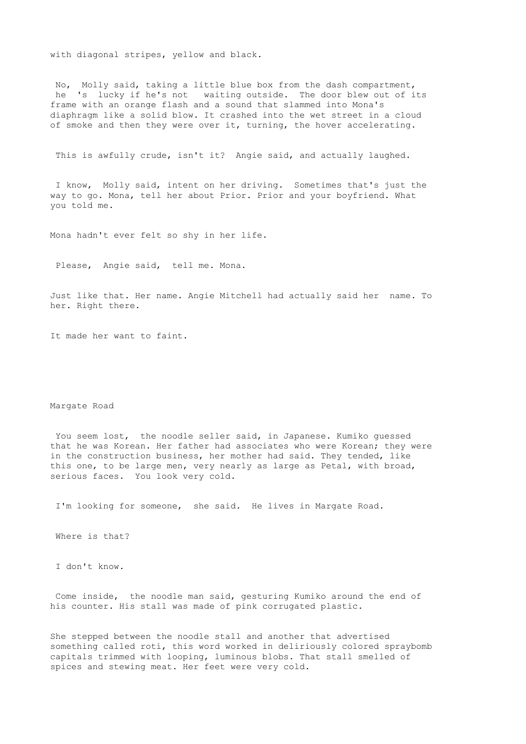with diagonal stripes, yellow and black.

 No, Molly said, taking a little blue box from the dash compartment, he 's lucky if he's not waiting outside. The door blew out of its frame with an orange flash and a sound that slammed into Mona's diaphragm like a solid blow. It crashed into the wet street in a cloud of smoke and then they were over it, turning, the hover accelerating.

This is awfully crude, isn't it? Angie said, and actually laughed.

 I know, Molly said, intent on her driving. Sometimes that's just the way to go. Mona, tell her about Prior. Prior and your boyfriend. What you told me.

Mona hadn't ever felt so shy in her life.

Please, Angie said, tell me. Mona.

Just like that. Her name. Angie Mitchell had actually said her name. To her. Right there.

It made her want to faint.

#### Margate Road

 You seem lost, the noodle seller said, in Japanese. Kumiko guessed that he was Korean. Her father had associates who were Korean; they were in the construction business, her mother had said. They tended, like this one, to be large men, very nearly as large as Petal, with broad, serious faces. You look very cold.

I'm looking for someone, she said. He lives in Margate Road.

Where is that?

I don't know.

 Come inside, the noodle man said, gesturing Kumiko around the end of his counter. His stall was made of pink corrugated plastic.

She stepped between the noodle stall and another that advertised something called roti, this word worked in deliriously colored spraybomb capitals trimmed with looping, luminous blobs. That stall smelled of spices and stewing meat. Her feet were very cold.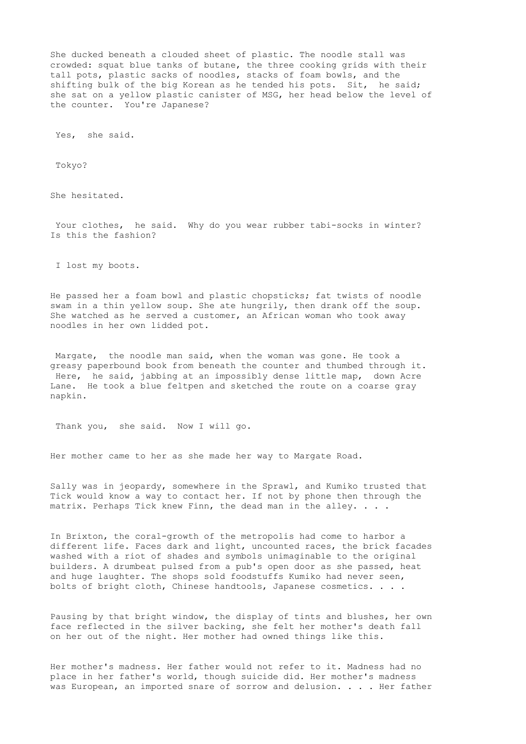She ducked beneath a clouded sheet of plastic. The noodle stall was crowded: squat blue tanks of butane, the three cooking grids with their tall pots, plastic sacks of noodles, stacks of foam bowls, and the shifting bulk of the big Korean as he tended his pots. Sit, he said; she sat on a yellow plastic canister of MSG, her head below the level of the counter. You're Japanese?

Yes, she said.

Tokyo?

She hesitated.

Your clothes, he said. Why do you wear rubber tabi-socks in winter? Is this the fashion?

I lost my boots.

He passed her a foam bowl and plastic chopsticks; fat twists of noodle swam in a thin yellow soup. She ate hungrily, then drank off the soup. She watched as he served a customer, an African woman who took away noodles in her own lidded pot.

 Margate, the noodle man said, when the woman was gone. He took a greasy paperbound book from beneath the counter and thumbed through it. Here, he said, jabbing at an impossibly dense little map, down Acre Lane. He took a blue feltpen and sketched the route on a coarse gray napkin.

Thank you, she said. Now I will go.

Her mother came to her as she made her way to Margate Road.

Sally was in jeopardy, somewhere in the Sprawl, and Kumiko trusted that Tick would know a way to contact her. If not by phone then through the matrix. Perhaps Tick knew Finn, the dead man in the alley. . . .

In Brixton, the coral-growth of the metropolis had come to harbor a different life. Faces dark and light, uncounted races, the brick facades washed with a riot of shades and symbols unimaginable to the original builders. A drumbeat pulsed from a pub's open door as she passed, heat and huge laughter. The shops sold foodstuffs Kumiko had never seen, bolts of bright cloth, Chinese handtools, Japanese cosmetics. . . .

Pausing by that bright window, the display of tints and blushes, her own face reflected in the silver backing, she felt her mother's death fall on her out of the night. Her mother had owned things like this.

Her mother's madness. Her father would not refer to it. Madness had no place in her father's world, though suicide did. Her mother's madness was European, an imported snare of sorrow and delusion. . . . Her father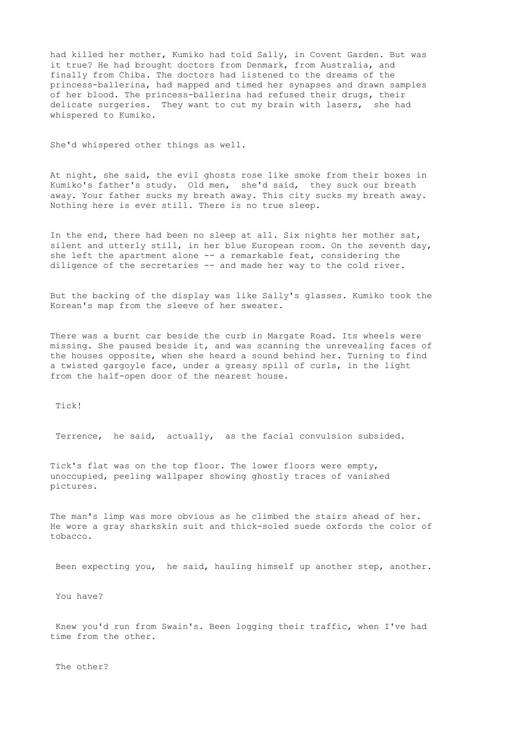had killed her mother, Kumiko had told Sally, in Covent Garden. But was it true? He had brought doctors from Denmark, from Australia, and finally from Chiba. The doctors had listened to the dreams of the princess-ballerina, had mapped and timed her synapses and drawn samples of her blood. The princess-ballerina had refused their drugs, their delicate surgeries. They want to cut my brain with lasers, she had whispered to Kumiko.

She'd whispered other things as well.

At night, she said, the evil ghosts rose like smoke from their boxes in Kumiko's father's study. Old men, she'd said, they suck our breath away. Your father sucks my breath away. This city sucks my breath away. Nothing here is ever still. There is no true sleep.

In the end, there had been no sleep at all. Six nights her mother sat, silent and utterly still, in her blue European room. On the seventh day, she left the apartment alone -- a remarkable feat, considering the diligence of the secretaries -- and made her way to the cold river.

But the backing of the display was like Sally's glasses. Kumiko took the Korean's map from the sleeve of her sweater.

There was a burnt car beside the curb in Margate Road. Its wheels were missing. She paused beside it, and was scanning the unrevealing faces of the houses opposite, when she heard a sound behind her. Turning to find a twisted gargoyle face, under a greasy spill of curls, in the light from the half-open door of the nearest house.

Tick!

Terrence, he said, actually, as the facial convulsion subsided.

Tick's flat was on the top floor. The lower floors were empty, unoccupied, peeling wallpaper showing ghostly traces of vanished pictures.

The man's limp was more obvious as he climbed the stairs ahead of her. He wore a gray sharkskin suit and thick-soled suede oxfords the color of tobacco.

Been expecting you, he said, hauling himself up another step, another.

You have?

 Knew you'd run from Swain's. Been logging their traffic, when I've had time from the other.

The other?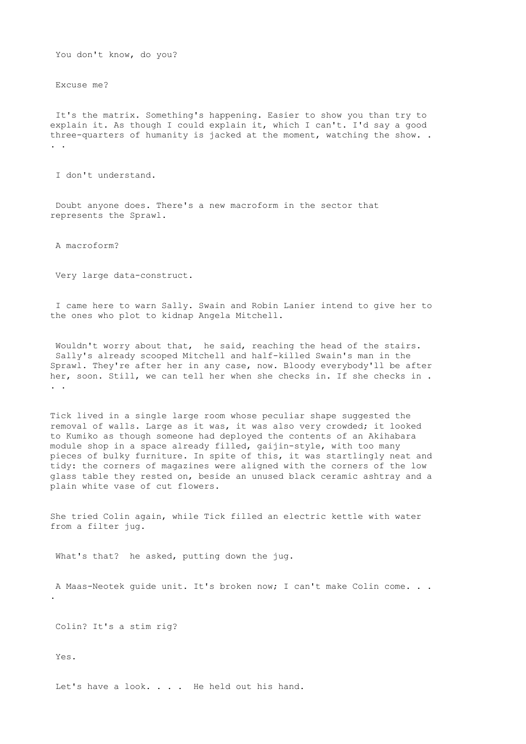You don't know, do you?

Excuse me?

 It's the matrix. Something's happening. Easier to show you than try to explain it. As though I could explain it, which I can't. I'd say a good three-quarters of humanity is jacked at the moment, watching the show. . . .

I don't understand.

 Doubt anyone does. There's a new macroform in the sector that represents the Sprawl.

A macroform?

Very large data-construct.

 I came here to warn Sally. Swain and Robin Lanier intend to give her to the ones who plot to kidnap Angela Mitchell.

 Wouldn't worry about that, he said, reaching the head of the stairs. Sally's already scooped Mitchell and half-killed Swain's man in the Sprawl. They're after her in any case, now. Bloody everybody'll be after her, soon. Still, we can tell her when she checks in. If she checks in . . .

Tick lived in a single large room whose peculiar shape suggested the removal of walls. Large as it was, it was also very crowded; it looked to Kumiko as though someone had deployed the contents of an Akihabara module shop in a space already filled, gaijin-style, with too many pieces of bulky furniture. In spite of this, it was startlingly neat and tidy: the corners of magazines were aligned with the corners of the low glass table they rested on, beside an unused black ceramic ashtray and a plain white vase of cut flowers.

She tried Colin again, while Tick filled an electric kettle with water from a filter jug.

What's that? he asked, putting down the jug.

A Maas-Neotek guide unit. It's broken now; I can't make Colin come. . .

Colin? It's a stim rig?

Yes.

.

Let's have a look. . . . He held out his hand.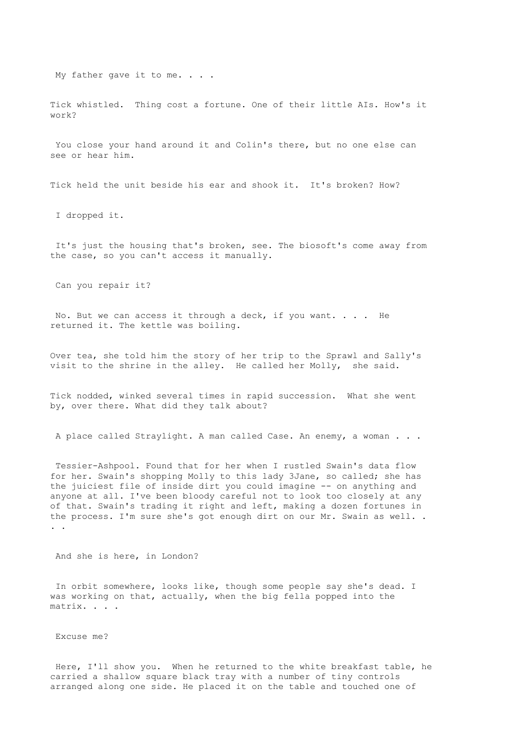My father gave it to me. . . .

Tick whistled. Thing cost a fortune. One of their little AIs. How's it work?

 You close your hand around it and Colin's there, but no one else can see or hear him.

Tick held the unit beside his ear and shook it. It's broken? How?

I dropped it.

 It's just the housing that's broken, see. The biosoft's come away from the case, so you can't access it manually.

Can you repair it?

 No. But we can access it through a deck, if you want. . . . He returned it. The kettle was boiling.

Over tea, she told him the story of her trip to the Sprawl and Sally's visit to the shrine in the alley. He called her Molly, she said.

Tick nodded, winked several times in rapid succession. What she went by, over there. What did they talk about?

A place called Straylight. A man called Case. An enemy, a woman . . .

 Tessier-Ashpool. Found that for her when I rustled Swain's data flow for her. Swain's shopping Molly to this lady 3Jane, so called; she has the juiciest file of inside dirt you could imagine -- on anything and anyone at all. I've been bloody careful not to look too closely at any of that. Swain's trading it right and left, making a dozen fortunes in the process. I'm sure she's got enough dirt on our Mr. Swain as well. . . .

And she is here, in London?

 In orbit somewhere, looks like, though some people say she's dead. I was working on that, actually, when the big fella popped into the matrix. . . .

Excuse me?

 Here, I'll show you. When he returned to the white breakfast table, he carried a shallow square black tray with a number of tiny controls arranged along one side. He placed it on the table and touched one of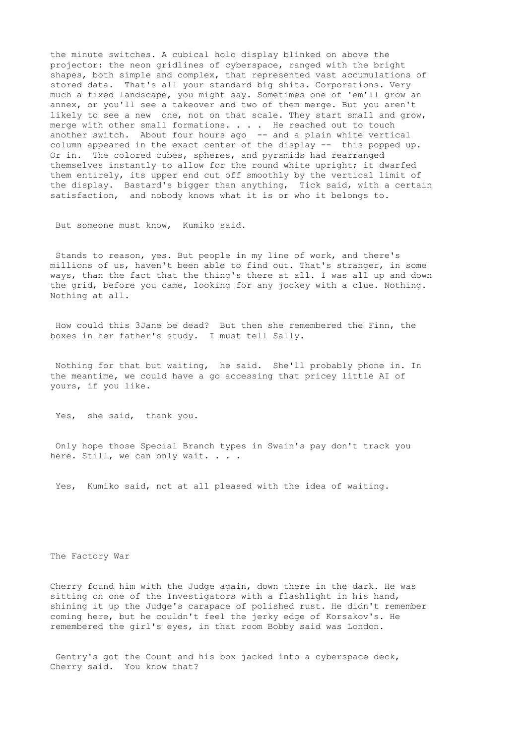the minute switches. A cubical holo display blinked on above the projector: the neon gridlines of cyberspace, ranged with the bright shapes, both simple and complex, that represented vast accumulations of stored data. That's all your standard big shits. Corporations. Very much a fixed landscape, you might say. Sometimes one of 'em'll grow an annex, or you'll see a takeover and two of them merge. But you aren't likely to see a new one, not on that scale. They start small and grow, merge with other small formations. . . . He reached out to touch another switch. About four hours ago -- and a plain white vertical column appeared in the exact center of the display -- this popped up. Or in. The colored cubes, spheres, and pyramids had rearranged themselves instantly to allow for the round white upright; it dwarfed them entirely, its upper end cut off smoothly by the vertical limit of the display. Bastard's bigger than anything, Tick said, with a certain satisfaction, and nobody knows what it is or who it belongs to.

But someone must know, Kumiko said.

 Stands to reason, yes. But people in my line of work, and there's millions of us, haven't been able to find out. That's stranger, in some ways, than the fact that the thing's there at all. I was all up and down the grid, before you came, looking for any jockey with a clue. Nothing. Nothing at all.

 How could this 3Jane be dead? But then she remembered the Finn, the boxes in her father's study. I must tell Sally.

 Nothing for that but waiting, he said. She'll probably phone in. In the meantime, we could have a go accessing that pricey little AI of yours, if you like.

Yes, she said, thank you.

 Only hope those Special Branch types in Swain's pay don't track you here. Still, we can only wait. . . .

Yes, Kumiko said, not at all pleased with the idea of waiting.

The Factory War

Cherry found him with the Judge again, down there in the dark. He was sitting on one of the Investigators with a flashlight in his hand, shining it up the Judge's carapace of polished rust. He didn't remember coming here, but he couldn't feel the jerky edge of Korsakov's. He remembered the girl's eyes, in that room Bobby said was London.

 Gentry's got the Count and his box jacked into a cyberspace deck, Cherry said. You know that?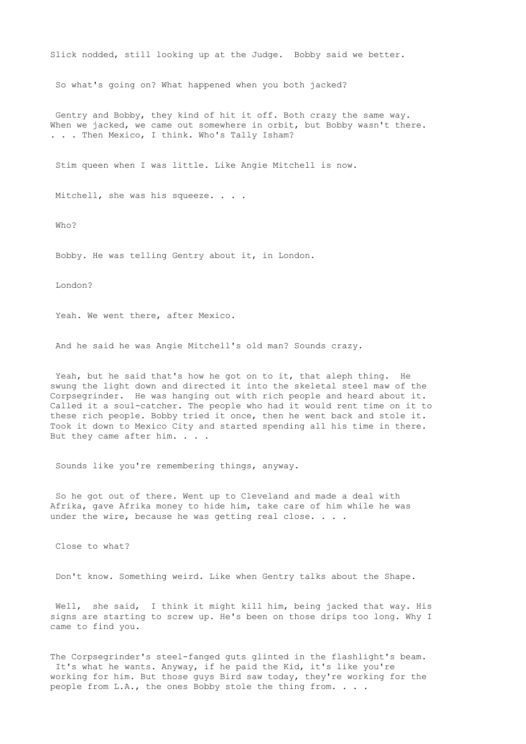Slick nodded, still looking up at the Judge. Bobby said we better. So what's going on? What happened when you both jacked? Gentry and Bobby, they kind of hit it off. Both crazy the same way. When we jacked, we came out somewhere in orbit, but Bobby wasn't there. . . . Then Mexico, I think. Who's Tally Isham?

Stim queen when I was little. Like Angie Mitchell is now.

Mitchell, she was his squeeze. . . .

Who?

Bobby. He was telling Gentry about it, in London.

London?

Yeah. We went there, after Mexico.

And he said he was Angie Mitchell's old man? Sounds crazy.

 Yeah, but he said that's how he got on to it, that aleph thing. He swung the light down and directed it into the skeletal steel maw of the Corpsegrinder. He was hanging out with rich people and heard about it. Called it a soul-catcher. The people who had it would rent time on it to these rich people. Bobby tried it once, then he went back and stole it. Took it down to Mexico City and started spending all his time in there. But they came after him. . . .

Sounds like you're remembering things, anyway.

 So he got out of there. Went up to Cleveland and made a deal with Afrika, gave Afrika money to hide him, take care of him while he was under the wire, because he was getting real close. . . .

Close to what?

Don't know. Something weird. Like when Gentry talks about the Shape.

Well, she said, I think it might kill him, being jacked that way. His signs are starting to screw up. He's been on those drips too long. Why I came to find you.

The Corpsegrinder's steel-fanged guts glinted in the flashlight's beam. It's what he wants. Anyway, if he paid the Kid, it's like you're working for him. But those guys Bird saw today, they're working for the people from L.A., the ones Bobby stole the thing from. . . .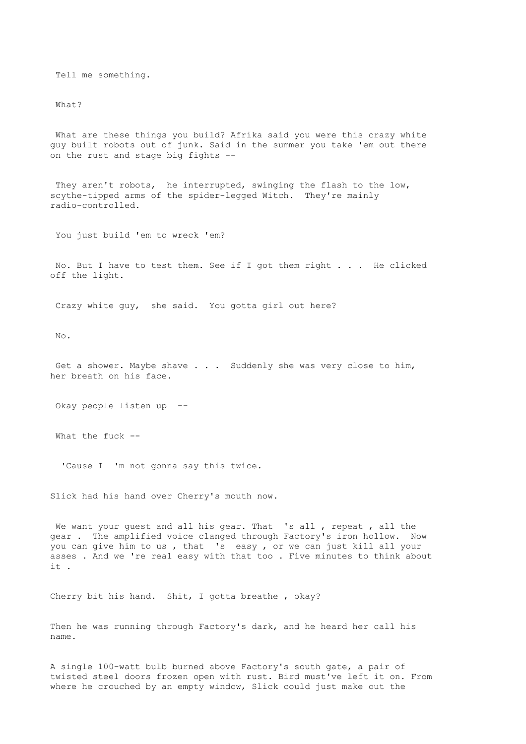Tell me something.

# What?

 What are these things you build? Afrika said you were this crazy white guy built robots out of junk. Said in the summer you take 'em out there on the rust and stage big fights --

They aren't robots, he interrupted, swinging the flash to the low, scythe-tipped arms of the spider-legged Witch. They're mainly radio-controlled.

You just build 'em to wreck 'em?

No. But I have to test them. See if I got them right . . . He clicked off the light.

Crazy white guy, she said. You gotta girl out here?

No.

Get a shower. Maybe shave . . . Suddenly she was very close to him, her breath on his face.

Okay people listen up --

What the fuck --

'Cause I 'm not gonna say this twice.

Slick had his hand over Cherry's mouth now.

We want your guest and all his gear. That 's all , repeat , all the gear . The amplified voice clanged through Factory's iron hollow. Now you can give him to us , that 's easy , or we can just kill all your asses . And we 're real easy with that too . Five minutes to think about it .

Cherry bit his hand. Shit, I gotta breathe , okay?

Then he was running through Factory's dark, and he heard her call his name.

A single 100-watt bulb burned above Factory's south gate, a pair of twisted steel doors frozen open with rust. Bird must've left it on. From where he crouched by an empty window, Slick could just make out the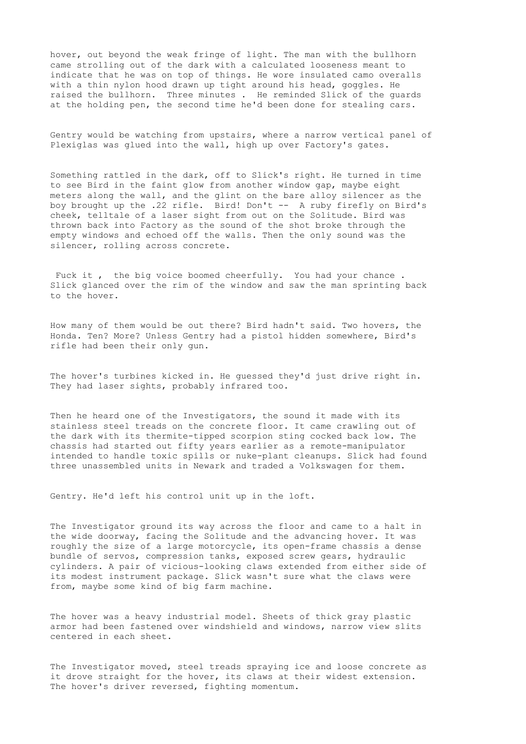hover, out beyond the weak fringe of light. The man with the bullhorn came strolling out of the dark with a calculated looseness meant to indicate that he was on top of things. He wore insulated camo overalls with a thin nylon hood drawn up tight around his head, goggles. He raised the bullhorn. Three minutes . He reminded Slick of the guards at the holding pen, the second time he'd been done for stealing cars.

Gentry would be watching from upstairs, where a narrow vertical panel of Plexiglas was glued into the wall, high up over Factory's gates.

Something rattled in the dark, off to Slick's right. He turned in time to see Bird in the faint glow from another window gap, maybe eight meters along the wall, and the glint on the bare alloy silencer as the boy brought up the .22 rifle. Bird! Don't -- A ruby firefly on Bird's cheek, telltale of a laser sight from out on the Solitude. Bird was thrown back into Factory as the sound of the shot broke through the empty windows and echoed off the walls. Then the only sound was the silencer, rolling across concrete.

Fuck it, the big voice boomed cheerfully. You had your chance. Slick glanced over the rim of the window and saw the man sprinting back to the hover.

How many of them would be out there? Bird hadn't said. Two hovers, the Honda. Ten? More? Unless Gentry had a pistol hidden somewhere, Bird's rifle had been their only gun.

The hover's turbines kicked in. He guessed they'd just drive right in. They had laser sights, probably infrared too.

Then he heard one of the Investigators, the sound it made with its stainless steel treads on the concrete floor. It came crawling out of the dark with its thermite-tipped scorpion sting cocked back low. The chassis had started out fifty years earlier as a remote-manipulator intended to handle toxic spills or nuke-plant cleanups. Slick had found three unassembled units in Newark and traded a Volkswagen for them.

Gentry. He'd left his control unit up in the loft.

The Investigator ground its way across the floor and came to a halt in the wide doorway, facing the Solitude and the advancing hover. It was roughly the size of a large motorcycle, its open-frame chassis a dense bundle of servos, compression tanks, exposed screw gears, hydraulic cylinders. A pair of vicious-looking claws extended from either side of its modest instrument package. Slick wasn't sure what the claws were from, maybe some kind of big farm machine.

The hover was a heavy industrial model. Sheets of thick gray plastic armor had been fastened over windshield and windows, narrow view slits centered in each sheet.

The Investigator moved, steel treads spraying ice and loose concrete as it drove straight for the hover, its claws at their widest extension. The hover's driver reversed, fighting momentum.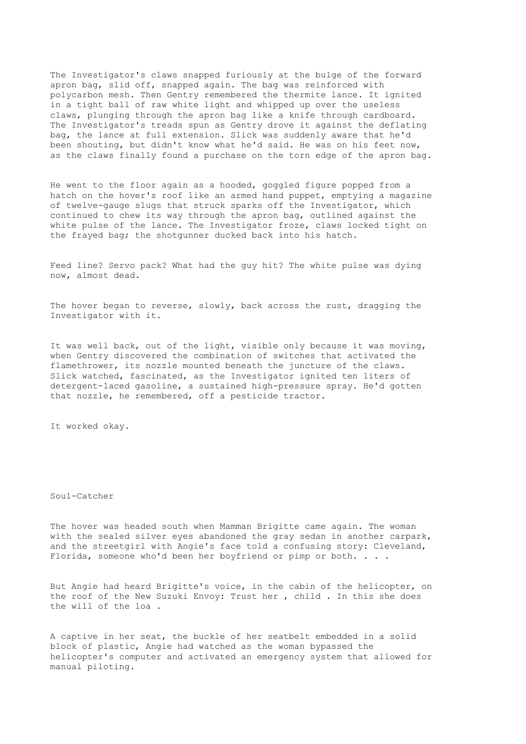The Investigator's claws snapped furiously at the bulge of the forward apron bag, slid off, snapped again. The bag was reinforced with polycarbon mesh. Then Gentry remembered the thermite lance. It ignited in a tight ball of raw white light and whipped up over the useless claws, plunging through the apron bag like a knife through cardboard. The Investigator's treads spun as Gentry drove it against the deflating bag, the lance at full extension. Slick was suddenly aware that he'd been shouting, but didn't know what he'd said. He was on his feet now, as the claws finally found a purchase on the torn edge of the apron bag.

He went to the floor again as a hooded, goggled figure popped from a hatch on the hover's roof like an armed hand puppet, emptying a magazine of twelve-gauge slugs that struck sparks off the Investigator, which continued to chew its way through the apron bag, outlined against the white pulse of the lance. The Investigator froze, claws locked tight on the frayed bag; the shotgunner ducked back into his hatch.

Feed line? Servo pack? What had the guy hit? The white pulse was dying now, almost dead.

The hover began to reverse, slowly, back across the rust, dragging the Investigator with it.

It was well back, out of the light, visible only because it was moving, when Gentry discovered the combination of switches that activated the flamethrower, its nozzle mounted beneath the juncture of the claws. Slick watched, fascinated, as the Investigator ignited ten liters of detergent-laced gasoline, a sustained high-pressure spray. He'd gotten that nozzle, he remembered, off a pesticide tractor.

It worked okay.

### Soul-Catcher

The hover was headed south when Mamman Brigitte came again. The woman with the sealed silver eyes abandoned the gray sedan in another carpark, and the streetgirl with Angie's face told a confusing story: Cleveland, Florida, someone who'd been her boyfriend or pimp or both. . . .

But Angie had heard Brigitte's voice, in the cabin of the helicopter, on the roof of the New Suzuki Envoy: Trust her , child . In this she does the will of the loa .

A captive in her seat, the buckle of her seatbelt embedded in a solid block of plastic, Angie had watched as the woman bypassed the helicopter's computer and activated an emergency system that allowed for manual piloting.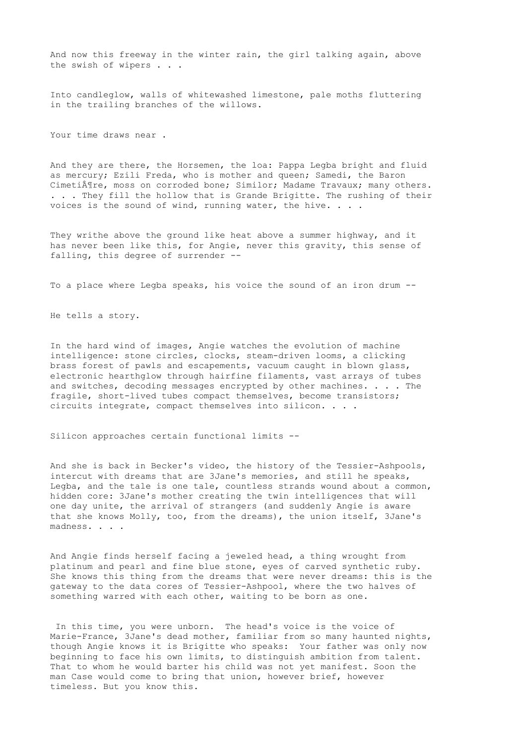And now this freeway in the winter rain, the girl talking again, above the swish of wipers . . .

Into candleglow, walls of whitewashed limestone, pale moths fluttering in the trailing branches of the willows.

Your time draws near .

And they are there, the Horsemen, the loa: Pappa Legba bright and fluid as mercury; Ezili Freda, who is mother and queen; Samedi, the Baron Cimeti¶re, moss on corroded bone; Similor; Madame Travaux; many others. ... They fill the hollow that is Grande Brigitte. The rushing of their voices is the sound of wind, running water, the hive. . . .

They writhe above the ground like heat above a summer highway, and it has never been like this, for Angie, never this gravity, this sense of falling, this degree of surrender --

To a place where Legba speaks, his voice the sound of an iron drum --

He tells a story.

In the hard wind of images, Angie watches the evolution of machine intelligence: stone circles, clocks, steam-driven looms, a clicking brass forest of pawls and escapements, vacuum caught in blown glass, electronic hearthglow through hairfine filaments, vast arrays of tubes and switches, decoding messages encrypted by other machines. . . . The fragile, short-lived tubes compact themselves, become transistors; circuits integrate, compact themselves into silicon. . . .

Silicon approaches certain functional limits --

And she is back in Becker's video, the history of the Tessier-Ashpools, intercut with dreams that are 3Jane's memories, and still he speaks, Legba, and the tale is one tale, countless strands wound about a common, hidden core: 3Jane's mother creating the twin intelligences that will one day unite, the arrival of strangers (and suddenly Angie is aware that she knows Molly, too, from the dreams), the union itself, 3Jane's madness. . . .

And Angie finds herself facing a jeweled head, a thing wrought from platinum and pearl and fine blue stone, eyes of carved synthetic ruby. She knows this thing from the dreams that were never dreams: this is the gateway to the data cores of Tessier-Ashpool, where the two halves of something warred with each other, waiting to be born as one.

 In this time, you were unborn. The head's voice is the voice of Marie-France, 3Jane's dead mother, familiar from so many haunted nights, though Angie knows it is Brigitte who speaks: Your father was only now beginning to face his own limits, to distinguish ambition from talent. That to whom he would barter his child was not yet manifest. Soon the man Case would come to bring that union, however brief, however timeless. But you know this.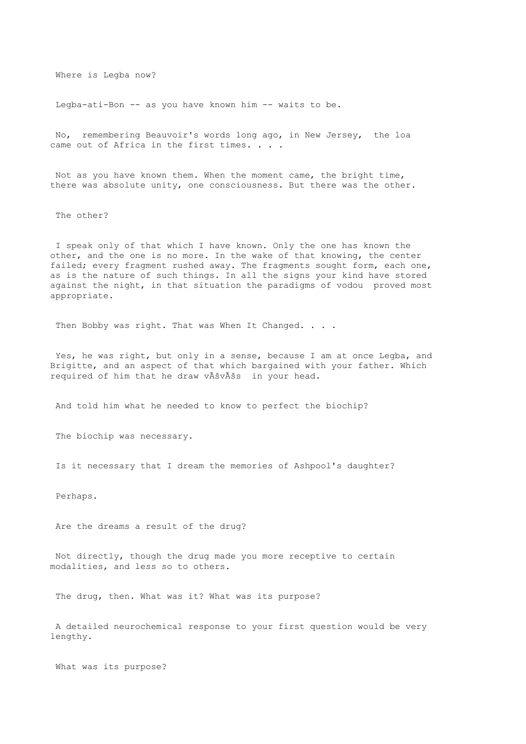Where is Legba now?

Legba-ati-Bon -- as you have known him -- waits to be.

 No, remembering Beauvoir's words long ago, in New Jersey, the loa came out of Africa in the first times. . . .

 Not as you have known them. When the moment came, the bright time, there was absolute unity, one consciousness. But there was the other.

The other?

 I speak only of that which I have known. Only the one has known the other, and the one is no more. In the wake of that knowing, the center failed; every fragment rushed away. The fragments sought form, each one, as is the nature of such things. In all the signs your kind have stored against the night, in that situation the paradigms of vodou proved most appropriate.

Then Bobby was right. That was When It Changed. . . .

 Yes, he was right, but only in a sense, because I am at once Legba, and Brigitte, and an aspect of that which bargained with your father. Which required of him that he draw vÚvÚs in your head.

And told him what he needed to know to perfect the biochip?

The biochip was necessary.

Is it necessary that I dream the memories of Ashpool's daughter?

Perhaps.

Are the dreams a result of the drug?

 Not directly, though the drug made you more receptive to certain modalities, and less so to others.

The drug, then. What was it? What was its purpose?

 A detailed neurochemical response to your first question would be very lengthy.

What was its purpose?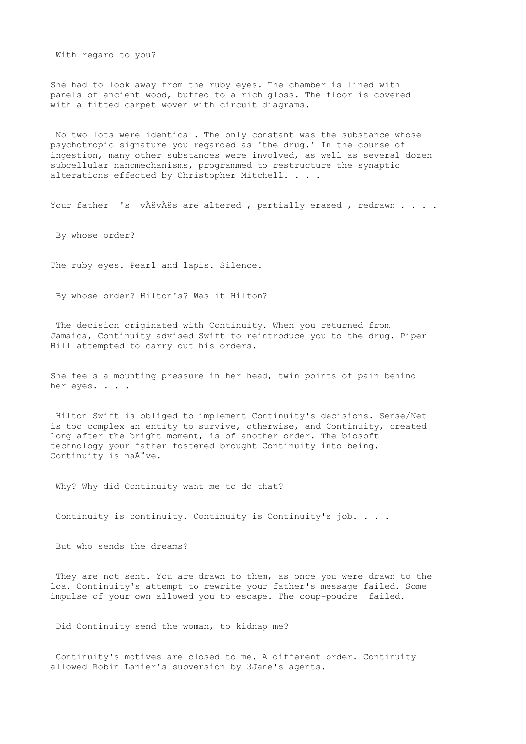With regard to you?

She had to look away from the ruby eyes. The chamber is lined with panels of ancient wood, buffed to a rich gloss. The floor is covered with a fitted carpet woven with circuit diagrams.

 No two lots were identical. The only constant was the substance whose psychotropic signature you regarded as 'the drug.' In the course of ingestion, many other substances were involved, as well as several dozen subcellular nanomechanisms, programmed to restructure the synaptic alterations effected by Christopher Mitchell. . . .

Your father 's vÚvÚs are altered, partially erased, redrawn . . . .

By whose order?

The ruby eyes. Pearl and lapis. Silence.

By whose order? Hilton's? Was it Hilton?

 The decision originated with Continuity. When you returned from Jamaica, Continuity advised Swift to reintroduce you to the drug. Piper Hill attempted to carry out his orders.

She feels a mounting pressure in her head, twin points of pain behind her eyes. . . .

 Hilton Swift is obliged to implement Continuity's decisions. Sense/Net is too complex an entity to survive, otherwise, and Continuity, created long after the bright moment, is of another order. The biosoft technology your father fostered brought Continuity into being. Continuity is naðve.

Why? Why did Continuity want me to do that?

Continuity is continuity. Continuity is Continuity's job. . . .

But who sends the dreams?

 They are not sent. You are drawn to them, as once you were drawn to the loa. Continuity's attempt to rewrite your father's message failed. Some impulse of your own allowed you to escape. The coup-poudre failed.

Did Continuity send the woman, to kidnap me?

 Continuity's motives are closed to me. A different order. Continuity allowed Robin Lanier's subversion by 3Jane's agents.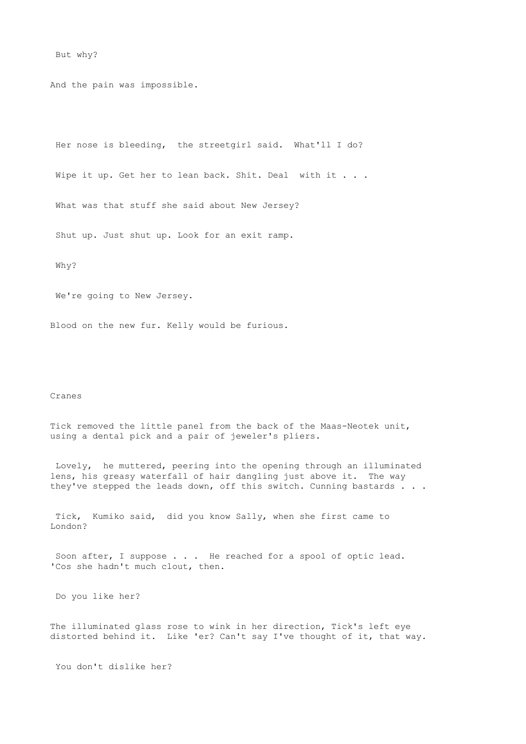```
 But why?
```
And the pain was impossible.

Her nose is bleeding, the streetgirl said. What'll I do?

Wipe it up. Get her to lean back. Shit. Deal with it . . .

What was that stuff she said about New Jersey?

Shut up. Just shut up. Look for an exit ramp.

Why?

We're going to New Jersey.

Blood on the new fur. Kelly would be furious.

### Cranes

Tick removed the little panel from the back of the Maas-Neotek unit, using a dental pick and a pair of jeweler's pliers.

 Lovely, he muttered, peering into the opening through an illuminated lens, his greasy waterfall of hair dangling just above it. The way they've stepped the leads down, off this switch. Cunning bastards . . .

 Tick, Kumiko said, did you know Sally, when she first came to London?

 Soon after, I suppose . . . He reached for a spool of optic lead. 'Cos she hadn't much clout, then.

Do you like her?

The illuminated glass rose to wink in her direction, Tick's left eye distorted behind it. Like 'er? Can't say I've thought of it, that way.

You don't dislike her?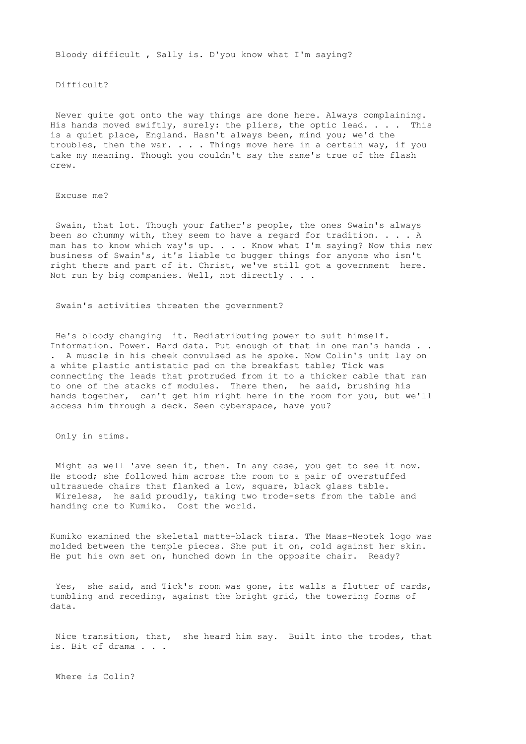Bloody difficult , Sally is. D'you know what I'm saying?

## Difficult?

 Never quite got onto the way things are done here. Always complaining. His hands moved swiftly, surely: the pliers, the optic lead. . . . This is a quiet place, England. Hasn't always been, mind you; we'd the troubles, then the war. . . . Things move here in a certain way, if you take my meaning. Though you couldn't say the same's true of the flash crew.

#### Excuse me?

 Swain, that lot. Though your father's people, the ones Swain's always been so chummy with, they seem to have a regard for tradition. . . . A man has to know which way's up. . . . Know what I'm saying? Now this new business of Swain's, it's liable to bugger things for anyone who isn't right there and part of it. Christ, we've still got a government here. Not run by big companies. Well, not directly . . .

## Swain's activities threaten the government?

 He's bloody changing it. Redistributing power to suit himself. Information. Power. Hard data. Put enough of that in one man's hands . . . A muscle in his cheek convulsed as he spoke. Now Colin's unit lay on a white plastic antistatic pad on the breakfast table; Tick was connecting the leads that protruded from it to a thicker cable that ran to one of the stacks of modules. There then, he said, brushing his hands together, can't get him right here in the room for you, but we'll access him through a deck. Seen cyberspace, have you?

Only in stims.

 Might as well 'ave seen it, then. In any case, you get to see it now. He stood; she followed him across the room to a pair of overstuffed ultrasuede chairs that flanked a low, square, black glass table. Wireless, he said proudly, taking two trode-sets from the table and handing one to Kumiko. Cost the world.

Kumiko examined the skeletal matte-black tiara. The Maas-Neotek logo was molded between the temple pieces. She put it on, cold against her skin. He put his own set on, hunched down in the opposite chair. Ready?

 Yes, she said, and Tick's room was gone, its walls a flutter of cards, tumbling and receding, against the bright grid, the towering forms of data.

 Nice transition, that, she heard him say. Built into the trodes, that is. Bit of drama . . .

Where is Colin?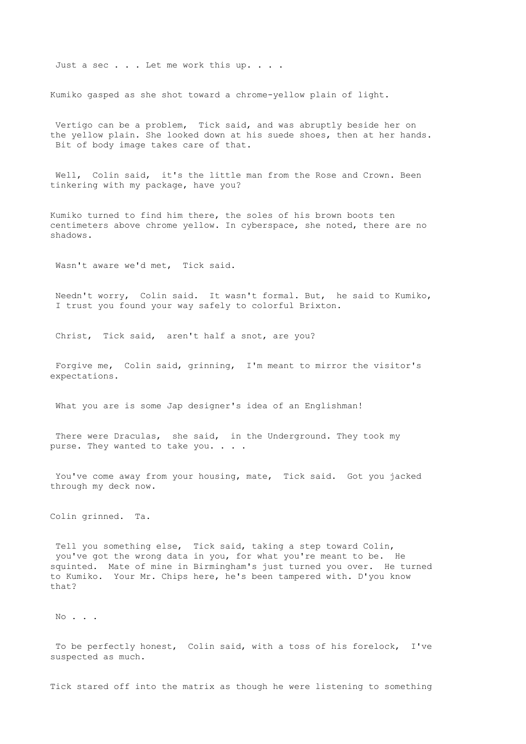Just a sec . . . Let me work this up. . . .

Kumiko gasped as she shot toward a chrome-yellow plain of light.

 Vertigo can be a problem, Tick said, and was abruptly beside her on the yellow plain. She looked down at his suede shoes, then at her hands. Bit of body image takes care of that.

Well, Colin said, it's the little man from the Rose and Crown. Been tinkering with my package, have you?

Kumiko turned to find him there, the soles of his brown boots ten centimeters above chrome yellow. In cyberspace, she noted, there are no shadows.

Wasn't aware we'd met, Tick said.

 Needn't worry, Colin said. It wasn't formal. But, he said to Kumiko, I trust you found your way safely to colorful Brixton.

Christ, Tick said, aren't half a snot, are you?

 Forgive me, Colin said, grinning, I'm meant to mirror the visitor's expectations.

What you are is some Jap designer's idea of an Englishman!

There were Draculas, she said, in the Underground. They took my purse. They wanted to take you. . . .

 You've come away from your housing, mate, Tick said. Got you jacked through my deck now.

Colin grinned. Ta.

 Tell you something else, Tick said, taking a step toward Colin, you've got the wrong data in you, for what you're meant to be. He squinted. Mate of mine in Birmingham's just turned you over. He turned to Kumiko. Your Mr. Chips here, he's been tampered with. D'you know  $that?$ 

No . . .

 To be perfectly honest, Colin said, with a toss of his forelock, I've suspected as much.

Tick stared off into the matrix as though he were listening to something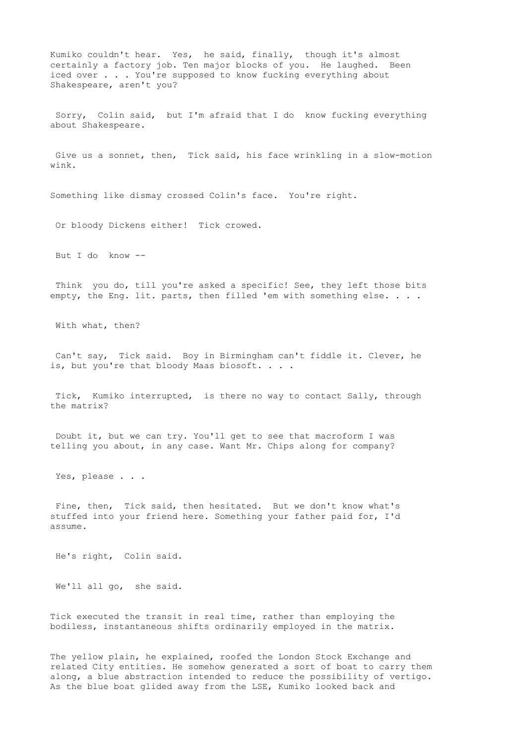Kumiko couldn't hear. Yes, he said, finally, though it's almost certainly a factory job. Ten major blocks of you. He laughed. Been iced over . . . You're supposed to know fucking everything about Shakespeare, aren't you?

 Sorry, Colin said, but I'm afraid that I do know fucking everything about Shakespeare.

 Give us a sonnet, then, Tick said, his face wrinkling in a slow-motion wink.

Something like dismay crossed Colin's face. You're right.

Or bloody Dickens either! Tick crowed.

But I do know --

Think you do, till you're asked a specific! See, they left those bits empty, the Eng. lit. parts, then filled 'em with something else. . . .

With what, then?

 Can't say, Tick said. Boy in Birmingham can't fiddle it. Clever, he is, but you're that bloody Maas biosoft. . . .

 Tick, Kumiko interrupted, is there no way to contact Sally, through the matrix?

 Doubt it, but we can try. You'll get to see that macroform I was telling you about, in any case. Want Mr. Chips along for company?

Yes, please . . .

 Fine, then, Tick said, then hesitated. But we don't know what's stuffed into your friend here. Something your father paid for, I'd assume.

He's right, Colin said.

We'll all go, she said.

Tick executed the transit in real time, rather than employing the bodiless, instantaneous shifts ordinarily employed in the matrix.

The yellow plain, he explained, roofed the London Stock Exchange and related City entities. He somehow generated a sort of boat to carry them along, a blue abstraction intended to reduce the possibility of vertigo. As the blue boat glided away from the LSE, Kumiko looked back and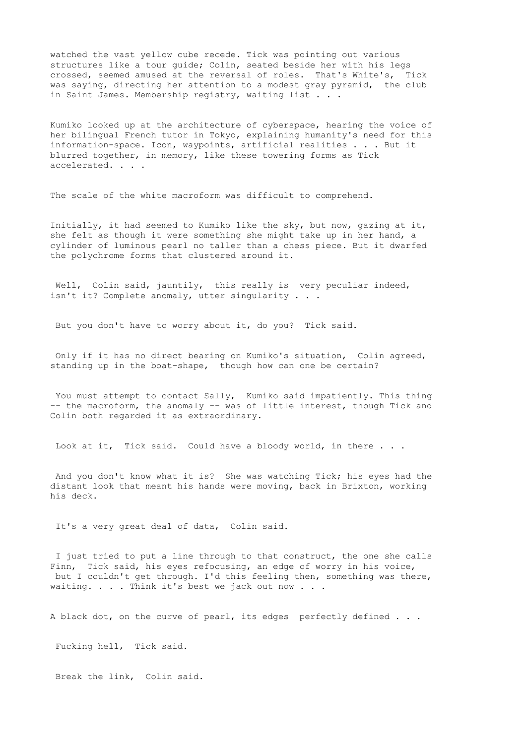watched the vast yellow cube recede. Tick was pointing out various structures like a tour guide; Colin, seated beside her with his legs crossed, seemed amused at the reversal of roles. That's White's, Tick was saying, directing her attention to a modest gray pyramid, the club in Saint James. Membership registry, waiting list . . .

Kumiko looked up at the architecture of cyberspace, hearing the voice of her bilingual French tutor in Tokyo, explaining humanity's need for this information-space. Icon, waypoints, artificial realities . . . But it blurred together, in memory, like these towering forms as Tick accelerated. . . .

The scale of the white macroform was difficult to comprehend.

Initially, it had seemed to Kumiko like the sky, but now, gazing at it, she felt as though it were something she might take up in her hand, a cylinder of luminous pearl no taller than a chess piece. But it dwarfed the polychrome forms that clustered around it.

Well, Colin said, jauntily, this really is very peculiar indeed, isn't it? Complete anomaly, utter singularity . . .

But you don't have to worry about it, do you? Tick said.

 Only if it has no direct bearing on Kumiko's situation, Colin agreed, standing up in the boat-shape, though how can one be certain?

 You must attempt to contact Sally, Kumiko said impatiently. This thing -- the macroform, the anomaly -- was of little interest, though Tick and Colin both regarded it as extraordinary.

Look at it, Tick said. Could have a bloody world, in there . . .

 And you don't know what it is? She was watching Tick; his eyes had the distant look that meant his hands were moving, back in Brixton, working his deck.

It's a very great deal of data, Colin said.

 I just tried to put a line through to that construct, the one she calls Finn, Tick said, his eyes refocusing, an edge of worry in his voice, but I couldn't get through. I'd this feeling then, something was there, waiting. . . . Think it's best we jack out now . . .

A black dot, on the curve of pearl, its edges perfectly defined . . .

Fucking hell, Tick said.

Break the link, Colin said.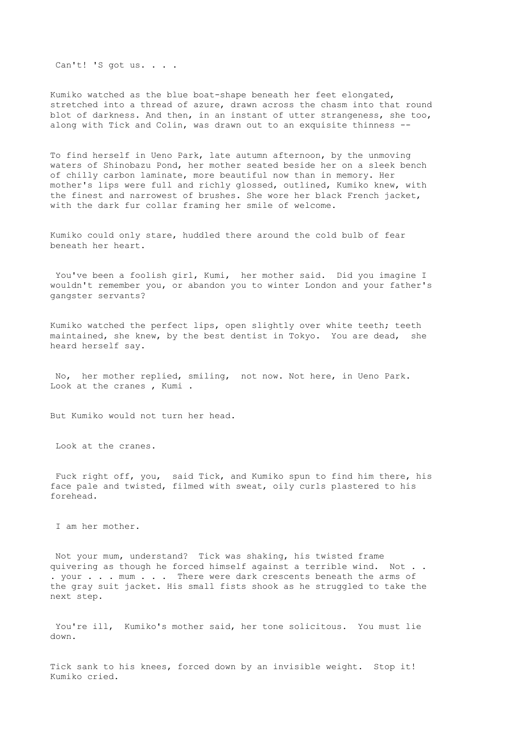Can't! 'S got us. . . .

Kumiko watched as the blue boat-shape beneath her feet elongated, stretched into a thread of azure, drawn across the chasm into that round blot of darkness. And then, in an instant of utter strangeness, she too, along with Tick and Colin, was drawn out to an exquisite thinness --

To find herself in Ueno Park, late autumn afternoon, by the unmoving waters of Shinobazu Pond, her mother seated beside her on a sleek bench of chilly carbon laminate, more beautiful now than in memory. Her mother's lips were full and richly glossed, outlined, Kumiko knew, with the finest and narrowest of brushes. She wore her black French jacket, with the dark fur collar framing her smile of welcome.

Kumiko could only stare, huddled there around the cold bulb of fear beneath her heart.

 You've been a foolish girl, Kumi, her mother said. Did you imagine I wouldn't remember you, or abandon you to winter London and your father's gangster servants?

Kumiko watched the perfect lips, open slightly over white teeth; teeth maintained, she knew, by the best dentist in Tokyo. You are dead, she heard herself say.

 No, her mother replied, smiling, not now. Not here, in Ueno Park. Look at the cranes , Kumi .

But Kumiko would not turn her head.

Look at the cranes.

 Fuck right off, you, said Tick, and Kumiko spun to find him there, his face pale and twisted, filmed with sweat, oily curls plastered to his forehead.

I am her mother.

 Not your mum, understand? Tick was shaking, his twisted frame quivering as though he forced himself against a terrible wind. Not . . . your . . . mum . . . There were dark crescents beneath the arms of the gray suit jacket. His small fists shook as he struggled to take the next step.

 You're ill, Kumiko's mother said, her tone solicitous. You must lie down.

Tick sank to his knees, forced down by an invisible weight. Stop it! Kumiko cried.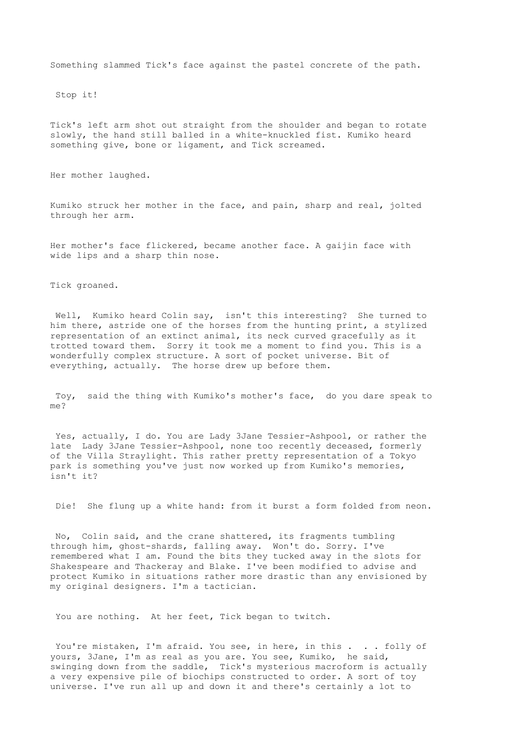Something slammed Tick's face against the pastel concrete of the path.

Stop it!

Tick's left arm shot out straight from the shoulder and began to rotate slowly, the hand still balled in a white-knuckled fist. Kumiko heard something give, bone or ligament, and Tick screamed.

Her mother laughed.

Kumiko struck her mother in the face, and pain, sharp and real, jolted through her arm.

Her mother's face flickered, became another face. A gaijin face with wide lips and a sharp thin nose.

Tick groaned.

Well, Kumiko heard Colin say, isn't this interesting? She turned to him there, astride one of the horses from the hunting print, a stylized representation of an extinct animal, its neck curved gracefully as it trotted toward them. Sorry it took me a moment to find you. This is a wonderfully complex structure. A sort of pocket universe. Bit of everything, actually. The horse drew up before them.

 Toy, said the thing with Kumiko's mother's face, do you dare speak to me?

 Yes, actually, I do. You are Lady 3Jane Tessier-Ashpool, or rather the late Lady 3Jane Tessier-Ashpool, none too recently deceased, formerly of the Villa Straylight. This rather pretty representation of a Tokyo park is something you've just now worked up from Kumiko's memories, isn't it?

Die! She flung up a white hand: from it burst a form folded from neon.

 No, Colin said, and the crane shattered, its fragments tumbling through him, ghost-shards, falling away. Won't do. Sorry. I've remembered what I am. Found the bits they tucked away in the slots for Shakespeare and Thackeray and Blake. I've been modified to advise and protect Kumiko in situations rather more drastic than any envisioned by my original designers. I'm a tactician.

You are nothing. At her feet, Tick began to twitch.

You're mistaken, I'm afraid. You see, in here, in this . . . folly of yours, 3Jane, I'm as real as you are. You see, Kumiko, he said, swinging down from the saddle, Tick's mysterious macroform is actually a very expensive pile of biochips constructed to order. A sort of toy universe. I've run all up and down it and there's certainly a lot to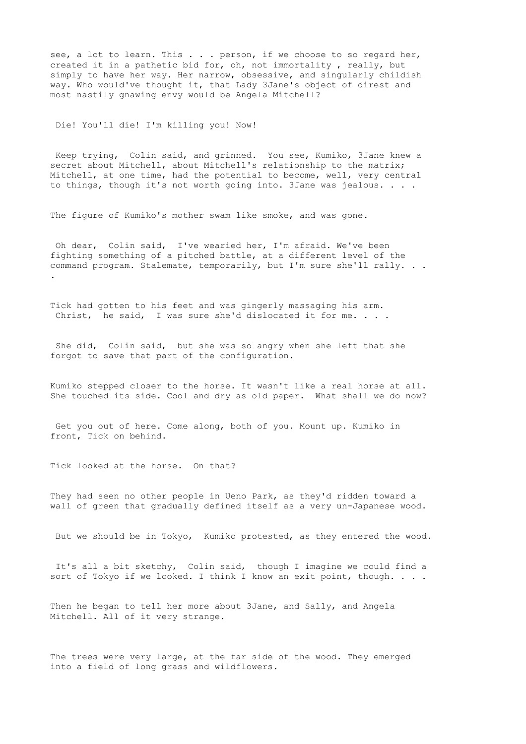see, a lot to learn. This . . . person, if we choose to so regard her, created it in a pathetic bid for, oh, not immortality , really, but simply to have her way. Her narrow, obsessive, and singularly childish way. Who would've thought it, that Lady 3Jane's object of direst and most nastily gnawing envy would be Angela Mitchell?

Die! You'll die! I'm killing you! Now!

 Keep trying, Colin said, and grinned. You see, Kumiko, 3Jane knew a secret about Mitchell, about Mitchell's relationship to the matrix; Mitchell, at one time, had the potential to become, well, very central to things, though it's not worth going into. 3Jane was jealous. . . .

The figure of Kumiko's mother swam like smoke, and was gone.

 Oh dear, Colin said, I've wearied her, I'm afraid. We've been fighting something of a pitched battle, at a different level of the command program. Stalemate, temporarily, but I'm sure she'll rally. . . .

Tick had gotten to his feet and was gingerly massaging his arm. Christ, he said, I was sure she'd dislocated it for me. . . .

 She did, Colin said, but she was so angry when she left that she forgot to save that part of the configuration.

Kumiko stepped closer to the horse. It wasn't like a real horse at all. She touched its side. Cool and dry as old paper. What shall we do now?

 Get you out of here. Come along, both of you. Mount up. Kumiko in front, Tick on behind.

Tick looked at the horse. On that?

They had seen no other people in Ueno Park, as they'd ridden toward a wall of green that gradually defined itself as a very un-Japanese wood.

But we should be in Tokyo, Kumiko protested, as they entered the wood.

 It's all a bit sketchy, Colin said, though I imagine we could find a sort of Tokyo if we looked. I think I know an exit point, though. . . .

Then he began to tell her more about 3Jane, and Sally, and Angela Mitchell. All of it very strange.

The trees were very large, at the far side of the wood. They emerged into a field of long grass and wildflowers.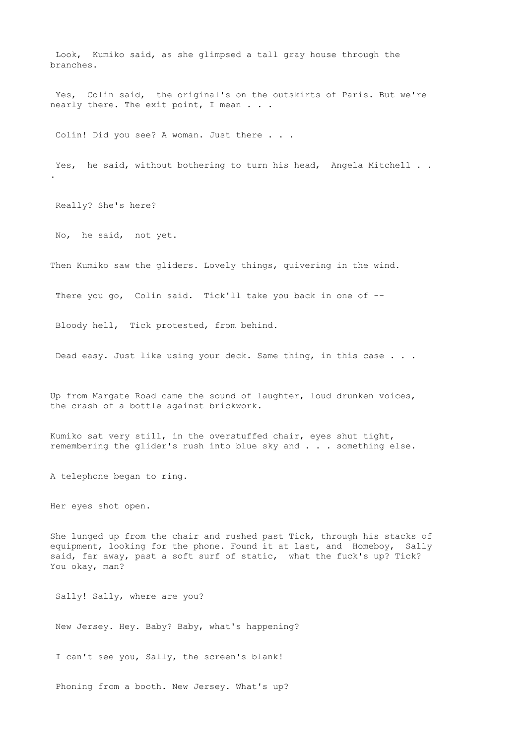Look, Kumiko said, as she glimpsed a tall gray house through the branches. Yes, Colin said, the original's on the outskirts of Paris. But we're nearly there. The exit point, I mean . . . Colin! Did you see? A woman. Just there . . . Yes, he said, without bothering to turn his head, Angela Mitchell .. . Really? She's here? No, he said, not yet. Then Kumiko saw the gliders. Lovely things, quivering in the wind. There you go, Colin said. Tick'll take you back in one of -- Bloody hell, Tick protested, from behind. Dead easy. Just like using your deck. Same thing, in this case . . . Up from Margate Road came the sound of laughter, loud drunken voices, the crash of a bottle against brickwork. Kumiko sat very still, in the overstuffed chair, eyes shut tight, remembering the glider's rush into blue sky and . . . something else. A telephone began to ring. Her eyes shot open. She lunged up from the chair and rushed past Tick, through his stacks of equipment, looking for the phone. Found it at last, and Homeboy, Sally said, far away, past a soft surf of static, what the fuck's up? Tick? You okay, man? Sally! Sally, where are you? New Jersey. Hey. Baby? Baby, what's happening? I can't see you, Sally, the screen's blank! Phoning from a booth. New Jersey. What's up?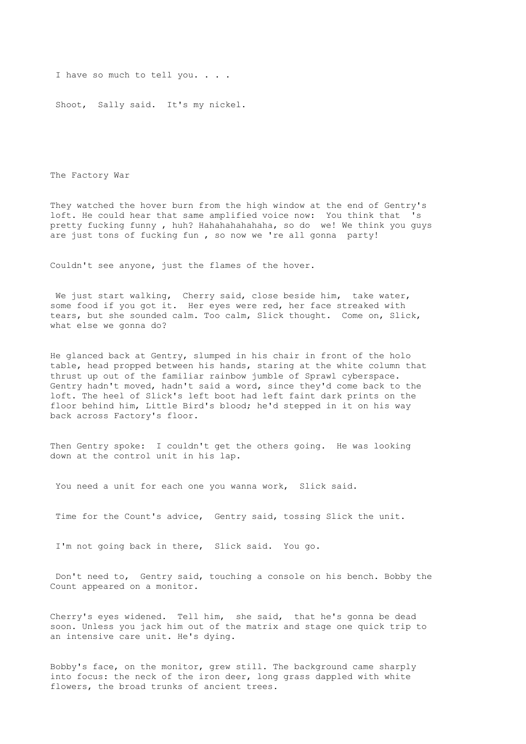I have so much to tell you. . . .

Shoot, Sally said. It's my nickel.

The Factory War

They watched the hover burn from the high window at the end of Gentry's loft. He could hear that same amplified voice now: You think that 's pretty fucking funny , huh? Hahahahahahaha, so do we! We think you guys are just tons of fucking fun , so now we 're all gonna party!

Couldn't see anyone, just the flames of the hover.

We just start walking, Cherry said, close beside him, take water, some food if you got it. Her eyes were red, her face streaked with tears, but she sounded calm. Too calm, Slick thought. Come on, Slick, what else we gonna do?

He glanced back at Gentry, slumped in his chair in front of the holo table, head propped between his hands, staring at the white column that thrust up out of the familiar rainbow jumble of Sprawl cyberspace. Gentry hadn't moved, hadn't said a word, since they'd come back to the loft. The heel of Slick's left boot had left faint dark prints on the floor behind him, Little Bird's blood; he'd stepped in it on his way back across Factory's floor.

Then Gentry spoke: I couldn't get the others going. He was looking down at the control unit in his lap.

You need a unit for each one you wanna work, Slick said.

Time for the Count's advice, Gentry said, tossing Slick the unit.

I'm not going back in there, Slick said. You go.

 Don't need to, Gentry said, touching a console on his bench. Bobby the Count appeared on a monitor.

Cherry's eyes widened. Tell him, she said, that he's gonna be dead soon. Unless you jack him out of the matrix and stage one quick trip to an intensive care unit. He's dying.

Bobby's face, on the monitor, grew still. The background came sharply into focus: the neck of the iron deer, long grass dappled with white flowers, the broad trunks of ancient trees.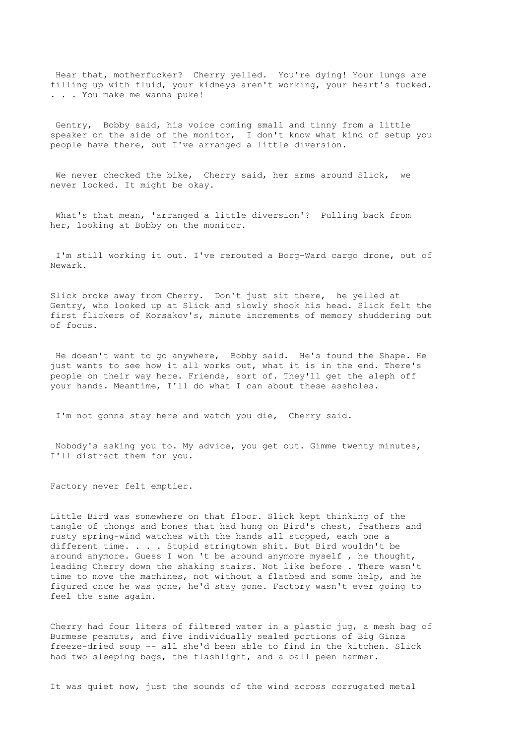Hear that, motherfucker? Cherry yelled. You're dying! Your lungs are filling up with fluid, your kidneys aren't working, your heart's fucked. . . . You make me wanna puke!

 Gentry, Bobby said, his voice coming small and tinny from a little speaker on the side of the monitor, I don't know what kind of setup you people have there, but I've arranged a little diversion.

We never checked the bike, Cherry said, her arms around Slick, we never looked. It might be okay.

 What's that mean, 'arranged a little diversion'? Pulling back from her, looking at Bobby on the monitor.

 I'm still working it out. I've rerouted a Borg-Ward cargo drone, out of Newark.

Slick broke away from Cherry. Don't just sit there, he yelled at Gentry, who looked up at Slick and slowly shook his head. Slick felt the first flickers of Korsakov's, minute increments of memory shuddering out of focus.

 He doesn't want to go anywhere, Bobby said. He's found the Shape. He just wants to see how it all works out, what it is in the end. There's people on their way here. Friends, sort of. They'll get the aleph off your hands. Meantime, I'll do what I can about these assholes.

I'm not gonna stay here and watch you die, Cherry said.

 Nobody's asking you to. My advice, you get out. Gimme twenty minutes, I'll distract them for you.

Factory never felt emptier.

Little Bird was somewhere on that floor. Slick kept thinking of the tangle of thongs and bones that had hung on Bird's chest, feathers and rusty spring-wind watches with the hands all stopped, each one a different time. . . . Stupid stringtown shit. But Bird wouldn't be around anymore. Guess I won 't be around anymore myself , he thought, leading Cherry down the shaking stairs. Not like before . There wasn't time to move the machines, not without a flatbed and some help, and he figured once he was gone, he'd stay gone. Factory wasn't ever going to feel the same again.

Cherry had four liters of filtered water in a plastic jug, a mesh bag of Burmese peanuts, and five individually sealed portions of Big Ginza freeze-dried soup -- all she'd been able to find in the kitchen. Slick had two sleeping bags, the flashlight, and a ball peen hammer.

It was quiet now, just the sounds of the wind across corrugated metal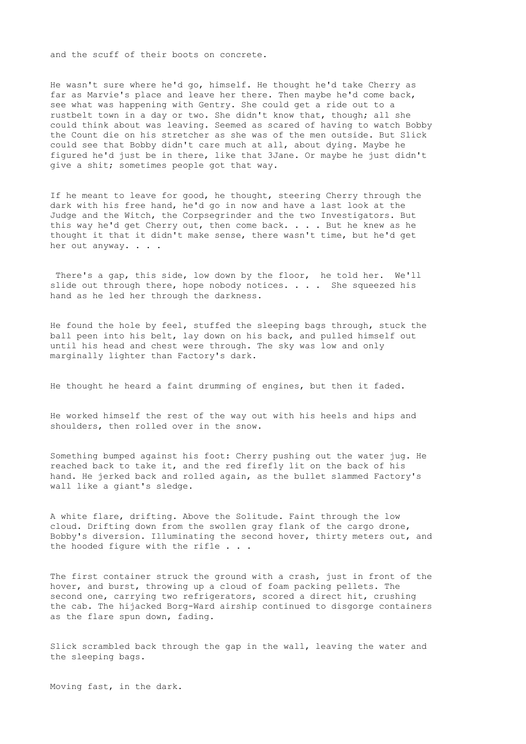and the scuff of their boots on concrete.

He wasn't sure where he'd go, himself. He thought he'd take Cherry as far as Marvie's place and leave her there. Then maybe he'd come back, see what was happening with Gentry. She could get a ride out to a rustbelt town in a day or two. She didn't know that, though; all she could think about was leaving. Seemed as scared of having to watch Bobby the Count die on his stretcher as she was of the men outside. But Slick could see that Bobby didn't care much at all, about dying. Maybe he figured he'd just be in there, like that 3Jane. Or maybe he just didn't give a shit; sometimes people got that way.

If he meant to leave for good, he thought, steering Cherry through the dark with his free hand, he'd go in now and have a last look at the Judge and the Witch, the Corpsegrinder and the two Investigators. But this way he'd get Cherry out, then come back. . . . But he knew as he thought it that it didn't make sense, there wasn't time, but he'd get her out anyway. . . .

 There's a gap, this side, low down by the floor, he told her. We'll slide out through there, hope nobody notices. . . . She squeezed his hand as he led her through the darkness.

He found the hole by feel, stuffed the sleeping bags through, stuck the ball peen into his belt, lay down on his back, and pulled himself out until his head and chest were through. The sky was low and only marginally lighter than Factory's dark.

He thought he heard a faint drumming of engines, but then it faded.

He worked himself the rest of the way out with his heels and hips and shoulders, then rolled over in the snow.

Something bumped against his foot: Cherry pushing out the water jug. He reached back to take it, and the red firefly lit on the back of his hand. He jerked back and rolled again, as the bullet slammed Factory's wall like a giant's sledge.

A white flare, drifting. Above the Solitude. Faint through the low cloud. Drifting down from the swollen gray flank of the cargo drone, Bobby's diversion. Illuminating the second hover, thirty meters out, and the hooded figure with the rifle . . .

The first container struck the ground with a crash, just in front of the hover, and burst, throwing up a cloud of foam packing pellets. The second one, carrying two refrigerators, scored a direct hit, crushing the cab. The hijacked Borg-Ward airship continued to disgorge containers as the flare spun down, fading.

Slick scrambled back through the gap in the wall, leaving the water and the sleeping bags.

Moving fast, in the dark.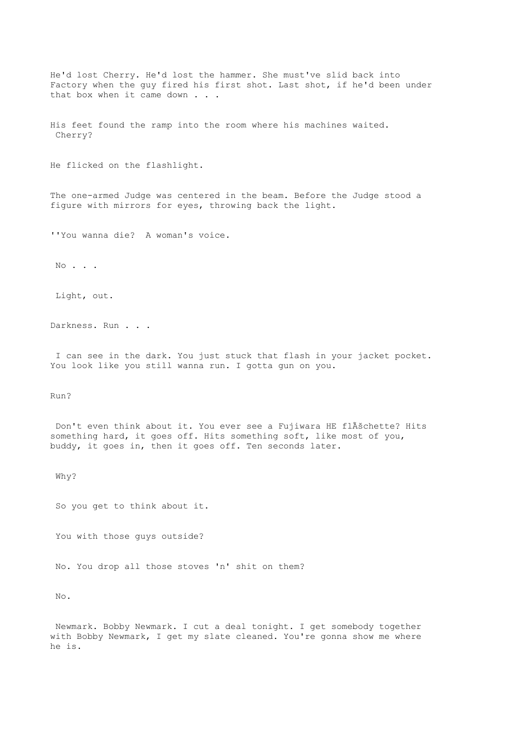He'd lost Cherry. He'd lost the hammer. She must've slid back into Factory when the guy fired his first shot. Last shot, if he'd been under that box when it came down . . .

His feet found the ramp into the room where his machines waited. Cherry?

He flicked on the flashlight.

The one-armed Judge was centered in the beam. Before the Judge stood a figure with mirrors for eyes, throwing back the light.

''You wanna die? A woman's voice.

No . . .

Light, out.

Darkness. Run . . .

 I can see in the dark. You just stuck that flash in your jacket pocket. You look like you still wanna run. I gotta gun on you.

### Run?

Don't even think about it. You ever see a Fujiwara HE flÚchette? Hits something hard, it goes off. Hits something soft, like most of you, buddy, it goes in, then it goes off. Ten seconds later.

Why?

So you get to think about it.

You with those guys outside?

No. You drop all those stoves 'n' shit on them?

No.

 Newmark. Bobby Newmark. I cut a deal tonight. I get somebody together with Bobby Newmark, I get my slate cleaned. You're gonna show me where he is.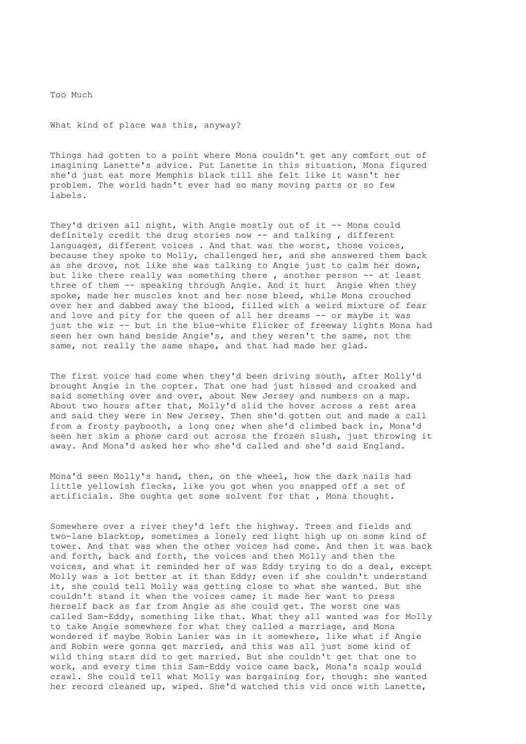Too Much

What kind of place was this, anyway?

Things had gotten to a point where Mona couldn't get any comfort out of imagining Lanette's advice. Put Lanette in this situation, Mona figured she'd just eat more Memphis black till she felt like it wasn't her problem. The world hadn't ever had so many moving parts or so few labels.

They'd driven all night, with Angie mostly out of it -- Mona could definitely credit the drug stories now -- and talking , different languages, different voices . And that was the worst, those voices, because they spoke to Molly, challenged her, and she answered them back as she drove, not like she was talking to Angie just to calm her down, but like there really was something there , another person -- at least three of them -- speaking through Angie. And it hurt Angie when they spoke, made her muscles knot and her nose bleed, while Mona crouched over her and dabbed away the blood, filled with a weird mixture of fear and love and pity for the queen of all her dreams -- or maybe it was just the wiz -- but in the blue-white flicker of freeway lights Mona had seen her own hand beside Angie's, and they weren't the same, not the same, not really the same shape, and that had made her glad.

The first voice had come when they'd been driving south, after Molly'd brought Angie in the copter. That one had just hissed and croaked and said something over and over, about New Jersey and numbers on a map. About two hours after that, Molly'd slid the hover across a rest area and said they were in New Jersey. Then she'd gotten out and made a call from a frosty paybooth, a long one; when she'd climbed back in, Mona'd seen her skim a phone card out across the frozen slush, just throwing it away. And Mona'd asked her who she'd called and she'd said England.

Mona'd seen Molly's hand, then, on the wheel, how the dark nails had little yellowish flecks, like you got when you snapped off a set of artificials. She oughta get some solvent for that , Mona thought.

Somewhere over a river they'd left the highway. Trees and fields and two-lane blacktop, sometimes a lonely red light high up on some kind of tower. And that was when the other voices had come. And then it was back and forth, back and forth, the voices and then Molly and then the voices, and what it reminded her of was Eddy trying to do a deal, except Molly was a lot better at it than Eddy; even if she couldn't understand it, she could tell Molly was getting close to what she wanted. But she couldn't stand it when the voices came; it made her want to press herself back as far from Angie as she could get. The worst one was called Sam-Eddy, something like that. What they all wanted was for Molly to take Angie somewhere for what they called a marriage, and Mona wondered if maybe Robin Lanier was in it somewhere, like what if Angie and Robin were gonna get married, and this was all just some kind of wild thing stars did to get married. But she couldn't get that one to work, and every time this Sam-Eddy voice came back, Mona's scalp would crawl. She could tell what Molly was bargaining for, though: she wanted her record cleaned up, wiped. She'd watched this vid once with Lanette,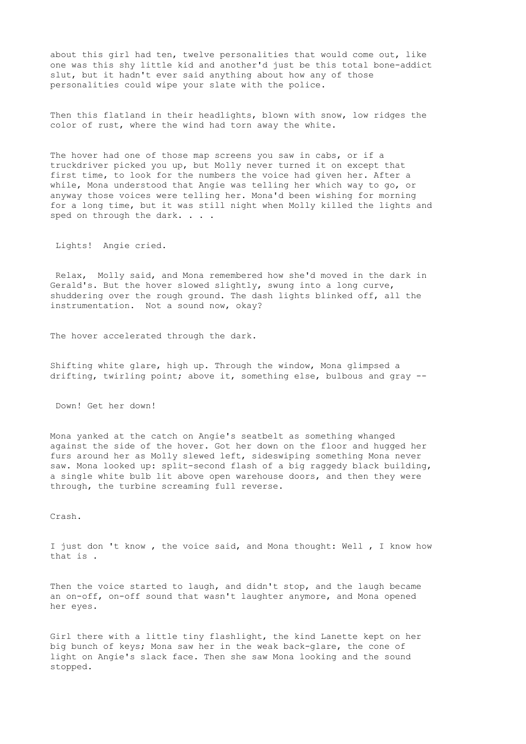about this girl had ten, twelve personalities that would come out, like one was this shy little kid and another'd just be this total bone-addict slut, but it hadn't ever said anything about how any of those personalities could wipe your slate with the police.

Then this flatland in their headlights, blown with snow, low ridges the color of rust, where the wind had torn away the white.

The hover had one of those map screens you saw in cabs, or if a truckdriver picked you up, but Molly never turned it on except that first time, to look for the numbers the voice had given her. After a while, Mona understood that Angie was telling her which way to go, or anyway those voices were telling her. Mona'd been wishing for morning for a long time, but it was still night when Molly killed the lights and sped on through the dark. . . .

Lights! Angie cried.

 Relax, Molly said, and Mona remembered how she'd moved in the dark in Gerald's. But the hover slowed slightly, swung into a long curve, shuddering over the rough ground. The dash lights blinked off, all the instrumentation. Not a sound now, okay?

The hover accelerated through the dark.

Shifting white glare, high up. Through the window, Mona glimpsed a drifting, twirling point; above it, something else, bulbous and gray --

Down! Get her down!

Mona yanked at the catch on Angie's seatbelt as something whanged against the side of the hover. Got her down on the floor and hugged her furs around her as Molly slewed left, sideswiping something Mona never saw. Mona looked up: split-second flash of a big raggedy black building, a single white bulb lit above open warehouse doors, and then they were through, the turbine screaming full reverse.

Crash.

I just don 't know , the voice said, and Mona thought: Well , I know how that is .

Then the voice started to laugh, and didn't stop, and the laugh became an on-off, on-off sound that wasn't laughter anymore, and Mona opened her eyes.

Girl there with a little tiny flashlight, the kind Lanette kept on her big bunch of keys; Mona saw her in the weak back-glare, the cone of light on Angie's slack face. Then she saw Mona looking and the sound stopped.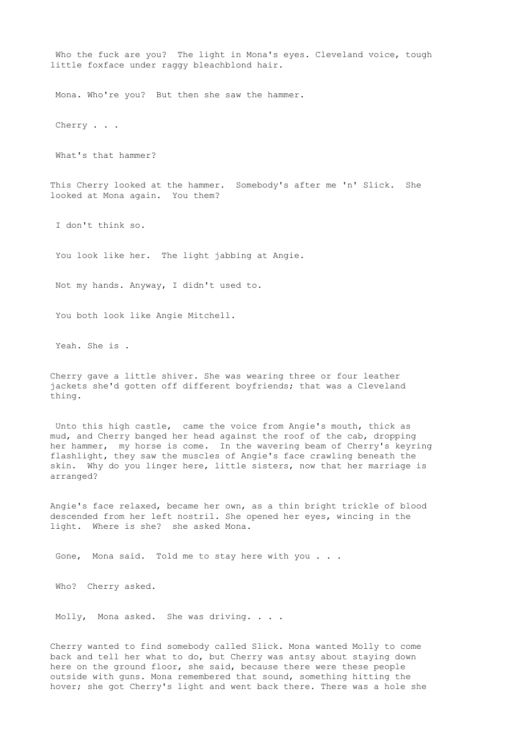Who the fuck are you? The light in Mona's eyes. Cleveland voice, tough little foxface under raggy bleachblond hair. Mona. Who're you? But then she saw the hammer. Cherry . . . What's that hammer? This Cherry looked at the hammer. Somebody's after me 'n' Slick. She looked at Mona again. You them? I don't think so. You look like her. The light jabbing at Angie. Not my hands. Anyway, I didn't used to. You both look like Angie Mitchell. Yeah. She is . Cherry gave a little shiver. She was wearing three or four leather jackets she'd gotten off different boyfriends; that was a Cleveland thing. Unto this high castle, came the voice from Angie's mouth, thick as mud, and Cherry banged her head against the roof of the cab, dropping her hammer, my horse is come. In the wavering beam of Cherry's keyring flashlight, they saw the muscles of Angie's face crawling beneath the skin. Why do you linger here, little sisters, now that her marriage is arranged? Angie's face relaxed, became her own, as a thin bright trickle of blood descended from her left nostril. She opened her eyes, wincing in the light. Where is she? she asked Mona. Gone, Mona said. Told me to stay here with you . . .

Who? Cherry asked.

Molly, Mona asked. She was driving. . . .

Cherry wanted to find somebody called Slick. Mona wanted Molly to come back and tell her what to do, but Cherry was antsy about staying down here on the ground floor, she said, because there were these people outside with guns. Mona remembered that sound, something hitting the hover; she got Cherry's light and went back there. There was a hole she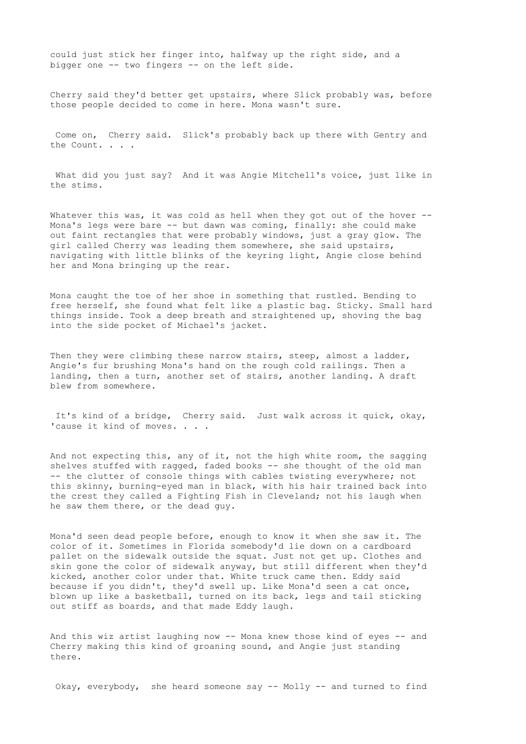could just stick her finger into, halfway up the right side, and a bigger one -- two fingers -- on the left side.

Cherry said they'd better get upstairs, where Slick probably was, before those people decided to come in here. Mona wasn't sure.

 Come on, Cherry said. Slick's probably back up there with Gentry and the Count. . . .

 What did you just say? And it was Angie Mitchell's voice, just like in the stims.

Whatever this was, it was cold as hell when they got out of the hover --Mona's legs were bare -- but dawn was coming, finally: she could make out faint rectangles that were probably windows, just a gray glow. The girl called Cherry was leading them somewhere, she said upstairs, navigating with little blinks of the keyring light, Angie close behind her and Mona bringing up the rear.

Mona caught the toe of her shoe in something that rustled. Bending to free herself, she found what felt like a plastic bag. Sticky. Small hard things inside. Took a deep breath and straightened up, shoving the bag into the side pocket of Michael's jacket.

Then they were climbing these narrow stairs, steep, almost a ladder, Angie's fur brushing Mona's hand on the rough cold railings. Then a landing, then a turn, another set of stairs, another landing. A draft blew from somewhere.

 It's kind of a bridge, Cherry said. Just walk across it quick, okay, 'cause it kind of moves. . . .

And not expecting this, any of it, not the high white room, the sagging shelves stuffed with ragged, faded books -- she thought of the old man -- the clutter of console things with cables twisting everywhere; not this skinny, burning-eyed man in black, with his hair trained back into the crest they called a Fighting Fish in Cleveland; not his laugh when he saw them there, or the dead guy.

Mona'd seen dead people before, enough to know it when she saw it. The color of it. Sometimes in Florida somebody'd lie down on a cardboard pallet on the sidewalk outside the squat. Just not get up. Clothes and skin gone the color of sidewalk anyway, but still different when they'd kicked, another color under that. White truck came then. Eddy said because if you didn't, they'd swell up. Like Mona'd seen a cat once, blown up like a basketball, turned on its back, legs and tail sticking out stiff as boards, and that made Eddy laugh.

And this wiz artist laughing now -- Mona knew those kind of eyes -- and Cherry making this kind of groaning sound, and Angie just standing there.

Okay, everybody, she heard someone say -- Molly -- and turned to find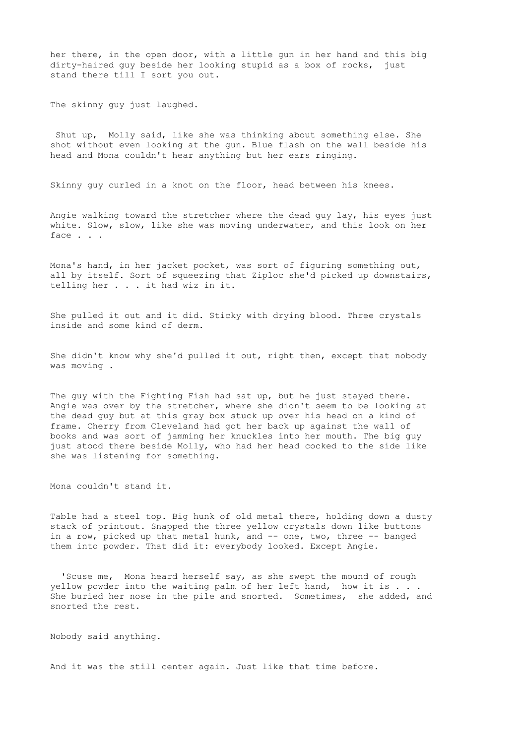her there, in the open door, with a little gun in her hand and this big dirty-haired guy beside her looking stupid as a box of rocks, just stand there till I sort you out.

The skinny guy just laughed.

 Shut up, Molly said, like she was thinking about something else. She shot without even looking at the gun. Blue flash on the wall beside his head and Mona couldn't hear anything but her ears ringing.

Skinny guy curled in a knot on the floor, head between his knees.

Angie walking toward the stretcher where the dead guy lay, his eyes just white. Slow, slow, like she was moving underwater, and this look on her face . . .

Mona's hand, in her jacket pocket, was sort of figuring something out, all by itself. Sort of squeezing that Ziploc she'd picked up downstairs, telling her . . . it had wiz in it.

She pulled it out and it did. Sticky with drying blood. Three crystals inside and some kind of derm.

She didn't know why she'd pulled it out, right then, except that nobody was moving .

The guy with the Fighting Fish had sat up, but he just stayed there. Angie was over by the stretcher, where she didn't seem to be looking at the dead guy but at this gray box stuck up over his head on a kind of frame. Cherry from Cleveland had got her back up against the wall of books and was sort of jamming her knuckles into her mouth. The big guy just stood there beside Molly, who had her head cocked to the side like she was listening for something.

Mona couldn't stand it.

Table had a steel top. Big hunk of old metal there, holding down a dusty stack of printout. Snapped the three yellow crystals down like buttons in a row, picked up that metal hunk, and -- one, two, three -- banged them into powder. That did it: everybody looked. Except Angie.

'Scuse me, Mona heard herself say, as she swept the mound of rough yellow powder into the waiting palm of her left hand, how it is . . . She buried her nose in the pile and snorted. Sometimes, she added, and snorted the rest.

Nobody said anything.

And it was the still center again. Just like that time before.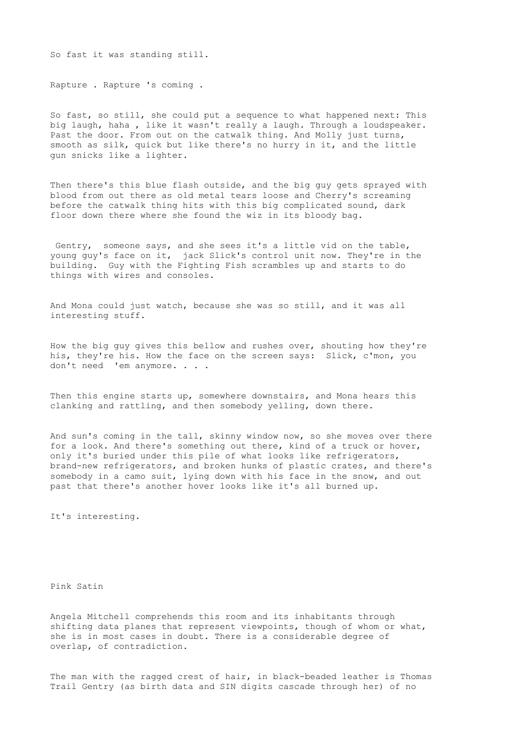So fast it was standing still.

Rapture . Rapture 's coming .

So fast, so still, she could put a sequence to what happened next: This big laugh, haha , like it wasn't really a laugh. Through a loudspeaker. Past the door. From out on the catwalk thing. And Molly just turns, smooth as silk, quick but like there's no hurry in it, and the little gun snicks like a lighter.

Then there's this blue flash outside, and the big guy gets sprayed with blood from out there as old metal tears loose and Cherry's screaming before the catwalk thing hits with this big complicated sound, dark floor down there where she found the wiz in its bloody bag.

 Gentry, someone says, and she sees it's a little vid on the table, young guy's face on it, jack Slick's control unit now. They're in the building. Guy with the Fighting Fish scrambles up and starts to do things with wires and consoles.

And Mona could just watch, because she was so still, and it was all interesting stuff.

How the big guy gives this bellow and rushes over, shouting how they're his, they're his. How the face on the screen says: Slick, c'mon, you don't need 'em anymore. . . .

Then this engine starts up, somewhere downstairs, and Mona hears this clanking and rattling, and then somebody yelling, down there.

And sun's coming in the tall, skinny window now, so she moves over there for a look. And there's something out there, kind of a truck or hover, only it's buried under this pile of what looks like refrigerators, brand-new refrigerators, and broken hunks of plastic crates, and there's somebody in a camo suit, lying down with his face in the snow, and out past that there's another hover looks like it's all burned up.

It's interesting.

Pink Satin

Angela Mitchell comprehends this room and its inhabitants through shifting data planes that represent viewpoints, though of whom or what, she is in most cases in doubt. There is a considerable degree of overlap, of contradiction.

The man with the ragged crest of hair, in black-beaded leather is Thomas Trail Gentry (as birth data and SIN digits cascade through her) of no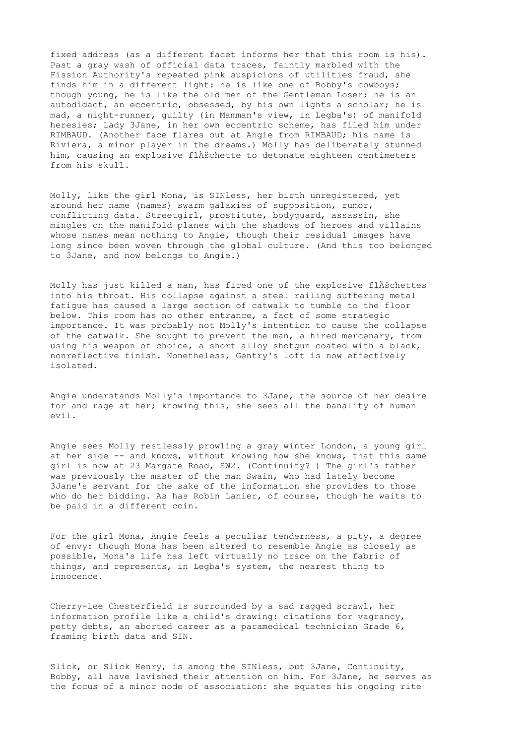fixed address (as a different facet informs her that this room is his). Past a gray wash of official data traces, faintly marbled with the Fission Authority's repeated pink suspicions of utilities fraud, she finds him in a different light: he is like one of Bobby's cowboys; though young, he is like the old men of the Gentleman Loser; he is an autodidact, an eccentric, obsessed, by his own lights a scholar; he is mad, a night-runner, guilty (in Mamman's view, in Legba's) of manifold heresies; Lady 3Jane, in her own eccentric scheme, has filed him under RIMBAUD. (Another face flares out at Angie from RIMBAUD; his name is Riviera, a minor player in the dreams.) Molly has deliberately stunned him, causing an explosive flÄšchette to detonate eighteen centimeters from his skull.

Molly, like the girl Mona, is SINless, her birth unregistered, yet around her name (names) swarm galaxies of supposition, rumor, conflicting data. Streetgirl, prostitute, bodyguard, assassin, she mingles on the manifold planes with the shadows of heroes and villains whose names mean nothing to Angie, though their residual images have long since been woven through the global culture. (And this too belonged to 3Jane, and now belongs to Angie.)

Molly has just killed a man, has fired one of the explosive flÚchettes into his throat. His collapse against a steel railing suffering metal fatigue has caused a large section of catwalk to tumble to the floor below. This room has no other entrance, a fact of some strategic importance. It was probably not Molly's intention to cause the collapse of the catwalk. She sought to prevent the man, a hired mercenary, from using his weapon of choice, a short alloy shotgun coated with a black, nonreflective finish. Nonetheless, Gentry's loft is now effectively isolated.

Angie understands Molly's importance to 3Jane, the source of her desire for and rage at her; knowing this, she sees all the banality of human evil.

Angie sees Molly restlessly prowling a gray winter London, a young girl at her side -- and knows, without knowing how she knows, that this same girl is now at 23 Margate Road, SW2. (Continuity? ) The girl's father was previously the master of the man Swain, who had lately become 3Jane's servant for the sake of the information she provides to those who do her bidding. As has Robin Lanier, of course, though he waits to be paid in a different coin.

For the girl Mona, Angie feels a peculiar tenderness, a pity, a degree of envy: though Mona has been altered to resemble Angie as closely as possible, Mona's life has left virtually no trace on the fabric of things, and represents, in Legba's system, the nearest thing to innocence.

Cherry-Lee Chesterfield is surrounded by a sad ragged scrawl, her information profile like a child's drawing: citations for vagrancy, petty debts, an aborted career as a paramedical technician Grade 6, framing birth data and SIN.

Slick, or Slick Henry, is among the SINless, but 3Jane, Continuity, Bobby, all have lavished their attention on him. For 3Jane, he serves as the focus of a minor node of association: she equates his ongoing rite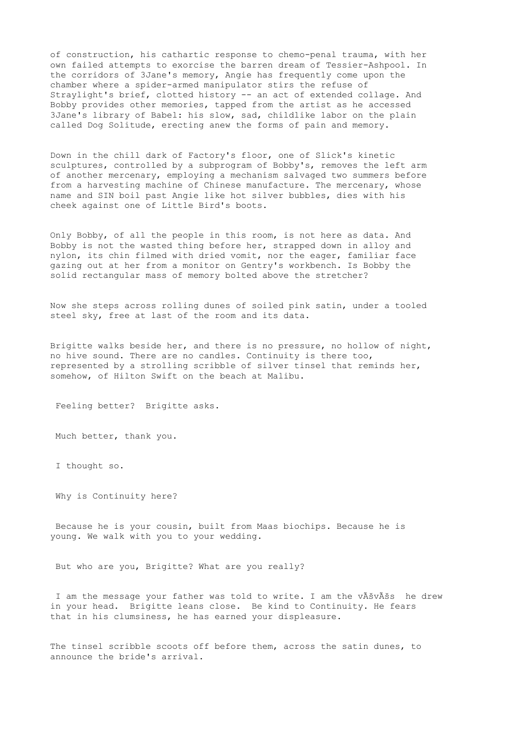of construction, his cathartic response to chemo-penal trauma, with her own failed attempts to exorcise the barren dream of Tessier-Ashpool. In the corridors of 3Jane's memory, Angie has frequently come upon the chamber where a spider-armed manipulator stirs the refuse of Straylight's brief, clotted history -- an act of extended collage. And Bobby provides other memories, tapped from the artist as he accessed 3Jane's library of Babel: his slow, sad, childlike labor on the plain called Dog Solitude, erecting anew the forms of pain and memory.

Down in the chill dark of Factory's floor, one of Slick's kinetic sculptures, controlled by a subprogram of Bobby's, removes the left arm of another mercenary, employing a mechanism salvaged two summers before from a harvesting machine of Chinese manufacture. The mercenary, whose name and SIN boil past Angie like hot silver bubbles, dies with his cheek against one of Little Bird's boots.

Only Bobby, of all the people in this room, is not here as data. And Bobby is not the wasted thing before her, strapped down in alloy and nylon, its chin filmed with dried vomit, nor the eager, familiar face gazing out at her from a monitor on Gentry's workbench. Is Bobby the solid rectangular mass of memory bolted above the stretcher?

Now she steps across rolling dunes of soiled pink satin, under a tooled steel sky, free at last of the room and its data.

Brigitte walks beside her, and there is no pressure, no hollow of night, no hive sound. There are no candles. Continuity is there too, represented by a strolling scribble of silver tinsel that reminds her, somehow, of Hilton Swift on the beach at Malibu.

Feeling better? Brigitte asks.

Much better, thank you.

I thought so.

Why is Continuity here?

 Because he is your cousin, built from Maas biochips. Because he is young. We walk with you to your wedding.

But who are you, Brigitte? What are you really?

I am the message your father was told to write. I am the vÚvÚs he drew in your head. Brigitte leans close. Be kind to Continuity. He fears that in his clumsiness, he has earned your displeasure.

The tinsel scribble scoots off before them, across the satin dunes, to announce the bride's arrival.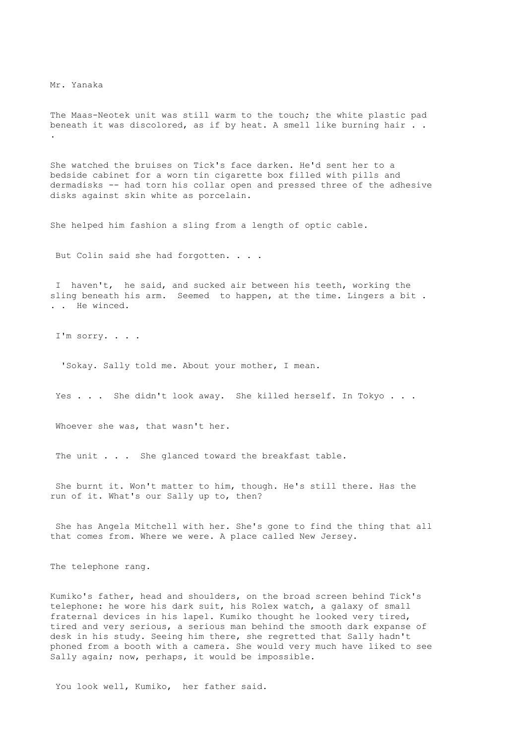Mr. Yanaka

The Maas-Neotek unit was still warm to the touch; the white plastic pad beneath it was discolored, as if by heat. A smell like burning hair . . . She watched the bruises on Tick's face darken. He'd sent her to a bedside cabinet for a worn tin cigarette box filled with pills and dermadisks -- had torn his collar open and pressed three of the adhesive disks against skin white as porcelain. She helped him fashion a sling from a length of optic cable. But Colin said she had forgotten. . . . I haven't, he said, and sucked air between his teeth, working the sling beneath his arm. Seemed to happen, at the time. Lingers a bit . . . He winced. I'm sorry. . . . 'Sokay. Sally told me. About your mother, I mean. Yes . . . She didn't look away. She killed herself. In Tokyo . . . Whoever she was, that wasn't her. The unit . . . She glanced toward the breakfast table. She burnt it. Won't matter to him, though. He's still there. Has the run of it. What's our Sally up to, then? She has Angela Mitchell with her. She's gone to find the thing that all that comes from. Where we were. A place called New Jersey. The telephone rang.

Kumiko's father, head and shoulders, on the broad screen behind Tick's telephone: he wore his dark suit, his Rolex watch, a galaxy of small fraternal devices in his lapel. Kumiko thought he looked very tired, tired and very serious, a serious man behind the smooth dark expanse of desk in his study. Seeing him there, she regretted that Sally hadn't phoned from a booth with a camera. She would very much have liked to see Sally again; now, perhaps, it would be impossible.

You look well, Kumiko, her father said.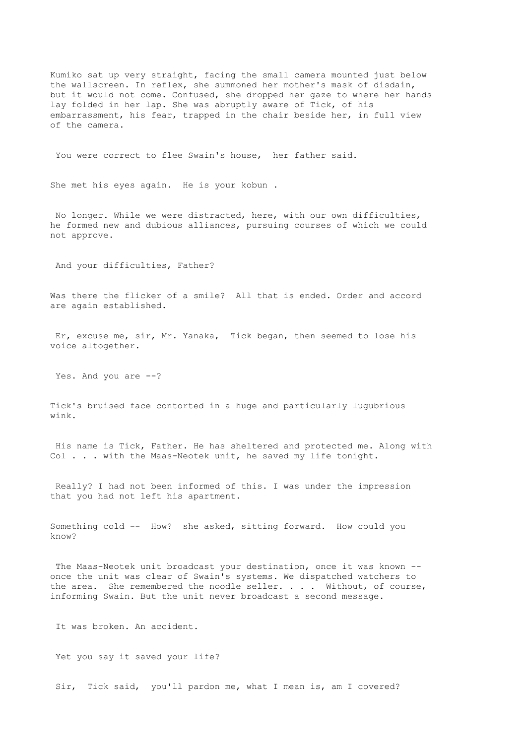Kumiko sat up very straight, facing the small camera mounted just below the wallscreen. In reflex, she summoned her mother's mask of disdain, but it would not come. Confused, she dropped her gaze to where her hands lay folded in her lap. She was abruptly aware of Tick, of his embarrassment, his fear, trapped in the chair beside her, in full view of the camera.

You were correct to flee Swain's house, her father said.

She met his eyes again. He is your kobun .

 No longer. While we were distracted, here, with our own difficulties, he formed new and dubious alliances, pursuing courses of which we could not approve.

And your difficulties, Father?

Was there the flicker of a smile? All that is ended. Order and accord are again established.

 Er, excuse me, sir, Mr. Yanaka, Tick began, then seemed to lose his voice altogether.

Yes. And you are --?

Tick's bruised face contorted in a huge and particularly lugubrious wink.

 His name is Tick, Father. He has sheltered and protected me. Along with Col . . . with the Maas-Neotek unit, he saved my life tonight.

 Really? I had not been informed of this. I was under the impression that you had not left his apartment.

Something cold -- How? she asked, sitting forward. How could you know?

The Maas-Neotek unit broadcast your destination, once it was known -once the unit was clear of Swain's systems. We dispatched watchers to the area. She remembered the noodle seller. . . . Without, of course, informing Swain. But the unit never broadcast a second message.

It was broken. An accident.

Yet you say it saved your life?

Sir, Tick said, you'll pardon me, what I mean is, am I covered?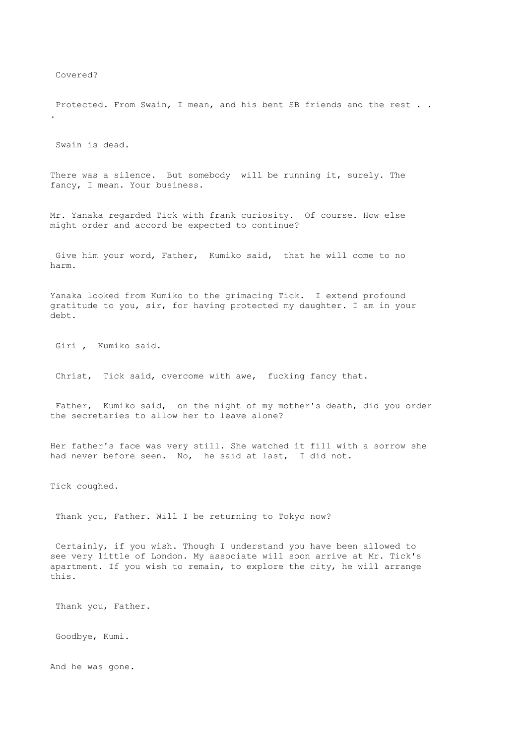Covered?

.

Protected. From Swain, I mean, and his bent SB friends and the rest . .

Swain is dead.

There was a silence. But somebody will be running it, surely. The fancy, I mean. Your business.

Mr. Yanaka regarded Tick with frank curiosity. Of course. How else might order and accord be expected to continue?

 Give him your word, Father, Kumiko said, that he will come to no harm.

Yanaka looked from Kumiko to the grimacing Tick. I extend profound gratitude to you, sir, for having protected my daughter. I am in your debt.

Giri , Kumiko said.

Christ, Tick said, overcome with awe, fucking fancy that.

 Father, Kumiko said, on the night of my mother's death, did you order the secretaries to allow her to leave alone?

Her father's face was very still. She watched it fill with a sorrow she had never before seen. No, he said at last, I did not.

Tick coughed.

Thank you, Father. Will I be returning to Tokyo now?

 Certainly, if you wish. Though I understand you have been allowed to see very little of London. My associate will soon arrive at Mr. Tick's apartment. If you wish to remain, to explore the city, he will arrange this.

Thank you, Father.

Goodbye, Kumi.

And he was gone.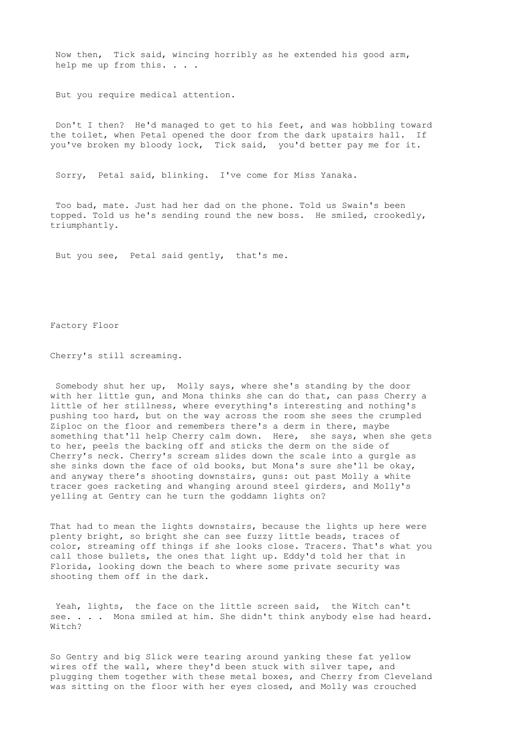Now then, Tick said, wincing horribly as he extended his good arm, help me up from this. . . .

But you require medical attention.

 Don't I then? He'd managed to get to his feet, and was hobbling toward the toilet, when Petal opened the door from the dark upstairs hall. If you've broken my bloody lock, Tick said, you'd better pay me for it.

Sorry, Petal said, blinking. I've come for Miss Yanaka.

 Too bad, mate. Just had her dad on the phone. Told us Swain's been topped. Told us he's sending round the new boss. He smiled, crookedly, triumphantly.

But you see, Petal said gently, that's me.

Factory Floor

Cherry's still screaming.

 Somebody shut her up, Molly says, where she's standing by the door with her little gun, and Mona thinks she can do that, can pass Cherry a little of her stillness, where everything's interesting and nothing's pushing too hard, but on the way across the room she sees the crumpled Ziploc on the floor and remembers there's a derm in there, maybe something that'll help Cherry calm down. Here, she says, when she gets to her, peels the backing off and sticks the derm on the side of Cherry's neck. Cherry's scream slides down the scale into a gurgle as she sinks down the face of old books, but Mona's sure she'll be okay, and anyway there's shooting downstairs, guns: out past Molly a white tracer goes racketing and whanging around steel girders, and Molly's yelling at Gentry can he turn the goddamn lights on?

That had to mean the lights downstairs, because the lights up here were plenty bright, so bright she can see fuzzy little beads, traces of color, streaming off things if she looks close. Tracers. That's what you call those bullets, the ones that light up. Eddy'd told her that in Florida, looking down the beach to where some private security was shooting them off in the dark.

 Yeah, lights, the face on the little screen said, the Witch can't see. . . . Mona smiled at him. She didn't think anybody else had heard. Witch?

So Gentry and big Slick were tearing around yanking these fat yellow wires off the wall, where they'd been stuck with silver tape, and plugging them together with these metal boxes, and Cherry from Cleveland was sitting on the floor with her eyes closed, and Molly was crouched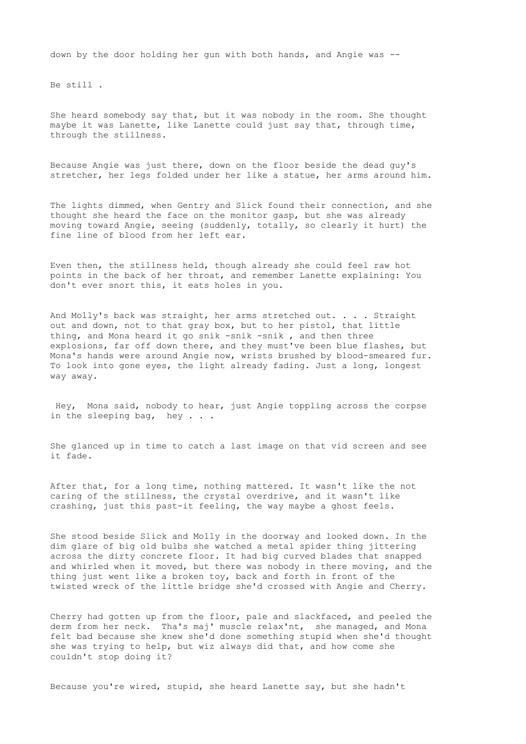down by the door holding her gun with both hands, and Angie was --

Be still .

She heard somebody say that, but it was nobody in the room. She thought maybe it was Lanette, like Lanette could just say that, through time, through the stillness.

Because Angie was just there, down on the floor beside the dead guy's stretcher, her legs folded under her like a statue, her arms around him.

The lights dimmed, when Gentry and Slick found their connection, and she thought she heard the face on the monitor gasp, but she was already moving toward Angie, seeing (suddenly, totally, so clearly it hurt) the fine line of blood from her left ear.

Even then, the stillness held, though already she could feel raw hot points in the back of her throat, and remember Lanette explaining: You don't ever snort this, it eats holes in you.

And Molly's back was straight, her arms stretched out. . . . Straight out and down, not to that gray box, but to her pistol, that little thing, and Mona heard it go snik -snik -snik, and then three explosions, far off down there, and they must've been blue flashes, but Mona's hands were around Angie now, wrists brushed by blood-smeared fur. To look into gone eyes, the light already fading. Just a long, longest way away.

 Hey, Mona said, nobody to hear, just Angie toppling across the corpse in the sleeping bag, hey . . .

She glanced up in time to catch a last image on that vid screen and see it fade.

After that, for a long time, nothing mattered. It wasn't like the not caring of the stillness, the crystal overdrive, and it wasn't like crashing, just this past-it feeling, the way maybe a ghost feels.

She stood beside Slick and Molly in the doorway and looked down. In the dim glare of big old bulbs she watched a metal spider thing jittering across the dirty concrete floor. It had big curved blades that snapped and whirled when it moved, but there was nobody in there moving, and the thing just went like a broken toy, back and forth in front of the twisted wreck of the little bridge she'd crossed with Angie and Cherry.

Cherry had gotten up from the floor, pale and slackfaced, and peeled the derm from her neck. Tha's maj' muscle relax'nt, she managed, and Mona felt bad because she knew she'd done something stupid when she'd thought she was trying to help, but wiz always did that, and how come she couldn't stop doing it?

Because you're wired, stupid, she heard Lanette say, but she hadn't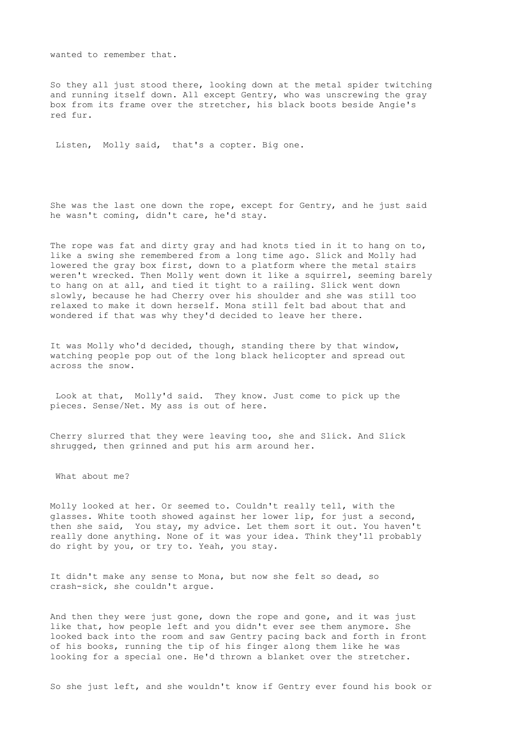wanted to remember that.

So they all just stood there, looking down at the metal spider twitching and running itself down. All except Gentry, who was unscrewing the gray box from its frame over the stretcher, his black boots beside Angie's red fur.

Listen, Molly said, that's a copter. Big one.

She was the last one down the rope, except for Gentry, and he just said he wasn't coming, didn't care, he'd stay.

The rope was fat and dirty gray and had knots tied in it to hang on to, like a swing she remembered from a long time ago. Slick and Molly had lowered the gray box first, down to a platform where the metal stairs weren't wrecked. Then Molly went down it like a squirrel, seeming barely to hang on at all, and tied it tight to a railing. Slick went down slowly, because he had Cherry over his shoulder and she was still too relaxed to make it down herself. Mona still felt bad about that and wondered if that was why they'd decided to leave her there.

It was Molly who'd decided, though, standing there by that window, watching people pop out of the long black helicopter and spread out across the snow.

 Look at that, Molly'd said. They know. Just come to pick up the pieces. Sense/Net. My ass is out of here.

Cherry slurred that they were leaving too, she and Slick. And Slick shrugged, then grinned and put his arm around her.

What about me?

Molly looked at her. Or seemed to. Couldn't really tell, with the glasses. White tooth showed against her lower lip, for just a second, then she said, You stay, my advice. Let them sort it out. You haven't really done anything. None of it was your idea. Think they'll probably do right by you, or try to. Yeah, you stay.

It didn't make any sense to Mona, but now she felt so dead, so crash-sick, she couldn't argue.

And then they were just gone, down the rope and gone, and it was just like that, how people left and you didn't ever see them anymore. She looked back into the room and saw Gentry pacing back and forth in front of his books, running the tip of his finger along them like he was looking for a special one. He'd thrown a blanket over the stretcher.

So she just left, and she wouldn't know if Gentry ever found his book or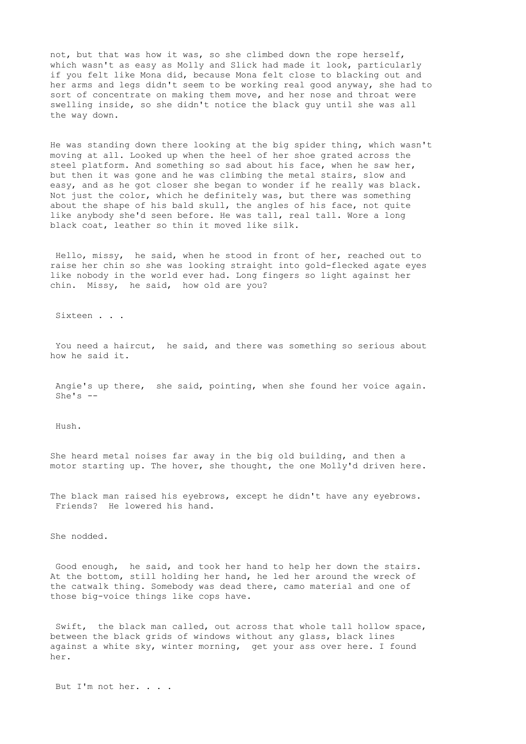not, but that was how it was, so she climbed down the rope herself, which wasn't as easy as Molly and Slick had made it look, particularly if you felt like Mona did, because Mona felt close to blacking out and her arms and legs didn't seem to be working real good anyway, she had to sort of concentrate on making them move, and her nose and throat were swelling inside, so she didn't notice the black guy until she was all the way down.

He was standing down there looking at the big spider thing, which wasn't moving at all. Looked up when the heel of her shoe grated across the steel platform. And something so sad about his face, when he saw her, but then it was gone and he was climbing the metal stairs, slow and easy, and as he got closer she began to wonder if he really was black. Not just the color, which he definitely was, but there was something about the shape of his bald skull, the angles of his face, not quite like anybody she'd seen before. He was tall, real tall. Wore a long black coat, leather so thin it moved like silk.

 Hello, missy, he said, when he stood in front of her, reached out to raise her chin so she was looking straight into gold-flecked agate eyes like nobody in the world ever had. Long fingers so light against her chin. Missy, he said, how old are you?

Sixteen . . .

 You need a haircut, he said, and there was something so serious about how he said it.

 Angie's up there, she said, pointing, when she found her voice again. She's  $--$ 

Hush.

She heard metal noises far away in the big old building, and then a motor starting up. The hover, she thought, the one Molly'd driven here.

The black man raised his eyebrows, except he didn't have any eyebrows. Friends? He lowered his hand.

She nodded.

 Good enough, he said, and took her hand to help her down the stairs. At the bottom, still holding her hand, he led her around the wreck of the catwalk thing. Somebody was dead there, camo material and one of those big-voice things like cops have.

Swift, the black man called, out across that whole tall hollow space, between the black grids of windows without any glass, black lines against a white sky, winter morning, get your ass over here. I found her.

But I'm not her. . . .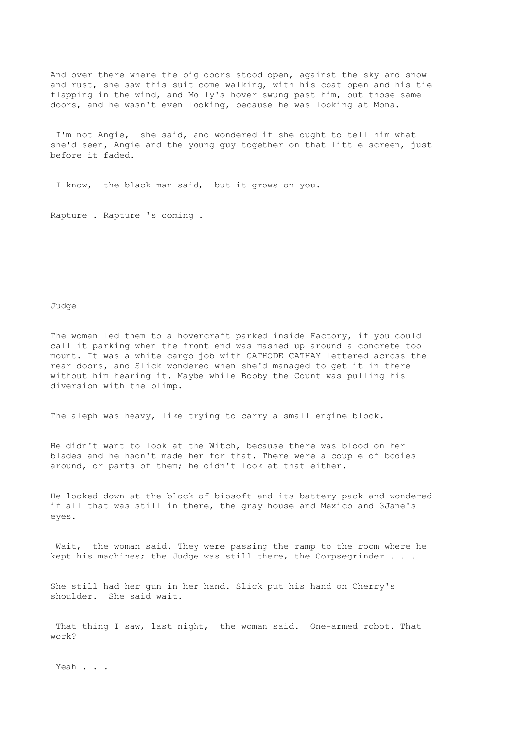And over there where the big doors stood open, against the sky and snow and rust, she saw this suit come walking, with his coat open and his tie flapping in the wind, and Molly's hover swung past him, out those same doors, and he wasn't even looking, because he was looking at Mona.

 I'm not Angie, she said, and wondered if she ought to tell him what she'd seen, Angie and the young guy together on that little screen, just before it faded.

I know, the black man said, but it grows on you.

Rapture . Rapture 's coming .

## Judge

The woman led them to a hovercraft parked inside Factory, if you could call it parking when the front end was mashed up around a concrete tool mount. It was a white cargo job with CATHODE CATHAY lettered across the rear doors, and Slick wondered when she'd managed to get it in there without him hearing it. Maybe while Bobby the Count was pulling his diversion with the blimp.

The aleph was heavy, like trying to carry a small engine block.

He didn't want to look at the Witch, because there was blood on her blades and he hadn't made her for that. There were a couple of bodies around, or parts of them; he didn't look at that either.

He looked down at the block of biosoft and its battery pack and wondered if all that was still in there, the gray house and Mexico and 3Jane's eyes.

Wait, the woman said. They were passing the ramp to the room where he kept his machines; the Judge was still there, the Corpsegrinder . . .

She still had her gun in her hand. Slick put his hand on Cherry's shoulder. She said wait.

That thing I saw, last night, the woman said. One-armed robot. That work?

Yeah . . .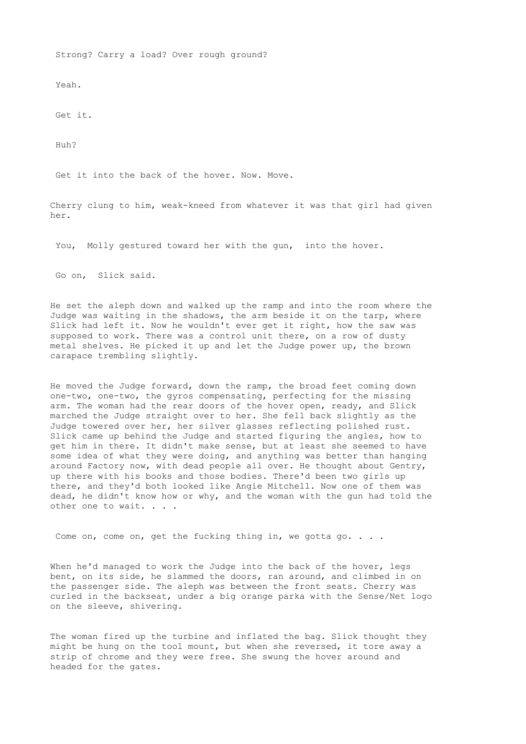Strong? Carry a load? Over rough ground?

Yeah.

Get it.

Huh?

Get it into the back of the hover. Now. Move.

Cherry clung to him, weak-kneed from whatever it was that girl had given her.

You, Molly gestured toward her with the gun, into the hover.

Go on, Slick said.

He set the aleph down and walked up the ramp and into the room where the Judge was waiting in the shadows, the arm beside it on the tarp, where Slick had left it. Now he wouldn't ever get it right, how the saw was supposed to work. There was a control unit there, on a row of dusty metal shelves. He picked it up and let the Judge power up, the brown carapace trembling slightly.

He moved the Judge forward, down the ramp, the broad feet coming down one-two, one-two, the gyros compensating, perfecting for the missing arm. The woman had the rear doors of the hover open, ready, and Slick marched the Judge straight over to her. She fell back slightly as the Judge towered over her, her silver glasses reflecting polished rust. Slick came up behind the Judge and started figuring the angles, how to get him in there. It didn't make sense, but at least she seemed to have some idea of what they were doing, and anything was better than hanging around Factory now, with dead people all over. He thought about Gentry, up there with his books and those bodies. There'd been two girls up there, and they'd both looked like Angie Mitchell. Now one of them was dead, he didn't know how or why, and the woman with the gun had told the other one to wait. . . .

Come on, come on, get the fucking thing in, we gotta go. . . .

When he'd managed to work the Judge into the back of the hover, legs bent, on its side, he slammed the doors, ran around, and climbed in on the passenger side. The aleph was between the front seats. Cherry was curled in the backseat, under a big orange parka with the Sense/Net logo on the sleeve, shivering.

The woman fired up the turbine and inflated the bag. Slick thought they might be hung on the tool mount, but when she reversed, it tore away a strip of chrome and they were free. She swung the hover around and headed for the gates.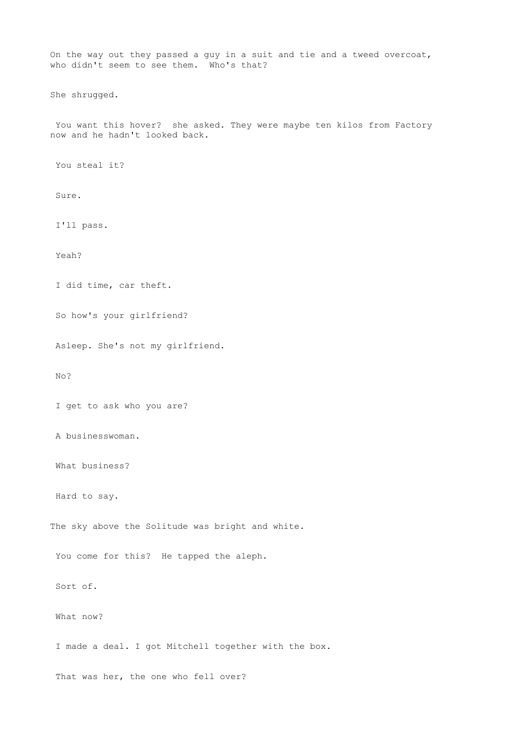On the way out they passed a guy in a suit and tie and a tweed overcoat, who didn't seem to see them. Who's that? She shrugged. You want this hover? she asked. They were maybe ten kilos from Factory now and he hadn't looked back. You steal it? Sure. I'll pass. Yeah? I did time, car theft. So how's your girlfriend? Asleep. She's not my girlfriend. No? I get to ask who you are? A businesswoman. What business? Hard to say. The sky above the Solitude was bright and white. You come for this? He tapped the aleph. Sort of. What now? I made a deal. I got Mitchell together with the box. That was her, the one who fell over?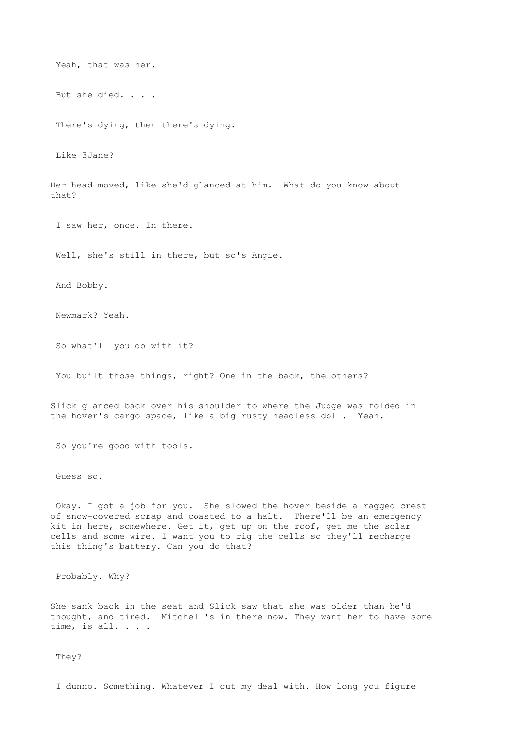Yeah, that was her. But she died. . . . There's dying, then there's dying. Like 3Jane? Her head moved, like she'd glanced at him. What do you know about that? I saw her, once. In there. Well, she's still in there, but so's Angie. And Bobby. Newmark? Yeah. So what'll you do with it? You built those things, right? One in the back, the others? Slick glanced back over his shoulder to where the Judge was folded in the hover's cargo space, like a big rusty headless doll. Yeah. So you're good with tools. Guess so. Okay. I got a job for you. She slowed the hover beside a ragged crest of snow-covered scrap and coasted to a halt. There'll be an emergency kit in here, somewhere. Get it, get up on the roof, get me the solar cells and some wire. I want you to rig the cells so they'll recharge this thing's battery. Can you do that? Probably. Why? She sank back in the seat and Slick saw that she was older than he'd

thought, and tired. Mitchell's in there now. They want her to have some time, is all. . . .

They?

I dunno. Something. Whatever I cut my deal with. How long you figure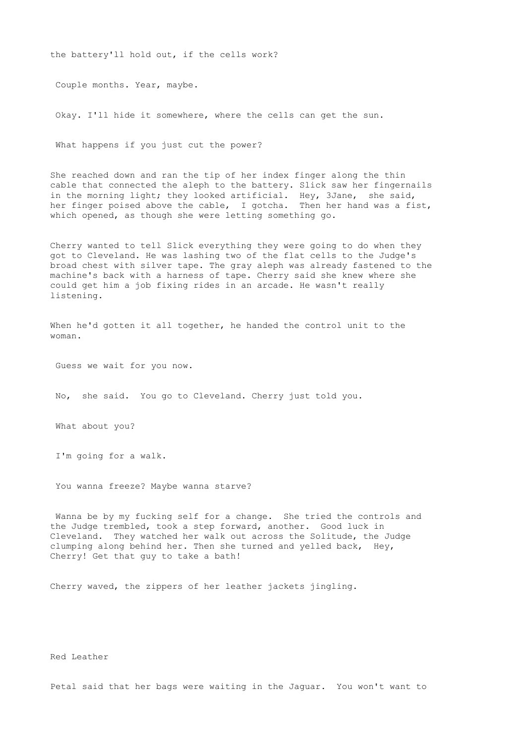the battery'll hold out, if the cells work?

Couple months. Year, maybe.

Okay. I'll hide it somewhere, where the cells can get the sun.

What happens if you just cut the power?

She reached down and ran the tip of her index finger along the thin cable that connected the aleph to the battery. Slick saw her fingernails in the morning light; they looked artificial. Hey, 3Jane, she said, her finger poised above the cable, I gotcha. Then her hand was a fist, which opened, as though she were letting something go.

Cherry wanted to tell Slick everything they were going to do when they got to Cleveland. He was lashing two of the flat cells to the Judge's broad chest with silver tape. The gray aleph was already fastened to the machine's back with a harness of tape. Cherry said she knew where she could get him a job fixing rides in an arcade. He wasn't really listening.

When he'd gotten it all together, he handed the control unit to the woman.

Guess we wait for you now.

No, she said. You go to Cleveland. Cherry just told you.

What about you?

I'm going for a walk.

You wanna freeze? Maybe wanna starve?

 Wanna be by my fucking self for a change. She tried the controls and the Judge trembled, took a step forward, another. Good luck in Cleveland. They watched her walk out across the Solitude, the Judge clumping along behind her. Then she turned and yelled back, Hey, Cherry! Get that guy to take a bath!

Cherry waved, the zippers of her leather jackets jingling.

Red Leather

Petal said that her bags were waiting in the Jaguar. You won't want to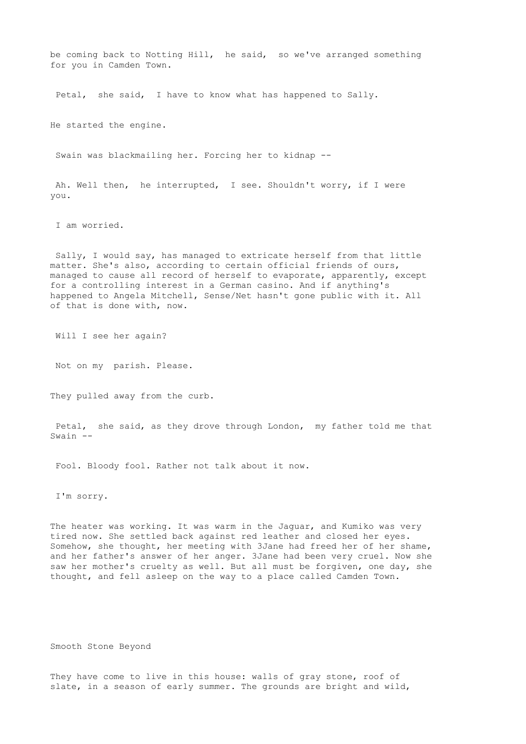be coming back to Notting Hill, he said, so we've arranged something for you in Camden Town.

Petal, she said, I have to know what has happened to Sally.

He started the engine.

Swain was blackmailing her. Forcing her to kidnap --

 Ah. Well then, he interrupted, I see. Shouldn't worry, if I were you.

I am worried.

 Sally, I would say, has managed to extricate herself from that little matter. She's also, according to certain official friends of ours, managed to cause all record of herself to evaporate, apparently, except for a controlling interest in a German casino. And if anything's happened to Angela Mitchell, Sense/Net hasn't gone public with it. All of that is done with, now.

Will I see her again?

Not on my parish. Please.

They pulled away from the curb.

 Petal, she said, as they drove through London, my father told me that Swain --

Fool. Bloody fool. Rather not talk about it now.

I'm sorry.

The heater was working. It was warm in the Jaguar, and Kumiko was very tired now. She settled back against red leather and closed her eyes. Somehow, she thought, her meeting with 3Jane had freed her of her shame, and her father's answer of her anger. 3Jane had been very cruel. Now she saw her mother's cruelty as well. But all must be forgiven, one day, she thought, and fell asleep on the way to a place called Camden Town.

Smooth Stone Beyond

They have come to live in this house: walls of gray stone, roof of slate, in a season of early summer. The grounds are bright and wild,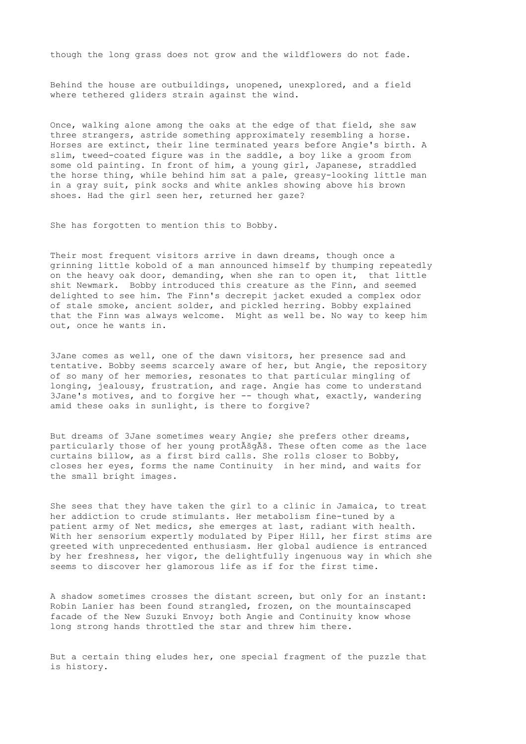though the long grass does not grow and the wildflowers do not fade.

Behind the house are outbuildings, unopened, unexplored, and a field where tethered gliders strain against the wind.

Once, walking alone among the oaks at the edge of that field, she saw three strangers, astride something approximately resembling a horse. Horses are extinct, their line terminated years before Angie's birth. A slim, tweed-coated figure was in the saddle, a boy like a groom from some old painting. In front of him, a young girl, Japanese, straddled the horse thing, while behind him sat a pale, greasy-looking little man in a gray suit, pink socks and white ankles showing above his brown shoes. Had the girl seen her, returned her gaze?

She has forgotten to mention this to Bobby.

Their most frequent visitors arrive in dawn dreams, though once a grinning little kobold of a man announced himself by thumping repeatedly on the heavy oak door, demanding, when she ran to open it, that little shit Newmark. Bobby introduced this creature as the Finn, and seemed delighted to see him. The Finn's decrepit jacket exuded a complex odor of stale smoke, ancient solder, and pickled herring. Bobby explained that the Finn was always welcome. Might as well be. No way to keep him out, once he wants in.

3Jane comes as well, one of the dawn visitors, her presence sad and tentative. Bobby seems scarcely aware of her, but Angie, the repository of so many of her memories, resonates to that particular mingling of longing, jealousy, frustration, and rage. Angie has come to understand 3Jane's motives, and to forgive her -- though what, exactly, wandering amid these oaks in sunlight, is there to forgive?

But dreams of 3Jane sometimes weary Angie; she prefers other dreams, particularly those of her young prot $A \times B$ . These often come as the lace curtains billow, as a first bird calls. She rolls closer to Bobby, closes her eyes, forms the name Continuity in her mind, and waits for the small bright images.

She sees that they have taken the girl to a clinic in Jamaica, to treat her addiction to crude stimulants. Her metabolism fine-tuned by a patient army of Net medics, she emerges at last, radiant with health. With her sensorium expertly modulated by Piper Hill, her first stims are greeted with unprecedented enthusiasm. Her global audience is entranced by her freshness, her vigor, the delightfully ingenuous way in which she seems to discover her glamorous life as if for the first time.

A shadow sometimes crosses the distant screen, but only for an instant: Robin Lanier has been found strangled, frozen, on the mountainscaped facade of the New Suzuki Envoy; both Angie and Continuity know whose long strong hands throttled the star and threw him there.

But a certain thing eludes her, one special fragment of the puzzle that is history.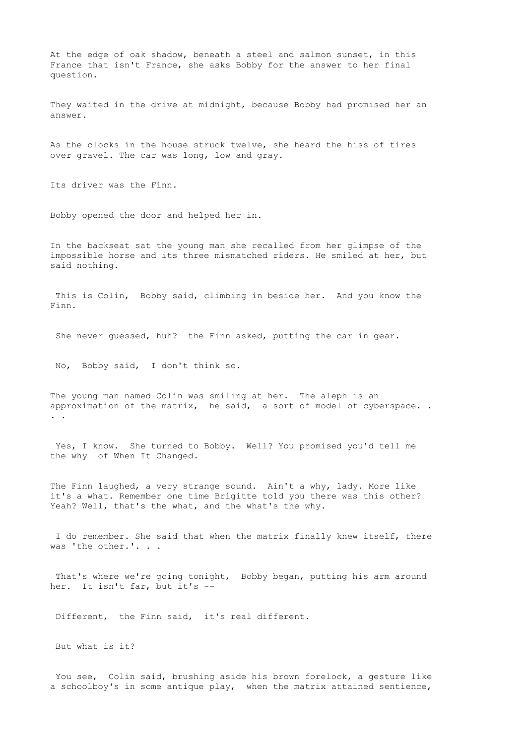At the edge of oak shadow, beneath a steel and salmon sunset, in this France that isn't France, she asks Bobby for the answer to her final question.

They waited in the drive at midnight, because Bobby had promised her an answer.

As the clocks in the house struck twelve, she heard the hiss of tires over gravel. The car was long, low and gray.

Its driver was the Finn.

Bobby opened the door and helped her in.

In the backseat sat the young man she recalled from her glimpse of the impossible horse and its three mismatched riders. He smiled at her, but said nothing.

 This is Colin, Bobby said, climbing in beside her. And you know the Finn.

She never guessed, huh? the Finn asked, putting the car in gear.

No, Bobby said, I don't think so.

The young man named Colin was smiling at her. The aleph is an approximation of the matrix, he said, a sort of model of cyberspace. . . .

 Yes, I know. She turned to Bobby. Well? You promised you'd tell me the why of When It Changed.

The Finn laughed, a very strange sound. Ain't a why, lady. More like it's a what. Remember one time Brigitte told you there was this other? Yeah? Well, that's the what, and the what's the why.

 I do remember. She said that when the matrix finally knew itself, there was 'the other.'. . .

That's where we're going tonight, Bobby began, putting his arm around her. It isn't far, but it's --

Different, the Finn said, it's real different.

But what is it?

 You see, Colin said, brushing aside his brown forelock, a gesture like a schoolboy's in some antique play, when the matrix attained sentience,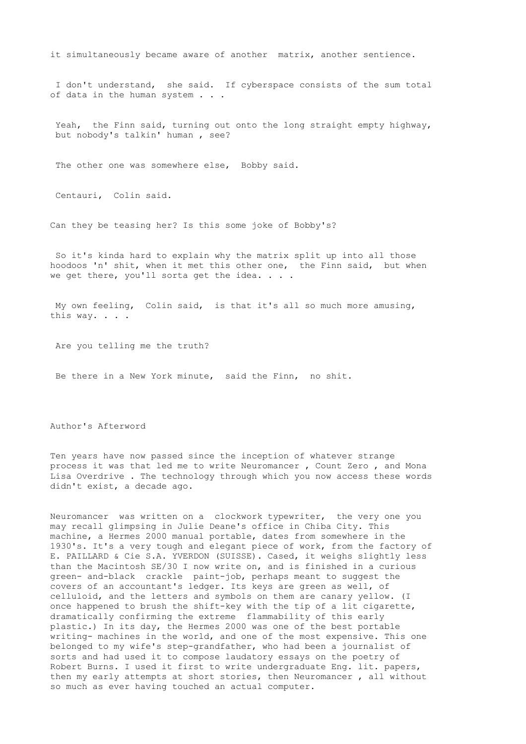it simultaneously became aware of another matrix, another sentience.

 I don't understand, she said. If cyberspace consists of the sum total of data in the human system . . .

Yeah, the Finn said, turning out onto the long straight empty highway, but nobody's talkin' human , see?

The other one was somewhere else, Bobby said.

Centauri, Colin said.

Can they be teasing her? Is this some joke of Bobby's?

 So it's kinda hard to explain why the matrix split up into all those hoodoos 'n' shit, when it met this other one, the Finn said, but when we get there, you'll sorta get the idea. . . .

 My own feeling, Colin said, is that it's all so much more amusing, this way. . . .

Are you telling me the truth?

Be there in a New York minute, said the Finn, no shit.

Author's Afterword

Ten years have now passed since the inception of whatever strange process it was that led me to write Neuromancer , Count Zero , and Mona Lisa Overdrive . The technology through which you now access these words didn't exist, a decade ago.

Neuromancer was written on a clockwork typewriter, the very one you may recall glimpsing in Julie Deane's office in Chiba City. This machine, a Hermes 2000 manual portable, dates from somewhere in the 1930's. It's a very tough and elegant piece of work, from the factory of E. PAILLARD & Cie S.A. YVERDON (SUISSE). Cased, it weighs slightly less than the Macintosh SE/30 I now write on, and is finished in a curious green- and-black crackle paint-job, perhaps meant to suggest the covers of an accountant's ledger. Its keys are green as well, of celluloid, and the letters and symbols on them are canary yellow. (I once happened to brush the shift-key with the tip of a lit cigarette, dramatically confirming the extreme flammability of this early plastic.) In its day, the Hermes 2000 was one of the best portable writing- machines in the world, and one of the most expensive. This one belonged to my wife's step-grandfather, who had been a journalist of sorts and had used it to compose laudatory essays on the poetry of Robert Burns. I used it first to write undergraduate Eng. lit. papers, then my early attempts at short stories, then Neuromancer , all without so much as ever having touched an actual computer.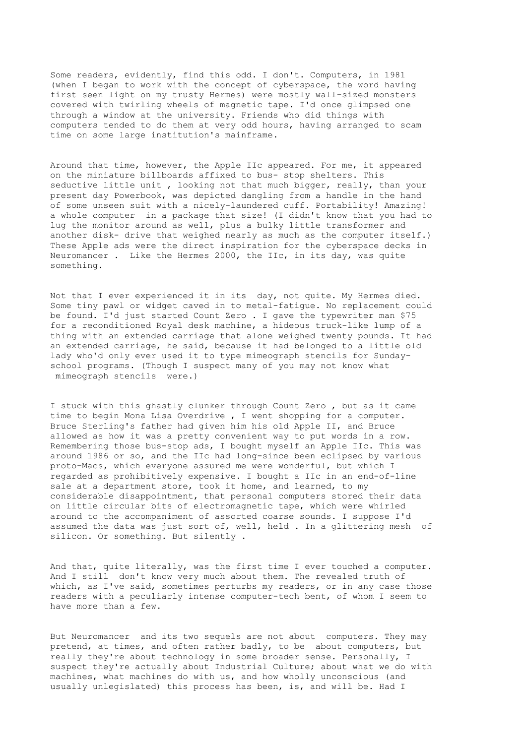Some readers, evidently, find this odd. I don't. Computers, in 1981 (when I began to work with the concept of cyberspace, the word having first seen light on my trusty Hermes) were mostly wall-sized monsters covered with twirling wheels of magnetic tape. I'd once glimpsed one through a window at the university. Friends who did things with computers tended to do them at very odd hours, having arranged to scam time on some large institution's mainframe.

Around that time, however, the Apple IIc appeared. For me, it appeared on the miniature billboards affixed to bus- stop shelters. This seductive little unit , looking not that much bigger, really, than your present day Powerbook, was depicted dangling from a handle in the hand of some unseen suit with a nicely-laundered cuff. Portability! Amazing! a whole computer in a package that size! (I didn't know that you had to lug the monitor around as well, plus a bulky little transformer and another disk- drive that weighed nearly as much as the computer itself.) These Apple ads were the direct inspiration for the cyberspace decks in Neuromancer . Like the Hermes 2000, the IIc, in its day, was quite something.

Not that I ever experienced it in its day, not quite. My Hermes died. Some tiny pawl or widget caved in to metal-fatigue. No replacement could be found. I'd just started Count Zero . I gave the typewriter man \$75 for a reconditioned Royal desk machine, a hideous truck-like lump of a thing with an extended carriage that alone weighed twenty pounds. It had an extended carriage, he said, because it had belonged to a little old lady who'd only ever used it to type mimeograph stencils for Sundayschool programs. (Though I suspect many of you may not know what mimeograph stencils were.)

I stuck with this ghastly clunker through Count Zero , but as it came time to begin Mona Lisa Overdrive , I went shopping for a computer. Bruce Sterling's father had given him his old Apple II, and Bruce allowed as how it was a pretty convenient way to put words in a row. Remembering those bus-stop ads, I bought myself an Apple IIc. This was around 1986 or so, and the IIc had long-since been eclipsed by various proto-Macs, which everyone assured me were wonderful, but which I regarded as prohibitively expensive. I bought a IIc in an end-of-line sale at a department store, took it home, and learned, to my considerable disappointment, that personal computers stored their data on little circular bits of electromagnetic tape, which were whirled around to the accompaniment of assorted coarse sounds. I suppose I'd assumed the data was just sort of, well, held . In a glittering mesh of silicon. Or something. But silently .

And that, quite literally, was the first time I ever touched a computer. And I still don't know very much about them. The revealed truth of which, as I've said, sometimes perturbs my readers, or in any case those readers with a peculiarly intense computer-tech bent, of whom I seem to have more than a few.

But Neuromancer and its two sequels are not about computers. They may pretend, at times, and often rather badly, to be about computers, but really they're about technology in some broader sense. Personally, I suspect they're actually about Industrial Culture; about what we do with machines, what machines do with us, and how wholly unconscious (and usually unlegislated) this process has been, is, and will be. Had I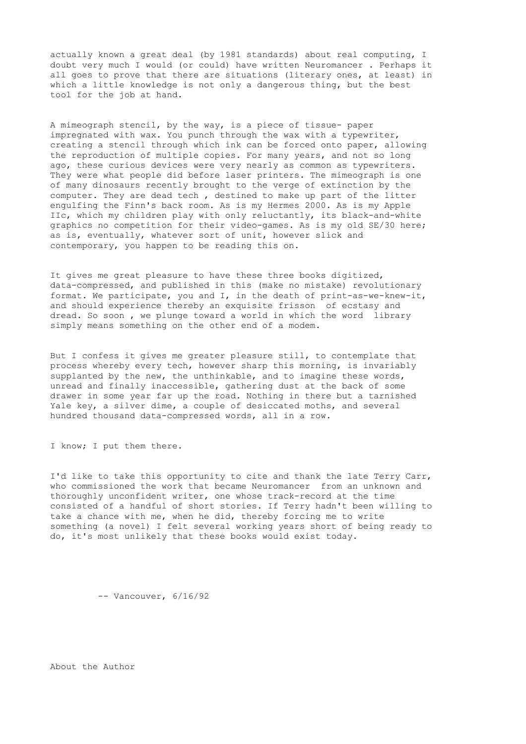actually known a great deal (by 1981 standards) about real computing, I doubt very much I would (or could) have written Neuromancer . Perhaps it all goes to prove that there are situations (literary ones, at least) in which a little knowledge is not only a dangerous thing, but the best tool for the job at hand.

A mimeograph stencil, by the way, is a piece of tissue- paper impregnated with wax. You punch through the wax with a typewriter, creating a stencil through which ink can be forced onto paper, allowing the reproduction of multiple copies. For many years, and not so long ago, these curious devices were very nearly as common as typewriters. They were what people did before laser printers. The mimeograph is one of many dinosaurs recently brought to the verge of extinction by the computer. They are dead tech , destined to make up part of the litter engulfing the Finn's back room. As is my Hermes 2000. As is my Apple IIc, which my children play with only reluctantly, its black-and-white graphics no competition for their video-games. As is my old SE/30 here; as is, eventually, whatever sort of unit, however slick and contemporary, you happen to be reading this on.

It gives me great pleasure to have these three books digitized, data-compressed, and published in this (make no mistake) revolutionary format. We participate, you and I, in the death of print-as-we-knew-it, and should experience thereby an exquisite frisson of ecstasy and dread. So soon , we plunge toward a world in which the word library simply means something on the other end of a modem.

But I confess it gives me greater pleasure still, to contemplate that process whereby every tech, however sharp this morning, is invariably supplanted by the new, the unthinkable, and to imagine these words, unread and finally inaccessible, gathering dust at the back of some drawer in some year far up the road. Nothing in there but a tarnished Yale key, a silver dime, a couple of desiccated moths, and several hundred thousand data-compressed words, all in a row.

I know; I put them there.

I'd like to take this opportunity to cite and thank the late Terry Carr, who commissioned the work that became Neuromancer from an unknown and thoroughly unconfident writer, one whose track-record at the time consisted of a handful of short stories. If Terry hadn't been willing to take a chance with me, when he did, thereby forcing me to write something (a novel) I felt several working years short of being ready to do, it's most unlikely that these books would exist today.

-- Vancouver, 6/16/92

About the Author